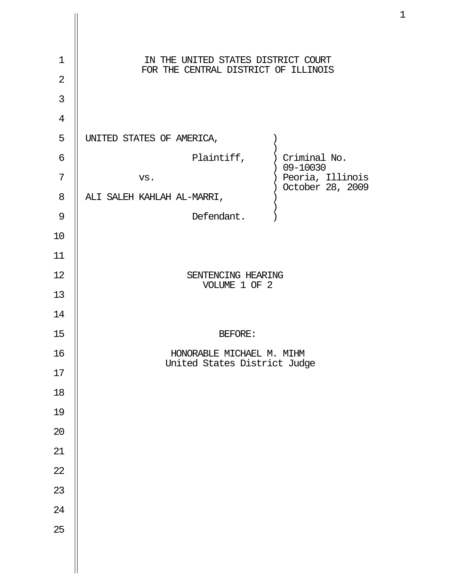| $\mathbf 1$<br>$\overline{2}$ | IN THE UNITED STATES DISTRICT COURT<br>FOR THE CENTRAL DISTRICT OF ILLINOIS |
|-------------------------------|-----------------------------------------------------------------------------|
| 3                             |                                                                             |
| $\overline{4}$                |                                                                             |
| 5                             | UNITED STATES OF AMERICA,                                                   |
| 6                             | Plaintiff, ) Criminal No.<br>$) 09 - 10030$                                 |
| 7                             | ) Peoria, Illinois<br>VS.<br>October 28, 2009<br>$\left( \right)$           |
| 8                             | ALI SALEH KAHLAH AL-MARRI,                                                  |
| 9                             | Defendant.                                                                  |
| 10                            |                                                                             |
| 11                            |                                                                             |
| 12                            | SENTENCING HEARING<br>VOLUME 1 OF 2                                         |
| 13                            |                                                                             |
| 14                            |                                                                             |
| 15                            | <b>BEFORE:</b>                                                              |
| 16                            | HONORABLE MICHAEL M. MIHM                                                   |
| 17                            | United States District Judge                                                |
| 18                            |                                                                             |
| 19                            |                                                                             |
| $20\,$                        |                                                                             |
| 21                            |                                                                             |
| 22                            |                                                                             |
| 23                            |                                                                             |
| 24                            |                                                                             |
| 25                            |                                                                             |
|                               |                                                                             |
|                               |                                                                             |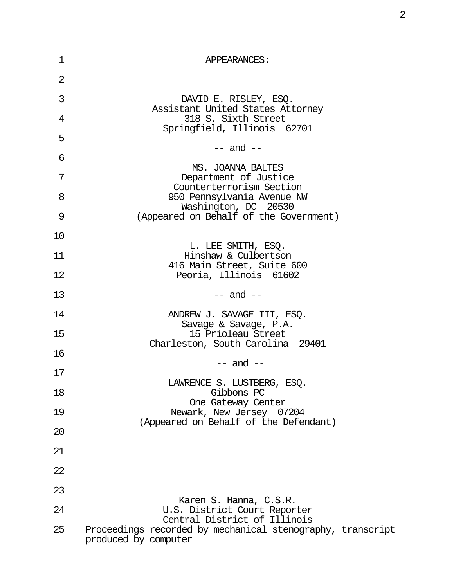| 1              | APPEARANCES:                                                                                                       |
|----------------|--------------------------------------------------------------------------------------------------------------------|
| $\overline{2}$ |                                                                                                                    |
| 3              | DAVID E. RISLEY, ESQ.                                                                                              |
| 4              | Assistant United States Attorney<br>318 S. Sixth Street                                                            |
| 5              | Springfield, Illinois 62701                                                                                        |
| 6              | $--$ and $--$                                                                                                      |
| 7              | MS. JOANNA BALTES<br>Department of Justice                                                                         |
| 8              | Counterterrorism Section<br>950 Pennsylvania Avenue NW                                                             |
| 9              | Washington, DC 20530<br>(Appeared on Behalf of the Government)                                                     |
| 10             |                                                                                                                    |
| 11             | L. LEE SMITH, ESQ.<br>Hinshaw & Culbertson                                                                         |
| 12             | 416 Main Street, Suite 600<br>Peoria, Illinois 61602                                                               |
| 13             | $--$ and $--$                                                                                                      |
| 14             | ANDREW J. SAVAGE III, ESQ.                                                                                         |
| 15             | Savage & Savage, P.A.<br>15 Prioleau Street                                                                        |
| 16             | Charleston, South Carolina<br>29401                                                                                |
| 17             | $--$ and $--$                                                                                                      |
| 18             | LAWRENCE S. LUSTBERG, ESQ.<br>Gibbons PC                                                                           |
| 19             | One Gateway Center<br>Newark, New Jersey 07204                                                                     |
| 20             | (Appeared on Behalf of the Defendant)                                                                              |
| 21             |                                                                                                                    |
| 22             |                                                                                                                    |
| 23             |                                                                                                                    |
| 24             | Karen S. Hanna, C.S.R.<br>U.S. District Court Reporter                                                             |
| 25             | Central District of Illinois<br>Proceedings recorded by mechanical stenography, transcript<br>produced by computer |
|                |                                                                                                                    |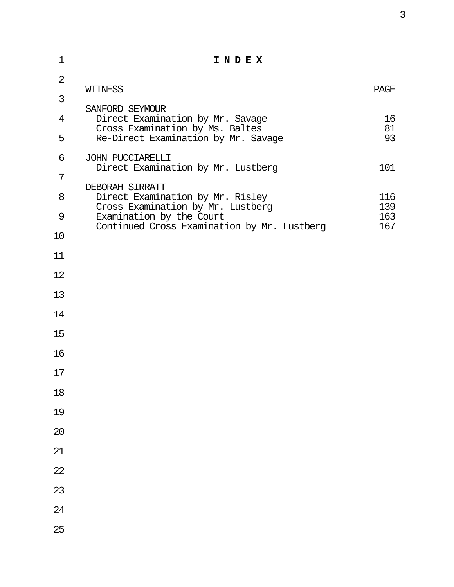| $\mathbf 1$    | INDEX                                                                   |            |
|----------------|-------------------------------------------------------------------------|------------|
| $\overline{2}$ |                                                                         |            |
| 3              | WITNESS                                                                 | PAGE       |
| 4              | SANFORD SEYMOUR<br>Direct Examination by Mr. Savage                     | 16         |
| 5              | Cross Examination by Ms. Baltes<br>Re-Direct Examination by Mr. Savage  | 81<br>93   |
| 6              | JOHN PUCCIARELLI<br>Direct Examination by Mr. Lustberg                  | 101        |
| 7              | DEBORAH SIRRATT                                                         |            |
| 8              | Direct Examination by Mr. Risley<br>Cross Examination by Mr. Lustberg   | 116<br>139 |
| 9              | Examination by the Court<br>Continued Cross Examination by Mr. Lustberg | 163<br>167 |
| 10             |                                                                         |            |
| 11             |                                                                         |            |
| 12             |                                                                         |            |
| 13             |                                                                         |            |
| 14             |                                                                         |            |
| 15             |                                                                         |            |
| 16             |                                                                         |            |
| $17\,$         |                                                                         |            |
| $18\,$         |                                                                         |            |
| 19             |                                                                         |            |
| 20             |                                                                         |            |
| 21             |                                                                         |            |
| 22             |                                                                         |            |
| 23             |                                                                         |            |
| 24             |                                                                         |            |
| 25             |                                                                         |            |
|                |                                                                         |            |
|                |                                                                         |            |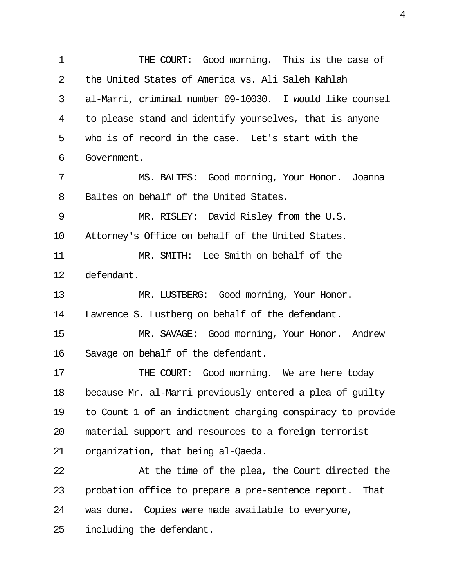| $\mathbf 1$    | THE COURT: Good morning. This is the case of               |
|----------------|------------------------------------------------------------|
| $\overline{2}$ | the United States of America vs. Ali Saleh Kahlah          |
| 3              | al-Marri, criminal number 09-10030. I would like counsel   |
| 4              | to please stand and identify yourselves, that is anyone    |
| 5              | who is of record in the case. Let's start with the         |
| 6              | Government.                                                |
| 7              | MS. BALTES: Good morning, Your Honor. Joanna               |
| 8              | Baltes on behalf of the United States.                     |
| 9              | MR. RISLEY: David Risley from the U.S.                     |
| 10             | Attorney's Office on behalf of the United States.          |
| 11             | MR. SMITH: Lee Smith on behalf of the                      |
| 12             | defendant.                                                 |
| 13             | MR. LUSTBERG: Good morning, Your Honor.                    |
| 14             | Lawrence S. Lustberg on behalf of the defendant.           |
| 15             | MR. SAVAGE: Good morning, Your Honor. Andrew               |
| 16             | Savage on behalf of the defendant.                         |
| 17             | THE COURT: Good morning. We are here today                 |
| 18             | because Mr. al-Marri previously entered a plea of guilty   |
| 19             | to Count 1 of an indictment charging conspiracy to provide |
| 20             | material support and resources to a foreign terrorist      |
| 21             | organization, that being al-Qaeda.                         |
| 22             | At the time of the plea, the Court directed the            |
| 23             | probation office to prepare a pre-sentence report. That    |
| 24             | was done. Copies were made available to everyone,          |
| 25             | including the defendant.                                   |

Ш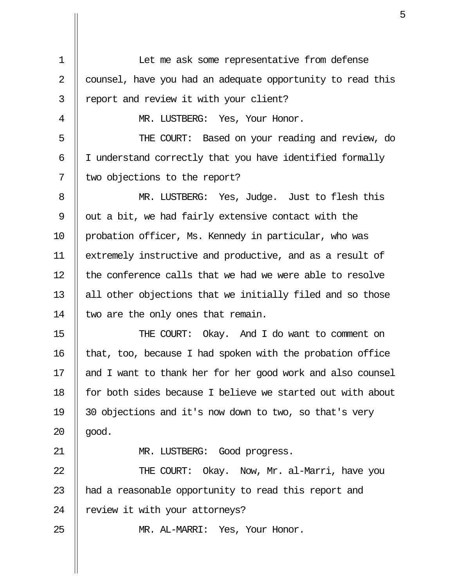1 || Let me ask some representative from defense 2 || counsel, have you had an adequate opportunity to read this 3 || report and review it with your client? 4 || MR. LUSTBERG: Yes, Your Honor. 5 THE COURT: Based on your reading and review, do 6 || I understand correctly that you have identified formally 7 | two objections to the report? 8 || MR. LUSTBERG: Yes, Judge. Just to flesh this 9  $\parallel$  out a bit, we had fairly extensive contact with the 10 || probation officer, Ms. Kennedy in particular, who was 11 extremely instructive and productive, and as a result of  $12$  || the conference calls that we had we were able to resolve 13  $\parallel$  all other objections that we initially filed and so those 14  $\parallel$  two are the only ones that remain. 15 THE COURT: Okay. And I do want to comment on  $16$  | that, too, because I had spoken with the probation office 17 || and I want to thank her for her good work and also counsel 18 for both sides because I believe we started out with about 19 30 objections and it's now down to two, so that's very  $20$  ||  $qood.$ 21 || MR. LUSTBERG: Good progress. 22 || THE COURT: Okay. Now, Mr. al-Marri, have you 23 || had a reasonable opportunity to read this report and  $24$  | review it with your attorneys? 25 MR. AL-MARRI: Yes, Your Honor.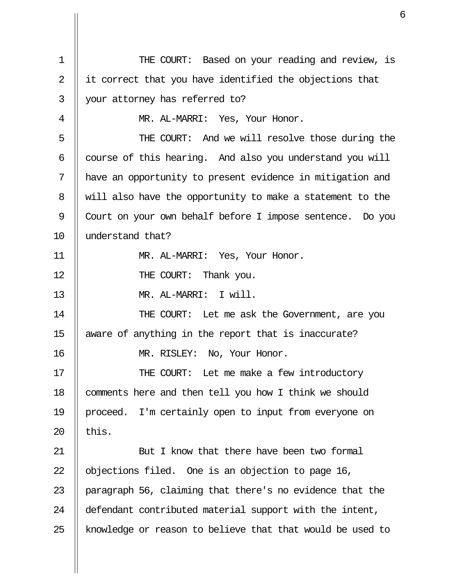1 THE COURT: Based on your reading and review, is 2  $\parallel$  it correct that you have identified the objections that 3 your attorney has referred to? 4 || MR. AL-MARRI: Yes, Your Honor. 5 THE COURT: And we will resolve those during the  $6$  || course of this hearing. And also you understand you will 7 have an opportunity to present evidence in mitigation and 8 || will also have the opportunity to make a statement to the 9 Court on your own behalf before I impose sentence. Do you 10 understand that? 11 MR. AL-MARRI: Yes, Your Honor. 12 || THE COURT: Thank you. 13 MR. AL-MARRI: I will. 14 || THE COURT: Let me ask the Government, are you 15 aware of anything in the report that is inaccurate? 16 MR. RISLEY: No, Your Honor. 17 || THE COURT: Let me make a few introductory 18 | comments here and then tell you how I think we should 19 || proceed. I'm certainly open to input from everyone on 20  $\parallel$  this. 21 || But I know that there have been two formal 22  $\parallel$  objections filed. One is an objection to page 16, 23 || paragraph 56, claiming that there's no evidence that the 24 | defendant contributed material support with the intent, 25 || knowledge or reason to believe that that would be used to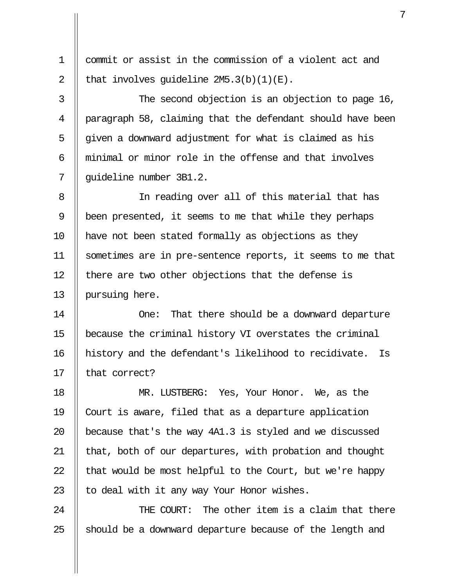1 commit or assist in the commission of a violent act and 2 | that involves quideline  $2M5.3(b)(1)(E)$ . 3 || The second objection is an objection to page 16, 4 || paragraph 58, claiming that the defendant should have been  $5$   $\parallel$  given a downward adjustment for what is claimed as his 6 minimal or minor role in the offense and that involves 7 || quideline number 3B1.2. 8 In reading over all of this material that has 9 | been presented, it seems to me that while they perhaps 10 have not been stated formally as objections as they 11 sometimes are in pre-sentence reports, it seems to me that  $12$  || there are two other objections that the defense is 13 pursuing here.

14 || Che: That there should be a downward departure 15 because the criminal history VI overstates the criminal 16 history and the defendant's likelihood to recidivate. Is 17 || that correct?

18 || MR. LUSTBERG: Yes, Your Honor. We, as the 19 Court is aware, filed that as a departure application 20  $\parallel$  because that's the way 4A1.3 is styled and we discussed 21 | that, both of our departures, with probation and thought 22  $\parallel$  that would be most helpful to the Court, but we're happy 23  $\parallel$  to deal with it any way Your Honor wishes.

24 || THE COURT: The other item is a claim that there 25  $\parallel$  should be a downward departure because of the length and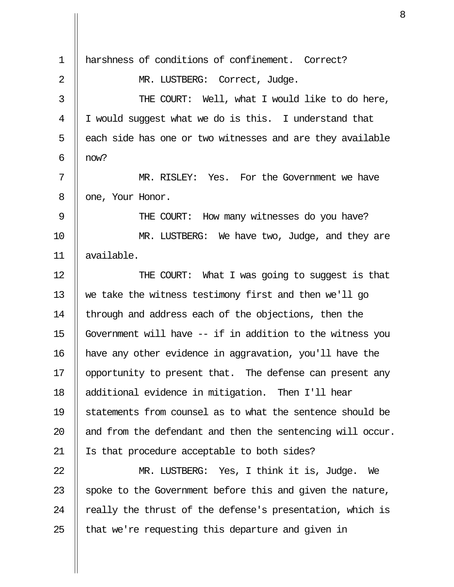1 harshness of conditions of confinement. Correct? 2 || MR. LUSTBERG: Correct, Judge. 3 || THE COURT: Well, what I would like to do here, 4 I would suggest what we do is this. I understand that  $5$  || each side has one or two witnesses and are they available 6  $\parallel$  now? 7 MR. RISLEY: Yes. For the Government we have 8 || one, Your Honor. 9 || THE COURT: How many witnesses do you have? 10 || MR. LUSTBERG: We have two, Judge, and they are 11 available. 12 || THE COURT: What I was going to suggest is that 13 we take the witness testimony first and then we'll go 14 | through and address each of the objections, then the 15  $\parallel$  Government will have -- if in addition to the witness you 16 have any other evidence in aggravation, you'll have the 17 || opportunity to present that. The defense can present any 18 additional evidence in mitigation. Then I'll hear 19 || statements from counsel as to what the sentence should be 20  $\parallel$  and from the defendant and then the sentencing will occur. 21 Is that procedure acceptable to both sides? 22 MR. LUSTBERG: Yes, I think it is, Judge. We 23  $\parallel$  spoke to the Government before this and given the nature, 24  $\parallel$  really the thrust of the defense's presentation, which is

 $25$  || that we're requesting this departure and given in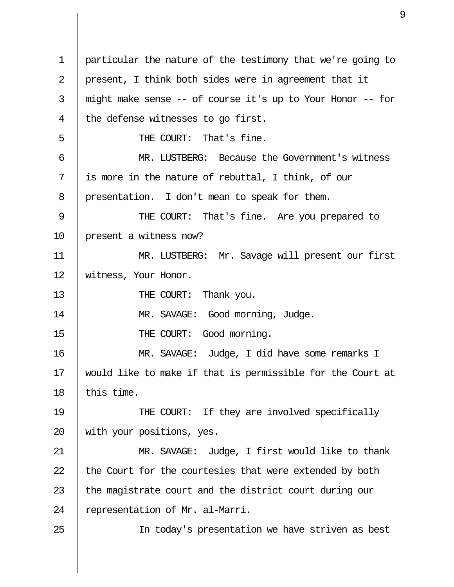1 particular the nature of the testimony that we're going to 2 || present, I think both sides were in agreement that it  $3$  || might make sense -- of course it's up to Your Honor -- for  $4 \parallel$  the defense witnesses to go first. 5 THE COURT: That's fine. 6 MR. LUSTBERG: Because the Government's witness  $7 \parallel$  is more in the nature of rebuttal, I think, of our 8 | presentation. I don't mean to speak for them. 9 || THE COURT: That's fine. Are you prepared to 10 | present a witness now? 11 MR. LUSTBERG: Mr. Savage will present our first 12 Witness, Your Honor. 13 || THE COURT: Thank you. 14 || MR. SAVAGE: Good morning, Judge. 15 || THE COURT: Good morning. 16 MR. SAVAGE: Judge, I did have some remarks I 17 would like to make if that is permissible for the Court at 18  $\parallel$  this time. 19 || THE COURT: If they are involved specifically 20 with your positions, yes. 21 MR. SAVAGE: Judge, I first would like to thank 22  $\parallel$  the Court for the courtesies that were extended by both 23  $\parallel$  the magistrate court and the district court during our 24 | representation of Mr. al-Marri. 25 || In today's presentation we have striven as best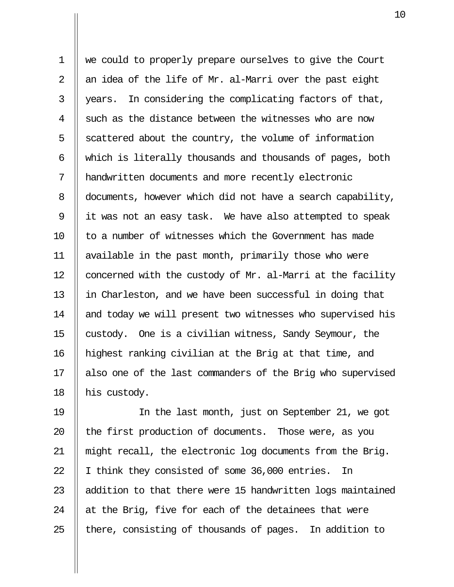1 we could to properly prepare ourselves to give the Court 2  $\parallel$  an idea of the life of Mr. al-Marri over the past eight  $3$  || years. In considering the complicating factors of that,  $4 \parallel$  such as the distance between the witnesses who are now  $5 \parallel$  scattered about the country, the volume of information 6 which is literally thousands and thousands of pages, both 7 handwritten documents and more recently electronic 8 documents, however which did not have a search capability, 9 it was not an easy task. We have also attempted to speak 10 || to a number of witnesses which the Government has made 11 available in the past month, primarily those who were 12  $\parallel$  concerned with the custody of Mr. al-Marri at the facility 13 in Charleston, and we have been successful in doing that 14 || and today we will present two witnesses who supervised his 15 custody. One is a civilian witness, Sandy Seymour, the 16 highest ranking civilian at the Brig at that time, and 17 || also one of the last commanders of the Brig who supervised 18 || his custody.

19 In the last month, just on September 21, we got 20  $\parallel$  the first production of documents. Those were, as you 21 might recall, the electronic log documents from the Brig. 22 | I think they consisted of some 36,000 entries. In 23  $\parallel$  addition to that there were 15 handwritten logs maintained 24  $\parallel$  at the Brig, five for each of the detainees that were 25  $\parallel$  there, consisting of thousands of pages. In addition to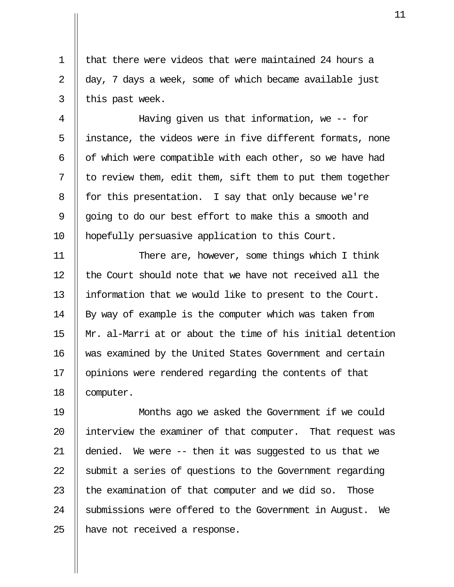1  $\parallel$  that there were videos that were maintained 24 hours a 2  $\parallel$  day, 7 days a week, some of which became available just  $3$  | this past week.

 4 Having given us that information, we -- for 5 || instance, the videos were in five different formats, none 6  $\parallel$  of which were compatible with each other, so we have had  $7 \parallel$  to review them, edit them, sift them to put them together 8 | for this presentation. I say that only because we're 9  $\parallel$  going to do our best effort to make this a smooth and 10 | hopefully persuasive application to this Court.

11 || There are, however, some things which I think  $12$  | the Court should note that we have not received all the 13 information that we would like to present to the Court. 14 || By way of example is the computer which was taken from 15 Mr. al-Marri at or about the time of his initial detention 16 || was examined by the United States Government and certain 17 | opinions were rendered regarding the contents of that 18 | computer.

19 Months ago we asked the Government if we could 20 || interview the examiner of that computer. That request was 21 denied. We were -- then it was suggested to us that we 22  $\parallel$  submit a series of questions to the Government regarding 23  $\parallel$  the examination of that computer and we did so. Those 24 Submissions were offered to the Government in August. We 25 || have not received a response.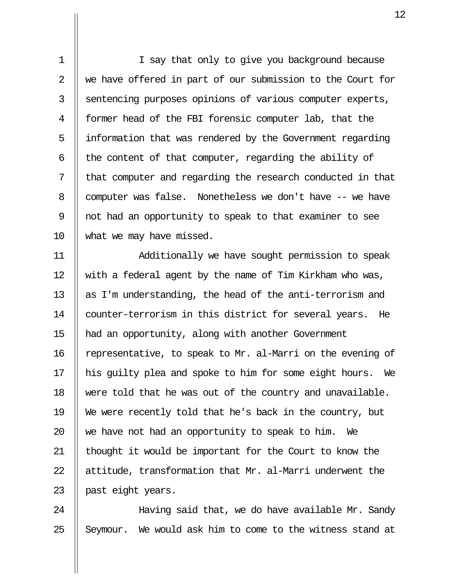1 || I say that only to give you background because 2 We have offered in part of our submission to the Court for 3 Sentencing purposes opinions of various computer experts, 4 former head of the FBI forensic computer lab, that the  $5$  | information that was rendered by the Government regarding 6  $\parallel$  the content of that computer, regarding the ability of  $7$   $\parallel$  that computer and regarding the research conducted in that 8 computer was false. Nonetheless we don't have -- we have 9 not had an opportunity to speak to that examiner to see 10 what we may have missed.

11 Additionally we have sought permission to speak 12 || with a federal agent by the name of Tim Kirkham who was, 13  $\parallel$  as I'm understanding, the head of the anti-terrorism and 14 || counter-terrorism in this district for several years. He 15 had an opportunity, along with another Government 16 | representative, to speak to Mr. al-Marri on the evening of 17 || his quilty plea and spoke to him for some eight hours. We 18 were told that he was out of the country and unavailable. 19 We were recently told that he's back in the country, but 20  $\parallel$  we have not had an opportunity to speak to him. We 21 || thought it would be important for the Court to know the 22  $\parallel$  attitude, transformation that Mr. al-Marri underwent the 23 || past eight years.

24 || Having said that, we do have available Mr. Sandy  $25$  || Seymour. We would ask him to come to the witness stand at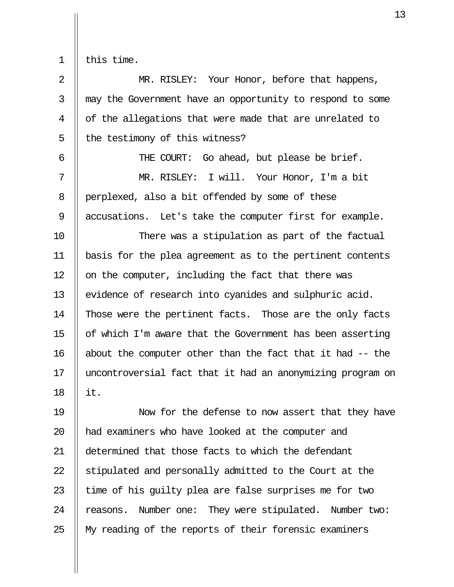$1$  | this time.

2 || MR. RISLEY: Your Honor, before that happens, 3 || may the Government have an opportunity to respond to some 4 || of the allegations that were made that are unrelated to  $5$  || the testimony of this witness? 6 THE COURT: Go ahead, but please be brief. 7 MR. RISLEY: I will. Your Honor, I'm a bit 8 perplexed, also a bit offended by some of these 9 | accusations. Let's take the computer first for example. 10 || There was a stipulation as part of the factual 11 basis for the plea agreement as to the pertinent contents 12  $\parallel$  on the computer, including the fact that there was 13 || evidence of research into cyanides and sulphuric acid. 14 Those were the pertinent facts. Those are the only facts 15  $\parallel$  of which I'm aware that the Government has been asserting 16  $\parallel$  about the computer other than the fact that it had  $-$  the 17 uncontroversial fact that it had an anonymizing program on 18  $\parallel$  it.

19 Now for the defense to now assert that they have 20 || had examiners who have looked at the computer and 21 determined that those facts to which the defendant 22  $\parallel$  stipulated and personally admitted to the Court at the 23  $\parallel$  time of his quilty plea are false surprises me for two 24 | reasons. Number one: They were stipulated. Number two: 25 || My reading of the reports of their forensic examiners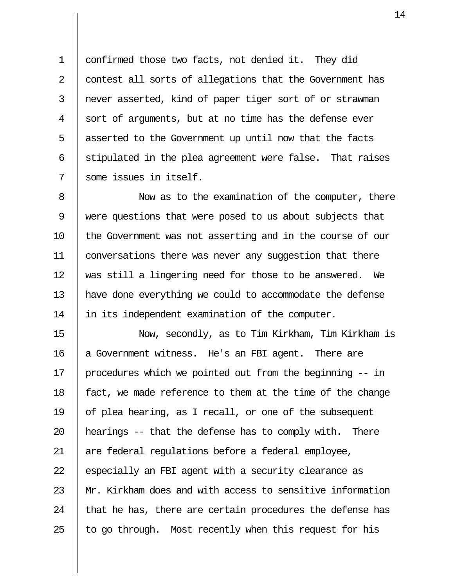1 confirmed those two facts, not denied it. They did 2 | contest all sorts of allegations that the Government has 3 never asserted, kind of paper tiger sort of or strawman 4 Sort of arguments, but at no time has the defense ever 5 || asserted to the Government up until now that the facts  $6 \parallel$  stipulated in the plea agreement were false. That raises 7 some issues in itself.

8 || Now as to the examination of the computer, there 9 were questions that were posed to us about subjects that 10 || the Government was not asserting and in the course of our 11 conversations there was never any suggestion that there 12 was still a lingering need for those to be answered. We 13 have done everything we could to accommodate the defense 14 || in its independent examination of the computer.

15 Now, secondly, as to Tim Kirkham, Tim Kirkham is 16 || a Government witness. He's an FBI agent. There are 17 procedures which we pointed out from the beginning -- in 18  $\parallel$  fact, we made reference to them at the time of the change 19  $\parallel$  of plea hearing, as I recall, or one of the subsequent 20  $\parallel$  hearings -- that the defense has to comply with. There 21 || are federal regulations before a federal employee, 22  $\parallel$  especially an FBI agent with a security clearance as 23 Mr. Kirkham does and with access to sensitive information 24  $\parallel$  that he has, there are certain procedures the defense has 25  $\parallel$  to go through. Most recently when this request for his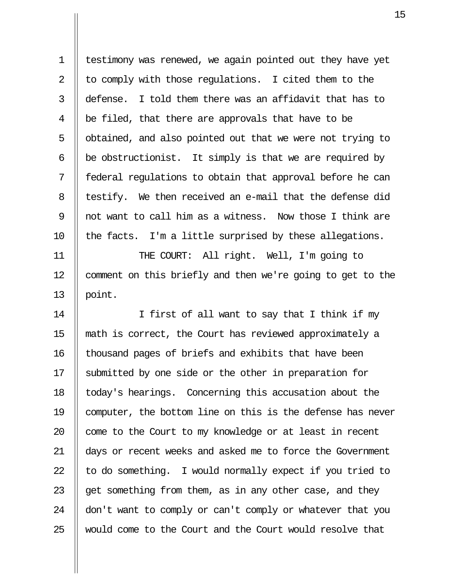1 testimony was renewed, we again pointed out they have yet 2  $\parallel$  to comply with those regulations. I cited them to the 3  $\parallel$  defense. I told them there was an affidavit that has to  $4 \parallel$  be filed, that there are approvals that have to be 5 | obtained, and also pointed out that we were not trying to 6  $\parallel$  be obstructionist. It simply is that we are required by 7 || federal regulations to obtain that approval before he can 8 || testify. We then received an e-mail that the defense did 9 || not want to call him as a witness. Now those I think are  $10$  || the facts. I'm a little surprised by these allegations.

11 || THE COURT: All right. Well, I'm going to 12 | comment on this briefly and then we're going to get to the 13  $\parallel$  point.

14 || I first of all want to say that I think if my 15 math is correct, the Court has reviewed approximately a 16 | thousand pages of briefs and exhibits that have been 17 Submitted by one side or the other in preparation for 18 | today's hearings. Concerning this accusation about the 19 computer, the bottom line on this is the defense has never  $20$  | come to the Court to my knowledge or at least in recent 21 days or recent weeks and asked me to force the Government 22  $\parallel$  to do something. I would normally expect if you tried to 23  $\parallel$  get something from them, as in any other case, and they 24 don't want to comply or can't comply or whatever that you 25 Would come to the Court and the Court would resolve that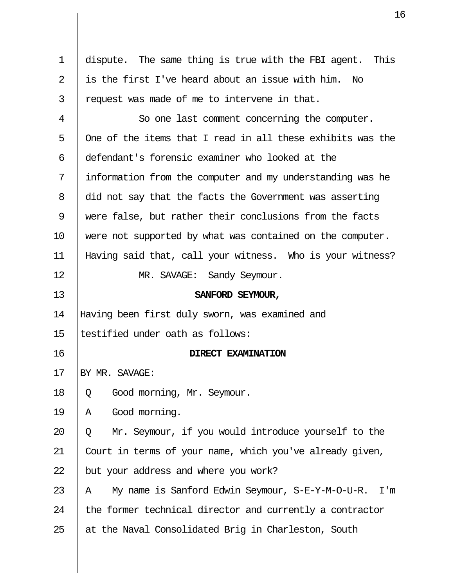|                | 1                                                          |
|----------------|------------------------------------------------------------|
|                |                                                            |
| $\mathbf 1$    | dispute. The same thing is true with the FBI agent. This   |
| $\overline{2}$ | is the first I've heard about an issue with him.<br>No     |
| 3              | request was made of me to intervene in that.               |
| 4              | So one last comment concerning the computer.               |
| 5              | One of the items that I read in all these exhibits was the |
| 6              | defendant's forensic examiner who looked at the            |
| 7              | information from the computer and my understanding was he  |
| 8              | did not say that the facts the Government was asserting    |
| 9              | were false, but rather their conclusions from the facts    |
| 10             | were not supported by what was contained on the computer.  |
| 11             | Having said that, call your witness. Who is your witness?  |
| 12             | MR. SAVAGE: Sandy Seymour.                                 |
| 13             | SANFORD SEYMOUR,                                           |
| 14             | Having been first duly sworn, was examined and             |
| 15             | testified under oath as follows:                           |
| 16             | DIRECT EXAMINATION                                         |
| 17             | BY MR. SAVAGE:                                             |
| 18             | Good morning, Mr. Seymour.<br>Q                            |
| 19             | Good morning.<br>Α                                         |
| 20             | Mr. Seymour, if you would introduce yourself to the<br>Q   |
| 21             | Court in terms of your name, which you've already given,   |
| 22             | but your address and where you work?                       |
| 23             | My name is Sanford Edwin Seymour, S-E-Y-M-O-U-R. I'm<br>Α  |
| 24             | the former technical director and currently a contractor   |
| 25             | at the Naval Consolidated Brig in Charleston, South        |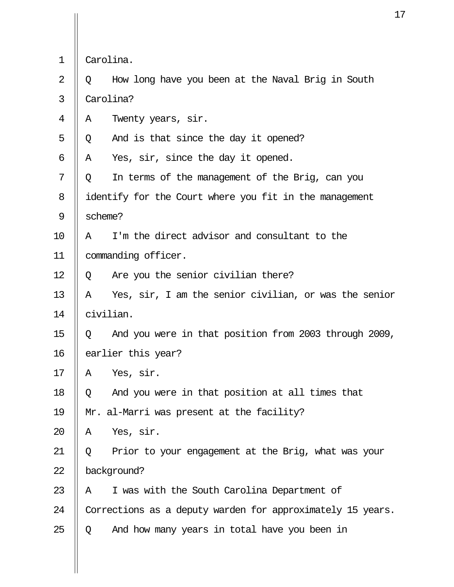| $\mathbf 1$ |                                                        | Carolina.                                                  |  |
|-------------|--------------------------------------------------------|------------------------------------------------------------|--|
| 2           | Q                                                      | How long have you been at the Naval Brig in South          |  |
| 3           | Carolina?                                              |                                                            |  |
| 4           | Α                                                      | Twenty years, sir.                                         |  |
| 5           | Q                                                      | And is that since the day it opened?                       |  |
| 6           | Α                                                      | Yes, sir, since the day it opened.                         |  |
| 7           | Q                                                      | In terms of the management of the Brig, can you            |  |
| 8           | identify for the Court where you fit in the management |                                                            |  |
| 9           | scheme?                                                |                                                            |  |
| 10          | Α                                                      | I'm the direct advisor and consultant to the               |  |
| 11          |                                                        | commanding officer.                                        |  |
| 12          | Q                                                      | Are you the senior civilian there?                         |  |
| 13          | Α                                                      | Yes, sir, I am the senior civilian, or was the senior      |  |
| 14          | civilian.                                              |                                                            |  |
| 15          | Q                                                      | And you were in that position from 2003 through 2009,      |  |
| 16          |                                                        | earlier this year?                                         |  |
| 17          | Α                                                      | Yes, sir.                                                  |  |
| 18          | Q                                                      | And you were in that position at all times that            |  |
| 19          | Mr. al-Marri was present at the facility?              |                                                            |  |
| 20          | Α                                                      | Yes, sir.                                                  |  |
| 21          | Q                                                      | Prior to your engagement at the Brig, what was your        |  |
| 22          | background?                                            |                                                            |  |
| 23          | A                                                      | I was with the South Carolina Department of                |  |
| 24          |                                                        | Corrections as a deputy warden for approximately 15 years. |  |
| 25          | Q                                                      | And how many years in total have you been in               |  |

 $\prod$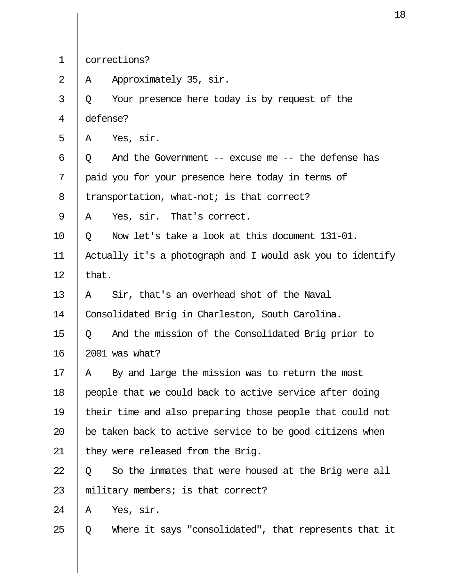|  | corrections? |
|--|--------------|
|--|--------------|

2 ||  $\land$  Approximately 35, sir.

 $3 \parallel 0$  Your presence here today is by request of the 4 defense?

 $5 \parallel A \quad \text{Yes.}$  sir.

6  $\parallel$  Q And the Government -- excuse me -- the defense has  $7$  | paid you for your presence here today in terms of

8 | transportation, what-not; is that correct?

 $9 \parallel A$  Yes, sir. That's correct.

 $10$  | 0 Now let's take a look at this document 131-01.

11 Actually it's a photograph and I would ask you to identify 12  $\parallel$  that.

13  $\parallel$  A Sir, that's an overhead shot of the Naval

14 | Consolidated Brig in Charleston, South Carolina.

15 Q And the mission of the Consolidated Brig prior to 16 2001 was what?

17  $\parallel$  A By and large the mission was to return the most 18 | people that we could back to active service after doing 19 their time and also preparing those people that could not 20  $\parallel$  be taken back to active service to be good citizens when 21 || they were released from the Brig.

 $22 \parallel 0$  So the inmates that were housed at the Brig were all 23  $\parallel$  military members; is that correct?

 $24$  | A Yes, sir.

 $25 \parallel Q$  Where it says "consolidated", that represents that it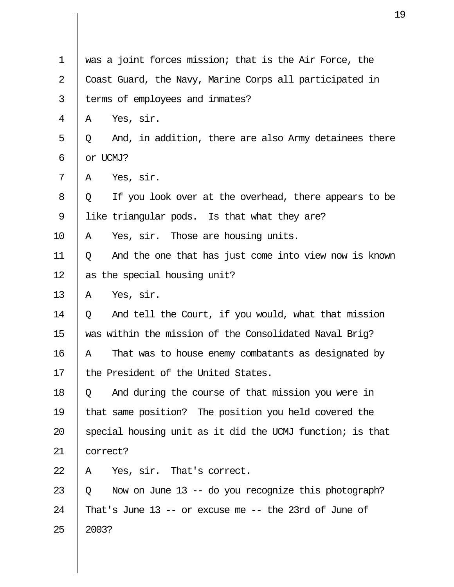| $\mathbf 1$    | was a joint forces mission; that is the Air Force, the     |  |
|----------------|------------------------------------------------------------|--|
| $\overline{2}$ | Coast Guard, the Navy, Marine Corps all participated in    |  |
| 3              | terms of employees and inmates?                            |  |
| 4              | Yes, sir.<br>Α                                             |  |
| 5              | And, in addition, there are also Army detainees there<br>Q |  |
| 6              | or UCMJ?                                                   |  |
| 7              | Yes, sir.<br>A                                             |  |
| 8              | If you look over at the overhead, there appears to be<br>Q |  |
| 9              | like triangular pods. Is that what they are?               |  |
| 10             | Yes, sir. Those are housing units.<br>Α                    |  |
| 11             | And the one that has just come into view now is known<br>Q |  |
| 12             | as the special housing unit?                               |  |
| 13             | Yes, sir.<br>A                                             |  |
| 14             | And tell the Court, if you would, what that mission<br>Q   |  |
| 15             | was within the mission of the Consolidated Naval Brig?     |  |
| 16             | That was to house enemy combatants as designated by<br>Α   |  |
| 17             | the President of the United States.                        |  |
| 18             | And during the course of that mission you were in<br>Q     |  |
| 19             | that same position? The position you held covered the      |  |
| 20             | special housing unit as it did the UCMJ function; is that  |  |
| 21             | correct?                                                   |  |
| 22             | Yes, sir. That's correct.<br>A                             |  |
| 23             | Now on June 13 -- do you recognize this photograph?<br>Q   |  |
| 24             | That's June $13$ -- or excuse me -- the 23rd of June of    |  |
| 25             | 2003?                                                      |  |
|                |                                                            |  |

 $\prod$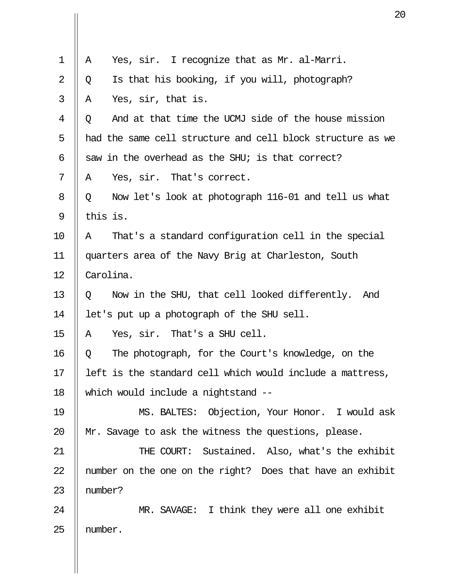| 1  | Yes, sir. I recognize that as Mr. al-Marri.<br>A           |  |
|----|------------------------------------------------------------|--|
| 2  | Is that his booking, if you will, photograph?<br>Q         |  |
| 3  | Yes, sir, that is.<br>Α                                    |  |
| 4  | And at that time the UCMJ side of the house mission<br>Q   |  |
| 5  | had the same cell structure and cell block structure as we |  |
| 6  | saw in the overhead as the SHU; is that correct?           |  |
| 7  | Yes, sir. That's correct.<br>Α                             |  |
| 8  | Now let's look at photograph 116-01 and tell us what<br>Q  |  |
| 9  | this is.                                                   |  |
| 10 | That's a standard configuration cell in the special<br>Α   |  |
| 11 | quarters area of the Navy Brig at Charleston, South        |  |
| 12 | Carolina.                                                  |  |
| 13 | Now in the SHU, that cell looked differently. And<br>Q     |  |
| 14 | let's put up a photograph of the SHU sell.                 |  |
| 15 | Yes, sir. That's a SHU cell.<br>Α                          |  |
| 16 | The photograph, for the Court's knowledge, on the<br>Q     |  |
| 17 | left is the standard cell which would include a mattress,  |  |
| 18 | which would include a nightstand --                        |  |
| 19 | MS. BALTES: Objection, Your Honor. I would ask             |  |
| 20 | Mr. Savage to ask the witness the questions, please.       |  |
| 21 | THE COURT: Sustained. Also, what's the exhibit             |  |
| 22 | number on the one on the right? Does that have an exhibit  |  |
| 23 | number?                                                    |  |
| 24 | MR. SAVAGE: I think they were all one exhibit              |  |
| 25 | number.                                                    |  |
|    |                                                            |  |

 $\mathbf{\mathsf{I}}$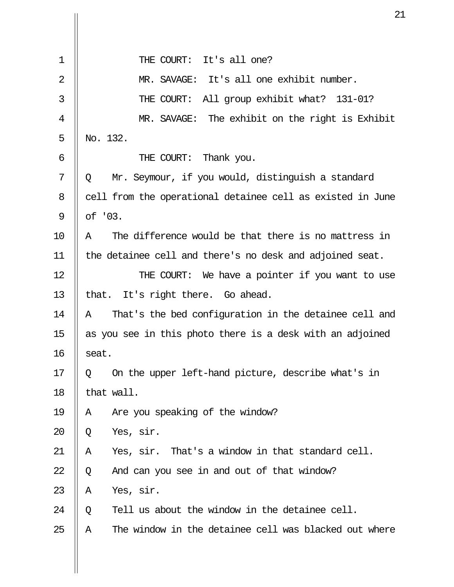|                | 2                                                          |
|----------------|------------------------------------------------------------|
|                |                                                            |
| $\mathbf 1$    | THE COURT: It's all one?                                   |
| $\overline{2}$ | MR. SAVAGE: It's all one exhibit number.                   |
| 3              | THE COURT: All group exhibit what? 131-01?                 |
| 4              | MR. SAVAGE: The exhibit on the right is Exhibit            |
| 5              | No. 132.                                                   |
| 6              | THE COURT: Thank you.                                      |
| 7              | Mr. Seymour, if you would, distinguish a standard<br>Q     |
| 8              | cell from the operational detainee cell as existed in June |
| 9              | of '03.                                                    |
| 10             | The difference would be that there is no mattress in<br>Α  |
| 11             | the detainee cell and there's no desk and adjoined seat.   |
| 12             | THE COURT: We have a pointer if you want to use            |
| 13             | that. It's right there. Go ahead.                          |
| 14             | That's the bed configuration in the detainee cell and<br>Α |
| 15             | as you see in this photo there is a desk with an adjoined  |
| 16             | seat.                                                      |
| 17             | On the upper left-hand picture, describe what's in<br>Q    |
| 18             | that wall.                                                 |
| 19             | Are you speaking of the window?<br>Α                       |
| 20             | Yes, sir.<br>Q                                             |
| 21             | Yes, sir. That's a window in that standard cell.<br>Α      |
| 22             | And can you see in and out of that window?<br>Q            |
| 23             | Yes, sir.<br>Α                                             |
| 24             | Tell us about the window in the detainee cell.<br>Q        |
| 25             | The window in the detainee cell was blacked out where<br>Α |
|                |                                                            |

 $\prod$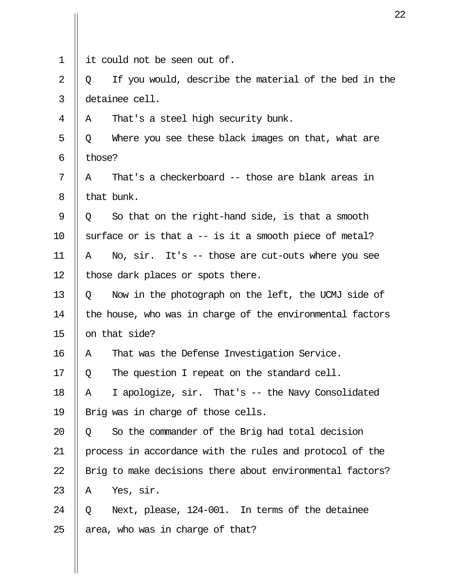| $\mathbf 1$ | it could not be seen out of.                               |  |  |
|-------------|------------------------------------------------------------|--|--|
| 2           | If you would, describe the material of the bed in the<br>Q |  |  |
| 3           | detainee cell.                                             |  |  |
| 4           | That's a steel high security bunk.<br>A                    |  |  |
| 5           | Where you see these black images on that, what are<br>Q    |  |  |
| 6           | those?                                                     |  |  |
| 7           | That's a checkerboard -- those are blank areas in<br>Α     |  |  |
| 8           | that bunk.                                                 |  |  |
| 9           | So that on the right-hand side, is that a smooth<br>Q      |  |  |
| 10          | surface or is that a $-$ is it a smooth piece of metal?    |  |  |
| 11          | No, sir. It's -- those are cut-outs where you see<br>Α     |  |  |
| 12          | those dark places or spots there.                          |  |  |
| 13          | Now in the photograph on the left, the UCMJ side of<br>Q   |  |  |
| 14          | the house, who was in charge of the environmental factors  |  |  |
| 15          | on that side?                                              |  |  |
| 16          | That was the Defense Investigation Service.<br>Α           |  |  |
| 17          | The question I repeat on the standard cell.<br>Q           |  |  |
| 18          | I apologize, sir. That's -- the Navy Consolidated<br>Α     |  |  |
| 19          | Brig was in charge of those cells.                         |  |  |
| 20          | So the commander of the Brig had total decision<br>Q       |  |  |
| 21          | process in accordance with the rules and protocol of the   |  |  |
| 22          | Brig to make decisions there about environmental factors?  |  |  |
| 23          | Yes, sir.<br>A                                             |  |  |
| 24          | Next, please, 124-001. In terms of the detainee<br>Q       |  |  |
| 25          | area, who was in charge of that?                           |  |  |
|             |                                                            |  |  |

 $\begin{array}{c} \hline \end{array}$ 

 $\prod$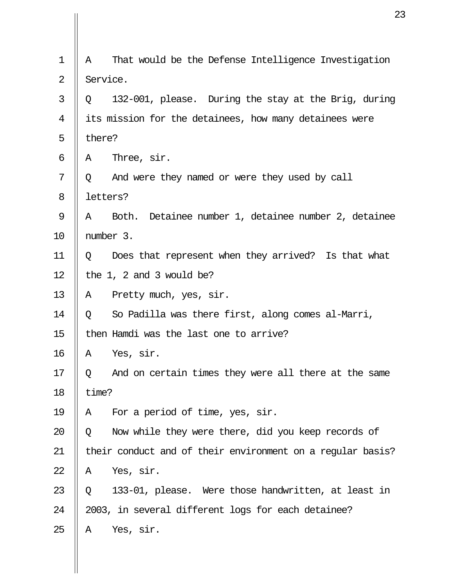| $\mathbf 1$ | A        | That would be the Defense Intelligence Investigation       |
|-------------|----------|------------------------------------------------------------|
| 2           | Service. |                                                            |
| 3           | Q        | 132-001, please. During the stay at the Brig, during       |
| 4           |          | its mission for the detainees, how many detainees were     |
| 5           | there?   |                                                            |
| 6           | A        | Three, sir.                                                |
| 7           | Q        | And were they named or were they used by call              |
| 8           | letters? |                                                            |
| 9           | Α        | Detainee number 1, detainee number 2, detainee<br>Both.    |
| 10          |          | number 3.                                                  |
| 11          | Q        | Does that represent when they arrived? Is that what        |
| 12          |          | the 1, 2 and 3 would be?                                   |
| 13          | Α        | Pretty much, yes, sir.                                     |
| 14          | Q        | So Padilla was there first, along comes al-Marri,          |
| 15          |          | then Hamdi was the last one to arrive?                     |
| 16          | Α        | Yes, sir.                                                  |
| 17          | Q        | And on certain times they were all there at the same       |
| 18          | time?    |                                                            |
| 19          | Α        | For a period of time, yes, sir.                            |
| 20          | Q        | Now while they were there, did you keep records of         |
| 21          |          | their conduct and of their environment on a regular basis? |
| 22          | Α        | Yes, sir.                                                  |
| 23          | Q        | 133-01, please. Were those handwritten, at least in        |
| 24          |          | 2003, in several different logs for each detainee?         |
| 25          | Α        | Yes, sir.                                                  |
|             |          |                                                            |

 $\mathbf{\mathsf{I}}$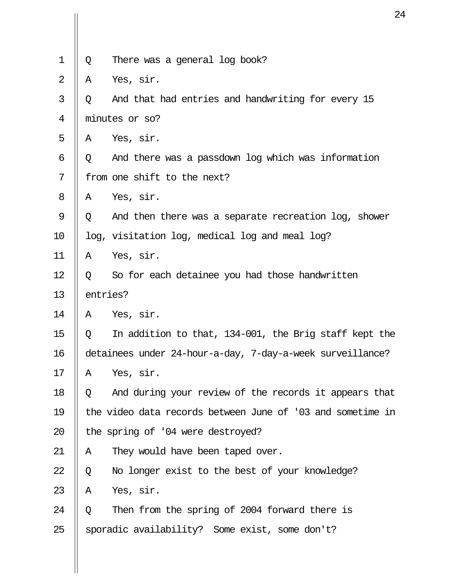|                |                                                            | 2                                                     |  |  |  |  |
|----------------|------------------------------------------------------------|-------------------------------------------------------|--|--|--|--|
| $\mathbf 1$    |                                                            |                                                       |  |  |  |  |
|                | Q                                                          | There was a general log book?                         |  |  |  |  |
| $\overline{2}$ | Α                                                          | Yes, sir.                                             |  |  |  |  |
| 3              | Q                                                          | And that had entries and handwriting for every 15     |  |  |  |  |
| 4              |                                                            | minutes or so?                                        |  |  |  |  |
| 5              | A                                                          | Yes, sir.                                             |  |  |  |  |
| 6              | Q                                                          | And there was a passdown log which was information    |  |  |  |  |
| 7              |                                                            | from one shift to the next?                           |  |  |  |  |
| 8              | A                                                          | Yes, sir.                                             |  |  |  |  |
| 9              | Q                                                          | And then there was a separate recreation log, shower  |  |  |  |  |
| 10             |                                                            | log, visitation log, medical log and meal log?        |  |  |  |  |
| 11             | Α                                                          | Yes, sir.                                             |  |  |  |  |
| 12             | Q                                                          | So for each detainee you had those handwritten        |  |  |  |  |
| 13             | entries?                                                   |                                                       |  |  |  |  |
| 14             | Α                                                          | Yes, sir.                                             |  |  |  |  |
| 15             | Q                                                          | In addition to that, 134-001, the Brig staff kept the |  |  |  |  |
| 16             | detainees under 24-hour-a-day, 7-day-a-week surveillance?  |                                                       |  |  |  |  |
| 17             | Α                                                          | Yes, sir.                                             |  |  |  |  |
| 18             | Q                                                          | And during your review of the records it appears that |  |  |  |  |
| 19             | the video data records between June of '03 and sometime in |                                                       |  |  |  |  |
| 20             | the spring of '04 were destroyed?                          |                                                       |  |  |  |  |
| 21             | Α                                                          | They would have been taped over.                      |  |  |  |  |
| 22             | Q                                                          | No longer exist to the best of your knowledge?        |  |  |  |  |
| 23             | Α                                                          | Yes, sir.                                             |  |  |  |  |
| 24             | Q                                                          | Then from the spring of 2004 forward there is         |  |  |  |  |
| 25             | sporadic availability? Some exist, some don't?             |                                                       |  |  |  |  |
|                |                                                            |                                                       |  |  |  |  |

 $\parallel$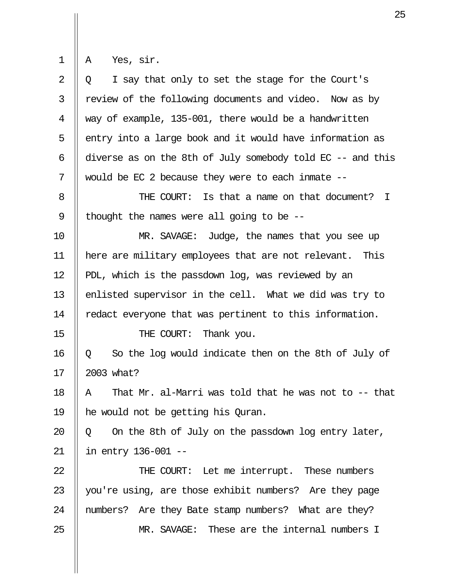$\begin{array}{|c|c|} \hline \ \end{array}$  A Yes, sir.

| $\overline{2}$ | I say that only to set the stage for the Court's<br>Q.     |  |  |  |  |
|----------------|------------------------------------------------------------|--|--|--|--|
| 3              | review of the following documents and video. Now as by     |  |  |  |  |
| 4              | way of example, 135-001, there would be a handwritten      |  |  |  |  |
| 5              | entry into a large book and it would have information as   |  |  |  |  |
| 6              | diverse as on the 8th of July somebody told EC -- and this |  |  |  |  |
| 7              | would be EC 2 because they were to each inmate --          |  |  |  |  |
| 8              | THE COURT: Is that a name on that document? I              |  |  |  |  |
| 9              | thought the names were all going to be $-$ -               |  |  |  |  |
| 10             | MR. SAVAGE: Judge, the names that you see up               |  |  |  |  |
| 11             | here are military employees that are not relevant. This    |  |  |  |  |
| 12             | PDL, which is the passdown log, was reviewed by an         |  |  |  |  |
| 13             | enlisted supervisor in the cell. What we did was try to    |  |  |  |  |
| 14             | redact everyone that was pertinent to this information.    |  |  |  |  |
| 15             | THE COURT: Thank you.                                      |  |  |  |  |
| 16             | So the log would indicate then on the 8th of July of<br>Q  |  |  |  |  |
| 17             | 2003 what?                                                 |  |  |  |  |
| 18             | That Mr. al-Marri was told that he was not to -- that<br>Α |  |  |  |  |
| 19             | he would not be getting his Quran.                         |  |  |  |  |
| 20             | On the 8th of July on the passdown log entry later,<br>Q   |  |  |  |  |
| 21             | in entry 136-001 --                                        |  |  |  |  |
| 22             | THE COURT: Let me interrupt. These numbers                 |  |  |  |  |
| 23             | you're using, are those exhibit numbers? Are they page     |  |  |  |  |
| 24             | numbers? Are they Bate stamp numbers? What are they?       |  |  |  |  |
| 25             | MR. SAVAGE: These are the internal numbers I               |  |  |  |  |
|                |                                                            |  |  |  |  |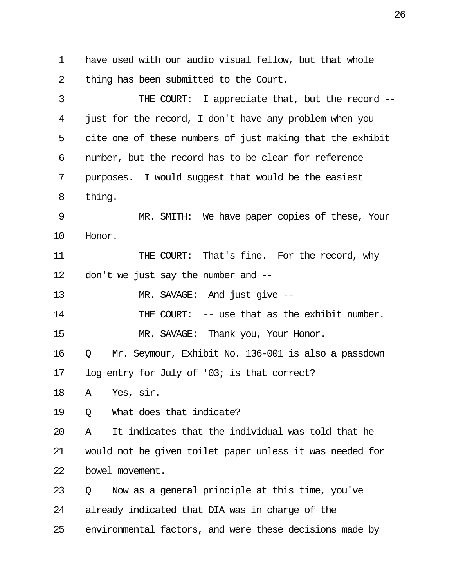| $\mathbf 1$ | have used with our audio visual fellow, but that whole    |  |  |  |
|-------------|-----------------------------------------------------------|--|--|--|
| 2           | thing has been submitted to the Court.                    |  |  |  |
| 3           | THE COURT: I appreciate that, but the record --           |  |  |  |
| 4           | just for the record, I don't have any problem when you    |  |  |  |
| 5           | cite one of these numbers of just making that the exhibit |  |  |  |
| 6           | number, but the record has to be clear for reference      |  |  |  |
| 7           | purposes. I would suggest that would be the easiest       |  |  |  |
| 8           | thing.                                                    |  |  |  |
| 9           | MR. SMITH: We have paper copies of these, Your            |  |  |  |
| 10          | Honor.                                                    |  |  |  |
| 11          | THE COURT: That's fine. For the record, why               |  |  |  |
| 12          | don't we just say the number and $-$                      |  |  |  |
| 13          | MR. SAVAGE: And just give --                              |  |  |  |
| 14          | THE COURT: -- use that as the exhibit number.             |  |  |  |
| 15          | MR. SAVAGE: Thank you, Your Honor.                        |  |  |  |
| 16          | Mr. Seymour, Exhibit No. 136-001 is also a passdown<br>Q  |  |  |  |
| 17          | log entry for July of '03; is that correct?               |  |  |  |
| 18          | Yes, sir.<br>Α                                            |  |  |  |
| 19          | What does that indicate?<br>Q                             |  |  |  |
| 20          | It indicates that the individual was told that he<br>Α    |  |  |  |
| 21          | would not be given toilet paper unless it was needed for  |  |  |  |
| 22          | bowel movement.                                           |  |  |  |
| 23          | Now as a general principle at this time, you've<br>Q      |  |  |  |
| 24          | already indicated that DIA was in charge of the           |  |  |  |
| 25          | environmental factors, and were these decisions made by   |  |  |  |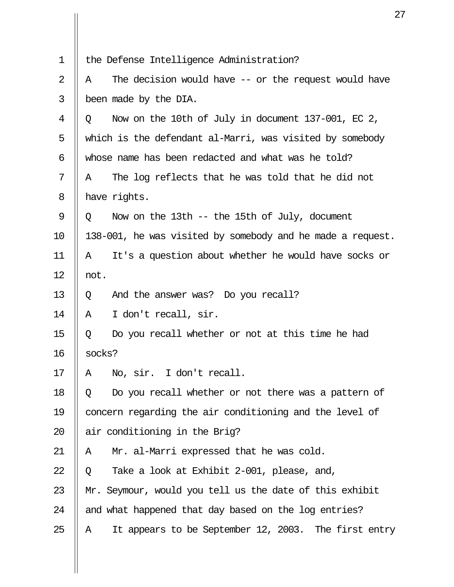| $\mathbf 1$    | the Defense Intelligence Administration?                    |  |  |  |  |
|----------------|-------------------------------------------------------------|--|--|--|--|
| $\overline{2}$ | The decision would have $--$ or the request would have<br>Α |  |  |  |  |
| 3              | been made by the DIA.                                       |  |  |  |  |
| 4              | Now on the 10th of July in document 137-001, EC 2,<br>Q     |  |  |  |  |
| 5              | which is the defendant al-Marri, was visited by somebody    |  |  |  |  |
| 6              | whose name has been redacted and what was he told?          |  |  |  |  |
| 7              | The log reflects that he was told that he did not<br>A      |  |  |  |  |
| 8              | have rights.                                                |  |  |  |  |
| $\mathsf 9$    | Now on the 13th $-$ the 15th of July, document<br>Q         |  |  |  |  |
| 10             | 138-001, he was visited by somebody and he made a request.  |  |  |  |  |
| 11             | It's a question about whether he would have socks or<br>Α   |  |  |  |  |
| 12             | not.                                                        |  |  |  |  |
| 13             | And the answer was? Do you recall?<br>Q                     |  |  |  |  |
| 14             | I don't recall, sir.<br>Α                                   |  |  |  |  |
| 15             | Do you recall whether or not at this time he had<br>Q       |  |  |  |  |
| 16             | socks?                                                      |  |  |  |  |
| 17             | No, sir. I don't recall.<br>Α                               |  |  |  |  |
| 18             | Do you recall whether or not there was a pattern of<br>Q    |  |  |  |  |
| 19             | concern regarding the air conditioning and the level of     |  |  |  |  |
| 20             | air conditioning in the Brig?                               |  |  |  |  |
| 21             | Mr. al-Marri expressed that he was cold.<br>A               |  |  |  |  |
| 22             | Take a look at Exhibit 2-001, please, and,<br>Q             |  |  |  |  |
| 23             | Mr. Seymour, would you tell us the date of this exhibit     |  |  |  |  |
| 24             | and what happened that day based on the log entries?        |  |  |  |  |
| 25             | It appears to be September 12, 2003. The first entry<br>Α   |  |  |  |  |
|                |                                                             |  |  |  |  |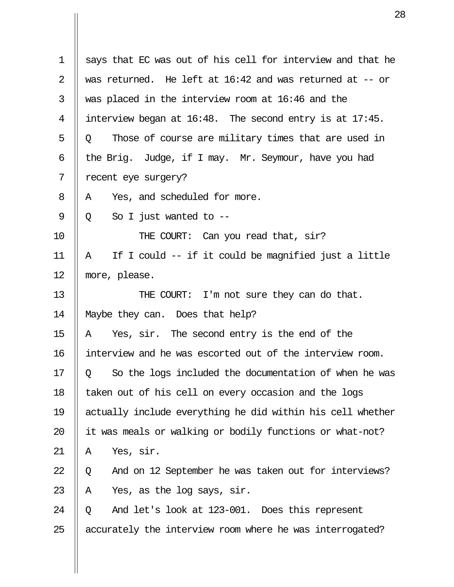|             | 2                                                             |  |  |
|-------------|---------------------------------------------------------------|--|--|
|             |                                                               |  |  |
| $\mathbf 1$ | says that EC was out of his cell for interview and that he    |  |  |
| 2           | was returned. He left at 16:42 and was returned at -- or      |  |  |
| 3           | was placed in the interview room at 16:46 and the             |  |  |
| 4           | interview began at $16:48$ . The second entry is at $17:45$ . |  |  |
| 5           | Those of course are military times that are used in<br>Q      |  |  |
| 6           | the Brig. Judge, if I may. Mr. Seymour, have you had          |  |  |
| 7           | recent eye surgery?                                           |  |  |
| 8           | Yes, and scheduled for more.<br>Α                             |  |  |
| 9           | So I just wanted to $-$ -<br>Q                                |  |  |
| 10          | THE COURT: Can you read that, sir?                            |  |  |
| 11          | If I could -- if it could be magnified just a little<br>Α     |  |  |
| 12          | more, please.                                                 |  |  |
| 13          | THE COURT: I'm not sure they can do that.                     |  |  |
| 14          | Maybe they can. Does that help?                               |  |  |
| 15          | Yes, sir. The second entry is the end of the<br>Α             |  |  |
| 16          | interview and he was escorted out of the interview room.      |  |  |
| 17          | So the logs included the documentation of when he was<br>Q    |  |  |
| 18          | taken out of his cell on every occasion and the logs          |  |  |
| 19          | actually include everything he did within his cell whether    |  |  |
| 20          | it was meals or walking or bodily functions or what-not?      |  |  |
| 21          | Yes, sir.<br>Α                                                |  |  |
| 22          | And on 12 September he was taken out for interviews?<br>Q     |  |  |
| 23          | Yes, as the log says, sir.<br>Α                               |  |  |
| 24          | And let's look at 123-001. Does this represent<br>Q           |  |  |
| 25          | accurately the interview room where he was interrogated?      |  |  |
|             |                                                               |  |  |

 $\prod$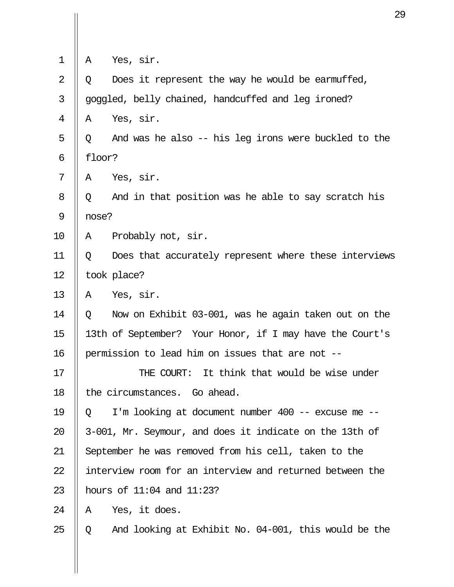| 1  | Yes, sir.<br>A                                           |                                                          |  |  |  |
|----|----------------------------------------------------------|----------------------------------------------------------|--|--|--|
| 2  | Q                                                        | Does it represent the way he would be earmuffed,         |  |  |  |
| 3  |                                                          | goggled, belly chained, handcuffed and leg ironed?       |  |  |  |
| 4  | A                                                        | Yes, sir.                                                |  |  |  |
| 5  | Q                                                        | And was he also -- his leg irons were buckled to the     |  |  |  |
| 6  |                                                          | floor?                                                   |  |  |  |
| 7  | A                                                        | Yes, sir.                                                |  |  |  |
| 8  | Q                                                        | And in that position was he able to say scratch his      |  |  |  |
| 9  | nose?                                                    |                                                          |  |  |  |
| 10 | Α                                                        | Probably not, sir.                                       |  |  |  |
| 11 | Q                                                        | Does that accurately represent where these interviews    |  |  |  |
| 12 |                                                          | took place?                                              |  |  |  |
| 13 | Α                                                        | Yes, sir.                                                |  |  |  |
| 14 | Q                                                        | Now on Exhibit 03-001, was he again taken out on the     |  |  |  |
| 15 |                                                          | 13th of September? Your Honor, if I may have the Court's |  |  |  |
| 16 | permission to lead him on issues that are not --         |                                                          |  |  |  |
| 17 |                                                          | THE COURT:<br>It think that would be wise under          |  |  |  |
| 18 | the circumstances. Go ahead.                             |                                                          |  |  |  |
| 19 | Q                                                        | I'm looking at document number 400 -- excuse me --       |  |  |  |
| 20 | 3-001, Mr. Seymour, and does it indicate on the 13th of  |                                                          |  |  |  |
| 21 | September he was removed from his cell, taken to the     |                                                          |  |  |  |
| 22 | interview room for an interview and returned between the |                                                          |  |  |  |
| 23 | hours of $11:04$ and $11:23$ ?                           |                                                          |  |  |  |
| 24 | A                                                        | Yes, it does.                                            |  |  |  |
| 25 | Q                                                        | And looking at Exhibit No. 04-001, this would be the     |  |  |  |
|    |                                                          |                                                          |  |  |  |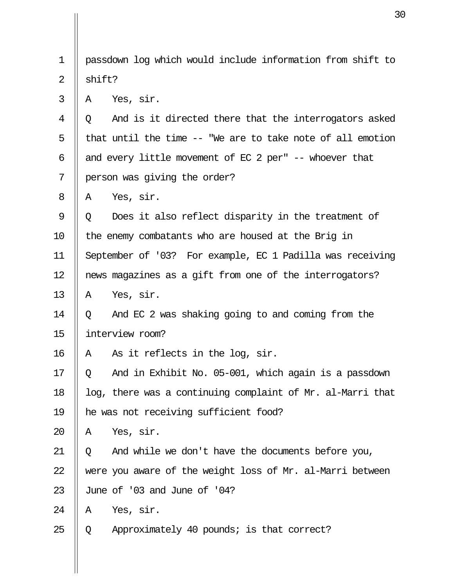| 1  |                                                           | passdown log which would include information from shift to |  |
|----|-----------------------------------------------------------|------------------------------------------------------------|--|
| 2  | shift?                                                    |                                                            |  |
| 3  | A                                                         | Yes, sir.                                                  |  |
| 4  | O                                                         | And is it directed there that the interrogators asked      |  |
| 5  |                                                           | that until the time -- "We are to take note of all emotion |  |
| 6  | and every little movement of EC 2 per" -- whoever that    |                                                            |  |
| 7  |                                                           | person was giving the order?                               |  |
| 8  | Α                                                         | Yes, sir.                                                  |  |
| 9  | Q                                                         | Does it also reflect disparity in the treatment of         |  |
| 10 | the enemy combatants who are housed at the Brig in        |                                                            |  |
| 11 | September of '03? For example, EC 1 Padilla was receiving |                                                            |  |
| 12 | news magazines as a gift from one of the interrogators?   |                                                            |  |
| 13 | Α                                                         | Yes, sir.                                                  |  |
| 14 | Q                                                         | And EC 2 was shaking going to and coming from the          |  |
| 15 |                                                           | interview room?                                            |  |
| 16 | Α                                                         | As it reflects in the log, sir.                            |  |
| 17 | Q                                                         | And in Exhibit No. 05-001, which again is a passdown       |  |
| 18 |                                                           | log, there was a continuing complaint of Mr. al-Marri that |  |
| 19 | he was not receiving sufficient food?                     |                                                            |  |
| 20 | A                                                         | Yes, sir.                                                  |  |
| 21 | Q                                                         | And while we don't have the documents before you,          |  |
| 22 |                                                           | were you aware of the weight loss of Mr. al-Marri between  |  |
| 23 |                                                           | June of '03 and June of '04?                               |  |
| 24 | Α                                                         | Yes, sir.                                                  |  |
| 25 | Q                                                         | Approximately 40 pounds; is that correct?                  |  |
|    |                                                           |                                                            |  |

 $\prod$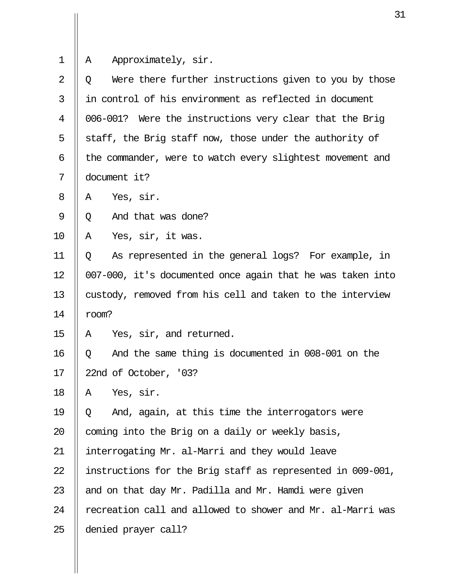|                | 3                                                          |  |  |
|----------------|------------------------------------------------------------|--|--|
|                |                                                            |  |  |
| $\mathbf 1$    | Approximately, sir.<br>Α                                   |  |  |
| $\overline{2}$ | Were there further instructions given to you by those<br>Q |  |  |
| 3              | in control of his environment as reflected in document     |  |  |
| 4              | 006-001? Were the instructions very clear that the Brig    |  |  |
| 5              | staff, the Brig staff now, those under the authority of    |  |  |
| 6              | the commander, were to watch every slightest movement and  |  |  |
| 7              | document it?                                               |  |  |
| 8              | Yes, sir.<br>A                                             |  |  |
| 9              | And that was done?<br>Q                                    |  |  |
| 10             | Yes, sir, it was.<br>Α                                     |  |  |
| 11             | As represented in the general logs? For example, in<br>Q   |  |  |
| 12             | 007-000, it's documented once again that he was taken into |  |  |
| 13             | custody, removed from his cell and taken to the interview  |  |  |
| 14             | room?                                                      |  |  |
| 15             | Yes, sir, and returned.<br>Α                               |  |  |
| 16             | And the same thing is documented in 008-001 on the<br>Q    |  |  |
| 17             | 22nd of October, '03?                                      |  |  |
| 18             | Yes, sir.<br>Α                                             |  |  |
| 19             | And, again, at this time the interrogators were<br>Q       |  |  |
| 20             | coming into the Brig on a daily or weekly basis,           |  |  |
| 21             | interrogating Mr. al-Marri and they would leave            |  |  |
| 22             | instructions for the Brig staff as represented in 009-001, |  |  |
| 23             | and on that day Mr. Padilla and Mr. Hamdi were given       |  |  |
| 24             | recreation call and allowed to shower and Mr. al-Marri was |  |  |
| 25             | denied prayer call?                                        |  |  |
|                |                                                            |  |  |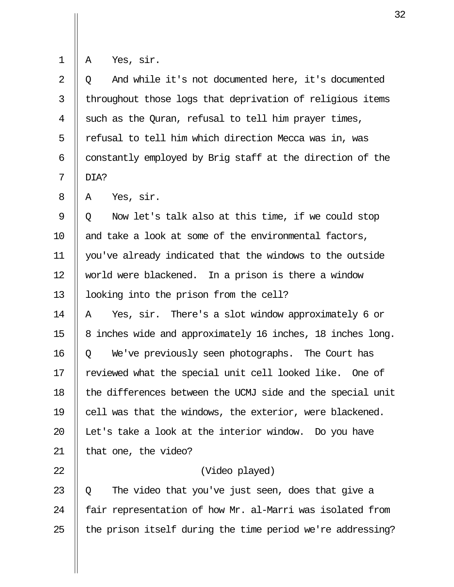Yes, sir.

| 2               | Q And while it's not documented here, it's documented            |
|-----------------|------------------------------------------------------------------|
| $\overline{3}$  | throughout those logs that deprivation of religious items        |
| $\overline{4}$  | $\parallel$ such as the Quran, refusal to tell him prayer times, |
| 5               | refusal to tell him which direction Mecca was in, was            |
| $6\overline{6}$ | constantly employed by Brig staff at the direction of the        |
| $7\overline{ }$ | DIA?                                                             |

 $8 \parallel A$  Yes, sir.

9  $\parallel$  0 Now let's talk also at this time, if we could stop 10  $\parallel$  and take a look at some of the environmental factors, 11 you've already indicated that the windows to the outside 12 || world were blackened. In a prison is there a window 13 | looking into the prison from the cell?

14  $\parallel$  A Yes, sir. There's a slot window approximately 6 or 15 || 8 inches wide and approximately 16 inches, 18 inches long. 16 Q We've previously seen photographs. The Court has 17 || reviewed what the special unit cell looked like. One of 18 || the differences between the UCMJ side and the special unit 19  $\parallel$  cell was that the windows, the exterior, were blackened. 20  $\parallel$  Let's take a look at the interior window. Do you have 21  $\parallel$  that one, the video?

## 22 (Video played)

23  $\parallel$  Q The video that you've just seen, does that give a 24  $\parallel$  fair representation of how Mr. al-Marri was isolated from 25  $\parallel$  the prison itself during the time period we're addressing?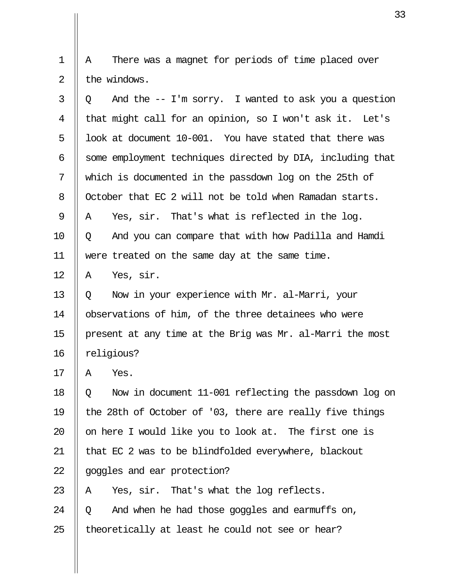1 || A There was a magnet for periods of time placed over  $2 \parallel$  the windows.

| 3  | And the $-$ I'm sorry. I wanted to ask you a question<br>Q |  |  |  |  |
|----|------------------------------------------------------------|--|--|--|--|
| 4  | that might call for an opinion, so I won't ask it. Let's   |  |  |  |  |
| 5  | look at document 10-001. You have stated that there was    |  |  |  |  |
| 6  | some employment techniques directed by DIA, including that |  |  |  |  |
| 7  | which is documented in the passdown log on the 25th of     |  |  |  |  |
| 8  | October that EC 2 will not be told when Ramadan starts.    |  |  |  |  |
| 9  | Yes, sir. That's what is reflected in the log.<br>Α        |  |  |  |  |
| 10 | And you can compare that with how Padilla and Hamdi<br>Q   |  |  |  |  |
| 11 | were treated on the same day at the same time.             |  |  |  |  |
| 12 | Yes, sir.<br>Α                                             |  |  |  |  |
| 13 | Now in your experience with Mr. al-Marri, your<br>Q        |  |  |  |  |
| 14 | observations of him, of the three detainees who were       |  |  |  |  |
| 15 | present at any time at the Brig was Mr. al-Marri the most  |  |  |  |  |
| 16 | religious?                                                 |  |  |  |  |
| 17 | Yes.<br>Α                                                  |  |  |  |  |
| 18 | Now in document 11-001 reflecting the passdown log on<br>Q |  |  |  |  |
| 19 | the 28th of October of '03, there are really five things   |  |  |  |  |
| 20 | on here I would like you to look at. The first one is      |  |  |  |  |
| 21 | that EC 2 was to be blindfolded everywhere, blackout       |  |  |  |  |
| 22 | goggles and ear protection?                                |  |  |  |  |
| 23 | Yes, sir. That's what the log reflects.<br>A               |  |  |  |  |
| 24 | And when he had those goggles and earmuffs on,<br>Q        |  |  |  |  |
| 25 | theoretically at least he could not see or hear?           |  |  |  |  |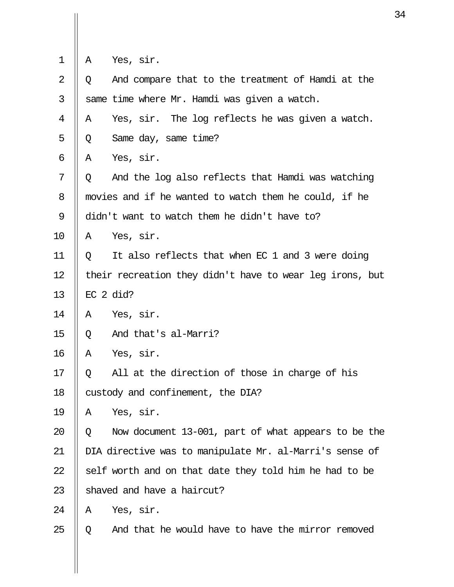| 1  | Α                                                        | Yes, sir.                                               |  |  |  |
|----|----------------------------------------------------------|---------------------------------------------------------|--|--|--|
| 2  | Q                                                        | And compare that to the treatment of Hamdi at the       |  |  |  |
| 3  |                                                          | same time where Mr. Hamdi was given a watch.            |  |  |  |
| 4  | A                                                        | Yes, sir. The log reflects he was given a watch.        |  |  |  |
| 5  | Q                                                        | Same day, same time?                                    |  |  |  |
| 6  | Α                                                        | Yes, sir.                                               |  |  |  |
| 7  | Q                                                        | And the log also reflects that Hamdi was watching       |  |  |  |
| 8  |                                                          | movies and if he wanted to watch them he could, if he   |  |  |  |
| 9  | didn't want to watch them he didn't have to?             |                                                         |  |  |  |
| 10 | A                                                        | Yes, sir.                                               |  |  |  |
| 11 | Q                                                        | It also reflects that when EC 1 and 3 were doing        |  |  |  |
| 12 | their recreation they didn't have to wear leg irons, but |                                                         |  |  |  |
| 13 |                                                          | $EC$ 2 did?                                             |  |  |  |
| 14 | Α                                                        | Yes, sir.                                               |  |  |  |
| 15 | Q                                                        | And that's al-Marri?                                    |  |  |  |
| 16 | Α                                                        | Yes, sir.                                               |  |  |  |
| 17 | Q                                                        | All at the direction of those in charge of his          |  |  |  |
| 18 |                                                          | custody and confinement, the DIA?                       |  |  |  |
| 19 | A                                                        | Yes, sir.                                               |  |  |  |
| 20 | Q                                                        | Now document 13-001, part of what appears to be the     |  |  |  |
| 21 |                                                          | DIA directive was to manipulate Mr. al-Marri's sense of |  |  |  |
| 22 |                                                          | self worth and on that date they told him he had to be  |  |  |  |
| 23 |                                                          | shaved and have a haircut?                              |  |  |  |
| 24 | A                                                        | Yes, sir.                                               |  |  |  |
| 25 | Q                                                        | And that he would have to have the mirror removed       |  |  |  |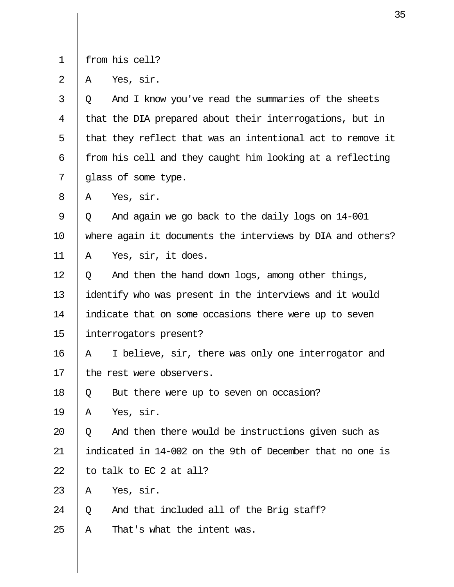|  |  |  | trom his cell? |
|--|--|--|----------------|
|--|--|--|----------------|

 $2 \parallel A \text{ Yes, sir.}$ 

| 3  | And I know you've read the summaries of the sheets<br>Q    |
|----|------------------------------------------------------------|
| 4  | that the DIA prepared about their interrogations, but in   |
| 5  | that they reflect that was an intentional act to remove it |
| 6  | from his cell and they caught him looking at a reflecting  |
| 7  | glass of some type.                                        |
| 8  | Yes, sir.<br>Α                                             |
| 9  | And again we go back to the daily logs on 14-001<br>Q      |
| 10 | where again it documents the interviews by DIA and others? |
| 11 | Yes, sir, it does.<br>Α                                    |
| 12 | And then the hand down logs, among other things,<br>Q      |
| 13 | identify who was present in the interviews and it would    |
| 14 | indicate that on some occasions there were up to seven     |
| 15 | interrogators present?                                     |
| 16 | I believe, sir, there was only one interrogator and<br>Α   |
| 17 | the rest were observers.                                   |
| 18 | But there were up to seven on occasion?<br>Q               |
| 19 | Yes, sir.<br>A                                             |
| 20 | And then there would be instructions given such as<br>Q    |
| 21 | indicated in 14-002 on the 9th of December that no one is  |
| 22 | to talk to EC 2 at all?                                    |
| 23 | Yes, sir.<br>Α                                             |
| 24 | And that included all of the Brig staff?<br>Q              |
| 25 | Α<br>That's what the intent was.                           |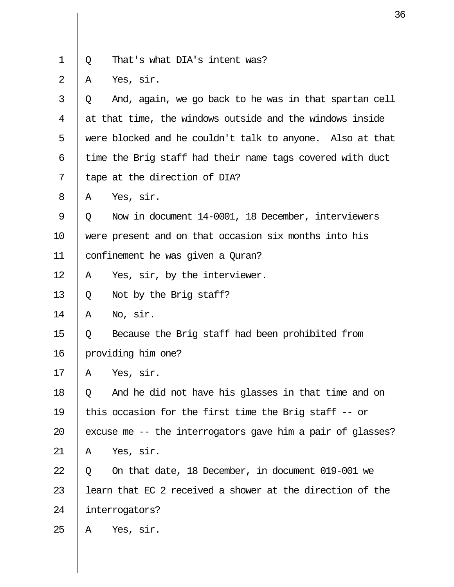| $1 \parallel Q$<br>That's what DIA's intent was? |
|--------------------------------------------------|
|--------------------------------------------------|

 $2 \parallel A \text{ Yes, sir.}$ 

| And, again, we go back to he was in that spartan cell<br>Q |
|------------------------------------------------------------|
| at that time, the windows outside and the windows inside   |
| were blocked and he couldn't talk to anyone. Also at that  |
| time the Brig staff had their name tags covered with duct  |
| tape at the direction of DIA?                              |
| Yes, sir.<br>A                                             |
| Now in document 14-0001, 18 December, interviewers<br>Q    |
| were present and on that occasion six months into his      |
| confinement he was given a Quran?                          |
| Yes, sir, by the interviewer.<br>Α                         |
| Not by the Brig staff?<br>Q                                |
| No, sir.<br>A                                              |
| Because the Brig staff had been prohibited from<br>Q       |
| providing him one?                                         |
| Yes, sir.<br>Α                                             |
| And he did not have his glasses in that time and on<br>Q   |
| this occasion for the first time the Brig staff -- or      |
| excuse me -- the interrogators gave him a pair of glasses? |
| Yes, sir.<br>Α                                             |
| On that date, 18 December, in document 019-001 we<br>Q     |
| learn that EC 2 received a shower at the direction of the  |
| interrogators?                                             |
| Yes, sir.<br>A                                             |
|                                                            |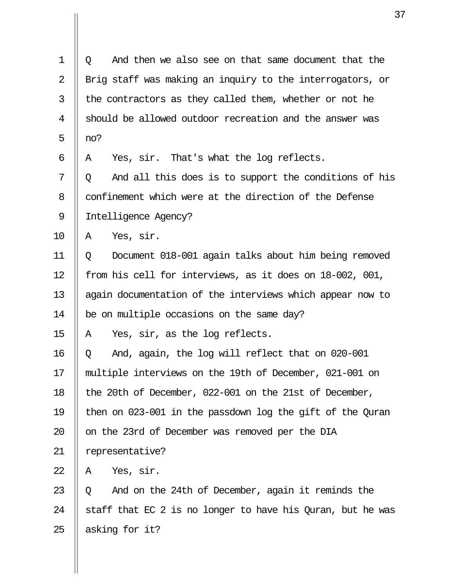1 Q And then we also see on that same document that the 2 || Brig staff was making an inquiry to the interrogators, or  $3$  || the contractors as they called them, whether or not he 4 || should be allowed outdoor recreation and the answer was 5  $\parallel$  no? 6 || A Yes, sir. That's what the log reflects.  $7 \parallel 0$  And all this does is to support the conditions of his 8 | confinement which were at the direction of the Defense 9 || Intelligence Agency?  $10$  || A Yes, sir. 11 Q Document 018-001 again talks about him being removed 12 || from his cell for interviews, as it does on 18-002, 001, 13 || again documentation of the interviews which appear now to 14 | be on multiple occasions on the same day? 15  $\parallel$  A Yes, sir, as the log reflects. 16 Q And, again, the log will reflect that on 020-001 17 multiple interviews on the 19th of December, 021-001 on 18 || the 20th of December, 022-001 on the 21st of December, 19 then on 023-001 in the passdown log the gift of the Quran 20 || on the 23rd of December was removed per the DIA 21 | representative?  $22 \parallel A \quad \text{Yes.}$  sir. 23  $\parallel$  0 And on the 24th of December, again it reminds the 24  $\parallel$  staff that EC 2 is no longer to have his Quran, but he was 25  $\parallel$  asking for it?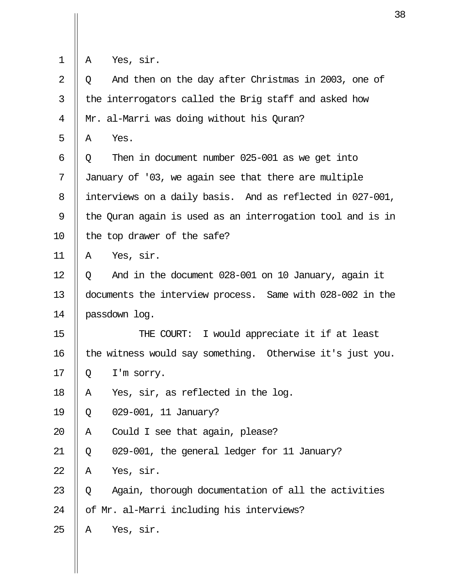|  |  | Yes, sir. |  |
|--|--|-----------|--|
|--|--|-----------|--|

 $\mathbf{u}$ 

| 2  | And then on the day after Christmas in 2003, one of<br>Q   |
|----|------------------------------------------------------------|
| 3  | the interrogators called the Brig staff and asked how      |
| 4  | Mr. al-Marri was doing without his Quran?                  |
| 5  | Yes.<br>Α                                                  |
| 6  | Then in document number 025-001 as we get into<br>Q        |
| 7  | January of '03, we again see that there are multiple       |
| 8  | interviews on a daily basis. And as reflected in 027-001,  |
| 9  | the Quran again is used as an interrogation tool and is in |
| 10 | the top drawer of the safe?                                |
| 11 | Yes, sir.<br>Α                                             |
| 12 | And in the document 028-001 on 10 January, again it<br>Q   |
| 13 | documents the interview process. Same with 028-002 in the  |
| 14 | passdown log.                                              |
| 15 | THE COURT: I would appreciate it if at least               |
| 16 | the witness would say something. Otherwise it's just you.  |
| 17 | I'm sorry.<br>Q                                            |
| 18 | Yes, sir, as reflected in the log.<br>Α                    |
| 19 | 029-001, 11 January?<br>Q                                  |
| 20 | Could I see that again, please?<br>Α                       |
| 21 | 029-001, the general ledger for 11 January?<br>Q           |
| 22 | Yes, sir.<br>Α                                             |
| 23 | Again, thorough documentation of all the activities<br>Q   |
| 24 | of Mr. al-Marri including his interviews?                  |
|    |                                                            |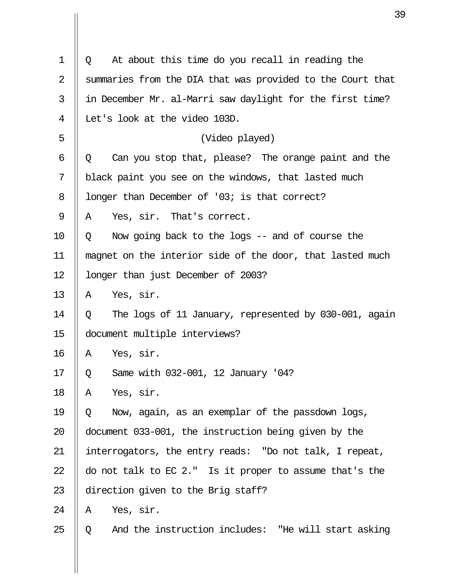| 1              | At about this time do you recall in reading the<br>Q       |
|----------------|------------------------------------------------------------|
| $\overline{2}$ | summaries from the DIA that was provided to the Court that |
| 3              | in December Mr. al-Marri saw daylight for the first time?  |
| 4              | Let's look at the video 103D.                              |
| 5              | (Video played)                                             |
| 6              | Can you stop that, please? The orange paint and the<br>Q   |
| 7              | black paint you see on the windows, that lasted much       |
| $8\,$          | longer than December of '03; is that correct?              |
| 9              | Yes, sir. That's correct.<br>Α                             |
| 10             | Now going back to the logs $-$ and of course the<br>Q      |
| 11             | magnet on the interior side of the door, that lasted much  |
| 12             | longer than just December of 2003?                         |
| 13             | Yes, sir.<br>Α                                             |
| 14             | The logs of 11 January, represented by 030-001, again<br>Q |
| 15             | document multiple interviews?                              |
| 16             | Yes, sir.<br>A                                             |
| 17             | Same with 032-001, 12 January '04?<br>Q                    |
| 18             | Yes, sir.<br>Α                                             |
| 19             | Now, again, as an exemplar of the passdown logs,<br>Q      |
| 20             | document 033-001, the instruction being given by the       |
| 21             | interrogators, the entry reads: "Do not talk, I repeat,    |
| 22             | do not talk to EC 2." Is it proper to assume that's the    |
| 23             | direction given to the Brig staff?                         |
| 24             | Yes, sir.<br>Α                                             |
| 25             | And the instruction includes: "He will start asking<br>O   |

 $\overline{\mathsf{I}}$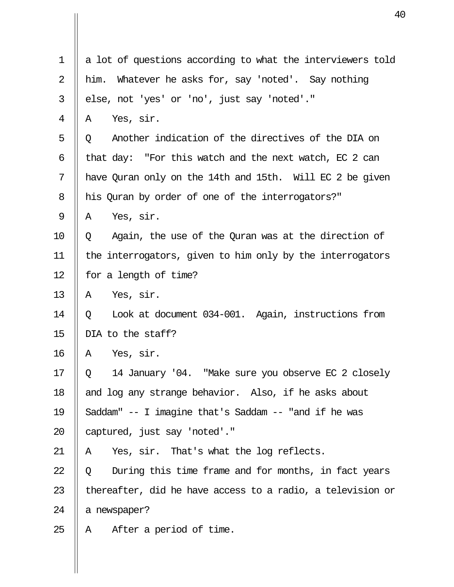| 1  | a lot of questions according to what the interviewers told |
|----|------------------------------------------------------------|
| 2  | Whatever he asks for, say 'noted'. Say nothing<br>him.     |
| 3  | else, not 'yes' or 'no', just say 'noted'."                |
| 4  | Yes, sir.<br>Α                                             |
| 5  | Another indication of the directives of the DIA on<br>Q    |
| 6  | that day: "For this watch and the next watch, $EC$ 2 can   |
| 7  | have Quran only on the 14th and 15th. Will EC 2 be given   |
| 8  | his Quran by order of one of the interrogators?"           |
| 9  | Yes, sir.<br>Α                                             |
| 10 | Again, the use of the Quran was at the direction of<br>Q   |
| 11 | the interrogators, given to him only by the interrogators  |
| 12 | for a length of time?                                      |
| 13 | Yes, sir.<br>Α                                             |
| 14 | Look at document 034-001. Again, instructions from<br>Q    |
| 15 | DIA to the staff?                                          |
| 16 | Yes, sir.<br>Α                                             |
| 17 | 14 January '04. "Make sure you observe EC 2 closely<br>Q   |
| 18 | and log any strange behavior. Also, if he asks about       |
| 19 | Saddam" -- I imagine that's Saddam -- "and if he was       |
| 20 | captured, just say 'noted'."                               |
| 21 | Yes, sir. That's what the log reflects.<br>A               |
| 22 | During this time frame and for months, in fact years<br>Q  |
| 23 | thereafter, did he have access to a radio, a television or |
| 24 | a newspaper?                                               |
| 25 | After a period of time.<br>A                               |
|    |                                                            |
|    |                                                            |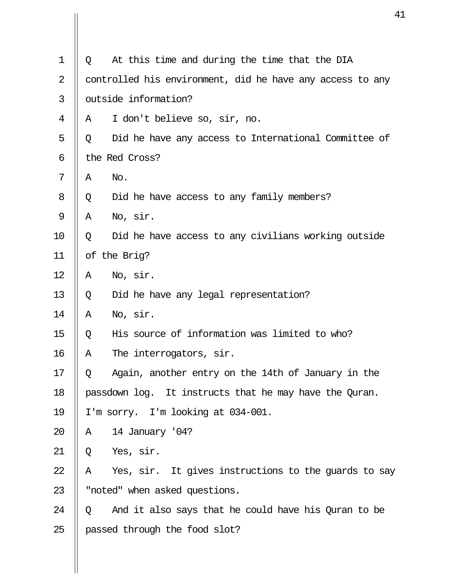| $\mathbf 1$ | Q | At this time and during the time that the DIA             |
|-------------|---|-----------------------------------------------------------|
| 2           |   | controlled his environment, did he have any access to any |
| 3           |   | outside information?                                      |
| 4           | A | I don't believe so, sir, no.                              |
| 5           | Q | Did he have any access to International Committee of      |
| 6           |   | the Red Cross?                                            |
| 7           | Α | No.                                                       |
| 8           | Q | Did he have access to any family members?                 |
| 9           | Α | No, sir.                                                  |
| 10          | Q | Did he have access to any civilians working outside       |
| 11          |   | of the Brig?                                              |
| 12          | Α | No, sir.                                                  |
| 13          | Q | Did he have any legal representation?                     |
| 14          | Α | No, sir.                                                  |
| 15          | Q | His source of information was limited to who?             |
| 16          | Α | The interrogators, sir.                                   |
| 17          | Q | Again, another entry on the 14th of January in the        |
| 18          |   | passdown log. It instructs that he may have the Quran.    |
| 19          |   | I'm sorry. I'm looking at 034-001.                        |
| 20          | Α | 14 January '04?                                           |
| 21          | Q | Yes, sir.                                                 |
| 22          | Α | Yes, sir. It gives instructions to the guards to say      |
| 23          |   | "noted" when asked questions.                             |
| 24          | Q | And it also says that he could have his Quran to be       |
| 25          |   | passed through the food slot?                             |
|             |   |                                                           |

Ш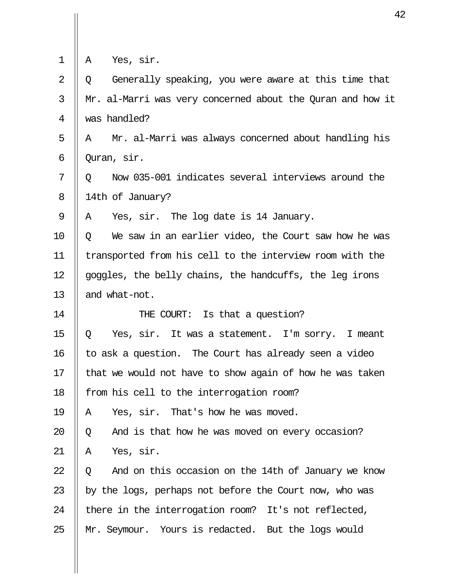| 1              | Yes, sir.<br>Α                                             |
|----------------|------------------------------------------------------------|
| $\overline{2}$ | Generally speaking, you were aware at this time that<br>Q  |
| 3              | Mr. al-Marri was very concerned about the Quran and how it |
| 4              | was handled?                                               |
| 5              | Mr. al-Marri was always concerned about handling his<br>A  |
| 6              | Quran, sir.                                                |
| 7              | Now 035-001 indicates several interviews around the<br>O   |
| 8              | 14th of January?                                           |
| 9              | Yes, sir. The log date is 14 January.<br>A                 |
| 10             | We saw in an earlier video, the Court saw how he was<br>O. |
| 11             | transported from his cell to the interview room with the   |
| 12             | goggles, the belly chains, the handcuffs, the leg irons    |
| 13             | and what-not.                                              |
| 14             | THE COURT: Is that a question?                             |
| 15             | Yes, sir. It was a statement. I'm sorry. I meant<br>Q      |
| 16             | to ask a question. The Court has already seen a video      |
| 17             | that we would not have to show again of how he was taken   |
| 18             | from his cell to the interrogation room?                   |
| 19             | Yes, sir. That's how he was moved.<br>Α                    |
| 20             | And is that how he was moved on every occasion?<br>Q       |
| 21             | Yes, sir.<br>Α                                             |
| 22             | And on this occasion on the 14th of January we know<br>Q   |
| 23             | by the logs, perhaps not before the Court now, who was     |
| 24             | there in the interrogation room? It's not reflected,       |
| 25             | Mr. Seymour. Yours is redacted. But the logs would         |
|                |                                                            |

 $\begin{array}{c} \vspace{0.1cm} \rule{0.1cm}{0.1cm} \vspace{0.1cm} \rule{0.1cm}{0.1cm} \vspace{0.1cm} \end{array}$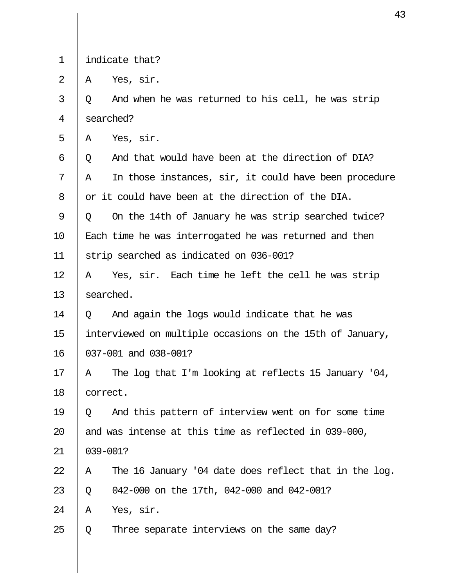1 indicate that?

 $2 \parallel A$  Yes, sir.

 $3 \parallel Q$  And when he was returned to his cell, he was strip 4 Searched?

 $5 \parallel A \quad \text{Yes.}$  sir.

6 || 0 And that would have been at the direction of DIA?  $7 \parallel A$  In those instances, sir, it could have been procedure  $8$   $\parallel$  or it could have been at the direction of the DIA.  $9 \parallel 0$  On the 14th of January he was strip searched twice? 10 || Each time he was interrogated he was returned and then 11 strip searched as indicated on 036-001?  $12 \parallel A$  Yes, sir. Each time he left the cell he was strip 13 || searched.

14  $\parallel$  0 And again the logs would indicate that he was 15 interviewed on multiple occasions on the 15th of January, 16 037-001 and 038-001?

17 || A The log that I'm looking at reflects 15 January '04, 18 || correct.

19  $\parallel$  0 And this pattern of interview went on for some time 20  $\parallel$  and was intense at this time as reflected in 039-000,

21 039-001?

22  $\parallel$  A The 16 January '04 date does reflect that in the log.

23 || 0 042-000 on the 17th, 042-000 and 042-001?

 $24$  | A Yes, sir.

25  $\parallel$  Q Three separate interviews on the same day?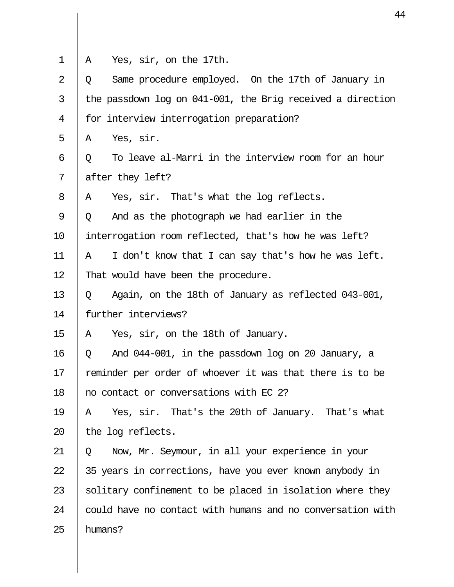| 1              | Yes, sir, on the 17th.<br>A                                |
|----------------|------------------------------------------------------------|
| $\overline{2}$ | Same procedure employed. On the 17th of January in<br>Q    |
| 3              | the passdown log on 041-001, the Brig received a direction |
| 4              | for interview interrogation preparation?                   |
| 5              | Yes, sir.<br>Α                                             |
| 6              | To leave al-Marri in the interview room for an hour<br>Q   |
| 7              | after they left?                                           |
| 8              | Yes, sir. That's what the log reflects.<br>A               |
| 9              | And as the photograph we had earlier in the<br>Q           |
| 10             | interrogation room reflected, that's how he was left?      |
| 11             | I don't know that I can say that's how he was left.<br>Α   |
| 12             | That would have been the procedure.                        |
| 13             | Again, on the 18th of January as reflected 043-001,<br>Q   |
| 14             | further interviews?                                        |
| 15             | Yes, sir, on the 18th of January.<br>Α                     |
| 16             | And 044-001, in the passdown log on 20 January, a<br>Q     |
| 17             | reminder per order of whoever it was that there is to be   |
| 18             | no contact or conversations with EC 2?                     |
| 19             | Yes, sir. That's the 20th of January. That's what<br>Α     |
| 20             | the log reflects.                                          |
| 21             | Now, Mr. Seymour, in all your experience in your<br>Q      |
| 22             | 35 years in corrections, have you ever known anybody in    |
| 23             | solitary confinement to be placed in isolation where they  |
| 24             | could have no contact with humans and no conversation with |
| 25             | humans?                                                    |
|                |                                                            |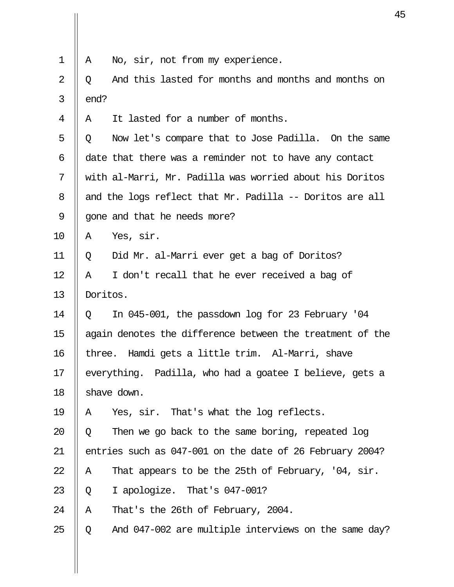| 1              | A        | No, sir, not from my experience.                          |
|----------------|----------|-----------------------------------------------------------|
| $\overline{2}$ | Q        | And this lasted for months and months and months on       |
| 3              | end?     |                                                           |
| 4              | A        | It lasted for a number of months.                         |
| 5              | Q        | Now let's compare that to Jose Padilla. On the same       |
| 6              |          | date that there was a reminder not to have any contact    |
| 7              |          | with al-Marri, Mr. Padilla was worried about his Doritos  |
| 8              |          | and the logs reflect that Mr. Padilla -- Doritos are all  |
| 9              |          | gone and that he needs more?                              |
| 10             | Α        | Yes, sir.                                                 |
| 11             | Q        | Did Mr. al-Marri ever get a bag of Doritos?               |
| 12             | A        | I don't recall that he ever received a bag of             |
| 13             | Doritos. |                                                           |
| 14             | Q        | In 045-001, the passdown log for 23 February '04          |
| 15             |          | again denotes the difference between the treatment of the |
| 16             |          | three. Hamdi gets a little trim. Al-Marri, shave          |
| 17             |          | everything. Padilla, who had a goatee I believe, gets a   |
| 18             |          | shave down.                                               |
| 19             | Α        | Yes, sir. That's what the log reflects.                   |
| 20             | Q        | Then we go back to the same boring, repeated log          |
| 21             |          | entries such as 047-001 on the date of 26 February 2004?  |
| 22             | Α        | That appears to be the 25th of February, '04, sir.        |
| 23             | Q        | I apologize. That's 047-001?                              |
| 24             | Α        | That's the 26th of February, 2004.                        |
| 25             | Q        | And 047-002 are multiple interviews on the same day?      |
|                |          |                                                           |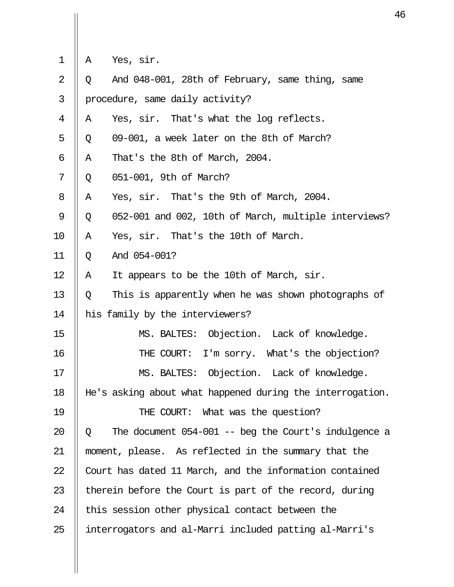|  |  | Yes, sir. |  |
|--|--|-----------|--|
|--|--|-----------|--|

 $\mathbf{II}$ 

| $\overline{2}$ | Q | And 048-001, 28th of February, same thing, same           |
|----------------|---|-----------------------------------------------------------|
| 3              |   | procedure, same daily activity?                           |
| 4              | Α | Yes, sir. That's what the log reflects.                   |
| 5              | Q | 09-001, a week later on the 8th of March?                 |
| 6              | Α | That's the 8th of March, 2004.                            |
| 7              | Q | 051-001, 9th of March?                                    |
| 8              | Α | Yes, sir. That's the 9th of March, 2004.                  |
| 9              | Q | 052-001 and 002, 10th of March, multiple interviews?      |
| 10             | Α | Yes, sir. That's the 10th of March.                       |
| 11             | Q | And 054-001?                                              |
| 12             | Α | It appears to be the 10th of March, sir.                  |
| 13             | Q | This is apparently when he was shown photographs of       |
| 14             |   | his family by the interviewers?                           |
| 15             |   | MS. BALTES: Objection. Lack of knowledge.                 |
| 16             |   | THE COURT: I'm sorry. What's the objection?               |
| 17             |   | MS. BALTES: Objection. Lack of knowledge.                 |
| 18             |   | He's asking about what happened during the interrogation. |
| 19             |   | THE COURT: What was the question?                         |
| 20             | Q | The document $054-001$ -- beg the Court's indulgence a    |
| 21             |   | moment, please. As reflected in the summary that the      |
| 22             |   | Court has dated 11 March, and the information contained   |
| 23             |   | therein before the Court is part of the record, during    |
| 24             |   | this session other physical contact between the           |
| 25             |   | interrogators and al-Marri included patting al-Marri's    |
|                |   |                                                           |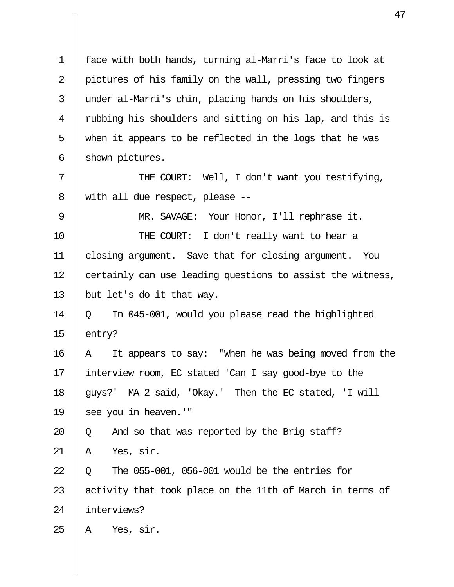1 face with both hands, turning al-Marri's face to look at 2 | pictures of his family on the wall, pressing two fingers 3 || under al-Marri's chin, placing hands on his shoulders, 4 || rubbing his shoulders and sitting on his lap, and this is 5  $\parallel$  when it appears to be reflected in the logs that he was 6  $\parallel$  shown pictures. 7 || THE COURT: Well, I don't want you testifying, 8 || with all due respect, please  $-$ 9 || MR. SAVAGE: Your Honor, I'll rephrase it. 10 || THE COURT: I don't really want to hear a 11 closing argument. Save that for closing argument. You 12 | certainly can use leading questions to assist the witness, 13  $\parallel$  but let's do it that way. 14  $\parallel$  0 In 045-001, would you please read the highlighted 15  $\parallel$  entry? 16 || A It appears to say: "When he was being moved from the 17 interview room, EC stated 'Can I say good-bye to the 18 || quys?' MA 2 said, 'Okay.' Then the EC stated, 'I will 19 || see you in heaven.'" 20  $\parallel$  Q and so that was reported by the Brig staff?  $21 \parallel A \text{ Yes, sir.}$  $22 \parallel 0$  The 055-001, 056-001 would be the entries for 23  $\parallel$  activity that took place on the 11th of March in terms of 24 interviews?  $25$  | A Yes, sir.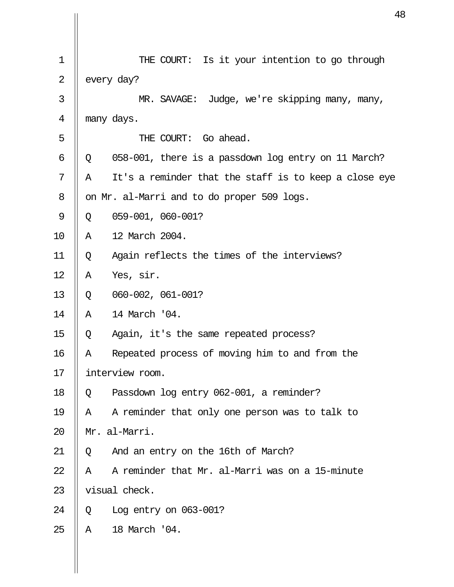| $\mathbf 1$    | THE COURT: Is it your intention to go through              |
|----------------|------------------------------------------------------------|
| $\overline{2}$ | every day?                                                 |
| 3              | MR. SAVAGE: Judge, we're skipping many, many,              |
| $\overline{4}$ | many days.                                                 |
| 5              | THE COURT: Go ahead.                                       |
| 6              | 058-001, there is a passdown log entry on 11 March?<br>Q   |
| 7              | It's a reminder that the staff is to keep a close eye<br>Α |
| 8              | on Mr. al-Marri and to do proper 509 logs.                 |
| 9              | 059-001, 060-001?<br>Q                                     |
| 10             | 12 March 2004.<br>Α                                        |
| 11             | Again reflects the times of the interviews?<br>Q           |
| 12             | Yes, sir.<br>Α                                             |
| 13             | 060-002, 061-001?<br>Q                                     |
| 14             | 14 March '04.<br>Α                                         |
| 15             | Again, it's the same repeated process?<br>Q                |
| 16             | Repeated process of moving him to and from the<br>Α        |
| 17             | interview room.                                            |
| 18             | Passdown log entry 062-001, a reminder?<br>Q               |
| 19             | A reminder that only one person was to talk to<br>Α        |
| 20             | Mr. al-Marri.                                              |
| 21             | And an entry on the 16th of March?<br>Q                    |
| 22             | A reminder that Mr. al-Marri was on a 15-minute<br>Α       |
| 23             | visual check.                                              |
| 24             | Log entry on $063-001$ ?<br>Q                              |
| 25             | 18 March '04.<br>$\mathbb{A}$                              |
|                |                                                            |
|                |                                                            |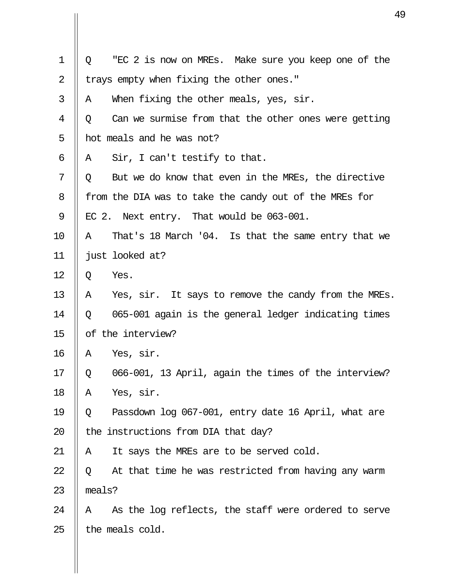| $\mathbf 1$    | "EC 2 is now on MREs. Make sure you keep one of the<br>Q  |
|----------------|-----------------------------------------------------------|
| $\overline{2}$ | trays empty when fixing the other ones."                  |
| 3              | When fixing the other meals, yes, sir.<br>A               |
| 4              | Can we surmise from that the other ones were getting<br>Q |
| 5              | hot meals and he was not?                                 |
| 6              | Sir, I can't testify to that.<br>Α                        |
| 7              | But we do know that even in the MREs, the directive<br>Q  |
| 8              | from the DIA was to take the candy out of the MREs for    |
| 9              | EC 2. Next entry. That would be 063-001.                  |
| 10             | That's 18 March '04. Is that the same entry that we<br>A  |
| 11             | just looked at?                                           |
| 12             | Yes.<br>Q                                                 |
| 13             | Yes, sir. It says to remove the candy from the MREs.<br>A |
| 14             | 065-001 again is the general ledger indicating times<br>Q |
| 15             | of the interview?                                         |
| 16             | Yes, sir.<br>Α                                            |
| 17             | 066-001, 13 April, again the times of the interview?<br>Q |
| 18             | Yes, sir.<br>Α                                            |
| 19             | Passdown log 067-001, entry date 16 April, what are<br>Q  |
| 20             | the instructions from DIA that day?                       |
| 21             | It says the MREs are to be served cold.<br>Α              |
| 22             | At that time he was restricted from having any warm<br>Q  |
| 23             | meals?                                                    |
| 24             | As the log reflects, the staff were ordered to serve<br>A |
| 25             | the meals cold.                                           |
|                |                                                           |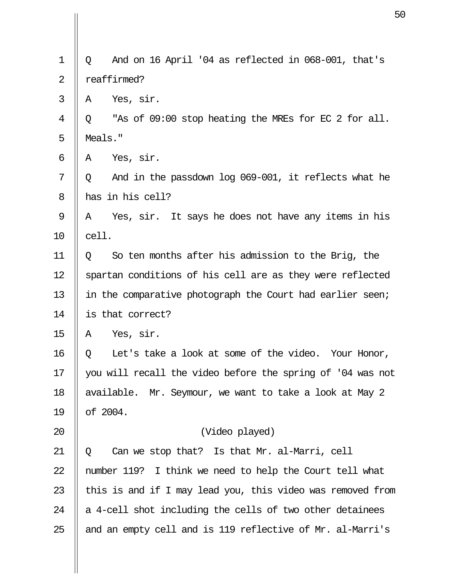| $\mathbf 1$    | And on 16 April '04 as reflected in 068-001, that's<br>Q   |  |
|----------------|------------------------------------------------------------|--|
| $\overline{2}$ | reaffirmed?                                                |  |
| 3              | Yes, sir.<br>Α                                             |  |
| 4              | "As of 09:00 stop heating the MREs for EC 2 for all.<br>Q  |  |
| 5              | Meals."                                                    |  |
| $\epsilon$     | Yes, sir.<br>Α                                             |  |
| 7              | And in the passdown log 069-001, it reflects what he<br>Q  |  |
| 8              | has in his cell?                                           |  |
| 9              | Yes, sir. It says he does not have any items in his<br>A   |  |
| 10             | cell.                                                      |  |
| 11             | So ten months after his admission to the Brig, the<br>Q    |  |
| 12             | spartan conditions of his cell are as they were reflected  |  |
| 13             | in the comparative photograph the Court had earlier seen;  |  |
| 14             | is that correct?                                           |  |
| 15             | Yes, sir.<br>Α                                             |  |
| 16             | Let's take a look at some of the video. Your Honor,<br>Q   |  |
| 17             | you will recall the video before the spring of '04 was not |  |
| 18             | available. Mr. Seymour, we want to take a look at May 2    |  |
| 19             | of 2004.                                                   |  |
| 20             | (Video played)                                             |  |
| 21             | Can we stop that? Is that Mr. al-Marri, cell<br>Q          |  |
| 22             | number 119? I think we need to help the Court tell what    |  |
| 23             | this is and if I may lead you, this video was removed from |  |
| 24             | a 4-cell shot including the cells of two other detainees   |  |
| 25             | and an empty cell and is 119 reflective of Mr. al-Marri's  |  |
|                |                                                            |  |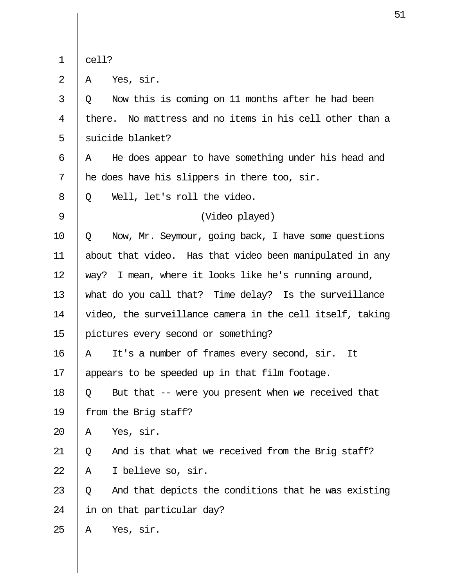|--|--|

 $2 \parallel A \text{ Yes, sir.}$ 

| 3           | Now this is coming on 11 months after he had been<br>$\circ$ |
|-------------|--------------------------------------------------------------|
| 4           | there. No mattress and no items in his cell other than a     |
| 5           | suicide blanket?                                             |
| 6           | He does appear to have something under his head and<br>Α     |
| 7           | he does have his slippers in there too, sir.                 |
| 8           | Well, let's roll the video.<br>Q                             |
| $\mathsf 9$ | (Video played)                                               |
| 10          | Now, Mr. Seymour, going back, I have some questions<br>Q     |
| 11          | about that video. Has that video been manipulated in any     |
| 12          | way? I mean, where it looks like he's running around,        |
| 13          | what do you call that? Time delay? Is the surveillance       |
| 14          | video, the surveillance camera in the cell itself, taking    |
| 15          | pictures every second or something?                          |
| 16          | It's a number of frames every second, sir. It<br>A           |
| 17          | appears to be speeded up in that film footage.               |
| 18          | But that -- were you present when we received that<br>Q      |
| 19          | from the Brig staff?                                         |
| 20          | Yes, sir.<br>Α                                               |
| 21          | And is that what we received from the Brig staff?<br>Q       |
| 22          | I believe so, sir.<br>Α                                      |
| 23          | And that depicts the conditions that he was existing<br>Q    |
| 24          | in on that particular day?                                   |
| 25          | Yes, sir.<br>Α                                               |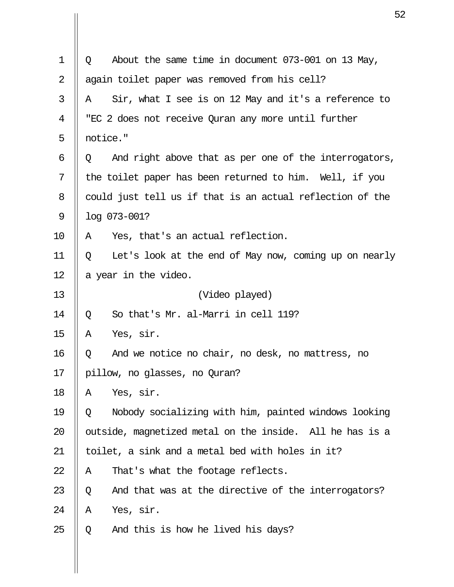| $\mathbf 1$ | About the same time in document 073-001 on 13 May,<br>Q    |  |
|-------------|------------------------------------------------------------|--|
| 2           | again toilet paper was removed from his cell?              |  |
| 3           | Sir, what I see is on 12 May and it's a reference to<br>Α  |  |
| 4           | "EC 2 does not receive Quran any more until further        |  |
| 5           | notice."                                                   |  |
| 6           | And right above that as per one of the interrogators,<br>Q |  |
| 7           | the toilet paper has been returned to him. Well, if you    |  |
| 8           | could just tell us if that is an actual reflection of the  |  |
| 9           | log 073-001?                                               |  |
| 10          | Yes, that's an actual reflection.<br>A                     |  |
| 11          | Let's look at the end of May now, coming up on nearly<br>Q |  |
| 12          | a year in the video.                                       |  |
| 13          | (Video played)                                             |  |
| 14          | So that's Mr. al-Marri in cell 119?<br>Q                   |  |
| 15          | Yes, sir.<br>Α                                             |  |
| 16          | And we notice no chair, no desk, no mattress, no<br>Q      |  |
| 17          | pillow, no glasses, no Quran?                              |  |
| 18          | Yes, sir.<br>Α                                             |  |
| 19          | Nobody socializing with him, painted windows looking<br>Q  |  |
| 20          | outside, magnetized metal on the inside. All he has is a   |  |
| 21          | toilet, a sink and a metal bed with holes in it?           |  |
| 22          | That's what the footage reflects.<br>Α                     |  |
| 23          | And that was at the directive of the interrogators?<br>Q   |  |
| 24          | Yes, sir.<br>Α                                             |  |
| 25          | And this is how he lived his days?<br>Q                    |  |
|             |                                                            |  |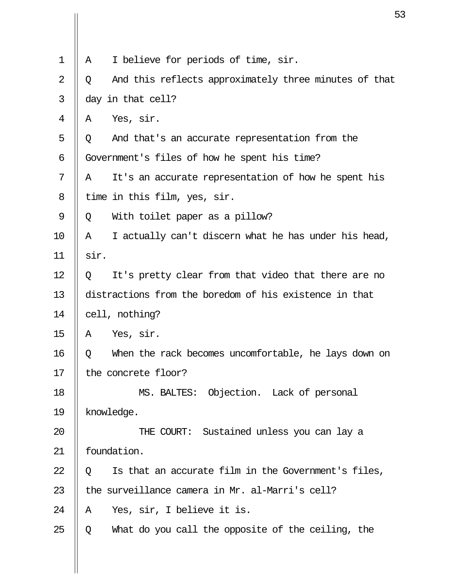| $\mathbf 1$    | I believe for periods of time, sir.<br>Α                   |  |  |
|----------------|------------------------------------------------------------|--|--|
| $\overline{2}$ | And this reflects approximately three minutes of that<br>Q |  |  |
| 3              | day in that cell?                                          |  |  |
| 4              | Yes, sir.<br>Α                                             |  |  |
| 5              | And that's an accurate representation from the<br>Q        |  |  |
| 6              | Government's files of how he spent his time?               |  |  |
| 7              | It's an accurate representation of how he spent his<br>Α   |  |  |
| 8              | time in this film, yes, sir.                               |  |  |
| 9              | With toilet paper as a pillow?<br>Q                        |  |  |
| 10             | I actually can't discern what he has under his head,<br>Α  |  |  |
| 11             | sir.                                                       |  |  |
| 12             | It's pretty clear from that video that there are no<br>Q   |  |  |
| 13             | distractions from the boredom of his existence in that     |  |  |
| 14             | cell, nothing?                                             |  |  |
| 15             | Yes, sir.<br>Α                                             |  |  |
| 16             | When the rack becomes uncomfortable, he lays down on<br>Q  |  |  |
| 17             | the concrete floor?                                        |  |  |
| 18             | MS. BALTES: Objection. Lack of personal                    |  |  |
| 19             | knowledge.                                                 |  |  |
| 20             | THE COURT: Sustained unless you can lay a                  |  |  |
| 21             | foundation.                                                |  |  |
| 22             | Is that an accurate film in the Government's files,<br>Q   |  |  |
| 23             | the surveillance camera in Mr. al-Marri's cell?            |  |  |
| 24             | Yes, sir, I believe it is.<br>Α                            |  |  |
| 25             | What do you call the opposite of the ceiling, the<br>Q     |  |  |
|                |                                                            |  |  |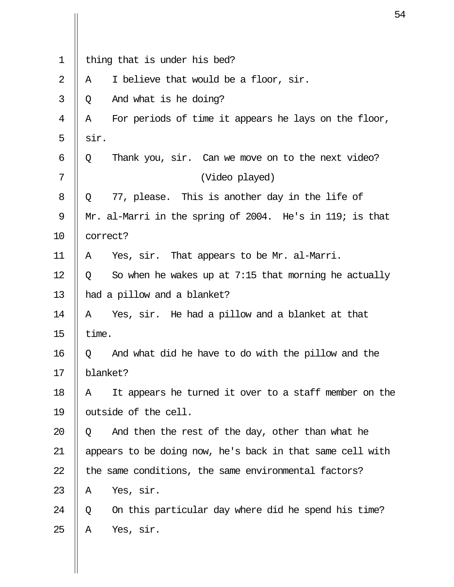| 1              |                                                           | thing that is under his bed?                             |  |
|----------------|-----------------------------------------------------------|----------------------------------------------------------|--|
| $\overline{2}$ | Α                                                         | I believe that would be a floor, sir.                    |  |
| 3              | Q                                                         | And what is he doing?                                    |  |
| 4              | Α                                                         | For periods of time it appears he lays on the floor,     |  |
| 5              | sir.                                                      |                                                          |  |
| 6              | Q                                                         | Thank you, sir. Can we move on to the next video?        |  |
| 7              |                                                           | (Video played)                                           |  |
| 8              | Q                                                         | 77, please. This is another day in the life of           |  |
| 9              |                                                           | Mr. al-Marri in the spring of 2004. He's in 119; is that |  |
| 10             |                                                           | correct?                                                 |  |
| 11             | Α                                                         | Yes, sir. That appears to be Mr. al-Marri.               |  |
| 12             | Q                                                         | So when he wakes up at $7:15$ that morning he actually   |  |
| 13             | had a pillow and a blanket?                               |                                                          |  |
| 14             | A                                                         | Yes, sir. He had a pillow and a blanket at that          |  |
| 15             | time.                                                     |                                                          |  |
| 16             | Q                                                         | And what did he have to do with the pillow and the       |  |
| 17             | blanket?                                                  |                                                          |  |
| 18             | A                                                         | It appears he turned it over to a staff member on the    |  |
| 19             | outside of the cell.                                      |                                                          |  |
| 20             | Q                                                         | And then the rest of the day, other than what he         |  |
| 21             | appears to be doing now, he's back in that same cell with |                                                          |  |
| 22             | the same conditions, the same environmental factors?      |                                                          |  |
| 23             | A                                                         | Yes, sir.                                                |  |
| 24             | Q                                                         | On this particular day where did he spend his time?      |  |
| 25             | Α                                                         | Yes, sir.                                                |  |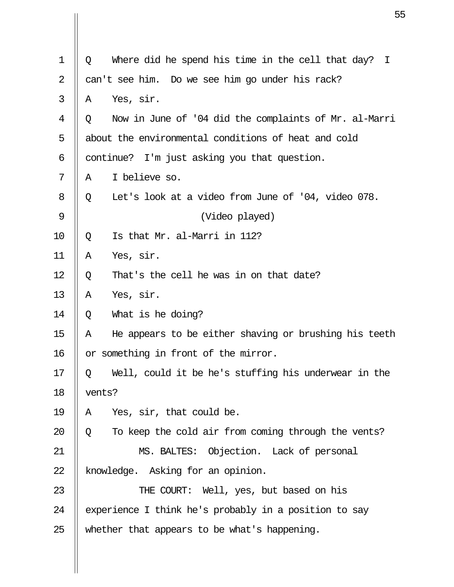|                |        | 5                                                     |
|----------------|--------|-------------------------------------------------------|
|                |        |                                                       |
| $\mathbf 1$    | Q      | Where did he spend his time in the cell that day? I   |
| $\overline{2}$ |        | can't see him. Do we see him go under his rack?       |
| 3              | Α      | Yes, sir.                                             |
| 4              | Q      | Now in June of '04 did the complaints of Mr. al-Marri |
| 5              |        | about the environmental conditions of heat and cold   |
| 6              |        | continue? I'm just asking you that question.          |
| 7              | Α      | I believe so.                                         |
| 8              | Q      | Let's look at a video from June of '04, video 078.    |
| 9              |        | (Video played)                                        |
| 10             | Q      | Is that Mr. al-Marri in 112?                          |
| 11             | Α      | Yes, sir.                                             |
| 12             | Q      | That's the cell he was in on that date?               |
| 13             | Α      | Yes, sir.                                             |
| 14             | Q      | What is he doing?                                     |
| 15             | Α      | He appears to be either shaving or brushing his teeth |
| 16             |        | or something in front of the mirror.                  |
| 17             | Q      | Well, could it be he's stuffing his underwear in the  |
| 18             | vents? |                                                       |
| 19             | Α      | Yes, sir, that could be.                              |
| 20             | Q      | To keep the cold air from coming through the vents?   |
| 21             |        | MS. BALTES: Objection. Lack of personal               |
| 22             |        | knowledge. Asking for an opinion.                     |
| 23             |        | THE COURT: Well, yes, but based on his                |
| 24             |        | experience I think he's probably in a position to say |
| 25             |        | whether that appears to be what's happening.          |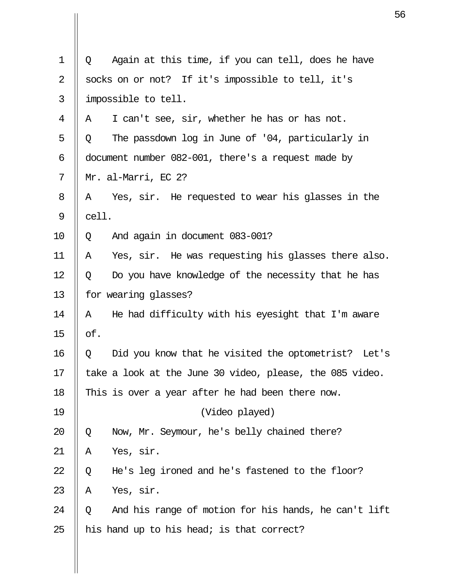| $\mathbf 1$ | Q     | Again at this time, if you can tell, does he have        |
|-------------|-------|----------------------------------------------------------|
| 2           |       | socks on or not? If it's impossible to tell, it's        |
| 3           |       | impossible to tell.                                      |
| 4           | Α     | I can't see, sir, whether he has or has not.             |
| 5           | Q     | The passdown log in June of '04, particularly in         |
| 6           |       | document number 082-001, there's a request made by       |
| 7           |       | Mr. al-Marri, EC 2?                                      |
| 8           | Α     | Yes, sir. He requested to wear his glasses in the        |
| 9           | cell. |                                                          |
| 10          | Q     | And again in document 083-001?                           |
| 11          | Α     | Yes, sir. He was requesting his glasses there also.      |
| 12          | Q     | Do you have knowledge of the necessity that he has       |
| 13          |       | for wearing glasses?                                     |
| 14          | Α     | He had difficulty with his eyesight that I'm aware       |
| 15          | of.   |                                                          |
| 16          | Q     | Did you know that he visited the optometrist? Let's      |
| 17          |       | take a look at the June 30 video, please, the 085 video. |
| 18          |       | This is over a year after he had been there now.         |
| 19          |       | (Video played)                                           |
| 20          | Q     | Now, Mr. Seymour, he's belly chained there?              |
| 21          | Α     | Yes, sir.                                                |
| 22          | Q     | He's leg ironed and he's fastened to the floor?          |
| 23          | Α     | Yes, sir.                                                |
| 24          | Q     | And his range of motion for his hands, he can't lift     |
| 25          |       | his hand up to his head; is that correct?                |
|             |       |                                                          |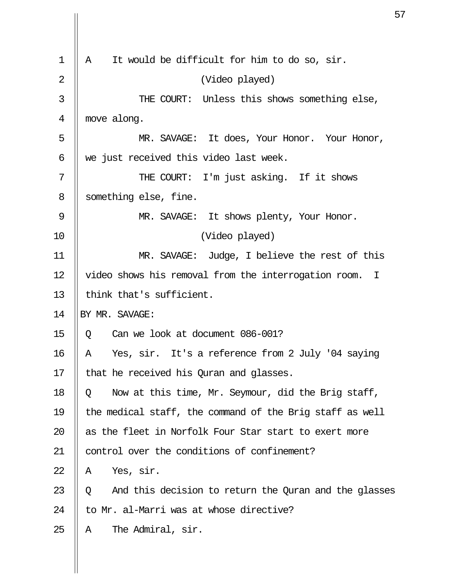| 1              | It would be difficult for him to do so, sir.<br>Α                   |
|----------------|---------------------------------------------------------------------|
| $\overline{2}$ | (Video played)                                                      |
| 3              | THE COURT: Unless this shows something else,                        |
| 4              | move along.                                                         |
| 5              | MR. SAVAGE: It does, Your Honor. Your Honor,                        |
| 6              | we just received this video last week.                              |
| 7              | THE COURT: I'm just asking. If it shows                             |
| 8              | something else, fine.                                               |
| 9              | MR. SAVAGE: It shows plenty, Your Honor.                            |
| 10             | (Video played)                                                      |
| 11             | Judge, I believe the rest of this<br>MR. SAVAGE:                    |
| 12             | video shows his removal from the interrogation room.<br>$\mathbf I$ |
| 13             | think that's sufficient.                                            |
| 14             | BY MR. SAVAGE:                                                      |
| 15             | Can we look at document 086-001?<br>Q                               |
| 16             | Yes, sir. It's a reference from 2 July '04 saying<br>Α              |
| 17             | that he received his Quran and glasses.                             |
| 18             | Now at this time, Mr. Seymour, did the Brig staff,<br>Q             |
| 19             | the medical staff, the command of the Brig staff as well            |
| 20             | as the fleet in Norfolk Four Star start to exert more               |
| 21             | control over the conditions of confinement?                         |
| 22             | Yes, sir.<br>Α                                                      |
| 23             | And this decision to return the Quran and the glasses<br>Q          |
| 24             | to Mr. al-Marri was at whose directive?                             |
| 25             | The Admiral, sir.<br>Α                                              |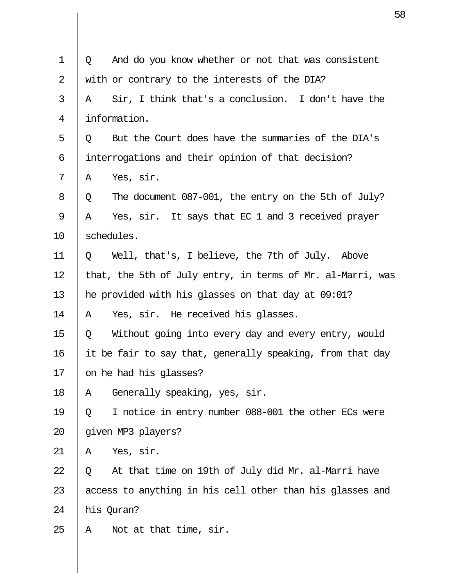| $\mathbf 1$ | Q                                                         | And do you know whether or not that was consistent         |
|-------------|-----------------------------------------------------------|------------------------------------------------------------|
| 2           |                                                           | with or contrary to the interests of the DIA?              |
| 3           | Α                                                         | Sir, I think that's a conclusion. I don't have the         |
| 4           |                                                           | information.                                               |
| 5           | Q                                                         | But the Court does have the summaries of the DIA's         |
| 6           |                                                           | interrogations and their opinion of that decision?         |
| 7           | A                                                         | Yes, sir.                                                  |
| 8           | Q                                                         | The document 087-001, the entry on the 5th of July?        |
| 9           | Α                                                         | Yes, sir. It says that EC 1 and 3 received prayer          |
| 10          |                                                           | schedules.                                                 |
| 11          | Q                                                         | Well, that's, I believe, the 7th of July. Above            |
| 12          |                                                           | that, the 5th of July entry, in terms of Mr. al-Marri, was |
| 13          |                                                           | he provided with his glasses on that day at 09:01?         |
| 14          | A                                                         | Yes, sir. He received his glasses.                         |
| 15          | Q                                                         | Without going into every day and every entry, would        |
| 16          | it be fair to say that, generally speaking, from that day |                                                            |
| 17          | on he had his glasses?                                    |                                                            |
| 18          | Α                                                         | Generally speaking, yes, sir.                              |
| 19          | Q                                                         | I notice in entry number 088-001 the other ECs were        |
| 20          |                                                           | given MP3 players?                                         |
| 21          | Α                                                         | Yes, sir.                                                  |
| 22          | Q                                                         | At that time on 19th of July did Mr. al-Marri have         |
| 23          |                                                           | access to anything in his cell other than his glasses and  |
| 24          |                                                           | his Quran?                                                 |
| 25          | A                                                         | Not at that time, sir.                                     |
|             |                                                           |                                                            |

 $\mathbf{\mathsf{I}}$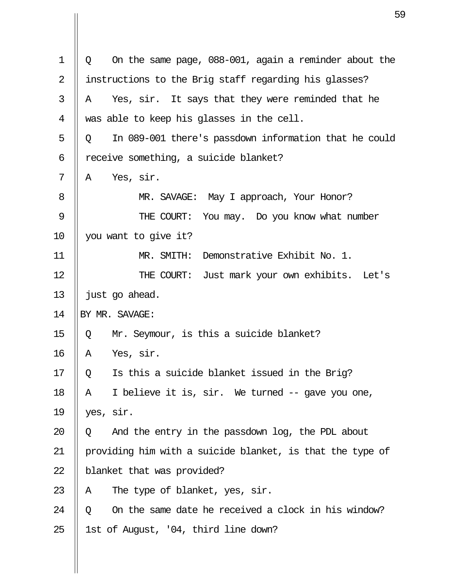| $\mathbf 1$    | On the same page, 088-001, again a reminder about the<br>Q |  |  |
|----------------|------------------------------------------------------------|--|--|
| $\overline{2}$ | instructions to the Brig staff regarding his glasses?      |  |  |
| 3              | Yes, sir. It says that they were reminded that he<br>Α     |  |  |
| 4              | was able to keep his glasses in the cell.                  |  |  |
| 5              | In 089-001 there's passdown information that he could<br>Q |  |  |
| 6              | receive something, a suicide blanket?                      |  |  |
| 7              | Yes, sir.<br>Α                                             |  |  |
| 8              | MR. SAVAGE: May I approach, Your Honor?                    |  |  |
| 9              | THE COURT:<br>You may. Do you know what number             |  |  |
| 10             | you want to give it?                                       |  |  |
| 11             | Demonstrative Exhibit No. 1.<br>MR. SMITH:                 |  |  |
| 12             | THE COURT: Just mark your own exhibits. Let's              |  |  |
| 13             | just go ahead.                                             |  |  |
| 14             | BY MR. SAVAGE:                                             |  |  |
| 15             | Mr. Seymour, is this a suicide blanket?<br>Q               |  |  |
| 16             | Yes, sir.<br>Α                                             |  |  |
| 17             | Is this a suicide blanket issued in the Brig?<br>Q         |  |  |
| 18             | I believe it is, sir. We turned -- gave you one,<br>Α      |  |  |
| 19             | yes, sir.                                                  |  |  |
| 20             | And the entry in the passdown log, the PDL about<br>Q      |  |  |
| 21             | providing him with a suicide blanket, is that the type of  |  |  |
| 22             | blanket that was provided?                                 |  |  |
| 23             | The type of blanket, yes, sir.<br>Α                        |  |  |
| 24             | On the same date he received a clock in his window?<br>Q   |  |  |
| 25             | 1st of August, '04, third line down?                       |  |  |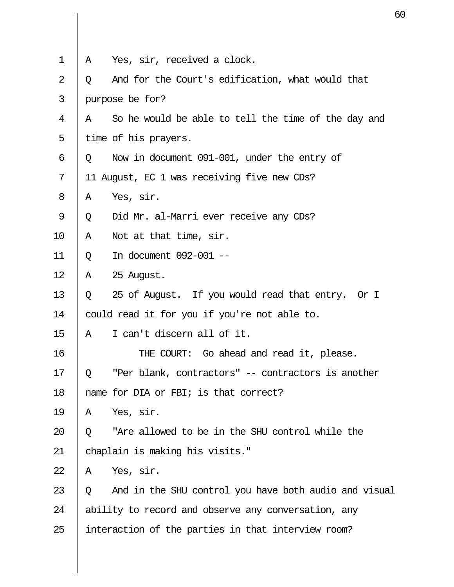| Α | Yes, sir, received a clock.                           |
|---|-------------------------------------------------------|
| Q | And for the Court's edification, what would that      |
|   | purpose be for?                                       |
| Α | So he would be able to tell the time of the day and   |
|   | time of his prayers.                                  |
| Q | Now in document 091-001, under the entry of           |
|   | 11 August, EC 1 was receiving five new CDs?           |
| Α | Yes, sir.                                             |
| Q | Did Mr. al-Marri ever receive any CDs?                |
| Α | Not at that time, sir.                                |
| Q | In document 092-001 --                                |
| Α | 25 August.                                            |
| Q | 25 of August. If you would read that entry. Or I      |
|   | could read it for you if you're not able to.          |
| A | I can't discern all of it.                            |
|   | THE COURT: Go ahead and read it, please.              |
| Q | "Per blank, contractors" -- contractors is another    |
|   | name for DIA or FBI; is that correct?                 |
| Α | Yes, sir.                                             |
| Q | "Are allowed to be in the SHU control while the       |
|   | chaplain is making his visits."                       |
| Α | Yes, sir.                                             |
| Q | And in the SHU control you have both audio and visual |
|   | ability to record and observe any conversation, any   |
|   | interaction of the parties in that interview room?    |
|   |                                                       |
|   |                                                       |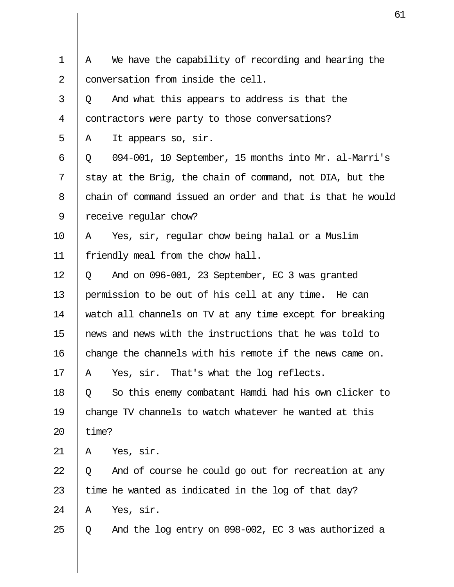| $\mathbf 1$ | We have the capability of recording and hearing the<br>Α   |
|-------------|------------------------------------------------------------|
| 2           | conversation from inside the cell.                         |
| 3           | And what this appears to address is that the<br>Q          |
| 4           | contractors were party to those conversations?             |
| 5           | It appears so, sir.<br>A                                   |
| 6           | 094-001, 10 September, 15 months into Mr. al-Marri's<br>Q  |
| 7           | stay at the Brig, the chain of command, not DIA, but the   |
| 8           | chain of command issued an order and that is that he would |
| 9           | receive regular chow?                                      |
| 10          | Yes, sir, regular chow being halal or a Muslim<br>Α        |
| 11          | friendly meal from the chow hall.                          |
| 12          | And on 096-001, 23 September, EC 3 was granted<br>Q        |
| 13          | permission to be out of his cell at any time. He can       |
| 14          | watch all channels on TV at any time except for breaking   |
| 15          | news and news with the instructions that he was told to    |
| 16          | change the channels with his remote if the news came on.   |
| 17          | Yes, sir. That's what the log reflects.<br>Α               |
| 18          | So this enemy combatant Hamdi had his own clicker to<br>Q  |
| 19          | change TV channels to watch whatever he wanted at this     |
| 20          | time?                                                      |
| 21          | Yes, sir.<br>Α                                             |
| 22          | And of course he could go out for recreation at any<br>Q   |
| 23          | time he wanted as indicated in the log of that day?        |
| 24          | Yes, sir.<br>Α                                             |
| 25          | And the log entry on 098-002, EC 3 was authorized a<br>Q   |
|             |                                                            |

 $\mathbf{\mathsf{I}}$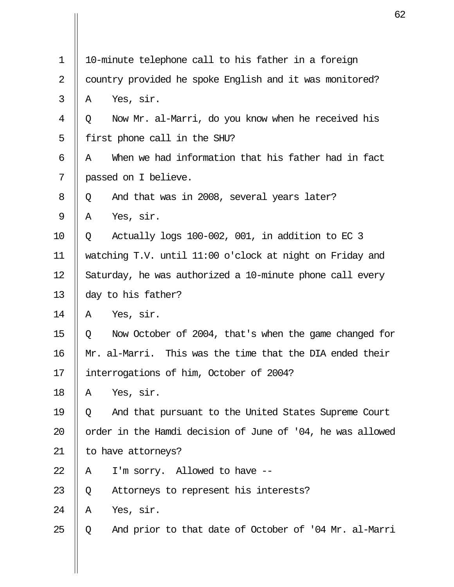| 1  |                      | 10-minute telephone call to his father in a foreign        |  |
|----|----------------------|------------------------------------------------------------|--|
| 2  |                      | country provided he spoke English and it was monitored?    |  |
| 3  |                      |                                                            |  |
| 4  | Yes, sir.<br>Α       |                                                            |  |
|    | Q                    | Now Mr. al-Marri, do you know when he received his         |  |
| 5  |                      | first phone call in the SHU?                               |  |
| 6  | A                    | When we had information that his father had in fact        |  |
| 7  | passed on I believe. |                                                            |  |
| 8  | Q                    | And that was in 2008, several years later?                 |  |
| 9  | Yes, sir.<br>A       |                                                            |  |
| 10 | Q                    | Actually logs 100-002, 001, in addition to EC 3            |  |
| 11 |                      | watching T.V. until 11:00 o'clock at night on Friday and   |  |
| 12 |                      | Saturday, he was authorized a 10-minute phone call every   |  |
| 13 | day to his father?   |                                                            |  |
| 14 | Yes, sir.<br>A       |                                                            |  |
| 15 | Q                    | Now October of 2004, that's when the game changed for      |  |
| 16 |                      | Mr. al-Marri. This was the time that the DIA ended their   |  |
| 17 |                      | interrogations of him, October of 2004?                    |  |
| 18 | Yes, sir.<br>Α       |                                                            |  |
| 19 | Q                    | And that pursuant to the United States Supreme Court       |  |
| 20 |                      | order in the Hamdi decision of June of '04, he was allowed |  |
| 21 | to have attorneys?   |                                                            |  |
| 22 | Α                    | I'm sorry. Allowed to have --                              |  |
| 23 | Q                    | Attorneys to represent his interests?                      |  |
| 24 | Yes, sir.<br>Α       |                                                            |  |
| 25 | Q                    | And prior to that date of October of '04 Mr. al-Marri      |  |
|    |                      |                                                            |  |

 $\mathbf{\mathsf{I}}$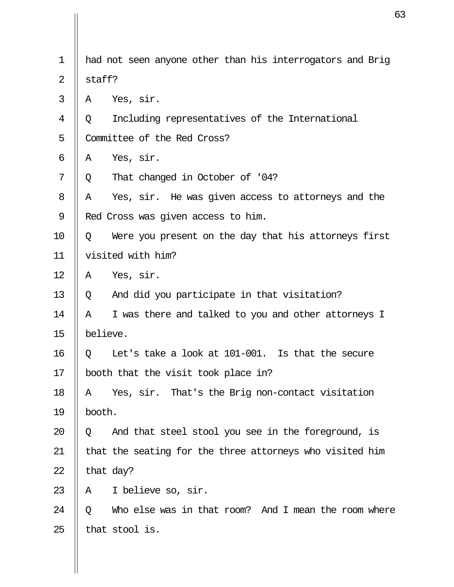| $\mathbf 1$    |          | had not seen anyone other than his interrogators and Brig |
|----------------|----------|-----------------------------------------------------------|
| $\overline{2}$ | staff?   |                                                           |
| 3              | Α        | Yes, sir.                                                 |
| 4              | Q        | Including representatives of the International            |
| 5              |          | Committee of the Red Cross?                               |
| 6              | Α        | Yes, sir.                                                 |
| 7              | Q        | That changed in October of '04?                           |
| 8              | A        | Yes, sir. He was given access to attorneys and the        |
| 9              |          | Red Cross was given access to him.                        |
| 10             | Q        | Were you present on the day that his attorneys first      |
| 11             |          | visited with him?                                         |
| 12             | Α        | Yes, sir.                                                 |
| 13             | Q        | And did you participate in that visitation?               |
| 14             | Α        | I was there and talked to you and other attorneys I       |
| 15             | believe. |                                                           |
| 16             | Q        | Let's take a look at 101-001. Is that the secure          |
| 17             |          | booth that the visit took place in?                       |
| 18             | Α        | Yes, sir. That's the Brig non-contact visitation          |
| 19             | booth.   |                                                           |
| 20             | Q        | And that steel stool you see in the foreground, is        |
| 21             |          | that the seating for the three attorneys who visited him  |
| 22             |          | that day?                                                 |
| 23             | Α        | I believe so, sir.                                        |
| 24             | $\circ$  | Who else was in that room? And I mean the room where      |
| 25             |          | that stool is.                                            |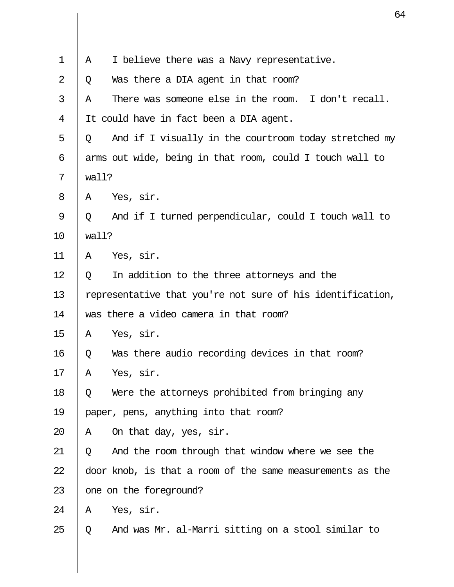| $\mathbf{1}$   | Α     | I believe there was a Navy representative.                 |
|----------------|-------|------------------------------------------------------------|
| $\overline{2}$ | Q     | Was there a DIA agent in that room?                        |
| 3              | Α     | There was someone else in the room. I don't recall.        |
| 4              |       | It could have in fact been a DIA agent.                    |
| 5              | Q     | And if I visually in the courtroom today stretched my      |
| 6              |       | arms out wide, being in that room, could I touch wall to   |
| 7              | wall? |                                                            |
| 8              | Α     | Yes, sir.                                                  |
| 9              | Q     | And if I turned perpendicular, could I touch wall to       |
| 10             | wall? |                                                            |
| 11             | A     | Yes, sir.                                                  |
| 12             | Q     | In addition to the three attorneys and the                 |
| 13             |       | representative that you're not sure of his identification, |
| 14             |       | was there a video camera in that room?                     |
| 15             | Α     | Yes, sir.                                                  |
| 16             | Q     | Was there audio recording devices in that room?            |
| 17             | Α     | Yes, sir.                                                  |
| 18             | Q     | Were the attorneys prohibited from bringing any            |
| 19             |       | paper, pens, anything into that room?                      |
| 20             | A     | On that day, yes, sir.                                     |
| 21             | Q     | And the room through that window where we see the          |
| 22             |       | door knob, is that a room of the same measurements as the  |
| 23             |       | one on the foreground?                                     |
| 24             | Α     | Yes, sir.                                                  |
| 25             | Q     | And was Mr. al-Marri sitting on a stool similar to         |
|                |       |                                                            |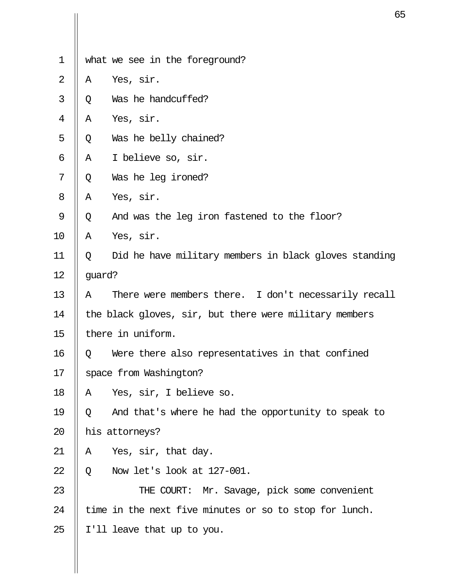| $\mathbf 1$    |        | what we see in the foreground?                         |
|----------------|--------|--------------------------------------------------------|
|                |        |                                                        |
| $\overline{2}$ | Α      | Yes, sir.                                              |
| 3              | Q      | Was he handcuffed?                                     |
| 4              | Α      | Yes, sir.                                              |
| 5              | Q      | Was he belly chained?                                  |
| 6              | Α      | I believe so, sir.                                     |
| 7              | Q      | Was he leg ironed?                                     |
| 8              | Α      | Yes, sir.                                              |
| 9              | Q      | And was the leg iron fastened to the floor?            |
| 10             | Α      | Yes, sir.                                              |
| 11             | Q      | Did he have military members in black gloves standing  |
| 12             | guard? |                                                        |
| 13             | Α      | There were members there. I don't necessarily recall   |
| 14             |        | the black gloves, sir, but there were military members |
| 15             |        | there in uniform.                                      |
| 16             | Q      | Were there also representatives in that confined       |
| 17             |        | space from Washington?                                 |
| 18             | Α      | Yes, sir, I believe so.                                |
| 19             | Q      | And that's where he had the opportunity to speak to    |
| 20             |        | his attorneys?                                         |
| 21             | Α      | Yes, sir, that day.                                    |
| 22             | Q      | Now let's look at 127-001.                             |
| 23             |        | THE COURT: Mr. Savage, pick some convenient            |
| 24             |        | time in the next five minutes or so to stop for lunch. |
| 25             |        | I'll leave that up to you.                             |
|                |        |                                                        |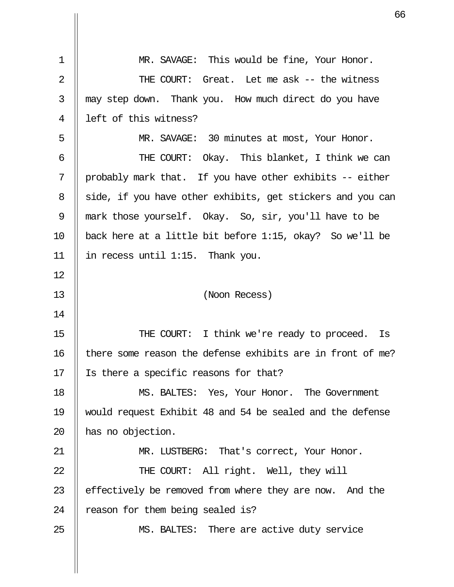| $\mathbf 1$    | MR. SAVAGE: This would be fine, Your Honor.                |
|----------------|------------------------------------------------------------|
| $\overline{2}$ | THE COURT: Great. Let me ask -- the witness                |
| 3              | may step down. Thank you. How much direct do you have      |
| 4              | left of this witness?                                      |
| 5              | MR. SAVAGE: 30 minutes at most, Your Honor.                |
| 6              | THE COURT: Okay. This blanket, I think we can              |
| 7              | probably mark that. If you have other exhibits -- either   |
| 8              | side, if you have other exhibits, get stickers and you can |
| 9              | mark those yourself. Okay. So, sir, you'll have to be      |
| 10             | back here at a little bit before 1:15, okay? So we'll be   |
| 11             | in recess until 1:15. Thank you.                           |
| 12             |                                                            |
| 13             | (Noon Recess)                                              |
| 14             |                                                            |
| 15             | THE COURT: I think we're ready to proceed. Is              |
| 16             | there some reason the defense exhibits are in front of me? |
| 17             | Is there a specific reasons for that?                      |
| 18             | MS. BALTES: Yes, Your Honor. The Government                |
| 19             | would request Exhibit 48 and 54 be sealed and the defense  |
| 20             | has no objection.                                          |
| 21             | MR. LUSTBERG: That's correct, Your Honor.                  |
| 22             | THE COURT: All right. Well, they will                      |
| 23             | effectively be removed from where they are now. And the    |
| 24             | reason for them being sealed is?                           |
| 25             | MS. BALTES: There are active duty service                  |
|                |                                                            |
|                |                                                            |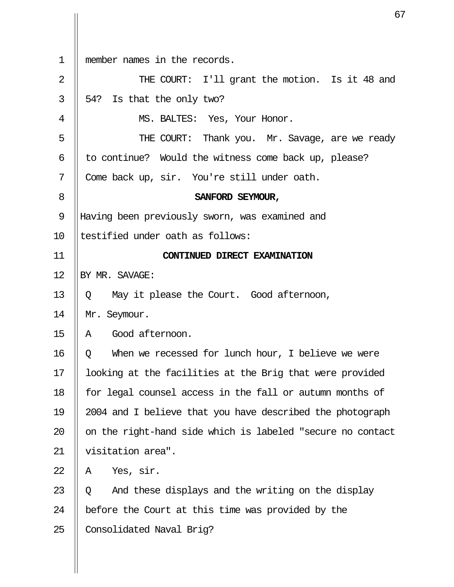| $\mathbf 1$    | member names in the records.                               |
|----------------|------------------------------------------------------------|
| $\overline{2}$ | THE COURT: I'll grant the motion. Is it 48 and             |
| 3              | 54? Is that the only two?                                  |
| 4              | MS. BALTES: Yes, Your Honor.                               |
| 5              | THE COURT: Thank you. Mr. Savage, are we ready             |
| 6              | to continue? Would the witness come back up, please?       |
| 7              | Come back up, sir. You're still under oath.                |
| 8              | SANFORD SEYMOUR,                                           |
| $\mathsf 9$    | Having been previously sworn, was examined and             |
| 10             | testified under oath as follows:                           |
| 11             | CONTINUED DIRECT EXAMINATION                               |
| 12             | BY MR. SAVAGE:                                             |
| 13             | May it please the Court. Good afternoon,<br>Q              |
| 14             | Mr. Seymour.                                               |
| 15             | Good afternoon.<br>A                                       |
| 16             | When we recessed for lunch hour, I believe we were<br>Q    |
| 17             | looking at the facilities at the Brig that were provided   |
| 18             | for legal counsel access in the fall or autumn months of   |
| 19             | 2004 and I believe that you have described the photograph  |
| 20             | on the right-hand side which is labeled "secure no contact |
| 21             | visitation area".                                          |
| 22             | Yes, sir.<br>Α                                             |
| 23             | And these displays and the writing on the display<br>Q     |
| 24             | before the Court at this time was provided by the          |
| 25             | Consolidated Naval Brig?                                   |
|                |                                                            |

 $\overline{\mathsf{I}}$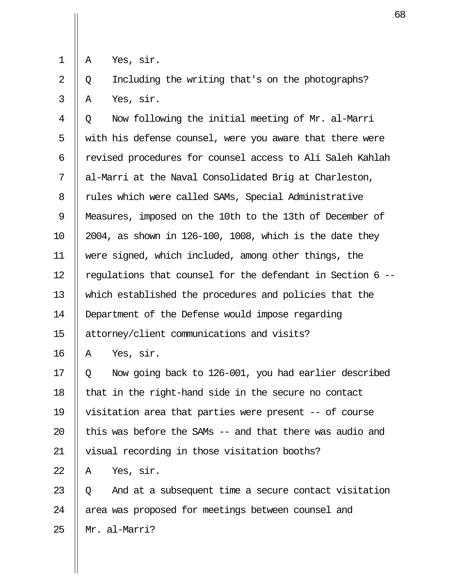$1 \parallel A$  Yes, sir.

 $2 \parallel Q$  Including the writing that's on the photographs?  $3 \parallel A$  Yes, sir.

 $4 \parallel 0$  Now following the initial meeting of Mr. al-Marri  $5$   $\parallel$  with his defense counsel, were you aware that there were 6 || revised procedures for counsel access to Ali Saleh Kahlah 7 || al-Marri at the Naval Consolidated Brig at Charleston, 8 | rules which were called SAMs, Special Administrative 9 Measures, imposed on the 10th to the 13th of December of 10  $\parallel$  2004, as shown in 126-100, 1008, which is the date they 11 were signed, which included, among other things, the 12  $\parallel$  regulations that counsel for the defendant in Section 6 --13 which established the procedures and policies that the 14 Department of the Defense would impose regarding 15 attorney/client communications and visits?

 $16 \parallel A \text{ Yes, sir.}$ 

17  $\parallel$  0 Now going back to 126-001, you had earlier described 18  $\parallel$  that in the right-hand side in the secure no contact 19 visitation area that parties were present -- of course 20  $\parallel$  this was before the SAMs -- and that there was audio and 21 || visual recording in those visitation booths?

 $22 \parallel A \quad \text{Yes.}$  sir.

23  $\parallel$  0 And at a subsequent time a secure contact visitation 24 || area was proposed for meetings between counsel and  $25$  || Mr. al-Marri?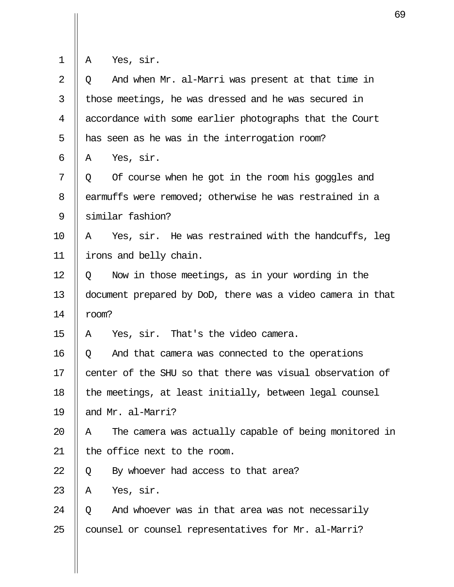|  |  | Yes. | Slr. |
|--|--|------|------|
|--|--|------|------|

 $\mathbf{\mathsf{I}}$ 

| $\overline{2}$ | And when Mr. al-Marri was present at that time in<br>Q     |
|----------------|------------------------------------------------------------|
| 3              | those meetings, he was dressed and he was secured in       |
| 4              | accordance with some earlier photographs that the Court    |
| 5              | has seen as he was in the interrogation room?              |
| 6              | Yes, sir.<br>A                                             |
| 7              | Of course when he got in the room his goggles and<br>Q     |
| 8              | earmuffs were removed; otherwise he was restrained in a    |
| 9              | similar fashion?                                           |
| 10             | Yes, sir. He was restrained with the handcuffs, leg<br>A   |
| 11             | irons and belly chain.                                     |
| 12             | Now in those meetings, as in your wording in the<br>Q      |
| 13             | document prepared by DoD, there was a video camera in that |
| 14             | room?                                                      |
| 15             | Yes, sir. That's the video camera.<br>Α                    |
| 16             | And that camera was connected to the operations<br>Q       |
| 17             | center of the SHU so that there was visual observation of  |
| 18             | the meetings, at least initially, between legal counsel    |
| 19             | and Mr. al-Marri?                                          |
| 20             | The camera was actually capable of being monitored in<br>Α |
| 21             | the office next to the room.                               |
| 22             | By whoever had access to that area?<br>Q                   |
| 23             | Yes, sir.<br>Α                                             |
| 24             | And whoever was in that area was not necessarily<br>O.     |
| 25             | counsel or counsel representatives for Mr. al-Marri?       |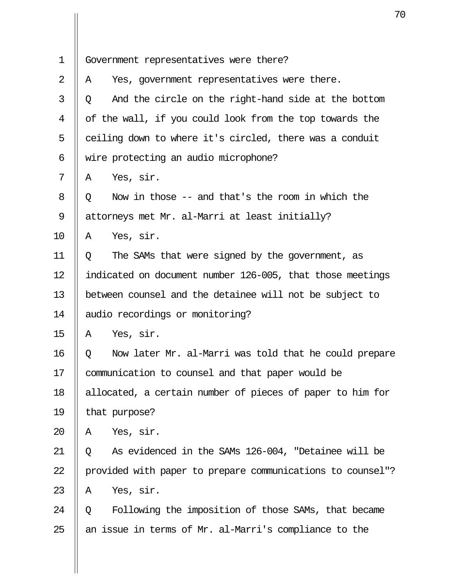| $\mathbf 1$ | Government representatives were there?                     |  |
|-------------|------------------------------------------------------------|--|
| 2           | Yes, government representatives were there.<br>A           |  |
| 3           | And the circle on the right-hand side at the bottom<br>Q   |  |
| 4           | of the wall, if you could look from the top towards the    |  |
| 5           | ceiling down to where it's circled, there was a conduit    |  |
| 6           | wire protecting an audio microphone?                       |  |
| 7           | Yes, sir.<br>A                                             |  |
| 8           | Now in those -- and that's the room in which the<br>Q      |  |
| 9           | attorneys met Mr. al-Marri at least initially?             |  |
| 10          | Yes, sir.<br>Α                                             |  |
| 11          | The SAMs that were signed by the government, as<br>Q       |  |
| 12          | indicated on document number 126-005, that those meetings  |  |
| 13          | between counsel and the detainee will not be subject to    |  |
| 14          | audio recordings or monitoring?                            |  |
| 15          | Yes, sir.<br>A                                             |  |
| 16          | Now later Mr. al-Marri was told that he could prepare<br>Q |  |
| 17          | communication to counsel and that paper would be           |  |
| 18          | allocated, a certain number of pieces of paper to him for  |  |
| 19          | that purpose?                                              |  |
| 20          | Yes, sir.<br>Α                                             |  |
| 21          | As evidenced in the SAMs 126-004, "Detainee will be<br>Q   |  |
| 22          | provided with paper to prepare communications to counsel"? |  |
| 23          | Yes, sir.<br>Α                                             |  |
| 24          | Following the imposition of those SAMs, that became<br>Q   |  |
| 25          | an issue in terms of Mr. al-Marri's compliance to the      |  |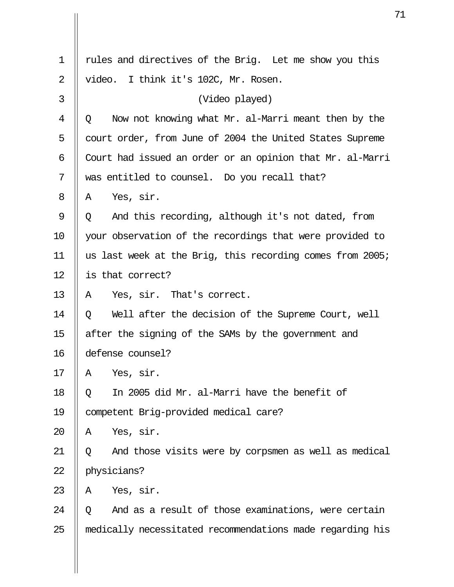| 1  | rules and directives of the Brig. Let me show you this         |
|----|----------------------------------------------------------------|
| 2  | video. I think it's 102C, Mr. Rosen.                           |
| 3  | (Video played)                                                 |
| 4  | Now not knowing what Mr. al-Marri meant then by the<br>$\circ$ |
| 5  | court order, from June of 2004 the United States Supreme       |
| 6  | Court had issued an order or an opinion that Mr. al-Marri      |
| 7  | was entitled to counsel. Do you recall that?                   |
| 8  | Yes, sir.<br>A                                                 |
| 9  | And this recording, although it's not dated, from<br>Q         |
| 10 | your observation of the recordings that were provided to       |
| 11 | us last week at the Brig, this recording comes from 2005;      |
| 12 | is that correct?                                               |
| 13 | Yes, sir. That's correct.<br>Α                                 |
| 14 | Well after the decision of the Supreme Court, well<br>Q        |
| 15 | after the signing of the SAMs by the government and            |
| 16 | defense counsel?                                               |
| 17 | Yes, sir.<br>Α                                                 |
| 18 | In 2005 did Mr. al-Marri have the benefit of<br>Q              |
| 19 | competent Brig-provided medical care?                          |
| 20 | Yes, sir.<br>Α                                                 |
| 21 | And those visits were by corpsmen as well as medical<br>Q      |
| 22 | physicians?                                                    |
| 23 | Yes, sir.<br>Α                                                 |
| 24 | And as a result of those examinations, were certain<br>O       |
| 25 | medically necessitated recommendations made regarding his      |
|    |                                                                |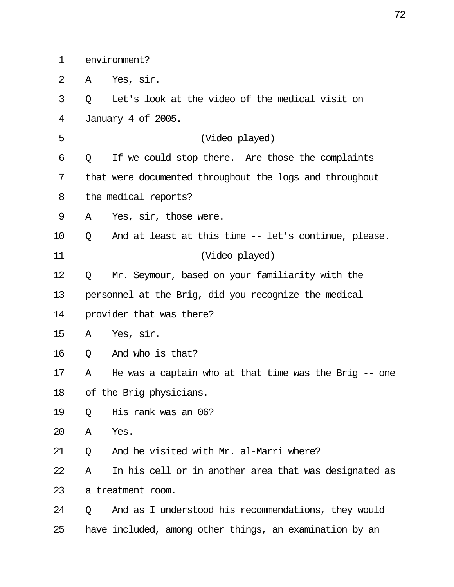| environment? |  |
|--------------|--|
|--------------|--|

 $2 \parallel A$  Yes, sir.

 $3 \parallel 0$  Let's look at the video of the medical visit on 4 January 4 of 2005. 5 (Video played)  $6 \parallel Q$  If we could stop there. Are those the complaints 7 | that were documented throughout the logs and throughout 8 | the medical reports?  $9 \parallel A$  Yes, sir, those were.  $10 \parallel Q$  And at least at this time -- let's continue, please. 11 (Video played) 12 Q Mr. Seymour, based on your familiarity with the 13 personnel at the Brig, did you recognize the medical 14 provider that was there?  $15$  || A Yes, sir.  $16 \parallel Q$  And who is that? 17  $\parallel$  A He was a captain who at that time was the Brig -- one 18 | of the Brig physicians. 19  $\parallel$  0 His rank was an 06? 20  $\parallel$  A Yes. 21  $\parallel$  Q and he visited with Mr. al-Marri where?  $22$  || A In his cell or in another area that was designated as 23 || a treatment room. 24  $\parallel$  0 And as I understood his recommendations, they would 25  $\parallel$  have included, among other things, an examination by an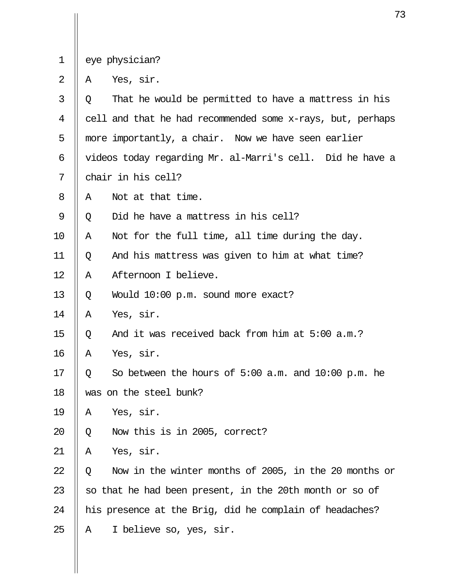1 || eye physician?

 $2 \parallel A \text{ Yes, sir.}$ 

| 3  | Q | That he would be permitted to have a mattress in his       |
|----|---|------------------------------------------------------------|
| 4  |   | cell and that he had recommended some x-rays, but, perhaps |
| 5  |   | more importantly, a chair. Now we have seen earlier        |
| 6  |   | videos today regarding Mr. al-Marri's cell. Did he have a  |
| 7  |   | chair in his cell?                                         |
| 8  | Α | Not at that time.                                          |
| 9  | Q | Did he have a mattress in his cell?                        |
| 10 | Α | Not for the full time, all time during the day.            |
| 11 | Q | And his mattress was given to him at what time?            |
| 12 | Α | Afternoon I believe.                                       |
| 13 | Q | Would 10:00 p.m. sound more exact?                         |
| 14 | Α | Yes, sir.                                                  |
| 15 | Q | And it was received back from him at 5:00 a.m.?            |
| 16 | Α | Yes, sir.                                                  |
| 17 | Q | So between the hours of $5:00$ a.m. and $10:00$ p.m. he    |
| 18 |   | was on the steel bunk?                                     |
| 19 | Α | Yes, sir.                                                  |
| 20 | Q | Now this is in 2005, correct?                              |
| 21 | Α | Yes, sir.                                                  |
| 22 | Q | Now in the winter months of 2005, in the 20 months or      |
| 23 |   | so that he had been present, in the 20th month or so of    |
| 24 |   | his presence at the Brig, did he complain of headaches?    |
| 25 | Α | I believe so, yes, sir.                                    |
|    |   |                                                            |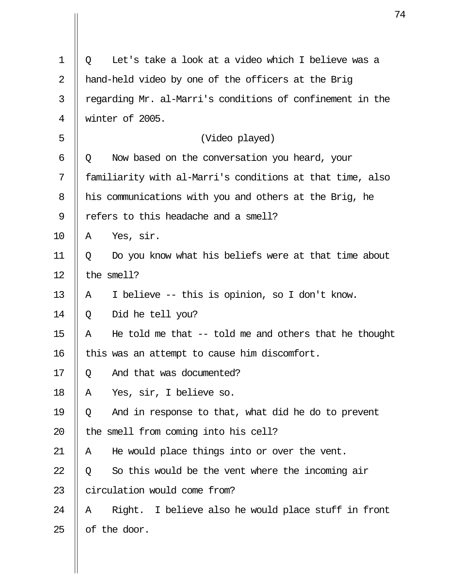| 1  | Let's take a look at a video which I believe was a<br>Q     |
|----|-------------------------------------------------------------|
| 2  | hand-held video by one of the officers at the Brig          |
| 3  | regarding Mr. al-Marri's conditions of confinement in the   |
| 4  | winter of 2005.                                             |
| 5  | (Video played)                                              |
| 6  | Now based on the conversation you heard, your<br>Q          |
| 7  | familiarity with al-Marri's conditions at that time, also   |
| 8  | his communications with you and others at the Brig, he      |
| 9  | refers to this headache and a smell?                        |
| 10 | Yes, sir.<br>A                                              |
| 11 | Do you know what his beliefs were at that time about<br>Q   |
| 12 | the smell?                                                  |
| 13 | I believe -- this is opinion, so I don't know.<br>Α         |
| 14 | Did he tell you?<br>Q                                       |
| 15 | He told me that $-$ told me and others that he thought<br>Α |
| 16 | this was an attempt to cause him discomfort.                |
| 17 | And that was documented?<br>Q                               |
| 18 | Yes, sir, I believe so.<br>Α                                |
| 19 | And in response to that, what did he do to prevent<br>Q     |
| 20 | the smell from coming into his cell?                        |
| 21 | He would place things into or over the vent.<br>Α           |
| 22 | So this would be the vent where the incoming air<br>Q       |
| 23 | circulation would come from?                                |
| 24 | Right. I believe also he would place stuff in front<br>Α    |
| 25 | of the door.                                                |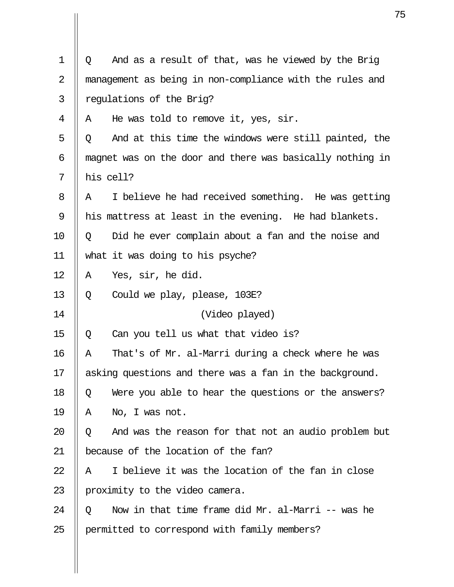| $\mathbf 1$ | Q         | And as a result of that, was he viewed by the Brig        |
|-------------|-----------|-----------------------------------------------------------|
| 2           |           | management as being in non-compliance with the rules and  |
| 3           |           | regulations of the Brig?                                  |
| 4           | Α         | He was told to remove it, yes, sir.                       |
| 5           | Q         | And at this time the windows were still painted, the      |
| 6           |           | magnet was on the door and there was basically nothing in |
| 7           | his cell? |                                                           |
| 8           | Α         | I believe he had received something. He was getting       |
| 9           |           | his mattress at least in the evening. He had blankets.    |
| 10          | Q         | Did he ever complain about a fan and the noise and        |
| 11          |           | what it was doing to his psyche?                          |
| 12          | Α         | Yes, sir, he did.                                         |
| 13          | Q         | Could we play, please, 103E?                              |
| 14          |           | (Video played)                                            |
| 15          | Q         | Can you tell us what that video is?                       |
| 16          | Α         | That's of Mr. al-Marri during a check where he was        |
| 17          |           | asking questions and there was a fan in the background.   |
| 18          | Q         | Were you able to hear the questions or the answers?       |
| 19          | Α         | No, I was not.                                            |
| 20          | Q         | And was the reason for that not an audio problem but      |
| 21          |           | because of the location of the fan?                       |
| 22          | Α         | I believe it was the location of the fan in close         |
| 23          |           | proximity to the video camera.                            |
| 24          | Q         | Now in that time frame did Mr. al-Marri -- was he         |
| 25          |           | permitted to correspond with family members?              |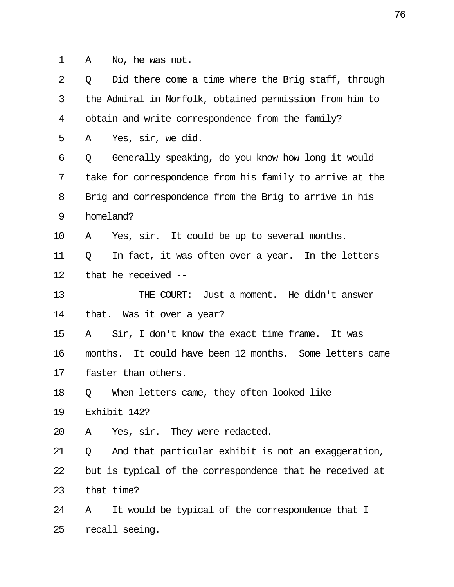- 
- $1$   $\begin{vmatrix} 1 & \text{No, he was not.} \end{vmatrix}$

| $\overline{2}$ | Did there come a time where the Brig staff, through<br>O |
|----------------|----------------------------------------------------------|
| 3              | the Admiral in Norfolk, obtained permission from him to  |
| 4              | obtain and write correspondence from the family?         |
| 5              | Yes, sir, we did.<br>Α                                   |
| 6              | Generally speaking, do you know how long it would<br>Q   |
| 7              | take for correspondence from his family to arrive at the |
| 8              | Brig and correspondence from the Brig to arrive in his   |
| 9              | homeland?                                                |
| 10             | Yes, sir. It could be up to several months.<br>A         |
| 11             | In fact, it was often over a year. In the letters<br>Q   |
| 12             | that he received --                                      |
| 13             | THE COURT: Just a moment. He didn't answer               |
| 14             | that. Was it over a year?                                |
| 15             | Sir, I don't know the exact time frame. It was<br>A      |
| 16             | months. It could have been 12 months. Some letters came  |
| 17             | faster than others.                                      |
| 18             | When letters came, they often looked like<br>Q           |
| 19             | Exhibit 142?                                             |
| 20             | Yes, sir. They were redacted.<br>Α                       |
| 21             | And that particular exhibit is not an exaggeration,<br>Q |
| 22             | but is typical of the correspondence that he received at |
| 23             | that time?                                               |
| 24             | It would be typical of the correspondence that I<br>Α    |
| 25             | recall seeing.                                           |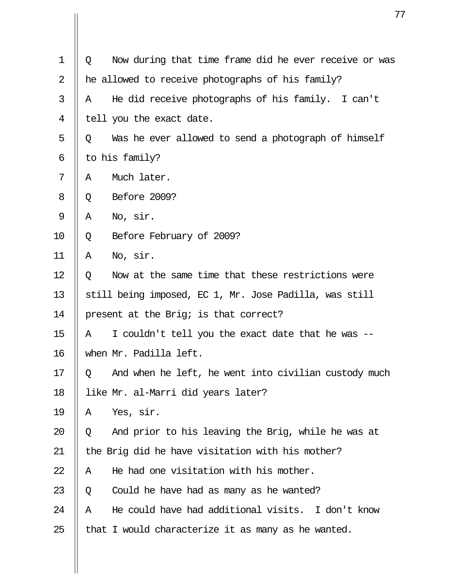| $\mathbf 1$ | Q | Now during that time frame did he ever receive or was  |
|-------------|---|--------------------------------------------------------|
| 2           |   | he allowed to receive photographs of his family?       |
| 3           | Α | He did receive photographs of his family. I can't      |
| 4           |   | tell you the exact date.                               |
| 5           | Q | Was he ever allowed to send a photograph of himself    |
| 6           |   | to his family?                                         |
| 7           | Α | Much later.                                            |
| 8           | Q | Before 2009?                                           |
| 9           | Α | No, sir.                                               |
| 10          | Q | Before February of 2009?                               |
| 11          | Α | No, sir.                                               |
| 12          | Q | Now at the same time that these restrictions were      |
| 13          |   | still being imposed, EC 1, Mr. Jose Padilla, was still |
| 14          |   | present at the Brig; is that correct?                  |
| 15          | Α | I couldn't tell you the exact date that he was         |
| 16          |   | when Mr. Padilla left.                                 |
| 17          | Q | And when he left, he went into civilian custody much   |
| 18          |   | like Mr. al-Marri did years later?                     |
| 19          | Α | Yes, sir.                                              |
| 20          | Q | And prior to his leaving the Brig, while he was at     |
| 21          |   | the Brig did he have visitation with his mother?       |
| 22          | Α | He had one visitation with his mother.                 |
| 23          | Q | Could he have had as many as he wanted?                |
| 24          | Α | He could have had additional visits. I don't know      |
| 25          |   | that I would characterize it as many as he wanted.     |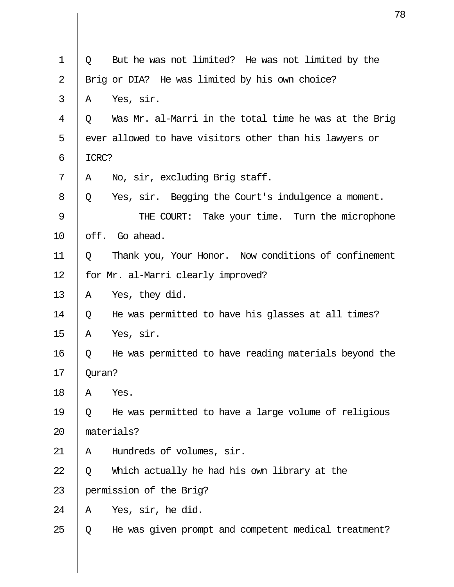| 1              | Q      | But he was not limited? He was not limited by the       |
|----------------|--------|---------------------------------------------------------|
| $\overline{2}$ |        | Brig or DIA? He was limited by his own choice?          |
| 3              | A      | Yes, sir.                                               |
| 4              | O.     | Was Mr. al-Marri in the total time he was at the Brig   |
| 5              |        | ever allowed to have visitors other than his lawyers or |
| 6              | ICRC?  |                                                         |
| 7              | A      | No, sir, excluding Brig staff.                          |
| 8              | Q      | Yes, sir. Begging the Court's indulgence a moment.      |
| 9              |        | THE COURT: Take your time. Turn the microphone          |
| 10             |        | off. Go ahead.                                          |
| 11             | Q      | Thank you, Your Honor. Now conditions of confinement    |
| 12             |        | for Mr. al-Marri clearly improved?                      |
| 13             | Α      | Yes, they did.                                          |
| 14             | Q      | He was permitted to have his glasses at all times?      |
| 15             | Α      | Yes, sir.                                               |
| 16             | Q      | He was permitted to have reading materials beyond the   |
| 17             | Quran? |                                                         |
| 18             | Α      | Yes.                                                    |
| 19             | Q      | He was permitted to have a large volume of religious    |
| 20             |        | materials?                                              |
| 21             | Α      | Hundreds of volumes, sir.                               |
| 22             | Q      | Which actually he had his own library at the            |
| 23             |        | permission of the Brig?                                 |
| 24             | Α      | Yes, sir, he did.                                       |
| 25             | Q      | He was given prompt and competent medical treatment?    |
|                |        |                                                         |
|                |        |                                                         |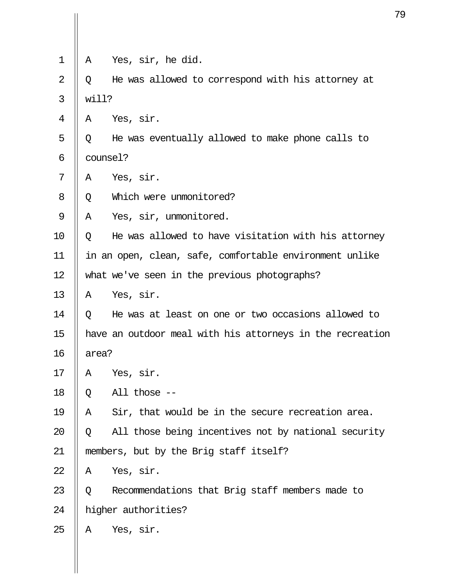| 1              | A        | Yes, sir, he did.                                         |
|----------------|----------|-----------------------------------------------------------|
| $\overline{2}$ | Q        | He was allowed to correspond with his attorney at         |
| 3              | will?    |                                                           |
| 4              | Α        | Yes, sir.                                                 |
| 5              | Q        | He was eventually allowed to make phone calls to          |
| 6              | counsel? |                                                           |
| 7              | Α        | Yes, sir.                                                 |
| 8              | Q        | Which were unmonitored?                                   |
| 9              | Α        | Yes, sir, unmonitored.                                    |
| 10             | Q        | He was allowed to have visitation with his attorney       |
| 11             |          | in an open, clean, safe, comfortable environment unlike   |
| 12             |          | what we've seen in the previous photographs?              |
| 13             | A        | Yes, sir.                                                 |
| 14             | Q        | He was at least on one or two occasions allowed to        |
| 15             |          | have an outdoor meal with his attorneys in the recreation |
| 16             | area?    |                                                           |
| 17             | Α        | Yes, sir.                                                 |
| 18             | Q        | All those --                                              |
| 19             | Α        | Sir, that would be in the secure recreation area.         |
| 20             | Q        | All those being incentives not by national security       |
| 21             |          | members, but by the Brig staff itself?                    |
| 22             | Α        | Yes, sir.                                                 |
| 23             | Q        | Recommendations that Brig staff members made to           |
| 24             |          | higher authorities?                                       |
| 25             | Α        | Yes, sir.                                                 |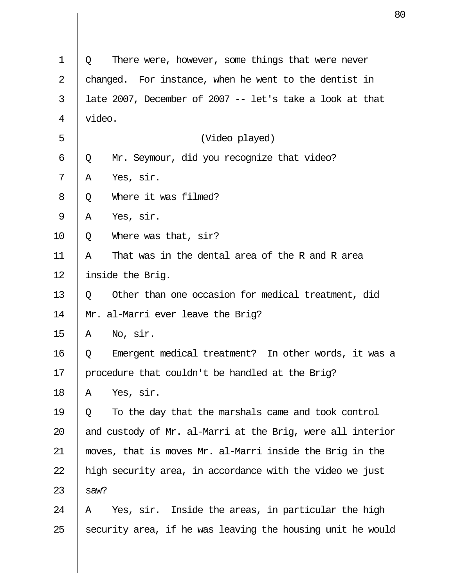| $\mathbf 1$ | There were, however, some things that were never<br>Q      |
|-------------|------------------------------------------------------------|
| 2           | For instance, when he went to the dentist in<br>changed.   |
| 3           | late 2007, December of 2007 -- let's take a look at that   |
| 4           | video.                                                     |
| 5           | (Video played)                                             |
| 6           | Mr. Seymour, did you recognize that video?<br>Q            |
| 7           | Yes, sir.<br>Α                                             |
| 8           | Where it was filmed?<br>Q                                  |
| 9           | Yes, sir.<br>Α                                             |
| 10          | Where was that, sir?<br>Q                                  |
| 11          | That was in the dental area of the R and R area<br>Α       |
| 12          | inside the Brig.                                           |
| 13          | Other than one occasion for medical treatment, did<br>Q    |
| 14          | Mr. al-Marri ever leave the Brig?                          |
| 15          | No, sir.<br>Α                                              |
| 16          | Emergent medical treatment? In other words, it was a<br>Q  |
| 17          | procedure that couldn't be handled at the Brig?            |
| 18          | Yes, sir.<br>Α                                             |
| 19          | To the day that the marshals came and took control<br>Q    |
| 20          | and custody of Mr. al-Marri at the Brig, were all interior |
| 21          | moves, that is moves Mr. al-Marri inside the Brig in the   |
| 22          | high security area, in accordance with the video we just   |
| 23          | saw?                                                       |
| 24          | Yes, sir. Inside the areas, in particular the high<br>A    |
| 25          | security area, if he was leaving the housing unit he would |
|             |                                                            |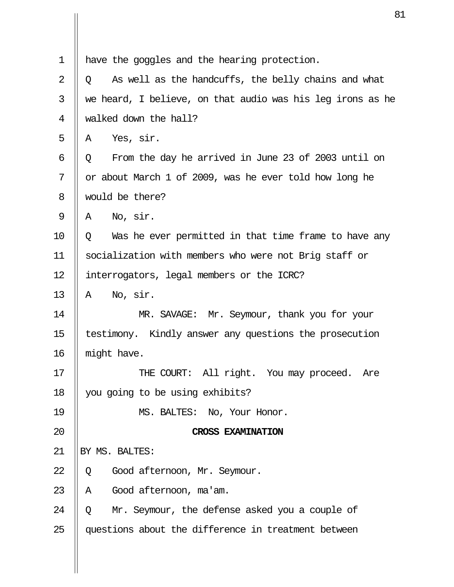| $\mathbf 1$ | have the goggles and the hearing protection.               |
|-------------|------------------------------------------------------------|
| 2           | As well as the handcuffs, the belly chains and what<br>Q   |
| 3           | we heard, I believe, on that audio was his leg irons as he |
| 4           | walked down the hall?                                      |
| 5           | Yes, sir.<br>Α                                             |
| 6           | From the day he arrived in June 23 of 2003 until on<br>Q   |
| 7           | or about March 1 of 2009, was he ever told how long he     |
| 8           | would be there?                                            |
| 9           | No, sir.<br>Α                                              |
| 10          | Was he ever permitted in that time frame to have any<br>Q  |
| 11          | socialization with members who were not Brig staff or      |
| 12          | interrogators, legal members or the ICRC?                  |
| 13          | No, sir.<br>Α                                              |
| 14          | MR. SAVAGE: Mr. Seymour, thank you for your                |
| 15          | testimony. Kindly answer any questions the prosecution     |
| 16          | might have.                                                |
| 17          | THE COURT: All right. You may proceed. Are                 |
| 18          | you going to be using exhibits?                            |
| 19          | MS. BALTES: No, Your Honor.                                |
| 20          | <b>CROSS EXAMINATION</b>                                   |
| 21          | BY MS. BALTES:                                             |
| 22          | Good afternoon, Mr. Seymour.<br>Q                          |
| 23          | Good afternoon, ma'am.<br>Α                                |
| 24          | Mr. Seymour, the defense asked you a couple of<br>Q        |
| 25          | questions about the difference in treatment between        |
|             |                                                            |
|             |                                                            |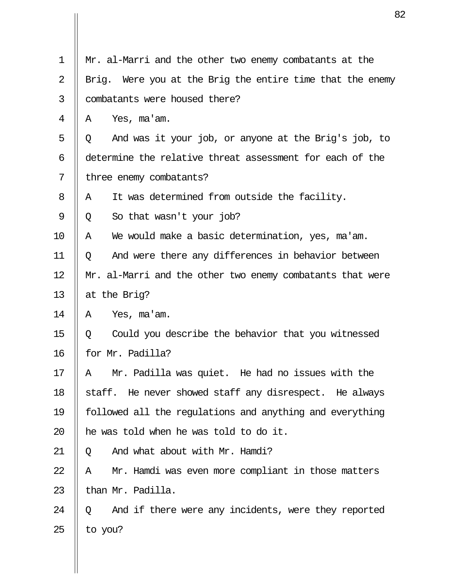| $\mathbf 1$ | Mr. al-Marri and the other two enemy combatants at the       |
|-------------|--------------------------------------------------------------|
| 2           | Were you at the Brig the entire time that the enemy<br>Brig. |
| 3           | combatants were housed there?                                |
| 4           | Yes, ma'am.<br>Α                                             |
| 5           | And was it your job, or anyone at the Brig's job, to<br>Q    |
| 6           | determine the relative threat assessment for each of the     |
| 7           | three enemy combatants?                                      |
| 8           | It was determined from outside the facility.<br>A            |
| 9           | So that wasn't your job?<br>Q                                |
| 10          | We would make a basic determination, yes, ma'am.<br>Α        |
| 11          | And were there any differences in behavior between<br>Q      |
| 12          | Mr. al-Marri and the other two enemy combatants that were    |
| 13          | at the Brig?                                                 |
| 14          | Yes, ma'am.<br>A                                             |
| 15          | Could you describe the behavior that you witnessed<br>Q      |
| 16          | for Mr. Padilla?                                             |
| 17          | Mr. Padilla was quiet. He had no issues with the<br>Α        |
| 18          | staff. He never showed staff any disrespect. He always       |
| 19          | followed all the regulations and anything and everything     |
| 20          | he was told when he was told to do it.                       |
| 21          | And what about with Mr. Hamdi?<br>Q                          |
| 22          | Mr. Hamdi was even more compliant in those matters<br>Α      |
| 23          | than Mr. Padilla.                                            |
| 24          | And if there were any incidents, were they reported<br>Q     |
| 25          | to you?                                                      |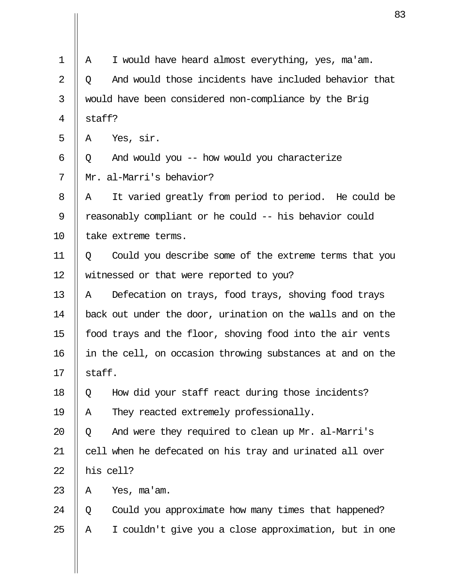| $\mathbf 1$ | Α      | I would have heard almost everything, yes, ma'am.          |
|-------------|--------|------------------------------------------------------------|
| 2           | Q      | And would those incidents have included behavior that      |
| 3           |        | would have been considered non-compliance by the Brig      |
| 4           | staff? |                                                            |
| 5           | A      | Yes, sir.                                                  |
| 6           | Q      | And would you -- how would you characterize                |
| 7           |        | Mr. al-Marri's behavior?                                   |
| 8           | Α      | It varied greatly from period to period. He could be       |
| 9           |        | reasonably compliant or he could -- his behavior could     |
| 10          |        | take extreme terms.                                        |
| 11          | O      | Could you describe some of the extreme terms that you      |
| 12          |        | witnessed or that were reported to you?                    |
| 13          | Α      | Defecation on trays, food trays, shoving food trays        |
| 14          |        | back out under the door, urination on the walls and on the |
| 15          |        | food trays and the floor, shoving food into the air vents  |
| 16          |        | in the cell, on occasion throwing substances at and on the |
| 17          | staff. |                                                            |
| 18          | Q      | How did your staff react during those incidents?           |
| 19          | Α      | They reacted extremely professionally.                     |
| 20          | Q      | And were they required to clean up Mr. al-Marri's          |
| 21          |        | cell when he defecated on his tray and urinated all over   |
| 22          |        | his cell?                                                  |
| 23          | Α      | Yes, ma'am.                                                |
| 24          | Q      | Could you approximate how many times that happened?        |
| 25          | Α      | I couldn't give you a close approximation, but in one      |
|             |        |                                                            |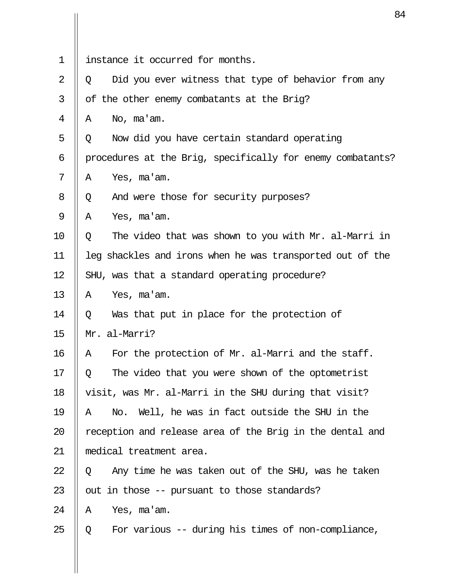| $\mathbf 1$    | instance it occurred for months.                           |
|----------------|------------------------------------------------------------|
| $\overline{2}$ | Did you ever witness that type of behavior from any<br>Q   |
| 3              | of the other enemy combatants at the Brig?                 |
| 4              | No, ma'am.<br>A                                            |
| 5              | Now did you have certain standard operating<br>Q           |
| 6              | procedures at the Brig, specifically for enemy combatants? |
| 7              | Yes, ma'am.<br>A                                           |
| 8              | And were those for security purposes?<br>Q                 |
| 9              | Α<br>Yes, ma'am.                                           |
| 10             | The video that was shown to you with Mr. al-Marri in<br>Q  |
| 11             | leg shackles and irons when he was transported out of the  |
| 12             | SHU, was that a standard operating procedure?              |
| 13             | Yes, ma'am.<br>A                                           |
| 14             | Was that put in place for the protection of<br>Q           |
| 15             | Mr. al-Marri?                                              |
| 16             | For the protection of Mr. al-Marri and the staff.<br>Α     |
| $17\,$         | The video that you were shown of the optometrist<br>Q      |
| 18             | visit, was Mr. al-Marri in the SHU during that visit?      |
| 19             | No. Well, he was in fact outside the SHU in the<br>Α       |
| 20             | reception and release area of the Brig in the dental and   |
| 21             | medical treatment area.                                    |
| 22             | Any time he was taken out of the SHU, was he taken<br>Q    |
| 23             | out in those -- pursuant to those standards?               |
| 24             | Α<br>Yes, ma'am.                                           |
| 25             | For various -- during his times of non-compliance,<br>Q    |
|                |                                                            |

 $\begin{array}{c} \hline \end{array}$ 

 $\mathbf{\mathsf{I}}$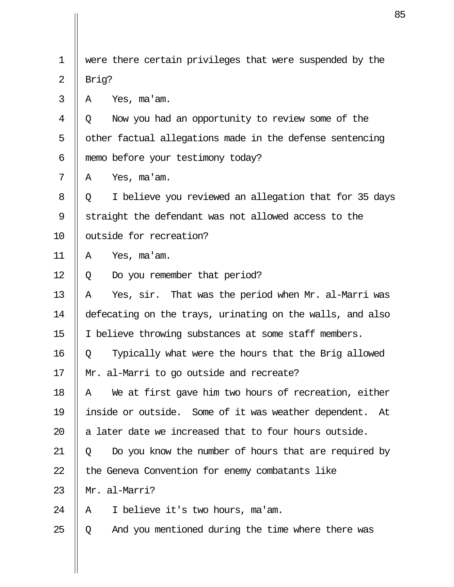| $\mathbf 1$    | were there certain privileges that were suspended by the   |
|----------------|------------------------------------------------------------|
| $\overline{2}$ | Brig?                                                      |
| 3              | Yes, ma'am.<br>A                                           |
| 4              | Now you had an opportunity to review some of the<br>Q      |
| 5              | other factual allegations made in the defense sentencing   |
| 6              | memo before your testimony today?                          |
| 7              | Yes, ma'am.<br>Α                                           |
| 8              | I believe you reviewed an allegation that for 35 days<br>Q |
| 9              | straight the defendant was not allowed access to the       |
| 10             | outside for recreation?                                    |
| 11             | Yes, ma'am.<br>Α                                           |
| 12             | Do you remember that period?<br>Q                          |
| 13             | Yes, sir. That was the period when Mr. al-Marri was<br>Α   |
| 14             | defecating on the trays, urinating on the walls, and also  |
| 15             | I believe throwing substances at some staff members.       |
| 16             | Typically what were the hours that the Brig allowed<br>Q   |
| 17             | Mr. al-Marri to go outside and recreate?                   |
| 18             | We at first gave him two hours of recreation, either<br>Α  |
| 19             | inside or outside. Some of it was weather dependent.<br>At |
| 20             | a later date we increased that to four hours outside.      |
| 21             | Do you know the number of hours that are required by<br>Q  |
| 22             | the Geneva Convention for enemy combatants like            |
| 23             | Mr. al-Marri?                                              |
| 24             | I believe it's two hours, ma'am.<br>A                      |
| 25             | And you mentioned during the time where there was<br>Q     |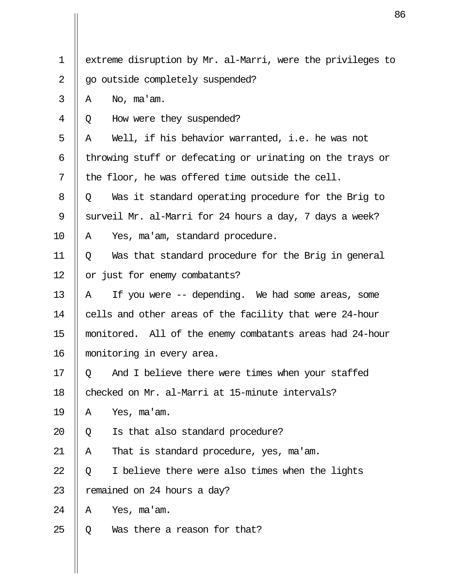| $\mathbf 1$ | extreme disruption by Mr. al-Marri, were the privileges to |
|-------------|------------------------------------------------------------|
| 2           | go outside completely suspended?                           |
| 3           | No, ma'am.<br>Α                                            |
| 4           | How were they suspended?<br>Q                              |
| 5           | Well, if his behavior warranted, i.e. he was not<br>Α      |
| 6           | throwing stuff or defecating or urinating on the trays or  |
| 7           | the floor, he was offered time outside the cell.           |
| 8           | Was it standard operating procedure for the Brig to<br>Q   |
| 9           | surveil Mr. al-Marri for 24 hours a day, 7 days a week?    |
| 10          | Yes, ma'am, standard procedure.<br>Α                       |
| 11          | Was that standard procedure for the Brig in general<br>Q   |
| 12          | or just for enemy combatants?                              |
| 13          | If you were -- depending. We had some areas, some<br>Α     |
| 14          | cells and other areas of the facility that were 24-hour    |
| 15          | monitored. All of the enemy combatants areas had 24-hour   |
| 16          | monitoring in every area.                                  |
| 17          | And I believe there were times when your staffed<br>O.     |
| 18          | checked on Mr. al-Marri at 15-minute intervals?            |
| 19          | Yes, ma'am.<br>Α                                           |
| 20          | Is that also standard procedure?<br>Q                      |
| 21          | That is standard procedure, yes, ma'am.<br>A               |
| 22          | I believe there were also times when the lights<br>Q       |
| 23          | remained on 24 hours a day?                                |
| 24          | Yes, ma'am.<br>A                                           |
| 25          | Was there a reason for that?<br>Q                          |
|             |                                                            |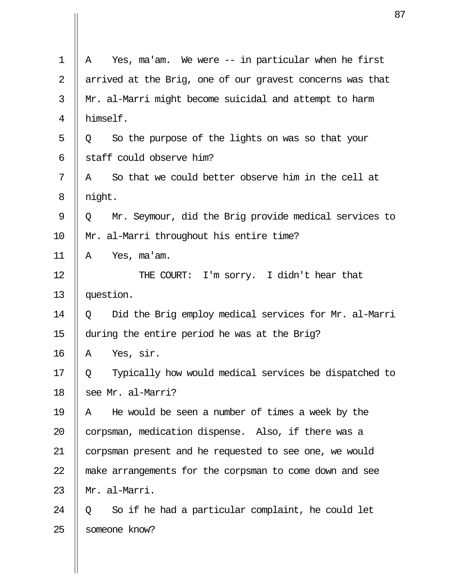|                | 8                                                          |
|----------------|------------------------------------------------------------|
| $\mathbf 1$    | Yes, ma'am. We were $-$ in particular when he first<br>Α   |
| $\overline{2}$ | arrived at the Brig, one of our gravest concerns was that  |
| 3              | Mr. al-Marri might become suicidal and attempt to harm     |
| 4              | himself.                                                   |
| 5              | So the purpose of the lights on was so that your<br>Q      |
| 6              | staff could observe him?                                   |
| 7              | So that we could better observe him in the cell at<br>Α    |
| 8              | night.                                                     |
| 9              | Mr. Seymour, did the Brig provide medical services to<br>Q |
| 10             | Mr. al-Marri throughout his entire time?                   |
| 11             | Yes, ma'am.<br>Α                                           |
| 12             | THE COURT: I'm sorry. I didn't hear that                   |
| 13             | question.                                                  |
| 14             | Did the Brig employ medical services for Mr. al-Marri<br>Q |
| 15             | during the entire period he was at the Brig?               |
| 16             | Yes, sir.<br>Α                                             |
| 17             | Typically how would medical services be dispatched to<br>Q |
| 18             | see Mr. al-Marri?                                          |
| 19             | He would be seen a number of times a week by the<br>A      |
| 20             | corpsman, medication dispense. Also, if there was a        |
| 21             | corpsman present and he requested to see one, we would     |
| 22             | make arrangements for the corpsman to come down and see    |
| 23             | Mr. al-Marri.                                              |
| 24             | So if he had a particular complaint, he could let<br>Q     |
| 25             | someone know?                                              |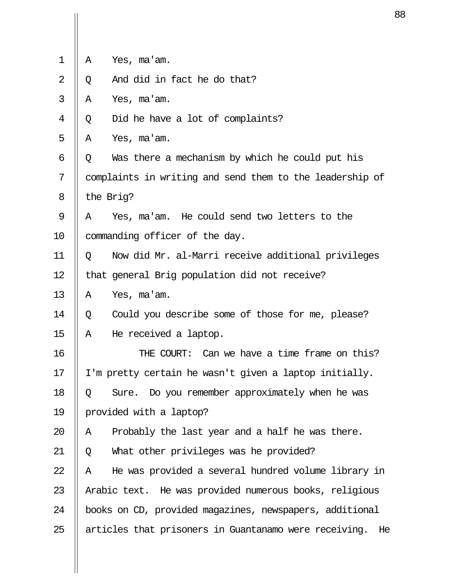| 1  | Α | Yes, ma'am.                                              |
|----|---|----------------------------------------------------------|
| 2  | Q | And did in fact he do that?                              |
| 3  | Α | Yes, ma'am.                                              |
| 4  | Q | Did he have a lot of complaints?                         |
| 5  | Α | Yes, ma'am.                                              |
| 6  | Q | Was there a mechanism by which he could put his          |
| 7  |   | complaints in writing and send them to the leadership of |
| 8  |   | the Brig?                                                |
| 9  | Α | Yes, ma'am. He could send two letters to the             |
| 10 |   | commanding officer of the day.                           |
| 11 | Q | Now did Mr. al-Marri receive additional privileges       |
| 12 |   | that general Brig population did not receive?            |
| 13 | Α | Yes, ma'am.                                              |
| 14 | Q | Could you describe some of those for me, please?         |
| 15 | Α | He received a laptop.                                    |
| 16 |   | THE COURT: Can we have a time frame on this?             |
| 17 |   | I'm pretty certain he wasn't given a laptop initially.   |
| 18 | Q | Sure. Do you remember approximately when he was          |
| 19 |   | provided with a laptop?                                  |
| 20 | Α | Probably the last year and a half he was there.          |
| 21 | Q | What other privileges was he provided?                   |
| 22 | Α | He was provided a several hundred volume library in      |
| 23 |   | Arabic text. He was provided numerous books, religious   |
| 24 |   | books on CD, provided magazines, newspapers, additional  |
| 25 |   | articles that prisoners in Guantanamo were receiving. He |
|    |   |                                                          |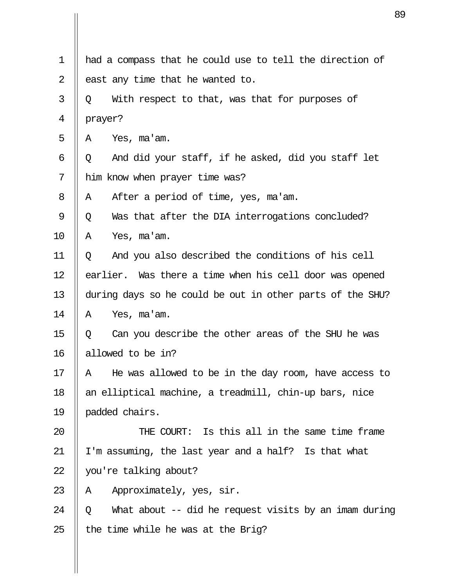| $\mathbf 1$ | had a compass that he could use to tell the direction of   |
|-------------|------------------------------------------------------------|
| 2           | east any time that he wanted to.                           |
| 3           | With respect to that, was that for purposes of<br>Q        |
| 4           | prayer?                                                    |
| 5           | Yes, ma'am.<br>A                                           |
| 6           | And did your staff, if he asked, did you staff let<br>Q    |
| 7           | him know when prayer time was?                             |
| 8           | After a period of time, yes, ma'am.<br>A                   |
| 9           | Was that after the DIA interrogations concluded?<br>Q      |
| 10          | Α<br>Yes, ma'am.                                           |
| 11          | And you also described the conditions of his cell<br>Q     |
| 12          | earlier. Was there a time when his cell door was opened    |
| 13          | during days so he could be out in other parts of the SHU?  |
| 14          | Α<br>Yes, ma'am.                                           |
| 15          | Can you describe the other areas of the SHU he was<br>Q    |
| 16          | allowed to be in?                                          |
| 17          | He was allowed to be in the day room, have access to<br>Α  |
| 18          | an elliptical machine, a treadmill, chin-up bars, nice     |
| 19          | padded chairs.                                             |
| 20          | THE COURT: Is this all in the same time frame              |
| 21          | I'm assuming, the last year and a half? Is that what       |
| 22          | you're talking about?                                      |
| 23          | Approximately, yes, sir.<br>Α                              |
| 24          | What about -- did he request visits by an imam during<br>Q |
| 25          | the time while he was at the Brig?                         |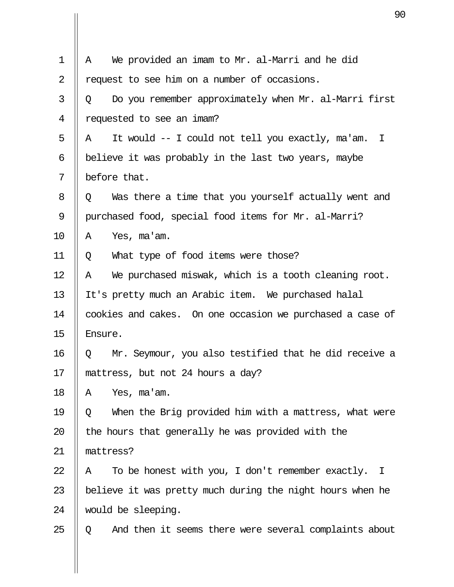| $\mathbf 1$ | We provided an imam to Mr. al-Marri and he did<br>Α                   |
|-------------|-----------------------------------------------------------------------|
| 2           | request to see him on a number of occasions.                          |
| 3           | Do you remember approximately when Mr. al-Marri first<br>Q            |
| 4           | requested to see an imam?                                             |
| 5           | It would -- I could not tell you exactly, ma'am.<br>$\mathbf{I}$<br>A |
| 6           | believe it was probably in the last two years, maybe                  |
| 7           | before that.                                                          |
| 8           | Was there a time that you yourself actually went and<br>Q             |
| 9           | purchased food, special food items for Mr. al-Marri?                  |
| 10          | Yes, ma'am.<br>Α                                                      |
| 11          | What type of food items were those?<br>Q                              |
| 12          | We purchased miswak, which is a tooth cleaning root.<br>Α             |
| 13          | It's pretty much an Arabic item. We purchased halal                   |
| 14          | cookies and cakes. On one occasion we purchased a case of             |
| 15          | Ensure.                                                               |
| 16          | Mr. Seymour, you also testified that he did receive a<br>Q            |
| 17          | mattress, but not 24 hours a day?                                     |
| 18          | Yes, ma'am.<br>Α                                                      |
| 19          | When the Brig provided him with a mattress, what were<br>Q            |
| 20          | the hours that generally he was provided with the                     |
| 21          | mattress?                                                             |
| 22          | To be honest with you, I don't remember exactly.<br>$\perp$<br>A      |
| 23          | believe it was pretty much during the night hours when he             |
| 24          | would be sleeping.                                                    |
| 25          | And then it seems there were several complaints about<br>Q            |
|             |                                                                       |

 $\mathbf{\mathsf{I}}$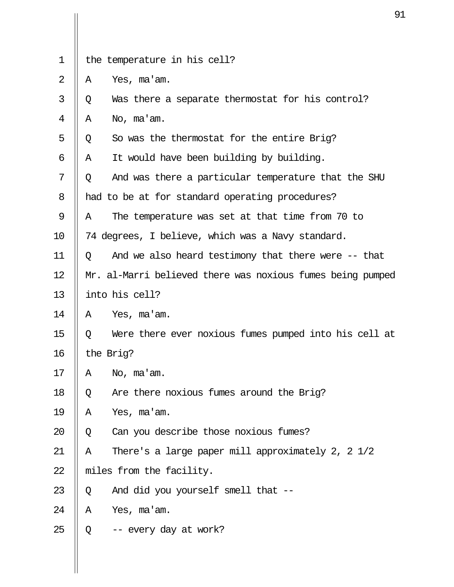|             |   | 9                                                          |
|-------------|---|------------------------------------------------------------|
| $\mathbf 1$ |   | the temperature in his cell?                               |
|             |   |                                                            |
| 2           | Α | Yes, ma'am.                                                |
| 3           | Q | Was there a separate thermostat for his control?           |
| 4           | Α | No, ma'am.                                                 |
| 5           | Q | So was the thermostat for the entire Brig?                 |
| 6           | Α | It would have been building by building.                   |
| 7           | Q | And was there a particular temperature that the SHU        |
| 8           |   | had to be at for standard operating procedures?            |
| 9           | A | The temperature was set at that time from 70 to            |
| 10          |   | 74 degrees, I believe, which was a Navy standard.          |
| 11          | Q | And we also heard testimony that there were -- that        |
| 12          |   | Mr. al-Marri believed there was noxious fumes being pumped |
| 13          |   | into his cell?                                             |
| 14          | A | Yes, ma'am.                                                |
| 15          | Q | Were there ever noxious fumes pumped into his cell at      |
| 16          |   | the Brig?                                                  |
| 17          | Α | No, ma'am.                                                 |
| 18          | Q | Are there noxious fumes around the Brig?                   |
| 19          | Α | Yes, ma'am.                                                |
| 20          | Q | Can you describe those noxious fumes?                      |
| 21          | Α | There's a large paper mill approximately 2, 2 1/2          |
| 22          |   | miles from the facility.                                   |
| 23          | Q | And did you yourself smell that --                         |
| 24          | Α | Yes, ma'am.                                                |
| 25          | Q | -- every day at work?                                      |
|             |   |                                                            |
|             |   |                                                            |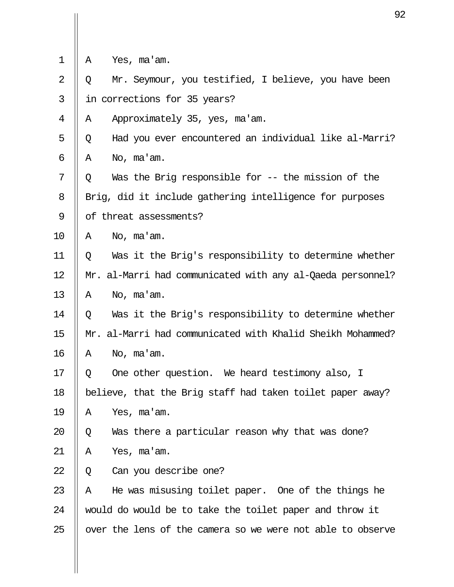| $\mathbf 1$    | Yes, ma'am.<br>Α                                           |
|----------------|------------------------------------------------------------|
|                |                                                            |
| $\overline{2}$ | Mr. Seymour, you testified, I believe, you have been<br>Q  |
| 3              | in corrections for 35 years?                               |
| 4              | Approximately 35, yes, ma'am.<br>Α                         |
| 5              | Had you ever encountered an individual like al-Marri?<br>Q |
| 6              | Α<br>No, ma'am.                                            |
| 7              | Was the Brig responsible for $-$ the mission of the<br>Q   |
| 8              | Brig, did it include gathering intelligence for purposes   |
| 9              | of threat assessments?                                     |
| 10             | No, ma'am.<br>Α                                            |
| 11             | Was it the Brig's responsibility to determine whether<br>Q |
| 12             | Mr. al-Marri had communicated with any al-Qaeda personnel? |
| 13             | No, ma'am.<br>Α                                            |
| 14             | Was it the Brig's responsibility to determine whether<br>Q |
| 15             | Mr. al-Marri had communicated with Khalid Sheikh Mohammed? |
| 16             | No, ma'am.<br>Α                                            |
| 17             | One other question. We heard testimony also, I<br>Q        |
| 18             | believe, that the Brig staff had taken toilet paper away?  |
| 19             | Yes, ma'am.<br>Α                                           |
| 20             | Was there a particular reason why that was done?<br>Q      |
| 21             | Yes, ma'am.<br>Α                                           |
| 22             | Can you describe one?<br>Q                                 |
| 23             | He was misusing toilet paper. One of the things he<br>Α    |
| 24             | would do would be to take the toilet paper and throw it    |
| 25             | over the lens of the camera so we were not able to observe |
|                |                                                            |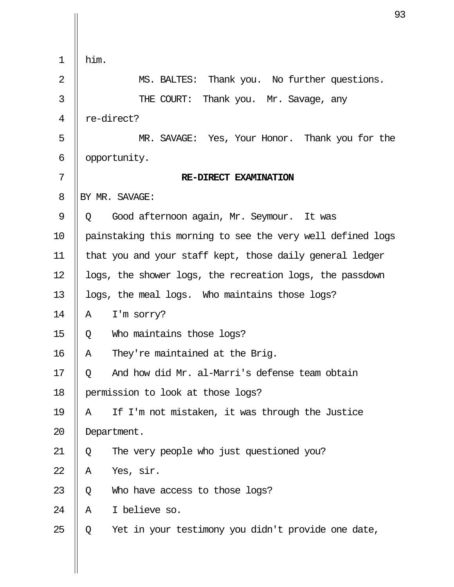|                | 9                                                          |
|----------------|------------------------------------------------------------|
|                |                                                            |
| $\mathbf 1$    | him.                                                       |
| $\overline{2}$ | MS. BALTES: Thank you. No further questions.               |
| 3              | THE COURT: Thank you. Mr. Savage, any                      |
| 4              | re-direct?                                                 |
| 5              | MR. SAVAGE: Yes, Your Honor. Thank you for the             |
| 6              | opportunity.                                               |
| 7              | RE-DIRECT EXAMINATION                                      |
| 8              | BY MR. SAVAGE:                                             |
| 9              | Good afternoon again, Mr. Seymour. It was<br>O.            |
| 10             | painstaking this morning to see the very well defined logs |
| 11             | that you and your staff kept, those daily general ledger   |
| 12             | logs, the shower logs, the recreation logs, the passdown   |
| 13             | logs, the meal logs. Who maintains those logs?             |
| 14             | I'm sorry?<br>Α                                            |
| 15             | Who maintains those logs?<br>Q                             |
| 16             | They're maintained at the Brig.<br>Α                       |
| 17             | And how did Mr. al-Marri's defense team obtain<br>Q        |
| 18             | permission to look at those logs?                          |
| 19             | If I'm not mistaken, it was through the Justice<br>Α       |
| 20             | Department.                                                |
| 21             | The very people who just questioned you?<br>Q              |
| 22             | Yes, sir.<br>Α                                             |
| 23             | Q<br>Who have access to those logs?                        |
| 24             | I believe so.<br>Α                                         |
| 25             | Yet in your testimony you didn't provide one date,<br>Q    |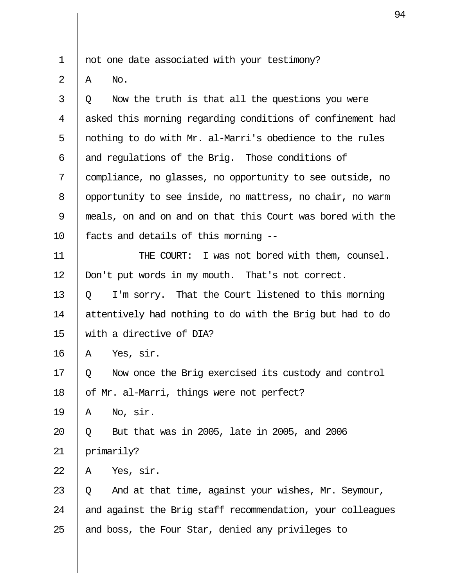1 || not one date associated with your testimony?

 $2 \parallel A \parallel$  No.

 $3 \parallel 0$  Now the truth is that all the questions you were 4 || asked this morning regarding conditions of confinement had 5 || nothing to do with Mr. al-Marri's obedience to the rules  $6 \parallel$  and regulations of the Brig. Those conditions of 7 compliance, no glasses, no opportunity to see outside, no 8 | opportunity to see inside, no mattress, no chair, no warm 9 meals, on and on and on that this Court was bored with the 10 facts and details of this morning --

11 THE COURT: I was not bored with them, counsel. 12 | Don't put words in my mouth. That's not correct. 13  $\parallel$  0 I'm sorry. That the Court listened to this morning 14 attentively had nothing to do with the Brig but had to do 15 with a directive of DIA?

 $16 \parallel A \text{ Yes, sir.}$ 

17 || 0 Now once the Brig exercised its custody and control 18 || of Mr. al-Marri, things were not perfect?

 $19 \parallel A \quad$  No, sir.

20 Q But that was in 2005, late in 2005, and 2006 21 || primarily?

 $22 \parallel A \quad \text{Yes.}$  sir.

23  $\parallel$  0 And at that time, against your wishes, Mr. Seymour, 24  $\parallel$  and against the Brig staff recommendation, your colleagues 25  $\parallel$  and boss, the Four Star, denied any privileges to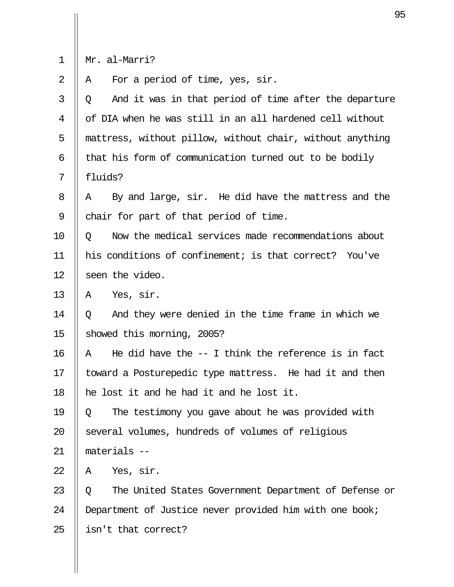| Mr | c. al-Marri? |
|----|--------------|
|    |              |

 $\begin{array}{c} \begin{array}{c} \text{1} \end{array} \\ \begin{array}{c} \text{2} \end{array} \end{array}$   $\begin{array}{c} \text{1} \end{array}$ For a period of time, yes, sir.

| 3  | And it was in that period of time after the departure<br>Q  |
|----|-------------------------------------------------------------|
| 4  | of DIA when he was still in an all hardened cell without    |
| 5  | mattress, without pillow, without chair, without anything   |
| 6  | that his form of communication turned out to be bodily      |
| 7  | fluids?                                                     |
| 8  | By and large, sir. He did have the mattress and the<br>Α    |
| 9  | chair for part of that period of time.                      |
| 10 | Now the medical services made recommendations about<br>Q    |
| 11 | his conditions of confinement; is that correct? You've      |
| 12 | seen the video.                                             |
| 13 | Yes, sir.<br>Α                                              |
| 14 | And they were denied in the time frame in which we<br>Q     |
| 15 | showed this morning, 2005?                                  |
| 16 | He did have the $-$ - I think the reference is in fact<br>A |
| 17 | toward a Posturepedic type mattress. He had it and then     |
| 18 | he lost it and he had it and he lost it.                    |
| 19 | The testimony you gave about he was provided with<br>Q      |
| 20 | several volumes, hundreds of volumes of religious           |
| 21 | materials --                                                |
| 22 | Yes, sir.<br>Α                                              |
| 23 | The United States Government Department of Defense or<br>Q  |
| 24 | Department of Justice never provided him with one book;     |
| 25 | isn't that correct?                                         |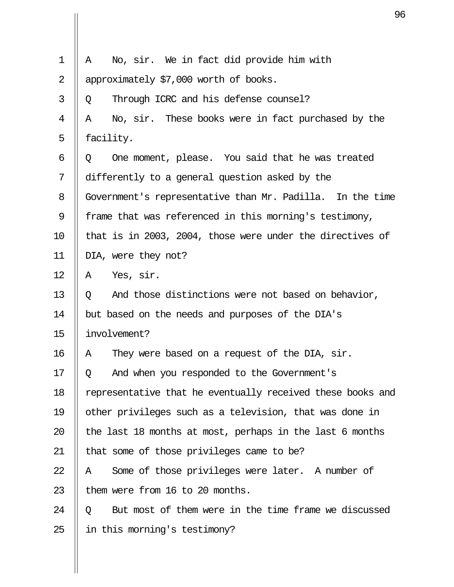|                | S                                                          |
|----------------|------------------------------------------------------------|
|                |                                                            |
| $\mathbf 1$    | No, sir. We in fact did provide him with<br>Α              |
| $\overline{2}$ | approximately \$7,000 worth of books.                      |
| 3              | Through ICRC and his defense counsel?<br>Q                 |
| 4              | No, sir. These books were in fact purchased by the<br>Α    |
| 5              | facility.                                                  |
| 6              | One moment, please. You said that he was treated<br>Q      |
| 7              | differently to a general question asked by the             |
| 8              | Government's representative than Mr. Padilla. In the time  |
| 9              | frame that was referenced in this morning's testimony,     |
| 10             | that is in 2003, 2004, those were under the directives of  |
| 11             | DIA, were they not?                                        |
| 12             | Yes, sir.<br>Α                                             |
| 13             | And those distinctions were not based on behavior,<br>Q    |
| 14             | but based on the needs and purposes of the DIA's           |
| 15             | involvement?                                               |
| 16             | They were based on a request of the DIA, sir.<br>Α         |
| 17             | And when you responded to the Government's<br>Q.           |
| 18             | representative that he eventually received these books and |
| 19             | other privileges such as a television, that was done in    |
| 20             | the last 18 months at most, perhaps in the last 6 months   |
| 21             | that some of those privileges came to be?                  |
| 22             | Some of those privileges were later. A number of<br>Α      |
| 23             | them were from 16 to 20 months.                            |
| 24             | But most of them were in the time frame we discussed<br>Q  |
| 25             | in this morning's testimony?                               |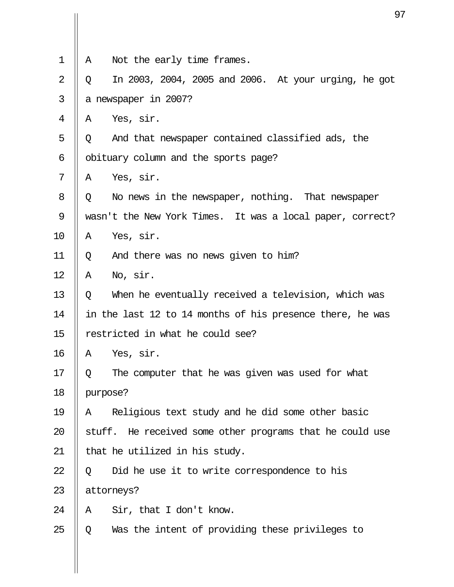| $\mathbf 1$    | Α        | Not the early time frames.                                |
|----------------|----------|-----------------------------------------------------------|
| $\overline{2}$ | Q        | In 2003, 2004, 2005 and 2006. At your urging, he got      |
| 3              |          | a newspaper in 2007?                                      |
| 4              | Α        | Yes, sir.                                                 |
| 5              | Q        | And that newspaper contained classified ads, the          |
| 6              |          | obituary column and the sports page?                      |
| 7              | Α        | Yes, sir.                                                 |
| 8              | Q        | No news in the newspaper, nothing. That newspaper         |
| 9              |          | wasn't the New York Times. It was a local paper, correct? |
| 10             | Α        | Yes, sir.                                                 |
| 11             | Q        | And there was no news given to him?                       |
| 12             | Α        | No, sir.                                                  |
| 13             | Q        | When he eventually received a television, which was       |
| 14             |          | in the last 12 to 14 months of his presence there, he was |
| 15             |          | restricted in what he could see?                          |
| 16             | Α        | Yes, sir.                                                 |
| 17             | Q        | The computer that he was given was used for what          |
| 18             | purpose? |                                                           |
| 19             | Α        | Religious text study and he did some other basic          |
| 20             |          | stuff. He received some other programs that he could use  |
| 21             |          | that he utilized in his study.                            |
| 22             | Q        | Did he use it to write correspondence to his              |
| 23             |          | attorneys?                                                |
| 24             | Α        | Sir, that I don't know.                                   |
| 25             | Q        | Was the intent of providing these privileges to           |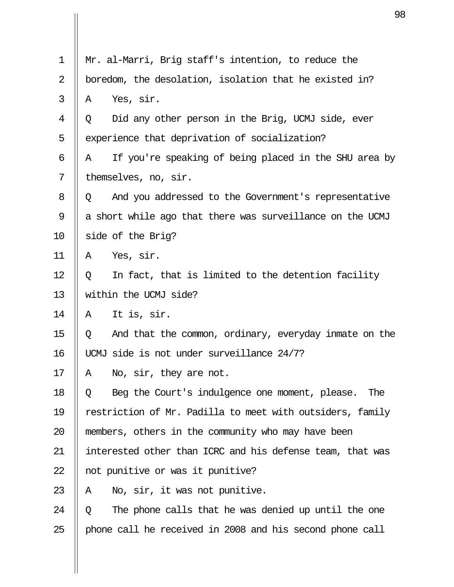| 1  | Mr. al-Marri, Brig staff's intention, to reduce the         |
|----|-------------------------------------------------------------|
| 2  | boredom, the desolation, isolation that he existed in?      |
| 3  | Yes, sir.<br>Α                                              |
| 4  | Did any other person in the Brig, UCMJ side, ever<br>Q      |
| 5  | experience that deprivation of socialization?               |
| 6  | If you're speaking of being placed in the SHU area by<br>Α  |
| 7  | themselves, no, sir.                                        |
| 8  | And you addressed to the Government's representative<br>Q   |
| 9  | a short while ago that there was surveillance on the UCMJ   |
| 10 | side of the Brig?                                           |
| 11 | Yes, sir.<br>Α                                              |
| 12 | In fact, that is limited to the detention facility<br>Q     |
| 13 | within the UCMJ side?                                       |
| 14 | It is, sir.<br>Α                                            |
| 15 | And that the common, ordinary, everyday in mate on the<br>Q |
| 16 | UCMJ side is not under surveillance 24/7?                   |
| 17 | No, sir, they are not.<br>Α                                 |
| 18 | Beg the Court's indulgence one moment, please.<br>The<br>Q  |
| 19 | restriction of Mr. Padilla to meet with outsiders, family   |
| 20 | members, others in the community who may have been          |
| 21 | interested other than ICRC and his defense team, that was   |
| 22 | not punitive or was it punitive?                            |
| 23 | No, sir, it was not punitive.<br>A                          |
| 24 | The phone calls that he was denied up until the one<br>Q    |
| 25 | phone call he received in 2008 and his second phone call    |
|    |                                                             |
|    |                                                             |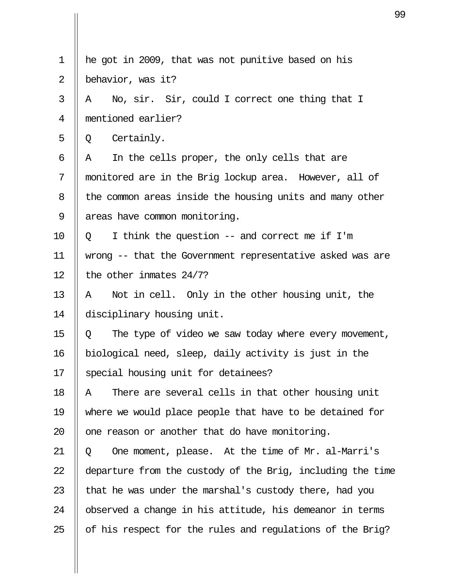| $\mathbf 1$ | he got in 2009, that was not punitive based on his         |
|-------------|------------------------------------------------------------|
| 2           | behavior, was it?                                          |
| 3           | No, sir. Sir, could I correct one thing that I<br>A        |
| 4           | mentioned earlier?                                         |
| 5           | Certainly.<br>Q                                            |
| 6           | In the cells proper, the only cells that are<br>Α          |
| 7           | monitored are in the Brig lockup area. However, all of     |
| 8           | the common areas inside the housing units and many other   |
| 9           | areas have common monitoring.                              |
| 10          | I think the question $--$ and correct me if I'm<br>$\circ$ |
| 11          | wrong -- that the Government representative asked was are  |
| 12          | the other inmates $24/7$ ?                                 |
| 13          | Not in cell. Only in the other housing unit, the<br>А      |
| 14          | disciplinary housing unit.                                 |
| 15          | The type of video we saw today where every movement,<br>Q  |
| 16          | biological need, sleep, daily activity is just in the      |
| 17          | special housing unit for detainees?                        |
| 18          | There are several cells in that other housing unit<br>Α    |
| 19          | where we would place people that have to be detained for   |
| 20          | one reason or another that do have monitoring.             |
| 21          | One moment, please. At the time of Mr. al-Marri's<br>Q     |
| 22          | departure from the custody of the Brig, including the time |
| 23          | that he was under the marshal's custody there, had you     |
| 24          | observed a change in his attitude, his demeanor in terms   |
| 25          | of his respect for the rules and regulations of the Brig?  |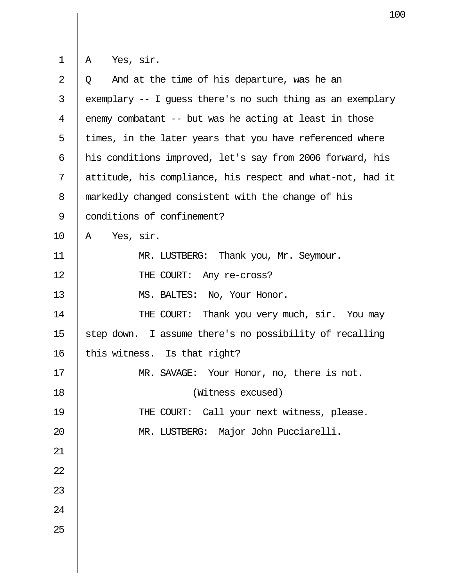$\begin{array}{c} \begin{array}{c} \begin{array}{c} \end{array} \\ 1 \end{array} & \begin{array}{c} \end{array} \\ \begin{array}{c} \end{array} \\ \begin{array}{c} \end{array} \\ \begin{array}{c} \end{array} \end{array} \end{array}$ 

| $\overline{2}$ | And at the time of his departure, was he an<br>$\circ$     |
|----------------|------------------------------------------------------------|
| 3              | exemplary -- I guess there's no such thing as an exemplary |
| $\overline{4}$ | enemy combatant -- but was he acting at least in those     |
| 5              | times, in the later years that you have referenced where   |
| 6              | his conditions improved, let's say from 2006 forward, his  |
| 7              | attitude, his compliance, his respect and what-not, had it |
| 8              | markedly changed consistent with the change of his         |
| $\mathcal{G}$  | conditions of confinement?                                 |
| 10             | Yes, sir.<br>A                                             |
| 11             | MR. LUSTBERG: Thank you, Mr. Seymour.                      |
| 12             | THE COURT: Any re-cross?                                   |
| 13             | MS. BALTES: No, Your Honor.                                |
| 14             | THE COURT: Thank you very much, sir. You may               |
| 15             | step down. I assume there's no possibility of recalling    |
| 16             | this witness. Is that right?                               |
| 17             | MR. SAVAGE: Your Honor, no, there is not.                  |
| 18             | (Witness excused)                                          |
| 19             | THE COURT: Call your next witness, please.                 |
| 20             | Major John Pucciarelli.<br>MR. LUSTBERG:                   |
| 21             |                                                            |
| 22             |                                                            |
| 23             |                                                            |
| 24             |                                                            |
| 25             |                                                            |
|                |                                                            |
|                |                                                            |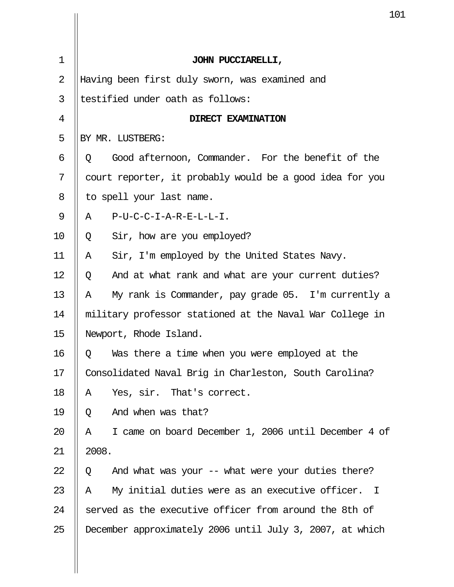|             |       | 1                                                        |
|-------------|-------|----------------------------------------------------------|
|             |       |                                                          |
| $\mathbf 1$ |       | JOHN PUCCIARELLI,                                        |
| 2           |       | Having been first duly sworn, was examined and           |
| 3           |       | testified under oath as follows:                         |
| 4           |       | DIRECT EXAMINATION                                       |
| 5           |       | BY MR. LUSTBERG:                                         |
| 6           | Q     | Good afternoon, Commander. For the benefit of the        |
| 7           |       | court reporter, it probably would be a good idea for you |
| 8           |       | to spell your last name.                                 |
| 9           | Α     | P-U-C-C-I-A-R-E-L-L-I.                                   |
| 10          | Q     | Sir, how are you employed?                               |
| 11          | A     | Sir, I'm employed by the United States Navy.             |
| 12          | Q     | And at what rank and what are your current duties?       |
| 13          | Α     | My rank is Commander, pay grade 05. I'm currently a      |
| 14          |       | military professor stationed at the Naval War College in |
| 15          |       | Newport, Rhode Island.                                   |
| 16          | Q     | Was there a time when you were employed at the           |
| 17          |       | Consolidated Naval Brig in Charleston, South Carolina?   |
| 18          | Α     | Yes, sir. That's correct.                                |
| 19          | Q     | And when was that?                                       |
| 20          | Α     | I came on board December 1, 2006 until December 4 of     |
| 21          | 2008. |                                                          |
| 22          | Q     | And what was your -- what were your duties there?        |
| 23          | Α     | My initial duties were as an executive officer. I        |
| 24          |       | served as the executive officer from around the 8th of   |
| 25          |       | December approximately 2006 until July 3, 2007, at which |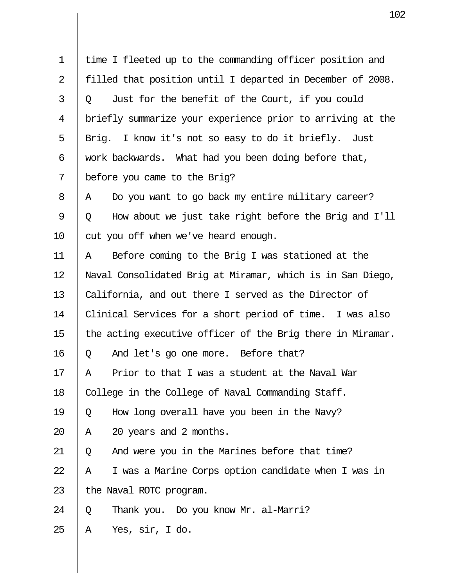|                | 10                                                         |
|----------------|------------------------------------------------------------|
|                |                                                            |
| $\mathbf 1$    | time I fleeted up to the commanding officer position and   |
| $\overline{2}$ | filled that position until I departed in December of 2008. |
| 3              | Just for the benefit of the Court, if you could<br>Q       |
| $\overline{4}$ | briefly summarize your experience prior to arriving at the |
| 5              | Brig. I know it's not so easy to do it briefly. Just       |
| 6              | work backwards. What had you been doing before that,       |
| 7              | before you came to the Brig?                               |
| 8              | Do you want to go back my entire military career?<br>A     |
| 9              | How about we just take right before the Brig and I'll<br>Q |
| 10             | cut you off when we've heard enough.                       |
| 11             | Before coming to the Brig I was stationed at the<br>Α      |
| 12             | Naval Consolidated Brig at Miramar, which is in San Diego, |
| 13             | California, and out there I served as the Director of      |
| 14             | Clinical Services for a short period of time. I was also   |
| 15             | the acting executive officer of the Brig there in Miramar. |
| 16             | And let's go one more. Before that?<br>Q                   |
| 17             | Prior to that I was a student at the Naval War<br>A        |
| 18             | College in the College of Naval Commanding Staff.          |
| 19             | How long overall have you been in the Navy?<br>Q           |
| 20             | 20 years and 2 months.<br>Α                                |
| 21             | And were you in the Marines before that time?<br>Q         |
| 22             | I was a Marine Corps option candidate when I was in<br>Α   |
| 23             | the Naval ROTC program.                                    |
| 24             | Thank you. Do you know Mr. al-Marri?<br>Q                  |
| 25             | Yes, sir, I do.<br>Α                                       |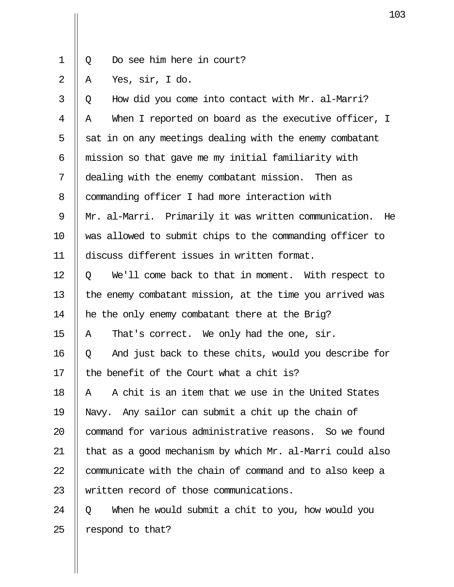1 || Q Do see him here in court?

 $2 \parallel A$  Yes, sir, I do.

| 3  | How did you come into contact with Mr. al-Marri?<br>Q       |
|----|-------------------------------------------------------------|
| 4  | When I reported on board as the executive officer, I<br>Α   |
| 5  | sat in on any meetings dealing with the enemy combatant     |
| 6  | mission so that gave me my initial familiarity with         |
| 7  | dealing with the enemy combatant mission. Then as           |
| 8  | commanding officer I had more interaction with              |
| 9  | Mr. al-Marri. Primarily it was written communication.<br>He |
| 10 | was allowed to submit chips to the commanding officer to    |
| 11 | discuss different issues in written format.                 |
| 12 | We'll come back to that in moment. With respect to<br>Q     |
| 13 | the enemy combatant mission, at the time you arrived was    |
| 14 | he the only enemy combatant there at the Brig?              |
| 15 | That's correct. We only had the one, sir.<br>A              |
| 16 | And just back to these chits, would you describe for<br>Q   |
| 17 | the benefit of the Court what a chit is?                    |
| 18 | A chit is an item that we use in the United States<br>Α     |
| 19 | Navy. Any sailor can submit a chit up the chain of          |
| 20 | command for various administrative reasons. So we found     |
| 21 | that as a good mechanism by which Mr. al-Marri could also   |
| 22 | communicate with the chain of command and to also keep a    |
| 23 | written record of those communications.                     |
| 24 | When he would submit a chit to you, how would you<br>Q      |
| 25 | respond to that?                                            |
|    |                                                             |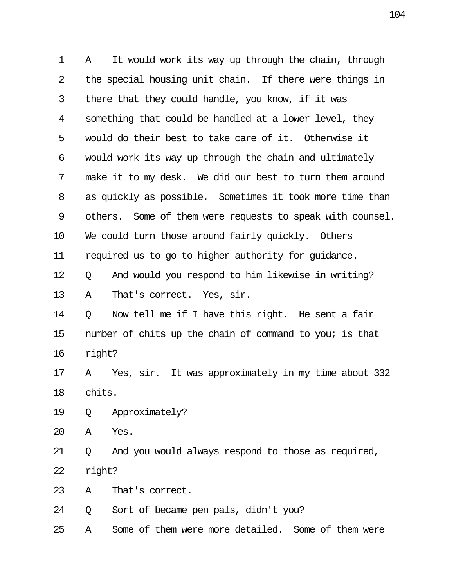| Α                                                         | It would work its way up through the chain, through     |
|-----------------------------------------------------------|---------------------------------------------------------|
|                                                           | the special housing unit chain. If there were things in |
|                                                           | there that they could handle, you know, if it was       |
|                                                           | something that could be handled at a lower level, they  |
|                                                           | would do their best to take care of it. Otherwise it    |
|                                                           | would work its way up through the chain and ultimately  |
| make it to my desk. We did our best to turn them around   |                                                         |
| as quickly as possible. Sometimes it took more time than  |                                                         |
| others. Some of them were requests to speak with counsel. |                                                         |
|                                                           | We could turn those around fairly quickly. Others       |
| required us to go to higher authority for guidance.       |                                                         |
| Q                                                         | And would you respond to him likewise in writing?       |
| Α                                                         | That's correct. Yes, sir.                               |
| Q                                                         | Now tell me if I have this right. He sent a fair        |
|                                                           | number of chits up the chain of command to you; is that |
| right?                                                    |                                                         |
| Α                                                         | Yes, sir. It was approximately in my time about 332     |
| chits.                                                    |                                                         |
| Q                                                         | Approximately?                                          |
| Α                                                         | Yes.                                                    |
| Q                                                         | And you would always respond to those as required,      |
| right?                                                    |                                                         |
| Α                                                         | That's correct.                                         |
| Q                                                         | Sort of became pen pals, didn't you?                    |
| Α                                                         | Some of them were more detailed. Some of them were      |
|                                                           |                                                         |

 $\mathbf{II}$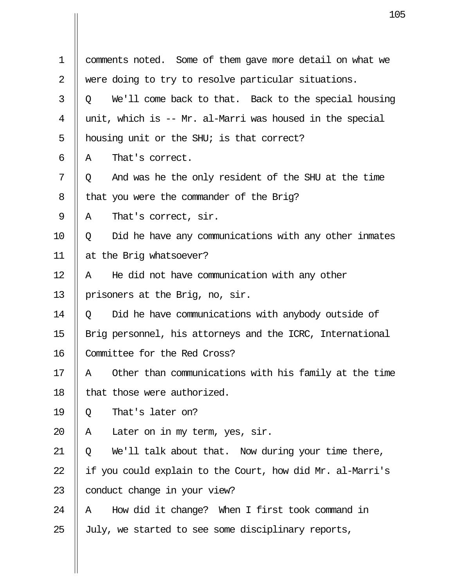|             | 10                                                         |
|-------------|------------------------------------------------------------|
|             |                                                            |
| $\mathbf 1$ | comments noted. Some of them gave more detail on what we   |
| 2           | were doing to try to resolve particular situations.        |
| 3           | We'll come back to that. Back to the special housing<br>Q  |
| 4           | unit, which is -- Mr. al-Marri was housed in the special   |
| 5           | housing unit or the SHU; is that correct?                  |
| 6           | That's correct.<br>Α                                       |
| 7           | And was he the only resident of the SHU at the time<br>Q   |
| 8           | that you were the commander of the Brig?                   |
| 9           | That's correct, sir.<br>Α                                  |
| 10          | Did he have any communications with any other inmates<br>Q |
| 11          | at the Brig whatsoever?                                    |
| 12          | He did not have communication with any other<br>Α          |
| 13          | prisoners at the Brig, no, sir.                            |
| 14          | Did he have communications with anybody outside of<br>Q    |
| 15          | Brig personnel, his attorneys and the ICRC, International  |
| 16          | Committee for the Red Cross?                               |
| 17          | Other than communications with his family at the time<br>Α |
| 18          | that those were authorized.                                |
| 19          | That's later on?<br>Q                                      |
| 20          | Later on in my term, yes, sir.<br>Α                        |
| 21          | We'll talk about that. Now during your time there,<br>Q    |
| 22          | if you could explain to the Court, how did Mr. al-Marri's  |
| 23          | conduct change in your view?                               |
| 24          | How did it change? When I first took command in<br>Α       |
| 25          | July, we started to see some disciplinary reports,         |

Ш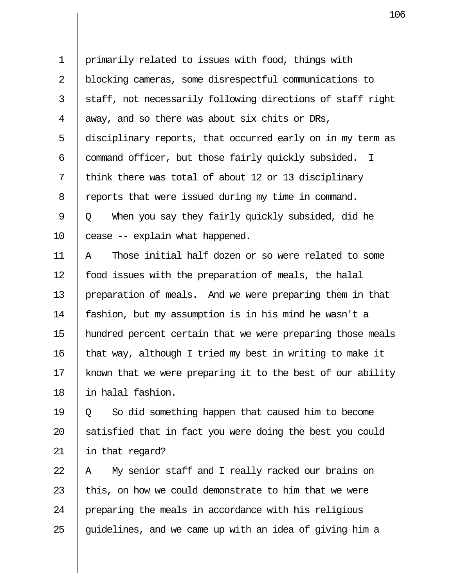1 primarily related to issues with food, things with 2 blocking cameras, some disrespectful communications to  $3 \parallel$  staff, not necessarily following directions of staff right 4  $\parallel$  away, and so there was about six chits or DRs, 5 disciplinary reports, that occurred early on in my term as 6  $\parallel$  command officer, but those fairly quickly subsided. I  $7 \parallel$  think there was total of about 12 or 13 disciplinary 8 | reports that were issued during my time in command. 9  $\parallel$  0 When you say they fairly quickly subsided, did he  $10$  | cease  $-$  explain what happened.

11 A Those initial half dozen or so were related to some 12 | food issues with the preparation of meals, the halal 13 preparation of meals. And we were preparing them in that 14 fashion, but my assumption is in his mind he wasn't a 15 hundred percent certain that we were preparing those meals 16  $\parallel$  that way, although I tried my best in writing to make it 17  $\parallel$  known that we were preparing it to the best of our ability 18 in halal fashion.

19  $\parallel$  0 So did something happen that caused him to become 20  $\parallel$  satisfied that in fact you were doing the best you could 21 in that regard?

 || A My senior staff and I really racked our brains on  $\parallel$  this, on how we could demonstrate to him that we were 24 | preparing the meals in accordance with his religious  $\parallel$  guidelines, and we came up with an idea of giving him a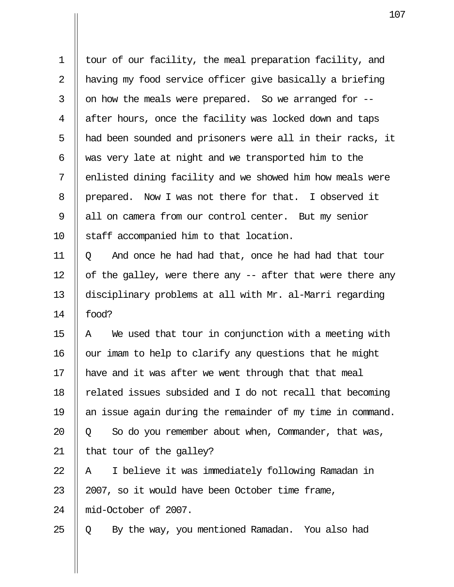| $\mathbf 1$    | tour of our facility, the meal preparation facility, and   |
|----------------|------------------------------------------------------------|
| 2              | having my food service officer give basically a briefing   |
| 3              | on how the meals were prepared. So we arranged for --      |
| $\overline{4}$ | after hours, once the facility was locked down and taps    |
| 5              | had been sounded and prisoners were all in their racks, it |
| 6              | was very late at night and we transported him to the       |
| 7              | enlisted dining facility and we showed him how meals were  |
| 8              | prepared. Now I was not there for that. I observed it      |
| $\mathsf 9$    | all on camera from our control center. But my senior       |
| 10             | staff accompanied him to that location.                    |
| 11             | And once he had had that, once he had had that tour<br>Q   |
| 12             | of the galley, were there any -- after that were there any |
| 13             | disciplinary problems at all with Mr. al-Marri regarding   |
| 14             | food?                                                      |
| 15             | We used that tour in conjunction with a meeting with<br>Α  |
| 16             | our imam to help to clarify any questions that he might    |
| 17             | have and it was after we went through that that meal       |
| 18             | related issues subsided and I do not recall that becoming  |
| 19             | an issue again during the remainder of my time in command. |
| 20             | So do you remember about when, Commander, that was,<br>Q   |
| 21             | that tour of the galley?                                   |
| 22             | I believe it was immediately following Ramadan in<br>Α     |
| 23             | 2007, so it would have been October time frame,            |
| 24             | mid-October of 2007.                                       |
| 25             | By the way, you mentioned Ramadan. You also had<br>Q       |

 $\mathbf{II}$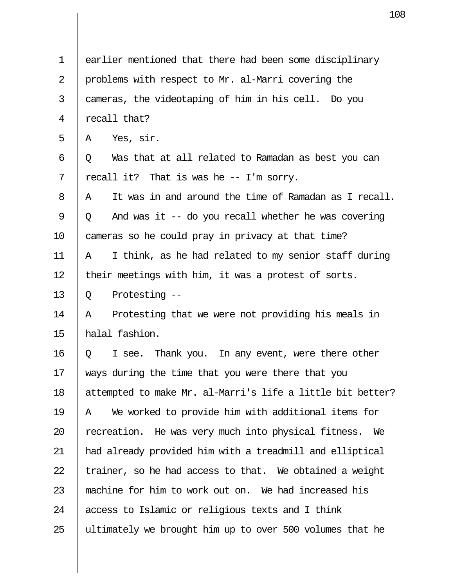|    | 10                                                         |
|----|------------------------------------------------------------|
|    |                                                            |
| 1  | earlier mentioned that there had been some disciplinary    |
| 2  | problems with respect to Mr. al-Marri covering the         |
| 3  | cameras, the videotaping of him in his cell. Do you        |
| 4  | recall that?                                               |
| 5  | Yes, sir.<br>A                                             |
| 6  | Was that at all related to Ramadan as best you can<br>Q    |
| 7  | recall it? That is was he -- I'm sorry.                    |
| 8  | It was in and around the time of Ramadan as I recall.<br>A |
| 9  | And was it -- do you recall whether he was covering<br>Q   |
| 10 | cameras so he could pray in privacy at that time?          |
| 11 | I think, as he had related to my senior staff during<br>Α  |
| 12 | their meetings with him, it was a protest of sorts.        |
| 13 | Protesting --<br>Q                                         |
| 14 | Protesting that we were not providing his meals in<br>Α    |
| 15 | halal fashion.                                             |
| 16 | I see. Thank you. In any event, were there other<br>Q      |
| 17 | ways during the time that you were there that you          |
| 18 | attempted to make Mr. al-Marri's life a little bit better? |
| 19 | We worked to provide him with additional items for<br>A    |
| 20 | recreation. He was very much into physical fitness.<br>We  |
| 21 | had already provided him with a treadmill and elliptical   |
| 22 | trainer, so he had access to that. We obtained a weight    |
| 23 | machine for him to work out on. We had increased his       |
| 24 | access to Islamic or religious texts and I think           |
| 25 | ultimately we brought him up to over 500 volumes that he   |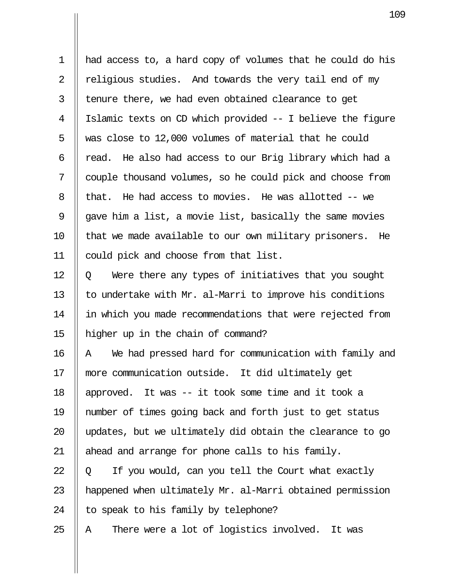1 had access to, a hard copy of volumes that he could do his 2  $\parallel$  religious studies. And towards the very tail end of my  $3$  || tenure there, we had even obtained clearance to get 4 Islamic texts on CD which provided -- I believe the figure 5  $\parallel$  was close to 12,000 volumes of material that he could 6  $\parallel$  read. He also had access to our Brig library which had a 7 couple thousand volumes, so he could pick and choose from 8 | that. He had access to movies. He was allotted  $-$  we 9  $\parallel$  gave him a list, a movie list, basically the same movies  $10$  || that we made available to our own military prisoners. He 11 could pick and choose from that list.

 $12 \parallel 0$  Were there any types of initiatives that you sought 13  $\parallel$  to undertake with Mr. al-Marri to improve his conditions 14 || in which you made recommendations that were rejected from 15 higher up in the chain of command?

16 || A We had pressed hard for communication with family and 17 more communication outside. It did ultimately get 18 approved. It was -- it took some time and it took a 19 number of times going back and forth just to get status 20 || updates, but we ultimately did obtain the clearance to go 21  $\parallel$  ahead and arrange for phone calls to his family.  $22 \parallel 0$  If you would, can you tell the Court what exactly 23  $\parallel$  happened when ultimately Mr. al-Marri obtained permission

24  $\parallel$  to speak to his family by telephone?

25  $\parallel$  A There were a lot of logistics involved. It was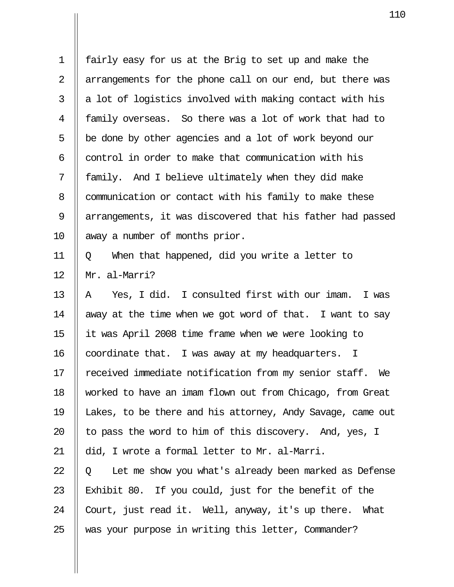1 fairly easy for us at the Brig to set up and make the 2 || arrangements for the phone call on our end, but there was  $3 \parallel a$  lot of logistics involved with making contact with his 4 family overseas. So there was a lot of work that had to  $5 \parallel$  be done by other agencies and a lot of work beyond our 6  $\parallel$  control in order to make that communication with his  $7 \parallel$  family. And I believe ultimately when they did make 8 | communication or contact with his family to make these 9 || arrangements, it was discovered that his father had passed 10 || away a number of months prior. 11  $\parallel$  Q When that happened, did you write a letter to 12 Mr. al-Marri? 13  $\parallel$  A Yes, I did. I consulted first with our imam. I was

14  $\parallel$  away at the time when we got word of that. I want to say 15 it was April 2008 time frame when we were looking to  $16$  coordinate that. I was away at my headquarters. I 17 || received immediate notification from my senior staff. We 18 worked to have an imam flown out from Chicago, from Great 19 Lakes, to be there and his attorney, Andy Savage, came out 20  $\parallel$  to pass the word to him of this discovery. And, yes, I 21 || did, I wrote a formal letter to Mr. al-Marri.  $22 \parallel 0$  Let me show you what's already been marked as Defense 23 Exhibit 80. If you could, just for the benefit of the 24  $\parallel$  Court, just read it. Well, anyway, it's up there. What 25 Wedis your purpose in writing this letter, Commander?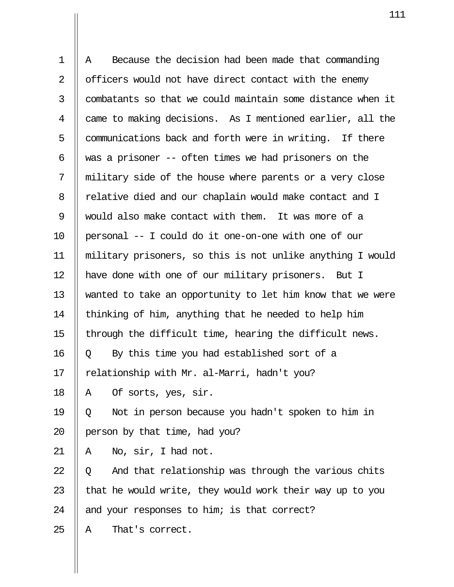1 || A Because the decision had been made that commanding 2  $\parallel$  officers would not have direct contact with the enemy  $3$   $\parallel$  combatants so that we could maintain some distance when it 4 came to making decisions. As I mentioned earlier, all the  $5$  | communications back and forth were in writing. If there 6  $\parallel$  was a prisoner -- often times we had prisoners on the 7 military side of the house where parents or a very close 8 | relative died and our chaplain would make contact and I 9 || would also make contact with them. It was more of a 10 personal -- I could do it one-on-one with one of our 11 military prisoners, so this is not unlike anything I would 12 || have done with one of our military prisoners. But I 13 wanted to take an opportunity to let him know that we were 14  $\parallel$  thinking of him, anything that he needed to help him 15  $\parallel$  through the difficult time, hearing the difficult news.  $16 \parallel Q$  By this time you had established sort of a 17  $\parallel$  relationship with Mr. al-Marri, hadn't you? 18 || A  $\circ$  Of sorts, yes, sir. 19  $\parallel$  0 Not in person because you hadn't spoken to him in 20  $\parallel$  person by that time, had you? 21 ||  $A$  No,  $\sin A$ , I had not. 22  $\parallel$  0 And that relationship was through the various chits 23  $\parallel$  that he would write, they would work their way up to you 24  $\parallel$  and your responses to him; is that correct?  $25$  || A That's correct.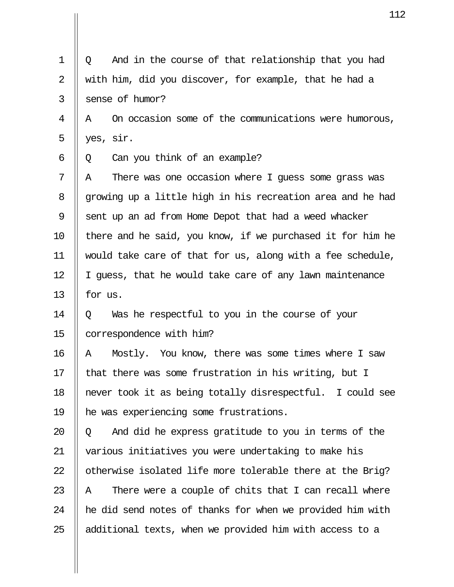1 || Q And in the course of that relationship that you had 2  $\parallel$  with him, did you discover, for example, that he had a 3 Sense of humor? 4 A On occasion some of the communications were humorous, 5  $\parallel$  yes, sir.  $6 \parallel Q$  Can you think of an example?  $7$  || A  $\,$  There was one occasion where I quess some grass was 8 || growing up a little high in his recreation area and he had 9 Sent up an ad from Home Depot that had a weed whacker 10  $\parallel$  there and he said, you know, if we purchased it for him he 11 would take care of that for us, along with a fee schedule, 12 || I guess, that he would take care of any lawn maintenance 13  $\parallel$  for us.  $14 \parallel 0$  Was he respectful to you in the course of your 15 | correspondence with him? 16 A Mostly. You know, there was some times where I saw 17  $\parallel$  that there was some frustration in his writing, but I 18 never took it as being totally disrespectful. I could see 19 he was experiencing some frustrations. 20  $\parallel$  Q and did he express gratitude to you in terms of the 21 various initiatives you were undertaking to make his 22  $\parallel$  otherwise isolated life more tolerable there at the Brig? 23  $\parallel$  A There were a couple of chits that I can recall where  $24$  || he did send notes of thanks for when we provided him with 25  $\parallel$  additional texts, when we provided him with access to a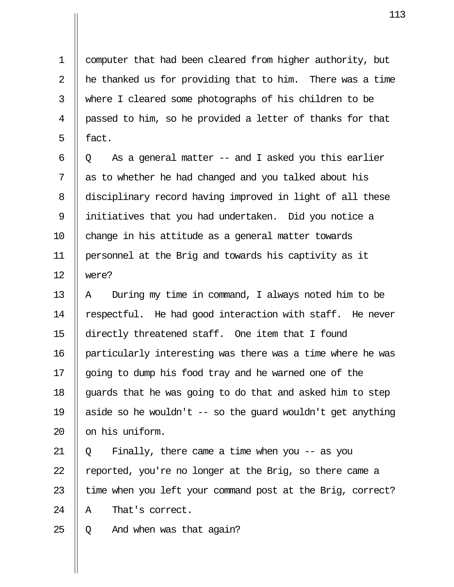1 computer that had been cleared from higher authority, but 2  $\parallel$  he thanked us for providing that to him. There was a time 3 where I cleared some photographs of his children to be 4 passed to him, so he provided a letter of thanks for that  $5 \parallel$  fact.

 $6 \parallel Q$  As a general matter -- and I asked you this earlier  $7 \parallel$  as to whether he had changed and you talked about his 8 disciplinary record having improved in light of all these 9 initiatives that you had undertaken. Did you notice a 10 || change in his attitude as a general matter towards 11 personnel at the Brig and towards his captivity as it 12 were?

13  $\parallel$  A During my time in command, I always noted him to be 14  $\parallel$  respectful. He had good interaction with staff. He never 15 directly threatened staff. One item that I found 16 particularly interesting was there was a time where he was 17 || going to dump his food tray and he warned one of the 18  $\parallel$  quards that he was going to do that and asked him to step 19 || aside so he wouldn't  $-$  so the quard wouldn't get anything 20 || on his uniform.

21 Q Finally, there came a time when you -- as you  $\parallel$  reported, you're no longer at the Brig, so there came a  $\parallel$  time when you left your command post at the Brig, correct?  $\parallel$  A That's correct.

25  $\parallel$  Q And when was that again?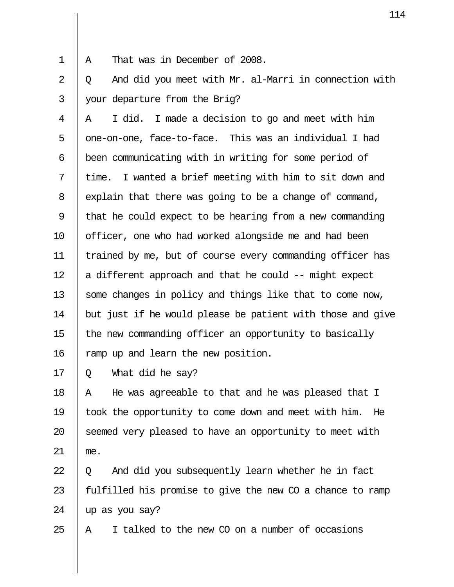1 || A That was in December of 2008.

 $2 \parallel 0$  And did you meet with Mr. al-Marri in connection with 3 your departure from the Brig?

 $4 \parallel A \parallel I$  did. I made a decision to go and meet with him 5 || one-on-one, face-to-face. This was an individual I had 6 | been communicating with in writing for some period of 7  $\parallel$  time. I wanted a brief meeting with him to sit down and  $8$  | explain that there was going to be a change of command, 9  $\parallel$  that he could expect to be hearing from a new commanding 10 || officer, one who had worked alongside me and had been 11 trained by me, but of course every commanding officer has 12  $\parallel$  a different approach and that he could -- might expect 13 || some changes in policy and things like that to come now, 14  $\parallel$  but just if he would please be patient with those and give 15  $\parallel$  the new commanding officer an opportunity to basically 16 || ramp up and learn the new position.

 $17 \parallel 0 \quad$  What did he say?

18  $\parallel$  A He was agreeable to that and he was pleased that I 19 took the opportunity to come down and meet with him. He 20 || seemed very pleased to have an opportunity to meet with 21 me.

 $22 \parallel Q$  And did you subsequently learn whether he in fact 23  $\parallel$  fulfilled his promise to give the new CO a chance to ramp  $24$  | up as you say?

25  $\parallel$  A I talked to the new CO on a number of occasions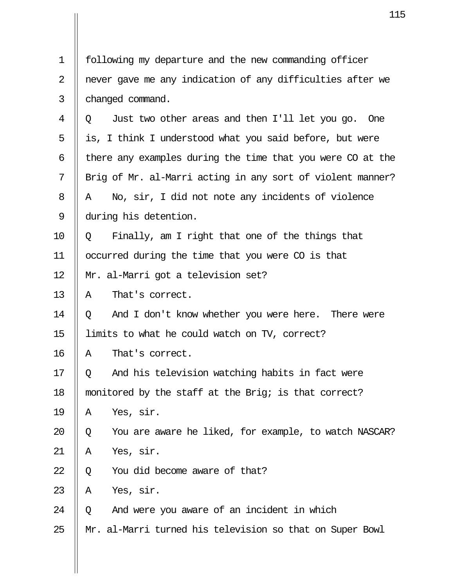|             | 11                                                         |
|-------------|------------------------------------------------------------|
|             |                                                            |
| $\mathbf 1$ | following my departure and the new commanding officer      |
| 2           | never gave me any indication of any difficulties after we  |
| 3           | changed command.                                           |
| 4           | Just two other areas and then I'll let you go. One<br>O.   |
| 5           | is, I think I understood what you said before, but were    |
| 6           | there any examples during the time that you were CO at the |
| 7           | Brig of Mr. al-Marri acting in any sort of violent manner? |
| 8           | No, sir, I did not note any incidents of violence<br>A     |
| 9           | during his detention.                                      |
| 10          | Finally, am I right that one of the things that<br>$\circ$ |
| 11          | occurred during the time that you were CO is that          |
| 12          | Mr. al-Marri got a television set?                         |
| 13          | That's correct.<br>A                                       |
| 14          | And I don't know whether you were here. There were<br>Q    |
| 15          | limits to what he could watch on TV, correct?              |
| 16          | That's correct.<br>A                                       |
| 17          | And his television watching habits in fact were<br>Q       |
| 18          | monitored by the staff at the Brig; is that correct?       |
| 19          | Yes, sir.<br>Α                                             |
| 20          | You are aware he liked, for example, to watch NASCAR?<br>Q |
| 21          | Yes, sir.<br>Α                                             |
| 22          | You did become aware of that?<br>Q                         |
| 23          | Yes, sir.<br>Α                                             |
| 24          | And were you aware of an incident in which<br>Q            |
| 25          | Mr. al-Marri turned his television so that on Super Bowl   |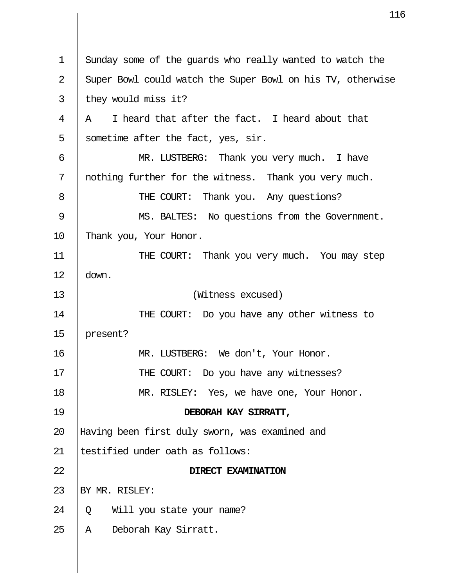| 11                                                         |
|------------------------------------------------------------|
|                                                            |
| Sunday some of the guards who really wanted to watch the   |
| Super Bowl could watch the Super Bowl on his TV, otherwise |
| they would miss it?                                        |
| I heard that after the fact. I heard about that<br>Α       |
| sometime after the fact, yes, sir.                         |
| MR. LUSTBERG: Thank you very much. I have                  |
| nothing further for the witness. Thank you very much.      |
| THE COURT: Thank you. Any questions?                       |
| MS. BALTES: No questions from the Government.              |
| Thank you, Your Honor.                                     |
| THE COURT: Thank you very much. You may step               |
| down.                                                      |
| (Witness excused)                                          |
| THE COURT: Do you have any other witness to                |
| present?                                                   |
| MR. LUSTBERG: We don't, Your Honor.                        |
| THE COURT: Do you have any witnesses?                      |
| MR. RISLEY: Yes, we have one, Your Honor.                  |
| DEBORAH KAY SIRRATT,                                       |
| Having been first duly sworn, was examined and             |
| testified under oath as follows:                           |
| DIRECT EXAMINATION                                         |
| BY MR. RISLEY:                                             |
| Will you state your name?<br>Q                             |
| Deborah Kay Sirratt.<br>A                                  |
|                                                            |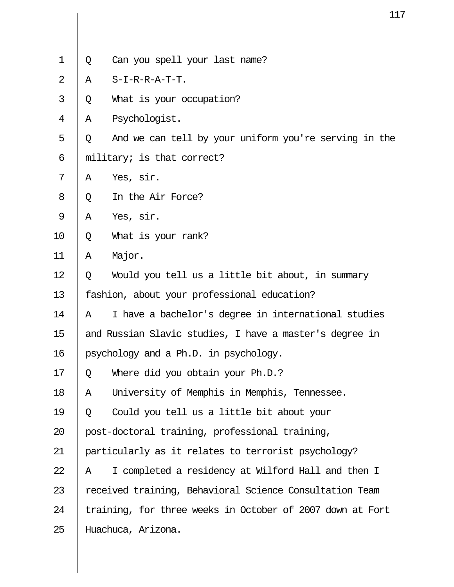|                |   | 11                                                        |
|----------------|---|-----------------------------------------------------------|
|                |   |                                                           |
| $\mathbf 1$    | Q | Can you spell your last name?                             |
| $\overline{2}$ | Α | S-I-R-R-A-T-T.                                            |
| 3              | Q | What is your occupation?                                  |
| 4              | Α | Psychologist.                                             |
| 5              | Q | And we can tell by your uniform you're serving in the     |
| 6              |   | military; is that correct?                                |
| 7              | Α | Yes, sir.                                                 |
| 8              | Q | In the Air Force?                                         |
| $\mathsf 9$    | Α | Yes, sir.                                                 |
| 10             | Q | What is your rank?                                        |
| 11             | Α | Major.                                                    |
| 12             | Q | Would you tell us a little bit about, in summary          |
| 13             |   | fashion, about your professional education?               |
| 14             | Α | I have a bachelor's degree in international studies       |
| 15             |   | and Russian Slavic studies, I have a master's degree in   |
| 16             |   | psychology and a Ph.D. in psychology.                     |
| 17             | Q | Where did you obtain your Ph.D.?                          |
| 18             | Α | University of Memphis in Memphis, Tennessee.              |
| 19             | Q | Could you tell us a little bit about your                 |
| 20             |   | post-doctoral training, professional training,            |
| 21             |   | particularly as it relates to terrorist psychology?       |
| 22             | Α | I completed a residency at Wilford Hall and then I        |
| 23             |   | received training, Behavioral Science Consultation Team   |
| 24             |   | training, for three weeks in October of 2007 down at Fort |
| 25             |   | Huachuca, Arizona.                                        |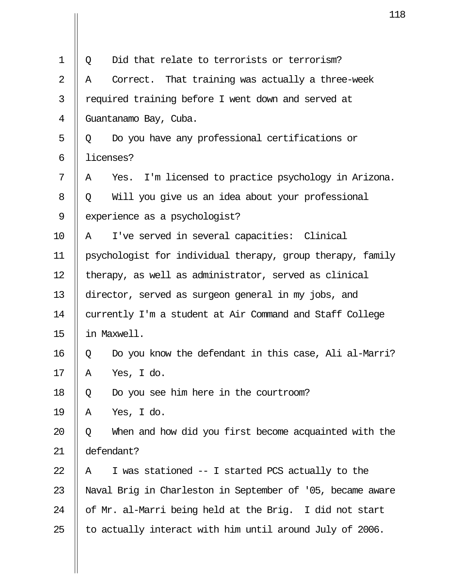|             |   | 11                                                         |
|-------------|---|------------------------------------------------------------|
|             |   |                                                            |
| $\mathbf 1$ | Q | Did that relate to terrorists or terrorism?                |
| 2           | A | Correct. That training was actually a three-week           |
| 3           |   | required training before I went down and served at         |
| 4           |   | Guantanamo Bay, Cuba.                                      |
| 5           | Q | Do you have any professional certifications or             |
| 6           |   | licenses?                                                  |
| 7           | Α | Yes. I'm licensed to practice psychology in Arizona.       |
| 8           | Q | Will you give us an idea about your professional           |
| 9           |   | experience as a psychologist?                              |
| 10          | Α | I've served in several capacities: Clinical                |
| 11          |   | psychologist for individual therapy, group therapy, family |
| 12          |   | therapy, as well as administrator, served as clinical      |
| 13          |   | director, served as surgeon general in my jobs, and        |
| 14          |   | currently I'm a student at Air Command and Staff College   |
| 15          |   | in Maxwell.                                                |
| 16          | Q | Do you know the defendant in this case, Ali al-Marri?      |
| 17          | Α | Yes, I do.                                                 |
| 18          | Q | Do you see him here in the courtroom?                      |
| 19          | Α | Yes, I do.                                                 |
| 20          | Q | When and how did you first become acquainted with the      |
| 21          |   | defendant?                                                 |
| 22          | Α | I was stationed -- I started PCS actually to the           |
| 23          |   | Naval Brig in Charleston in September of '05, became aware |
| 24          |   | of Mr. al-Marri being held at the Brig. I did not start    |
| 25          |   | to actually interact with him until around July of 2006.   |

 $\mathbf{\mathsf{I}}$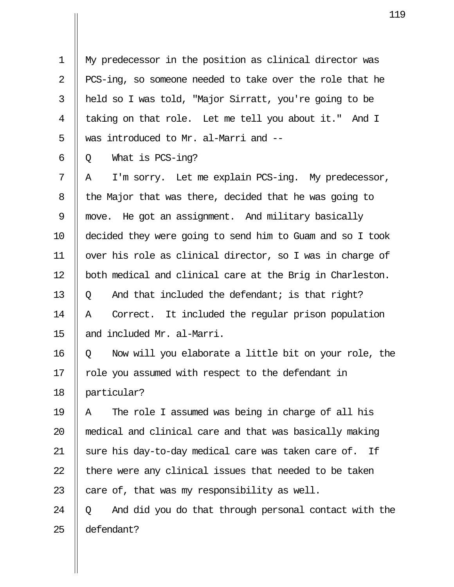1 My predecessor in the position as clinical director was 2 || PCS-ing, so someone needed to take over the role that he 3 held so I was told, "Major Sirratt, you're going to be 4 || taking on that role. Let me tell you about it." And I 5 || was introduced to Mr. al-Marri and --

 $6 \parallel Q$  What is PCS-ing?

 $7 \parallel A$  I'm sorry. Let me explain PCS-ing. My predecessor, 8 | the Major that was there, decided that he was going to 9 move. He got an assignment. And military basically 10 decided they were going to send him to Guam and so I took 11 over his role as clinical director, so I was in charge of 12 | both medical and clinical care at the Brig in Charleston. 13  $\parallel$  0 And that included the defendant; is that right? 14 A Correct. It included the regular prison population 15 || and included Mr. al-Marri.

16 Q Now will you elaborate a little bit on your role, the  $17$  | role you assumed with respect to the defendant in 18 particular?

19  $\parallel$  A The role I assumed was being in charge of all his 20 medical and clinical care and that was basically making 21 || sure his day-to-day medical care was taken care of. If  $22$  || there were any clinical issues that needed to be taken 23  $\parallel$  care of, that was my responsibility as well.

24  $\parallel$  0 And did you do that through personal contact with the 25 defendant?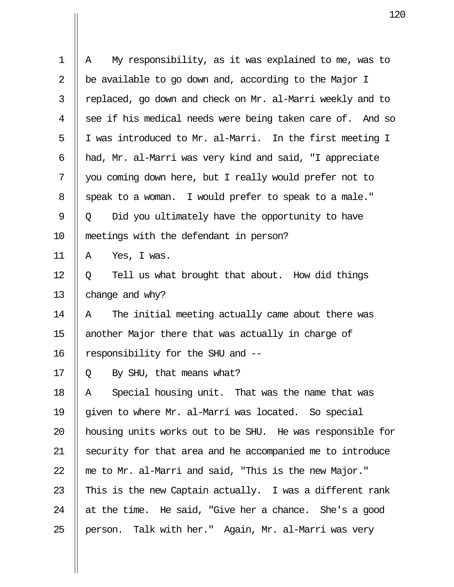| 1  | My responsibility, as it was explained to me, was to<br>Α |
|----|-----------------------------------------------------------|
| 2  | be available to go down and, according to the Major I     |
| 3  | replaced, go down and check on Mr. al-Marri weekly and to |
| 4  | see if his medical needs were being taken care of. And so |
| 5  | I was introduced to Mr. al-Marri. In the first meeting I  |
| 6  | had, Mr. al-Marri was very kind and said, "I appreciate   |
| 7  | you coming down here, but I really would prefer not to    |
| 8  | speak to a woman. I would prefer to speak to a male."     |
| 9  | Did you ultimately have the opportunity to have<br>Q      |
| 10 | meetings with the defendant in person?                    |
| 11 | Yes, I was.<br>Α                                          |
| 12 | Tell us what brought that about. How did things<br>Q      |
| 13 | change and why?                                           |
| 14 | The initial meeting actually came about there was<br>Α    |
| 15 | another Major there that was actually in charge of        |
| 16 | responsibility for the SHU and --                         |
| 17 | Q By SHU, that means what?                                |
| 18 | Special housing unit. That was the name that was<br>Α     |
| 19 | given to where Mr. al-Marri was located. So special       |
| 20 | housing units works out to be SHU. He was responsible for |
| 21 | security for that area and he accompanied me to introduce |
| 22 | me to Mr. al-Marri and said, "This is the new Major."     |
| 23 | This is the new Captain actually. I was a different rank  |
| 24 | at the time. He said, "Give her a chance. She's a good    |
| 25 | person. Talk with her." Again, Mr. al-Marri was very      |

 $\mathbf{I}$ 

 $\mathbf{\mathsf{I}}$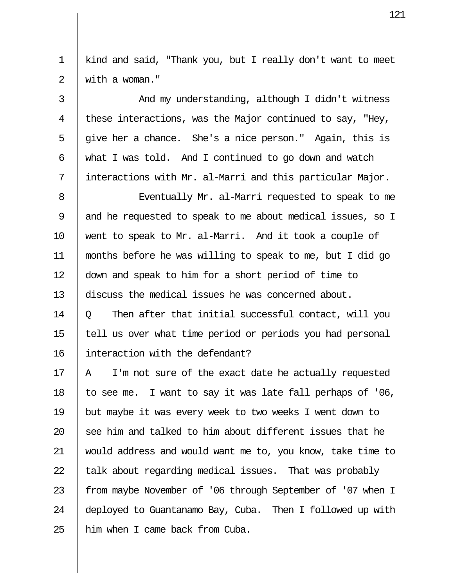1 kind and said, "Thank you, but I really don't want to meet 2 with a woman."

3 || And my understanding, although I didn't witness 4 || these interactions, was the Major continued to say, "Hey, 5  $\parallel$  give her a chance. She's a nice person." Again, this is 6  $\parallel$  what I was told. And I continued to go down and watch 7 interactions with Mr. al-Marri and this particular Major.

8 || Eventually Mr. al-Marri requested to speak to me 9 || and he requested to speak to me about medical issues, so I 10 went to speak to Mr. al-Marri. And it took a couple of 11 months before he was willing to speak to me, but I did go 12 down and speak to him for a short period of time to 13 discuss the medical issues he was concerned about.

 $14 \parallel 0$  Then after that initial successful contact, will you 15 tell us over what time period or periods you had personal 16 interaction with the defendant?

17  $\parallel$  A I'm not sure of the exact date he actually requested 18 | to see me. I want to say it was late fall perhaps of '06, 19 but maybe it was every week to two weeks I went down to 20  $\parallel$  see him and talked to him about different issues that he 21 would address and would want me to, you know, take time to 22  $\parallel$  talk about regarding medical issues. That was probably 23 | from maybe November of '06 through September of '07 when I 24 deployed to Guantanamo Bay, Cuba. Then I followed up with  $25$  | him when I came back from Cuba.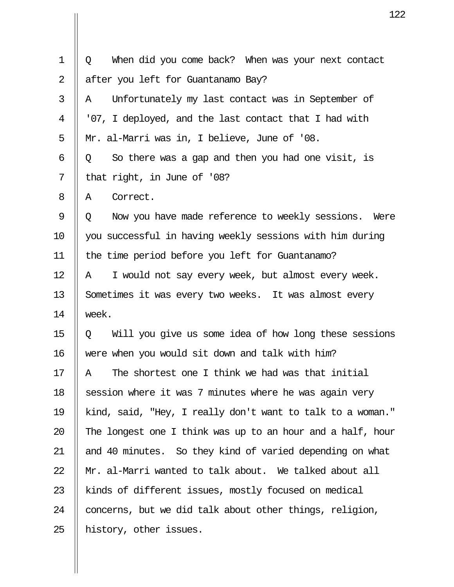| $\mathbf 1$    | When did you come back? When was your next contact<br>Q    |
|----------------|------------------------------------------------------------|
| $\overline{2}$ | after you left for Guantanamo Bay?                         |
| 3              | Unfortunately my last contact was in September of<br>Α     |
| 4              | '07, I deployed, and the last contact that I had with      |
| 5              | Mr. al-Marri was in, I believe, June of '08.               |
| 6              | So there was a gap and then you had one visit, is<br>Q     |
| 7              | that right, in June of '08?                                |
| 8              | Correct.<br>Α                                              |
| 9              | Now you have made reference to weekly sessions. Were<br>Q  |
| 10             | you successful in having weekly sessions with him during   |
| 11             | the time period before you left for Guantanamo?            |
| 12             | I would not say every week, but almost every week.<br>Α    |
| 13             | Sometimes it was every two weeks. It was almost every      |
| 14             | week.                                                      |
| 15             | Will you give us some idea of how long these sessions<br>Q |
| 16             | were when you would sit down and talk with him?            |
| 17             | The shortest one I think we had was that initial<br>Α      |
| 18             | session where it was 7 minutes where he was again very     |
| 19             | kind, said, "Hey, I really don't want to talk to a woman." |
| 20             | The longest one I think was up to an hour and a half, hour |
| 21             | and 40 minutes. So they kind of varied depending on what   |
| 22             | Mr. al-Marri wanted to talk about. We talked about all     |
| 23             | kinds of different issues, mostly focused on medical       |
| 24             | concerns, but we did talk about other things, religion,    |
| 25             | history, other issues.                                     |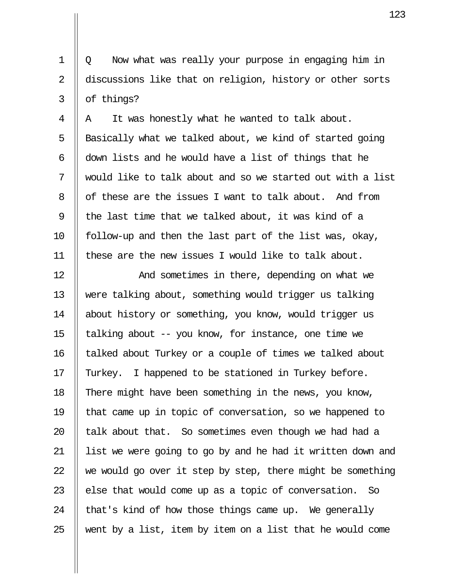1 Q Now what was really your purpose in engaging him in 2 discussions like that on religion, history or other sorts  $3 \parallel$  of things?

 $4 \parallel A$  It was honestly what he wanted to talk about.  $\parallel$  Basically what we talked about, we kind of started going  $\parallel$  down lists and he would have a list of things that he  $\parallel$  would like to talk about and so we started out with a list 8 | of these are the issues I want to talk about. And from  $\parallel$  the last time that we talked about, it was kind of a 10 || follow-up and then the last part of the list was, okay,  $\parallel$  these are the new issues I would like to talk about.

12 || The Mand sometimes in there, depending on what we 13 were talking about, something would trigger us talking 14 || about history or something, you know, would trigger us 15 || talking about  $-$ - you know, for instance, one time we 16 || talked about Turkey or a couple of times we talked about 17 || Turkey. I happened to be stationed in Turkey before. 18 There might have been something in the news, you know, 19 that came up in topic of conversation, so we happened to 20  $\parallel$  talk about that. So sometimes even though we had had a 21 || list we were going to go by and he had it written down and 22  $\parallel$  we would go over it step by step, there might be something 23  $\parallel$  else that would come up as a topic of conversation. So 24  $\parallel$  that's kind of how those things came up. We generally 25  $\parallel$  went by a list, item by item on a list that he would come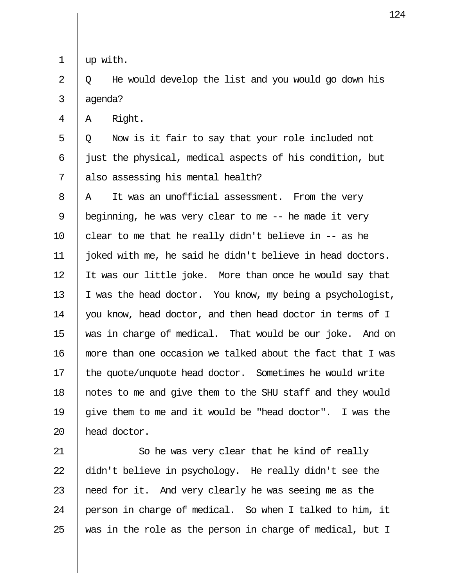1 up with.

 $2 \parallel 0$  He would develop the list and you would go down his  $3$  || agenda?

 $4 \parallel A \parallel$  Right.

 $5 \parallel Q$  Now is it fair to say that your role included not 6  $\parallel$  just the physical, medical aspects of his condition, but 7 || also assessing his mental health?

 $8$  || A It was an unofficial assessment. From the very 9 | beginning, he was very clear to me  $-$  he made it very 10  $\parallel$  clear to me that he really didn't believe in -- as he 11 joked with me, he said he didn't believe in head doctors. 12 It was our little joke. More than once he would say that 13  $\parallel$  I was the head doctor. You know, my being a psychologist, 14 | you know, head doctor, and then head doctor in terms of I 15 was in charge of medical. That would be our joke. And on 16 more than one occasion we talked about the fact that I was 17 || the quote/unquote head doctor. Sometimes he would write 18 notes to me and give them to the SHU staff and they would 19  $\parallel$  give them to me and it would be "head doctor". I was the 20 || head doctor.

21 || So he was very clear that he kind of really 22  $\parallel$  didn't believe in psychology. He really didn't see the 23  $\parallel$  need for it. And very clearly he was seeing me as the 24 || person in charge of medical. So when I talked to him, it 25  $\parallel$  was in the role as the person in charge of medical, but I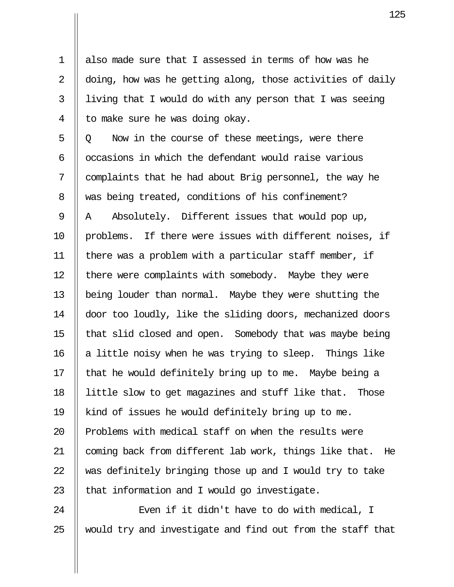1 also made sure that I assessed in terms of how was he 2  $\parallel$  doing, how was he getting along, those activities of daily  $3$  | living that I would do with any person that I was seeing  $4 \parallel$  to make sure he was doing okay.

 $5 \parallel Q$  Now in the course of these meetings, were there 6  $\parallel$  occasions in which the defendant would raise various  $7 \parallel$  complaints that he had about Brig personnel, the way he 8 was being treated, conditions of his confinement? 9  $\parallel$  A Absolutely. Different issues that would pop up,  $10$  || problems. If there were issues with different noises, if 11 there was a problem with a particular staff member, if 12 | there were complaints with somebody. Maybe they were 13 being louder than normal. Maybe they were shutting the 14 door too loudly, like the sliding doors, mechanized doors 15 that slid closed and open. Somebody that was maybe being 16  $\parallel$  a little noisy when he was trying to sleep. Things like 17  $\parallel$  that he would definitely bring up to me. Maybe being a 18 little slow to get magazines and stuff like that. Those 19 kind of issues he would definitely bring up to me. 20 || Problems with medical staff on when the results were 21 || coming back from different lab work, things like that. He  $22$   $\parallel$  was definitely bringing those up and I would try to take 23  $\parallel$  that information and I would go investigate.

24 || Even if it didn't have to do with medical, I  $25$   $\parallel$  would try and investigate and find out from the staff that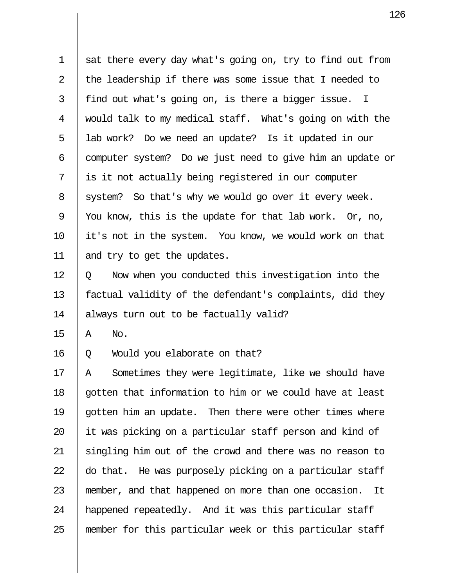$1 \parallel$  sat there every day what's going on, try to find out from 2  $\parallel$  the leadership if there was some issue that I needed to  $3 \parallel$  find out what's going on, is there a bigger issue. I 4 would talk to my medical staff. What's going on with the 5 || lab work? Do we need an update? Is it updated in our  $6$  || computer system? Do we just need to give him an update or  $7 \parallel$  is it not actually being registered in our computer  $8 \parallel$  system? So that's why we would go over it every week. 9 || You know, this is the update for that lab work. Or, no, 10 it's not in the system. You know, we would work on that 11 and try to get the updates.

12 | 0 Now when you conducted this investigation into the 13 || factual validity of the defendant's complaints, did they 14 always turn out to be factually valid?

 $15$   $A$  No.

16 Q Would you elaborate on that?

17 || A Sometimes they were legitimate, like we should have 18  $\parallel$  gotten that information to him or we could have at least 19 || gotten him an update. Then there were other times where  $20$  || it was picking on a particular staff person and kind of  $21$  || singling him out of the crowd and there was no reason to 22  $\parallel$  do that. He was purposely picking on a particular staff 23 || member, and that happened on more than one occasion. It 24 || happened repeatedly. And it was this particular staff 25 member for this particular week or this particular staff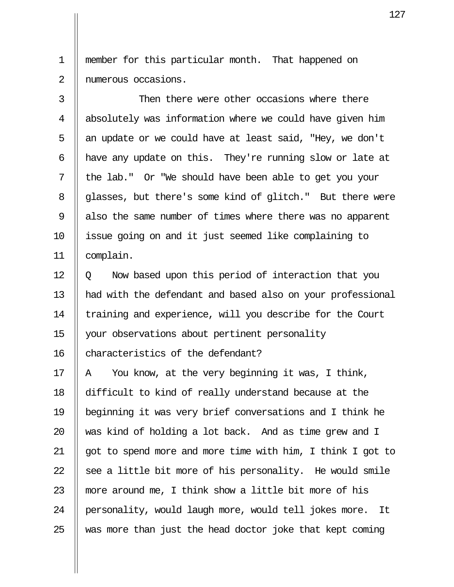1 member for this particular month. That happened on 2 || numerous occasions.

3  $\parallel$  Then there were other occasions where there 4 || absolutely was information where we could have given him 5  $\parallel$  an update or we could have at least said, "Hey, we don't  $6$  || have any update on this. They're running slow or late at  $7$  || the lab." Or "We should have been able to get you your 8 || glasses, but there's some kind of glitch." But there were 9 also the same number of times where there was no apparent 10 || issue going on and it just seemed like complaining to 11 complain.

 $12 \parallel 0$  Now based upon this period of interaction that you 13 || had with the defendant and based also on your professional 14 || training and experience, will you describe for the Court 15 your observations about pertinent personality 16 | characteristics of the defendant?

17  $\parallel$  A You know, at the very beginning it was, I think, 18 difficult to kind of really understand because at the 19 beginning it was very brief conversations and I think he 20 || was kind of holding a lot back. And as time grew and I 21 || got to spend more and more time with him, I think I got to 22  $\parallel$  see a little bit more of his personality. He would smile 23 || more around me, I think show a little bit more of his 24 || personality, would laugh more, would tell jokes more. It 25  $\parallel$  was more than just the head doctor joke that kept coming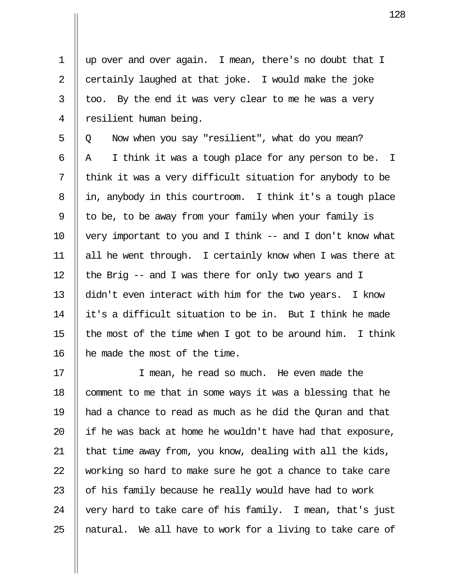1 up over and over again. I mean, there's no doubt that I 2  $\parallel$  certainly laughed at that joke. I would make the joke  $3 \parallel$  too. By the end it was very clear to me he was a very 4 || resilient human being.

 $5 \parallel Q$  Now when you say "resilient", what do you mean?  $6 \parallel A \parallel I$  think it was a tough place for any person to be. I  $7$  || think it was a very difficult situation for anybody to be 8 || in, anybody in this courtroom. I think it's a tough place 9  $\parallel$  to be, to be away from your family when your family is 10  $\parallel$  very important to you and I think -- and I don't know what 11 all he went through. I certainly know when I was there at 12  $\parallel$  the Brig -- and I was there for only two years and I 13 didn't even interact with him for the two years. I know 14 it's a difficult situation to be in. But I think he made 15  $\parallel$  the most of the time when I got to be around him. I think 16 he made the most of the time.

17 || I mean, he read so much. He even made the 18 || comment to me that in some ways it was a blessing that he 19 had a chance to read as much as he did the Quran and that 20  $\parallel$  if he was back at home he wouldn't have had that exposure, 21 || that time away from, you know, dealing with all the kids, 22  $\parallel$  working so hard to make sure he got a chance to take care 23  $\parallel$  of his family because he really would have had to work 24  $\parallel$  very hard to take care of his family. I mean, that's just 25 || natural. We all have to work for a living to take care of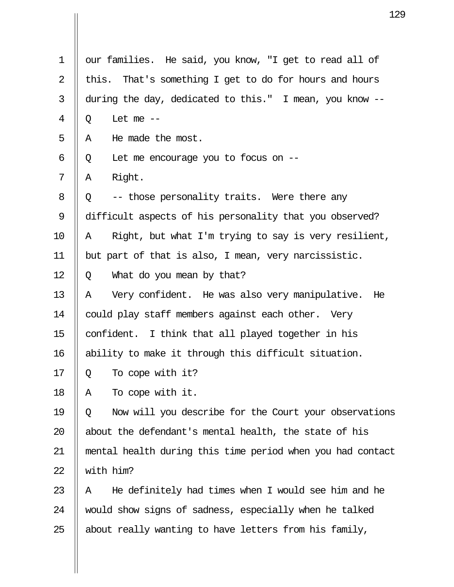| 1              | our families. He said, you know, "I get to read all of     |
|----------------|------------------------------------------------------------|
| $\overline{2}$ | That's something I get to do for hours and hours<br>this.  |
| 3              | during the day, dedicated to this." I mean, you know --    |
| 4              | Let me $--$<br>Q                                           |
| 5              | He made the most.<br>Α                                     |
| 6              | Let me encourage you to focus on $-$<br>Q                  |
| 7              | Right.<br>Α                                                |
| 8              | -- those personality traits. Were there any<br>Q           |
| 9              | difficult aspects of his personality that you observed?    |
| 10             | Right, but what I'm trying to say is very resilient,<br>A  |
| 11             | but part of that is also, I mean, very narcissistic.       |
| 12             | What do you mean by that?<br>Q                             |
| 13             | Very confident. He was also very manipulative.<br>Α<br>He  |
| 14             | could play staff members against each other. Very          |
| 15             | confident. I think that all played together in his         |
| 16             | ability to make it through this difficult situation.       |
| 17             | To cope with it?<br>Q                                      |
| 18             | To cope with it.<br>Α                                      |
| 19             | Now will you describe for the Court your observations<br>Q |
| 20             | about the defendant's mental health, the state of his      |
| 21             | mental health during this time period when you had contact |
| 22             | with him?                                                  |
| 23             | He definitely had times when I would see him and he<br>Α   |
| 24             | would show signs of sadness, especially when he talked     |
| 25             | about really wanting to have letters from his family,      |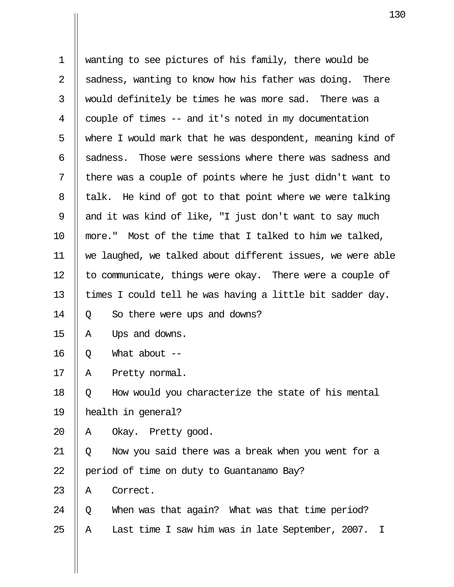| $\mathbf 1$    | wanting to see pictures of his family, there would be                                    |
|----------------|------------------------------------------------------------------------------------------|
| $\overline{2}$ | sadness, wanting to know how his father was doing. There                                 |
| 3              | would definitely be times he was more sad. There was a                                   |
| 4              | couple of times -- and it's noted in my documentation                                    |
| 5              | where I would mark that he was despondent, meaning kind of                               |
| 6              | Those were sessions where there was sadness and<br>sadness.                              |
| 7              | there was a couple of points where he just didn't want to                                |
| 8              | talk. He kind of got to that point where we were talking                                 |
| 9              | and it was kind of like, "I just don't want to say much                                  |
| 10             | more." Most of the time that I talked to him we talked,                                  |
| 11             | we laughed, we talked about different issues, we were able                               |
| 12             | to communicate, things were okay. There were a couple of                                 |
| 13             | times I could tell he was having a little bit sadder day.                                |
| 14             | So there were ups and downs?<br>Q                                                        |
| 15             | Ups and downs.<br>Α                                                                      |
| 16             | What about $--$<br>Q                                                                     |
| 17             | Pretty normal.<br>Α                                                                      |
| 18             | How would you characterize the state of his mental<br>Q                                  |
| 19             | health in general?                                                                       |
| 20             | Okay. Pretty good.<br>A                                                                  |
| 21             | Now you said there was a break when you went for a<br>Q                                  |
| 22             | period of time on duty to Guantanamo Bay?                                                |
| 23             | Correct.<br>Α                                                                            |
| 24             | When was that again? What was that time period?<br>Q                                     |
| 25             | Last time I saw him was in late September, 2007.<br>$\mathbf{\mathbf{\mathsf{I}}}%$<br>Α |

 $\mathbf{I}$ 

 $\mathbf{\mathsf{I}}$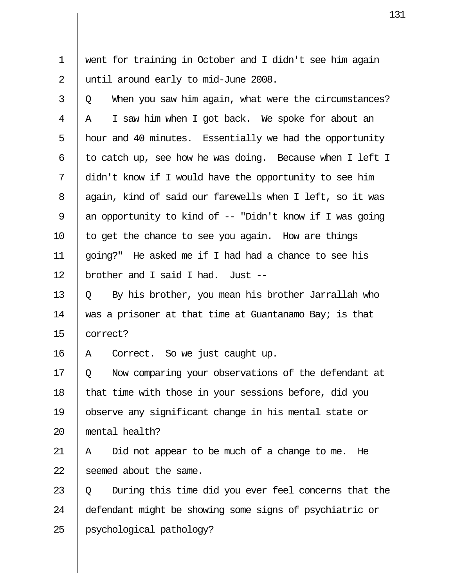1 went for training in October and I didn't see him again 2 || until around early to mid-June 2008.

 $3 \parallel 0$  When you saw him again, what were the circumstances?  $4 \parallel A \parallel I$  saw him when I got back. We spoke for about an 5  $\parallel$  hour and 40 minutes. Essentially we had the opportunity 6  $\parallel$  to catch up, see how he was doing. Because when I left I 7 didn't know if I would have the opportunity to see him 8 || again, kind of said our farewells when I left, so it was 9  $\parallel$  an opportunity to kind of -- "Didn't know if I was going 10  $\parallel$  to get the chance to see you again. How are things 11 going?" He asked me if I had had a chance to see his 12  $\parallel$  brother and I said I had. Just --

13  $\parallel$  0 By his brother, you mean his brother Jarrallah who 14 || was a prisoner at that time at Guantanamo Bay; is that 15 correct?

16 A Correct. So we just caught up.

17 || 0 Now comparing your observations of the defendant at 18  $\parallel$  that time with those in your sessions before, did you 19 observe any significant change in his mental state or 20 mental health?

21  $\parallel$  A Did not appear to be much of a change to me. He 22 Seemed about the same.

23  $\parallel$  0 During this time did you ever feel concerns that the 24 defendant might be showing some signs of psychiatric or 25 psychological pathology?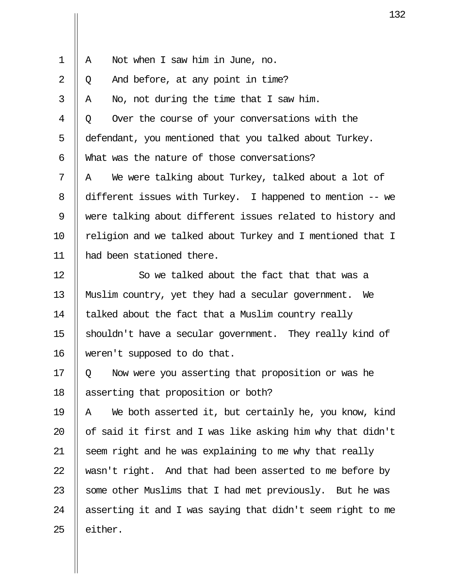| $\mathbf 1$    | Α            | Not when I saw him in June, no.                            |
|----------------|--------------|------------------------------------------------------------|
| $\overline{2}$ | Q            | And before, at any point in time?                          |
| 3              | $\mathbb{A}$ | No, not during the time that I saw him.                    |
| 4              | Q            | Over the course of your conversations with the             |
| 5              |              | defendant, you mentioned that you talked about Turkey.     |
| 6              |              | What was the nature of those conversations?                |
| 7              | A            | We were talking about Turkey, talked about a lot of        |
| 8              |              | different issues with Turkey. I happened to mention -- we  |
| 9              |              | were talking about different issues related to history and |
| 10             |              | religion and we talked about Turkey and I mentioned that I |
| 11             |              | had been stationed there.                                  |
| 12             |              | So we talked about the fact that that was a                |
| 13             |              | Muslim country, yet they had a secular government. We      |
| 14             |              | talked about the fact that a Muslim country really         |
| 15             |              | shouldn't have a secular government. They really kind of   |
| 16             |              | weren't supposed to do that.                               |

 $17 \parallel Q$  Now were you asserting that proposition or was he 18 | asserting that proposition or both?

 $\parallel$  A We both asserted it, but certainly he, you know, kind  $\parallel$  of said it first and I was like asking him why that didn't  $\parallel$  seem right and he was explaining to me why that really  $\parallel$  wasn't right. And that had been asserted to me before by  $\parallel$  some other Muslims that I had met previously. But he was  $\parallel$  asserting it and I was saying that didn't seem right to me | either.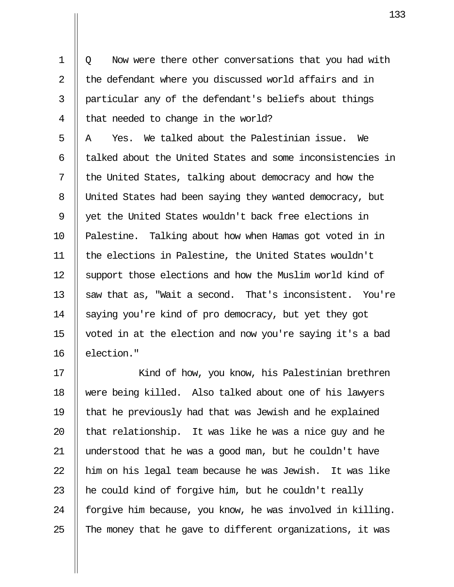1 | Q Now were there other conversations that you had with 2 || the defendant where you discussed world affairs and in 3 particular any of the defendant's beliefs about things 4 | that needed to change in the world?

5  $\parallel$  A  $\parallel$  Yes. We talked about the Palestinian issue. We  $6$  || talked about the United States and some inconsistencies in  $7 \parallel$  the United States, talking about democracy and how the 8 United States had been saying they wanted democracy, but 9 || yet the United States wouldn't back free elections in 10 || Palestine. Talking about how when Hamas got voted in in 11 the elections in Palestine, the United States wouldn't 12 Support those elections and how the Muslim world kind of 13  $\parallel$  saw that as, "Wait a second. That's inconsistent. You're 14 Saying you're kind of pro democracy, but yet they got 15 voted in at the election and now you're saying it's a bad 16 | election."

17 || Kind of how, you know, his Palestinian brethren 18 were being killed. Also talked about one of his lawyers 19 that he previously had that was Jewish and he explained 20  $\parallel$  that relationship. It was like he was a nice guy and he 21 understood that he was a good man, but he couldn't have  $22$  || him on his legal team because he was Jewish. It was like 23  $\parallel$  he could kind of forgive him, but he couldn't really 24  $\parallel$  forgive him because, you know, he was involved in killing. 25  $\parallel$  The money that he gave to different organizations, it was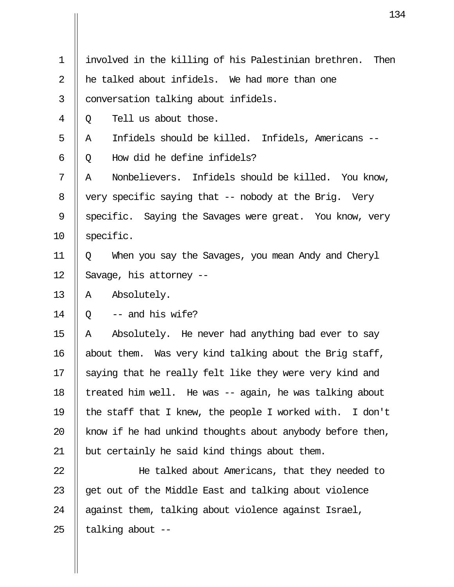| $\mathbf 1$    | involved in the killing of his Palestinian brethren.<br>Then |
|----------------|--------------------------------------------------------------|
| 2              | he talked about infidels. We had more than one               |
| $\mathfrak{Z}$ | conversation talking about infidels.                         |
| 4              | Tell us about those.<br>Q                                    |
| 5              | Infidels should be killed. Infidels, Americans --<br>Α       |
| 6              | How did he define infidels?<br>Q                             |
| 7              | Nonbelievers. Infidels should be killed. You know,<br>Α      |
| 8              | very specific saying that -- nobody at the Brig. Very        |
| $\mathsf 9$    | specific. Saying the Savages were great. You know, very      |
| 10             | specific.                                                    |
| 11             | When you say the Savages, you mean Andy and Cheryl<br>Q      |
| 12             | Savage, his attorney --                                      |
| 13             | Absolutely.<br>A                                             |
| 14             | -- and his wife?<br>Q                                        |
| 15             | Absolutely. He never had anything bad ever to say<br>Α       |
| 16             | about them. Was very kind talking about the Brig staff,      |
| $17 \,$        | saying that he really felt like they were very kind and      |
| 18             | treated him well. He was -- again, he was talking about      |
| 19             | the staff that I knew, the people I worked with. I don't     |
| 20             | know if he had unkind thoughts about anybody before then,    |
| 21             | but certainly he said kind things about them.                |
| 22             | He talked about Americans, that they needed to               |
| 23             | get out of the Middle East and talking about violence        |
| 24             | against them, talking about violence against Israel,         |
| 25             | talking about --                                             |

 $\overline{\mathsf{I}}$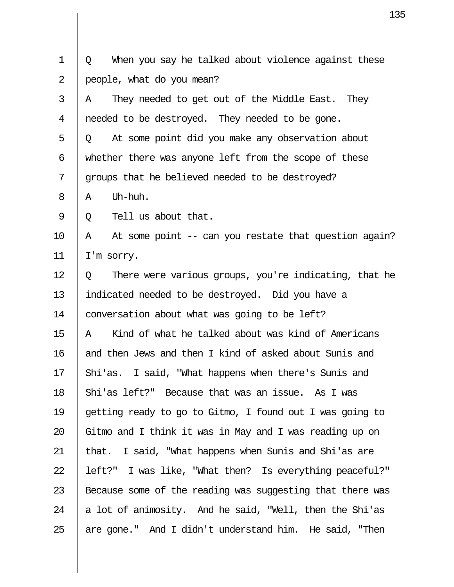|                | 13                                                         |
|----------------|------------------------------------------------------------|
| $\mathbf 1$    | When you say he talked about violence against these<br>Q   |
| $\overline{2}$ |                                                            |
|                | people, what do you mean?                                  |
| 3              | They needed to get out of the Middle East.<br>They<br>A    |
| 4              | needed to be destroyed. They needed to be gone.            |
| 5              | At some point did you make any observation about<br>Q      |
| 6              | whether there was anyone left from the scope of these      |
| 7              | groups that he believed needed to be destroyed?            |
| 8              | Uh-huh.<br>Α                                               |
| 9              | Tell us about that.<br>Q                                   |
| 10             | At some point -- can you restate that question again?<br>A |
| 11             | I'm sorry.                                                 |
| 12             | There were various groups, you're indicating, that he<br>Q |
| 13             | indicated needed to be destroyed. Did you have a           |
| 14             | conversation about what was going to be left?              |
| 15             | Kind of what he talked about was kind of Americans<br>Α    |
| 16             | and then Jews and then I kind of asked about Sunis and     |
| 17             | Shi'as. I said, "What happens when there's Sunis and       |
| 18             | Shi'as left?" Because that was an issue. As I was          |
| 19             | getting ready to go to Gitmo, I found out I was going to   |
| 20             | Gitmo and I think it was in May and I was reading up on    |
| 21             | that. I said, "What happens when Sunis and Shi'as are      |
| 22             | left?" I was like, "What then? Is everything peaceful?"    |
| 23             | Because some of the reading was suggesting that there was  |
| 24             | a lot of animosity. And he said, "Well, then the Shi'as    |
| 25             | are gone." And I didn't understand him. He said, "Then     |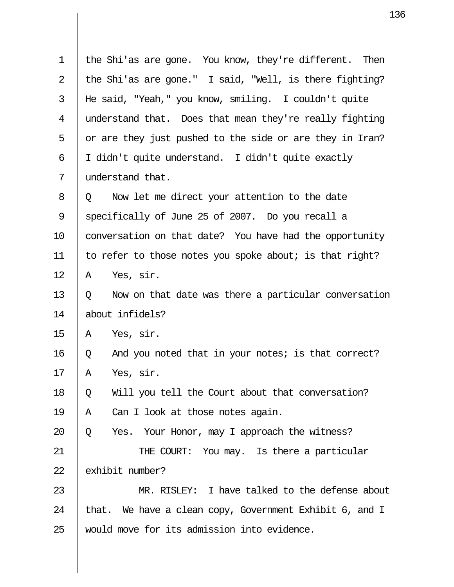| 1  | the Shi'as are gone. You know, they're different. Then    |
|----|-----------------------------------------------------------|
| 2  | the Shi'as are gone." I said, "Well, is there fighting?   |
| 3  | He said, "Yeah," you know, smiling. I couldn't quite      |
| 4  | understand that. Does that mean they're really fighting   |
| 5  | or are they just pushed to the side or are they in Iran?  |
| 6  | I didn't quite understand. I didn't quite exactly         |
| 7  | understand that.                                          |
| 8  | Now let me direct your attention to the date<br>Q         |
| 9  | specifically of June 25 of 2007. Do you recall a          |
| 10 | conversation on that date? You have had the opportunity   |
| 11 | to refer to those notes you spoke about; is that right?   |
| 12 | Yes, sir.<br>Α                                            |
| 13 | Now on that date was there a particular conversation<br>Q |
| 14 | about infidels?                                           |
| 15 | Yes, sir.<br>A                                            |
| 16 | And you noted that in your notes; is that correct?<br>Q   |
| 17 | Α<br>Yes, sir.                                            |
| 18 | Will you tell the Court about that conversation?<br>Q     |
| 19 | Can I look at those notes again.<br>Α                     |
| 20 | Yes. Your Honor, may I approach the witness?<br>Q         |
| 21 | THE COURT: You may. Is there a particular                 |
| 22 | exhibit number?                                           |
| 23 | MR. RISLEY: I have talked to the defense about            |
| 24 | that. We have a clean copy, Government Exhibit 6, and I   |
| 25 | would move for its admission into evidence.               |

 $\mathbf{II}$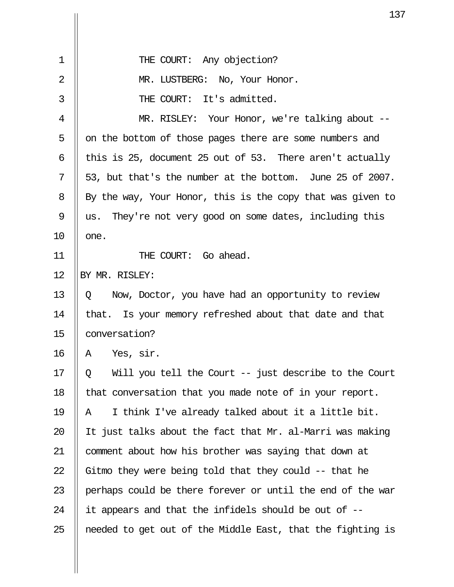|                | 13                                                         |
|----------------|------------------------------------------------------------|
|                |                                                            |
| $\mathbf 1$    | THE COURT: Any objection?                                  |
| $\overline{2}$ | MR. LUSTBERG: No, Your Honor.                              |
| 3              | THE COURT: It's admitted.                                  |
| 4              | MR. RISLEY: Your Honor, we're talking about --             |
| 5              | on the bottom of those pages there are some numbers and    |
| 6              | this is 25, document 25 out of 53. There aren't actually   |
| 7              | 53, but that's the number at the bottom. June 25 of 2007.  |
| 8              | By the way, Your Honor, this is the copy that was given to |
| 9              | us. They're not very good on some dates, including this    |
| 10             | one.                                                       |
| 11             | THE COURT: Go ahead.                                       |
| 12             | BY MR. RISLEY:                                             |
| 13             | Now, Doctor, you have had an opportunity to review<br>Q    |
| 14             | that. Is your memory refreshed about that date and that    |
| 15             | conversation?                                              |
| 16             | Yes, sir.<br>Α                                             |
| 17             | Will you tell the Court -- just describe to the Court<br>Q |
| 18             | that conversation that you made note of in your report.    |
| 19             | I think I've already talked about it a little bit.<br>Α    |
| 20             | It just talks about the fact that Mr. al-Marri was making  |
| 21             | comment about how his brother was saying that down at      |
| 22             | Gitmo they were being told that they could $-$ - that he   |
| 23             | perhaps could be there forever or until the end of the war |
| 24             | it appears and that the infidels should be out of --       |
| 25             | needed to get out of the Middle East, that the fighting is |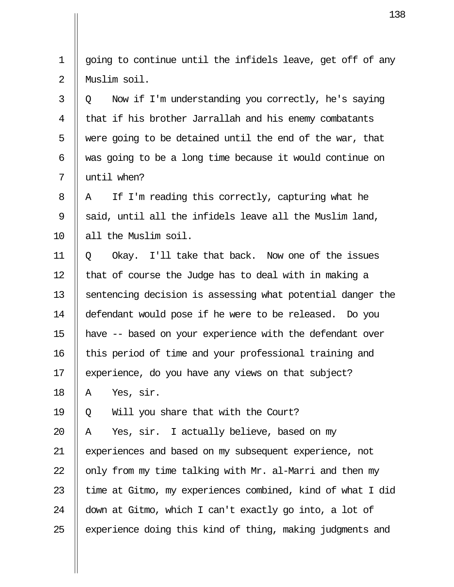|             | 13                                                         |
|-------------|------------------------------------------------------------|
|             |                                                            |
| $\mathbf 1$ | going to continue until the infidels leave, get off of any |
| 2           | Muslim soil.                                               |
| 3           | Now if I'm understanding you correctly, he's saying<br>Q   |
| 4           | that if his brother Jarrallah and his enemy combatants     |
| 5           | were going to be detained until the end of the war, that   |
| 6           | was going to be a long time because it would continue on   |
| 7           | until when?                                                |
| 8           | If I'm reading this correctly, capturing what he<br>A      |
| 9           | said, until all the infidels leave all the Muslim land,    |
| 10          | all the Muslim soil.                                       |
| 11          | Okay. I'll take that back. Now one of the issues<br>Q      |
| 12          | that of course the Judge has to deal with in making a      |
| 13          | sentencing decision is assessing what potential danger the |
| 14          | defendant would pose if he were to be released. Do you     |
| 15          | have -- based on your experience with the defendant over   |
| 16          | this period of time and your professional training and     |
| 17          | experience, do you have any views on that subject?         |
| 18          | Yes, sir.<br>Α                                             |
| 19          | Will you share that with the Court?<br>Q                   |
| 20          | Yes, sir. I actually believe, based on my<br>Α             |
| 21          | experiences and based on my subsequent experience, not     |
| 22          | only from my time talking with Mr. al-Marri and then my    |
| 23          | time at Gitmo, my experiences combined, kind of what I did |
| 24          | down at Gitmo, which I can't exactly go into, a lot of     |
| 25          | experience doing this kind of thing, making judgments and  |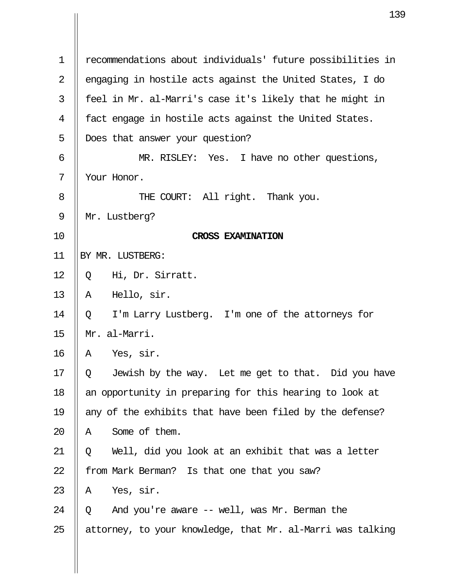|             | 13                                                         |
|-------------|------------------------------------------------------------|
|             |                                                            |
| $\mathbf 1$ | recommendations about individuals' future possibilities in |
| 2           | engaging in hostile acts against the United States, I do   |
| 3           | feel in Mr. al-Marri's case it's likely that he might in   |
| 4           | fact engage in hostile acts against the United States.     |
| 5           | Does that answer your question?                            |
| 6           | MR. RISLEY: Yes. I have no other questions,                |
| 7           | Your Honor.                                                |
| 8           | THE COURT: All right. Thank you.                           |
| 9           | Mr. Lustberg?                                              |
| 10          | <b>CROSS EXAMINATION</b>                                   |
| 11          | BY MR. LUSTBERG:                                           |
| 12          | Hi, Dr. Sirratt.<br>Q                                      |
| 13          | Hello, sir.<br>A                                           |
| 14          | I'm Larry Lustberg. I'm one of the attorneys for<br>Q      |
| 15          | Mr. al-Marri.                                              |
| 16          | Yes, sir.<br>Α                                             |
| 17          | Jewish by the way. Let me get to that. Did you have<br>Q.  |
| 18          | an opportunity in preparing for this hearing to look at    |
| 19          | any of the exhibits that have been filed by the defense?   |
| 20          | Some of them.<br>Α                                         |
| 21          | Well, did you look at an exhibit that was a letter<br>Q    |
| 22          | from Mark Berman? Is that one that you saw?                |
| 23          | Yes, sir.<br>A                                             |
| 24          | And you're aware -- well, was Mr. Berman the<br>O          |
| 25          | attorney, to your knowledge, that Mr. al-Marri was talking |
|             |                                                            |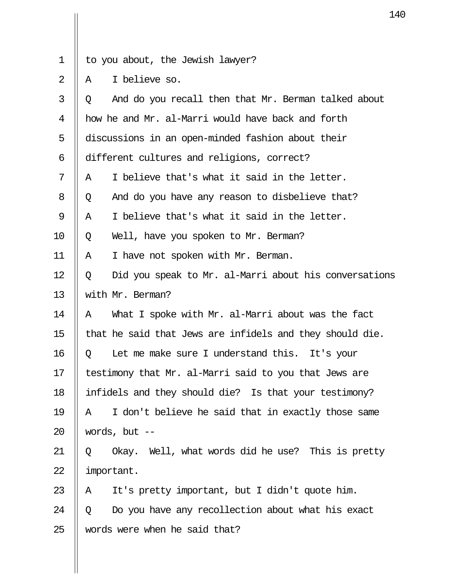- $1 \parallel$  to you about, the Jewish lawyer?
- 2 || A  $\quad$  I believe so.

| 3  | And do you recall then that Mr. Berman talked about<br>Q   |
|----|------------------------------------------------------------|
| 4  | how he and Mr. al-Marri would have back and forth          |
| 5  | discussions in an open-minded fashion about their          |
| 6  | different cultures and religions, correct?                 |
| 7  | I believe that's what it said in the letter.<br>Α          |
| 8  | And do you have any reason to disbelieve that?<br>Q        |
| 9  | I believe that's what it said in the letter.<br>Α          |
| 10 | Well, have you spoken to Mr. Berman?<br>Q                  |
| 11 | I have not spoken with Mr. Berman.<br>A                    |
| 12 | Did you speak to Mr. al-Marri about his conversations<br>Q |
| 13 | with Mr. Berman?                                           |
| 14 | What I spoke with Mr. al-Marri about was the fact<br>A     |
| 15 | that he said that Jews are infidels and they should die.   |
| 16 | Let me make sure I understand this. It's your<br>Q         |
| 17 | testimony that Mr. al-Marri said to you that Jews are      |
| 18 | infidels and they should die? Is that your testimony?      |
| 19 | I don't believe he said that in exactly those same<br>Α    |
| 20 | words, but $--$                                            |
| 21 | Well, what words did he use? This is pretty<br>Okay.<br>Q  |
| 22 | important.                                                 |
| 23 | It's pretty important, but I didn't quote him.<br>Α        |
| 24 | Do you have any recollection about what his exact<br>Q     |
| 25 | words were when he said that?                              |
|    |                                                            |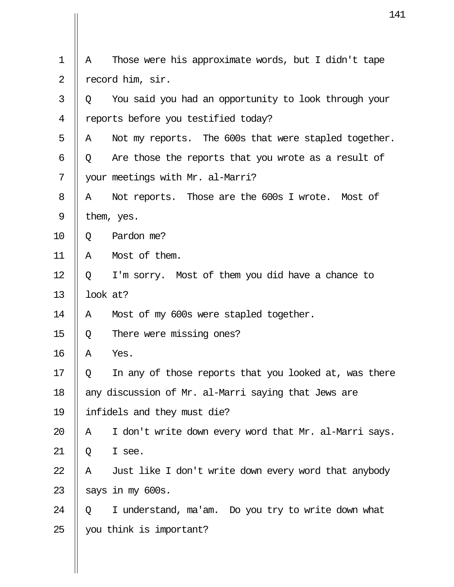|                |          | 14                                                    |
|----------------|----------|-------------------------------------------------------|
|                |          |                                                       |
| $\mathbf 1$    | Α        | Those were his approximate words, but I didn't tape   |
| $\overline{2}$ |          | record him, sir.                                      |
| 3              | Q        | You said you had an opportunity to look through your  |
| 4              |          | reports before you testified today?                   |
| 5              | Α        | Not my reports. The 600s that were stapled together.  |
| 6              | Q        | Are those the reports that you wrote as a result of   |
| 7              |          | your meetings with Mr. al-Marri?                      |
| 8              | Α        | Not reports. Those are the 600s I wrote. Most of      |
| 9              |          | them, yes.                                            |
| 10             | Q        | Pardon me?                                            |
| 11             | Α        | Most of them.                                         |
| 12             | Q        | I'm sorry. Most of them you did have a chance to      |
| 13             | look at? |                                                       |
| 14             | Α        | Most of my 600s were stapled together.                |
| 15             | Q        | There were missing ones?                              |
| 16             | Α        | Yes.                                                  |
| 17             | Q        | In any of those reports that you looked at, was there |
| 18             |          | any discussion of Mr. al-Marri saying that Jews are   |
| 19             |          | infidels and they must die?                           |
| 20             | Α        | I don't write down every word that Mr. al-Marri says. |
| 21             | Q        | I see.                                                |
| 22             | Α        | Just like I don't write down every word that anybody  |
| 23             |          | says in my 600s.                                      |
| 24             | Q        | I understand, ma'am. Do you try to write down what    |
| 25             |          | you think is important?                               |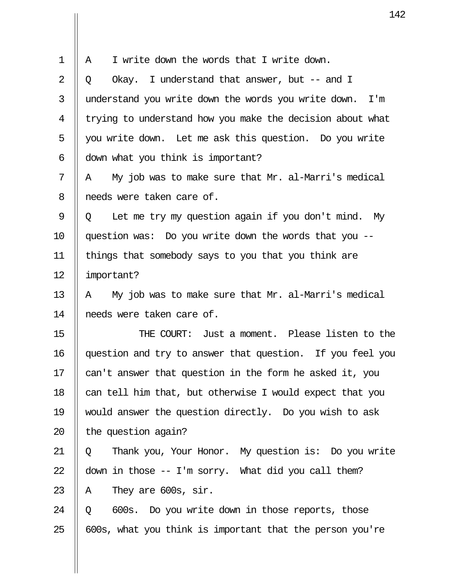|                | 1                                                          |
|----------------|------------------------------------------------------------|
|                |                                                            |
| $\mathbf 1$    | I write down the words that I write down.<br>Α             |
| $\overline{2}$ | Okay. I understand that answer, but $-$ and I<br>Q         |
| 3              | understand you write down the words you write down.<br>I'm |
| $\overline{4}$ | trying to understand how you make the decision about what  |
| 5              | you write down. Let me ask this question. Do you write     |
| 6              | down what you think is important?                          |
| 7              | My job was to make sure that Mr. al-Marri's medical<br>A   |
| 8              | needs were taken care of.                                  |
| 9              | Let me try my question again if you don't mind. My<br>Q    |
| 10             | question was: Do you write down the words that you --      |
| 11             | things that somebody says to you that you think are        |
| 12             | important?                                                 |
| 13             | My job was to make sure that Mr. al-Marri's medical<br>A   |
| 14             | needs were taken care of.                                  |
| 15             | Just a moment. Please listen to the<br>THE COURT:          |
| 16             | question and try to answer that question. If you feel you  |
| 17             | can't answer that question in the form he asked it, you    |
| 18             | can tell him that, but otherwise I would expect that you   |
| 19             | would answer the question directly. Do you wish to ask     |
| 20             | the question again?                                        |
| 21             | Thank you, Your Honor. My question is: Do you write<br>Q   |
| 22             | down in those -- I'm sorry. What did you call them?        |
| 23             | They are 600s, sir.<br>A                                   |
| 24             | 600s. Do you write down in those reports, those<br>Q       |
| 25             | 600s, what you think is important that the person you're   |
|                |                                                            |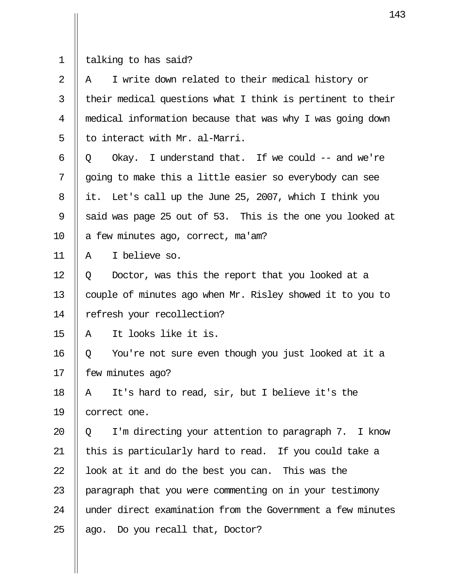1  $\parallel$  talking to has said?

| 2  | I write down related to their medical history or<br>A      |
|----|------------------------------------------------------------|
| 3  | their medical questions what I think is pertinent to their |
| 4  | medical information because that was why I was going down  |
| 5  | to interact with Mr. al-Marri.                             |
| 6  | Okay. I understand that. If we could $-$ and we're<br>Q    |
| 7  | going to make this a little easier so everybody can see    |
| 8  | Let's call up the June 25, 2007, which I think you<br>it.  |
| 9  | said was page 25 out of 53. This is the one you looked at  |
| 10 | a few minutes ago, correct, ma'am?                         |
| 11 | I believe so.<br>Α                                         |
| 12 | Doctor, was this the report that you looked at a<br>Q      |
| 13 | couple of minutes ago when Mr. Risley showed it to you to  |
| 14 | refresh your recollection?                                 |
| 15 | It looks like it is.<br>Α                                  |
| 16 | You're not sure even though you just looked at it a<br>Q   |
| 17 | few minutes ago?                                           |
| 18 | It's hard to read, sir, but I believe it's the<br>Α        |
| 19 | correct one.                                               |
| 20 | I'm directing your attention to paragraph 7. I know<br>Q   |
| 21 | this is particularly hard to read. If you could take a     |
| 22 | look at it and do the best you can. This was the           |
| 23 | paragraph that you were commenting on in your testimony    |
| 24 | under direct examination from the Government a few minutes |
| 25 | ago. Do you recall that, Doctor?                           |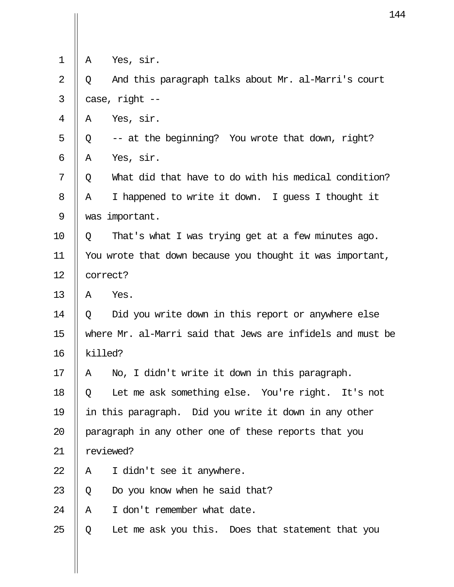|                |                                                            | 14                                                    |
|----------------|------------------------------------------------------------|-------------------------------------------------------|
|                |                                                            |                                                       |
| 1              | Α                                                          | Yes, sir.                                             |
| $\overline{2}$ | Q                                                          | And this paragraph talks about Mr. al-Marri's court   |
| 3              |                                                            | case, right --                                        |
| 4              | Α                                                          | Yes, sir.                                             |
| 5              | Q                                                          | -- at the beginning? You wrote that down, right?      |
| 6              | Α                                                          | Yes, sir.                                             |
| 7              | Q                                                          | What did that have to do with his medical condition?  |
| 8              | A                                                          | I happened to write it down. I guess I thought it     |
| 9              |                                                            | was important.                                        |
| 10             | Q                                                          | That's what I was trying get at a few minutes ago.    |
| 11             | You wrote that down because you thought it was important,  |                                                       |
| 12             |                                                            | correct?                                              |
| 13             | Α                                                          | Yes.                                                  |
| 14             | Q                                                          | Did you write down in this report or anywhere else    |
| 15             | where Mr. al-Marri said that Jews are infidels and must be |                                                       |
| 16             |                                                            | killed?                                               |
| 17             | Α                                                          | No, I didn't write it down in this paragraph.         |
| 18             | O.                                                         | Let me ask something else. You're right. It's not     |
| 19             |                                                            | in this paragraph. Did you write it down in any other |
| 20             | paragraph in any other one of these reports that you       |                                                       |
| 21             |                                                            | reviewed?                                             |
| 22             | Α                                                          | I didn't see it anywhere.                             |
| 23             | Q                                                          | Do you know when he said that?                        |
| 24             | Α                                                          | I don't remember what date.                           |
| 25             | Q                                                          | Let me ask you this. Does that statement that you     |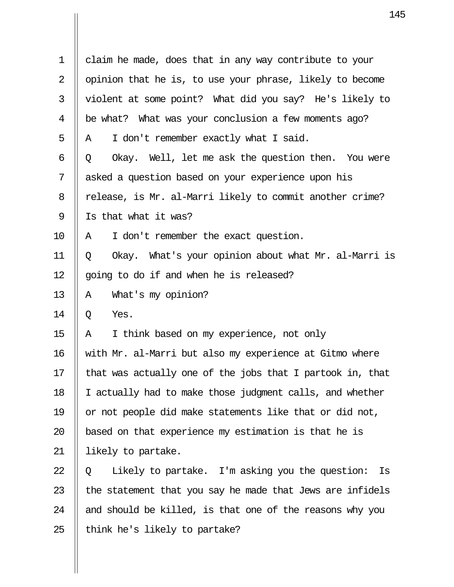| $\mathbf 1$    | claim he made, does that in any way contribute to your     |  |  |  |
|----------------|------------------------------------------------------------|--|--|--|
| $\overline{2}$ | opinion that he is, to use your phrase, likely to become   |  |  |  |
| 3              | violent at some point? What did you say? He's likely to    |  |  |  |
| 4              | be what? What was your conclusion a few moments ago?       |  |  |  |
| 5              | I don't remember exactly what I said.<br>Α                 |  |  |  |
| 6              | Okay. Well, let me ask the question then. You were<br>Q    |  |  |  |
| 7              | asked a question based on your experience upon his         |  |  |  |
| 8              | release, is Mr. al-Marri likely to commit another crime?   |  |  |  |
| 9              | Is that what it was?                                       |  |  |  |
| 10             | I don't remember the exact question.<br>Α                  |  |  |  |
| 11             | Okay. What's your opinion about what Mr. al-Marri is<br>Q  |  |  |  |
| 12             | going to do if and when he is released?                    |  |  |  |
| 13             | What's my opinion?<br>A                                    |  |  |  |
| 14             | Yes.<br>Q                                                  |  |  |  |
| 15             | I think based on my experience, not only<br>A              |  |  |  |
| 16             | with Mr. al-Marri but also my experience at Gitmo where    |  |  |  |
| 17             | that was actually one of the jobs that I partook in, that  |  |  |  |
| 18             | I actually had to make those judgment calls, and whether   |  |  |  |
| 19             | or not people did make statements like that or did not,    |  |  |  |
| 20             | based on that experience my estimation is that he is       |  |  |  |
| 21             | likely to partake.                                         |  |  |  |
| 22             | Likely to partake. I'm asking you the question:<br>Is<br>Q |  |  |  |
| 23             | the statement that you say he made that Jews are infidels  |  |  |  |
| 24             | and should be killed, is that one of the reasons why you   |  |  |  |
| 25             | think he's likely to partake?                              |  |  |  |
|                |                                                            |  |  |  |

 $\mathbf{I}$ 

 $\mathbf{\mathsf{I}}$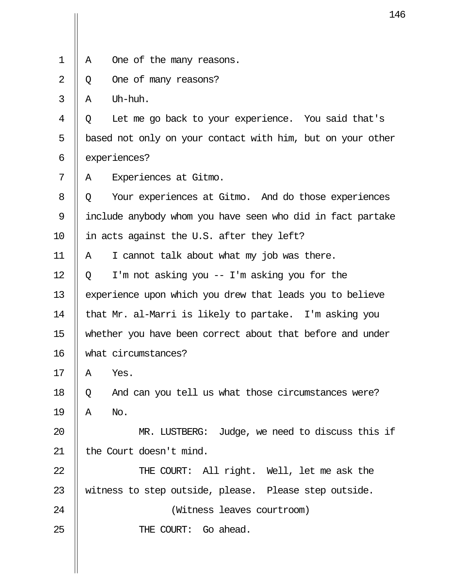|                | 14                                                         |
|----------------|------------------------------------------------------------|
|                |                                                            |
| 1              | One of the many reasons.<br>Α                              |
| $\overline{2}$ | One of many reasons?<br>Q                                  |
| 3              | Uh-huh.<br>Α                                               |
| 4              | Let me go back to your experience. You said that's<br>Q    |
| 5              | based not only on your contact with him, but on your other |
| 6              | experiences?                                               |
| 7              | Experiences at Gitmo.<br>Α                                 |
| 8              | Your experiences at Gitmo. And do those experiences<br>Q   |
| 9              | include anybody whom you have seen who did in fact partake |
| 10             | in acts against the U.S. after they left?                  |
| 11             | I cannot talk about what my job was there.<br>Α            |
| 12             | I'm not asking you $-$ I'm asking you for the<br>Q         |
| 13             | experience upon which you drew that leads you to believe   |
| 14             | that Mr. al-Marri is likely to partake. I'm asking you     |
| 15             | whether you have been correct about that before and under  |
| 16             | what circumstances?                                        |
| 17             | Yes.<br>Α                                                  |
| 18             | And can you tell us what those circumstances were?<br>Q    |
| 19             | Α<br>No.                                                   |
| 20             | MR. LUSTBERG: Judge, we need to discuss this if            |
| 21             | the Court doesn't mind.                                    |
| 22             | THE COURT: All right. Well, let me ask the                 |
| 23             | witness to step outside, please. Please step outside.      |
| 24             | (Witness leaves courtroom)                                 |
| 25             | THE COURT: Go ahead.                                       |
|                |                                                            |
|                |                                                            |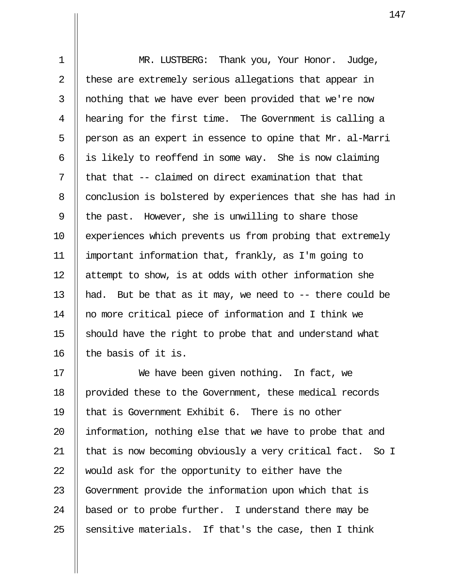1 || MR. LUSTBERG: Thank you, Your Honor. Judge, 2  $\parallel$  these are extremely serious allegations that appear in 3 || nothing that we have ever been provided that we're now 4 hearing for the first time. The Government is calling a  $5 \parallel$  person as an expert in essence to opine that Mr. al-Marri 6  $\parallel$  is likely to reoffend in some way. She is now claiming  $7$  || that that -- claimed on direct examination that that 8 | conclusion is bolstered by experiences that she has had in 9 | the past. However, she is unwilling to share those 10 || experiences which prevents us from probing that extremely 11 important information that, frankly, as I'm going to 12  $\parallel$  attempt to show, is at odds with other information she 13 || had. But be that as it may, we need to  $-$ - there could be 14 no more critical piece of information and I think we 15 should have the right to probe that and understand what 16  $\parallel$  the basis of it is.

17 || We have been given nothing. In fact, we 18 | provided these to the Government, these medical records 19 || that is Government Exhibit 6. There is no other 20 || information, nothing else that we have to probe that and 21  $\parallel$  that is now becoming obviously a very critical fact. So I 22 Would ask for the opportunity to either have the 23 Government provide the information upon which that is 24  $\parallel$  based or to probe further. I understand there may be 25 Sensitive materials. If that's the case, then I think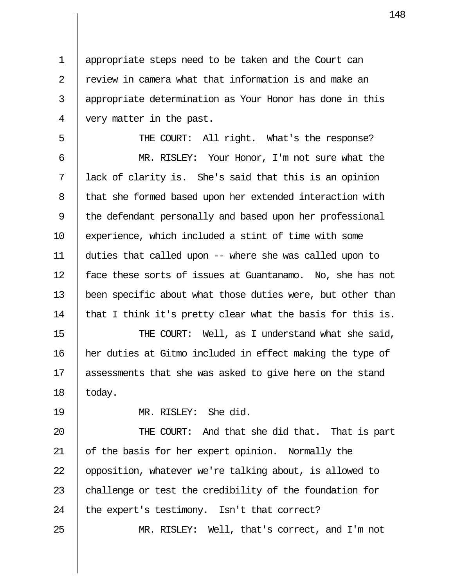1 appropriate steps need to be taken and the Court can 2  $\parallel$  review in camera what that information is and make an 3 || appropriate determination as Your Honor has done in this 4 very matter in the past.

5 || THE COURT: All right. What's the response? 6 MR. RISLEY: Your Honor, I'm not sure what the 7 lack of clarity is. She's said that this is an opinion 8 | that she formed based upon her extended interaction with 9 || the defendant personally and based upon her professional 10 || experience, which included a stint of time with some 11 duties that called upon -- where she was called upon to 12 || face these sorts of issues at Guantanamo. No, she has not 13 been specific about what those duties were, but other than 14  $\parallel$  that I think it's pretty clear what the basis for this is.

15 || THE COURT: Well, as I understand what she said, 16 her duties at Gitmo included in effect making the type of 17 || assessments that she was asked to give here on the stand  $18$  | today.

19 MR. RISLEY: She did.

20 THE COURT: And that she did that. That is part 21 || of the basis for her expert opinion. Normally the 22 || opposition, whatever we're talking about, is allowed to 23  $\parallel$  challenge or test the credibility of the foundation for 24  $\parallel$  the expert's testimony. Isn't that correct?

25 MR. RISLEY: Well, that's correct, and I'm not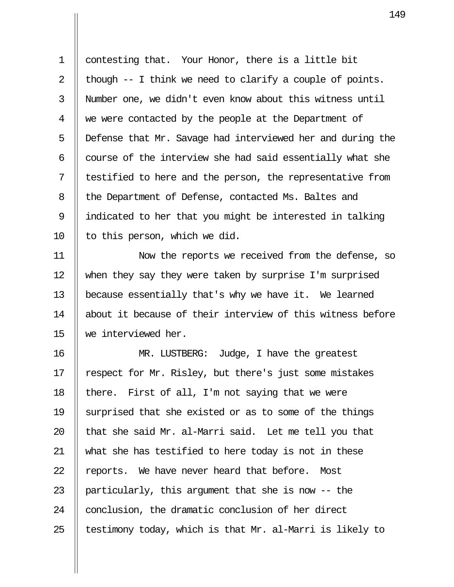1 | contesting that. Your Honor, there is a little bit 2  $\parallel$  though -- I think we need to clarify a couple of points. 3 Number one, we didn't even know about this witness until 4 we were contacted by the people at the Department of 5 | Defense that Mr. Savage had interviewed her and during the 6  $\parallel$  course of the interview she had said essentially what she  $7$  || testified to here and the person, the representative from 8 | the Department of Defense, contacted Ms. Baltes and 9 indicated to her that you might be interested in talking  $10$  || to this person, which we did.

11 Now the reports we received from the defense, so 12 when they say they were taken by surprise I'm surprised 13 because essentially that's why we have it. We learned 14 about it because of their interview of this witness before 15 we interviewed her.

16 MR. LUSTBERG: Judge, I have the greatest 17 | respect for Mr. Risley, but there's just some mistakes 18 || there. First of all, I'm not saying that we were 19 Surprised that she existed or as to some of the things 20  $\parallel$  that she said Mr. al-Marri said. Let me tell you that 21 what she has testified to here today is not in these  $22$   $\parallel$  reports. We have never heard that before. Most 23 || particularly, this argument that she is now  $-$  the 24 | conclusion, the dramatic conclusion of her direct 25  $\parallel$  testimony today, which is that Mr. al-Marri is likely to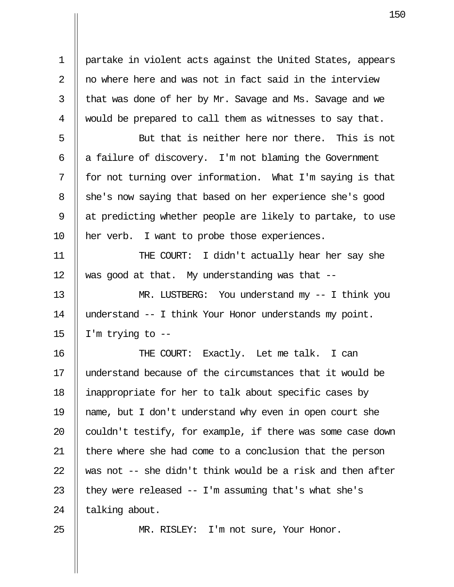1 partake in violent acts against the United States, appears  $2 \parallel$  no where here and was not in fact said in the interview  $3$  | that was done of her by Mr. Savage and Ms. Savage and we 4 || would be prepared to call them as witnesses to say that.

 $5 \parallel$  But that is neither here nor there. This is not  $6 \parallel a$  failure of discovery. I'm not blaming the Government  $7 \parallel$  for not turning over information. What I'm saying is that 8 | she's now saying that based on her experience she's good 9  $\parallel$  at predicting whether people are likely to partake, to use 10 her verb. I want to probe those experiences.

11 THE COURT: I didn't actually hear her say she 12  $\parallel$  was good at that. My understanding was that --

13 MR. LUSTBERG: You understand my -- I think you 14 understand -- I think Your Honor understands my point. 15  $\parallel$  I'm trying to --

16 THE COURT: Exactly. Let me talk. I can 17 understand because of the circumstances that it would be 18 inappropriate for her to talk about specific cases by 19 name, but I don't understand why even in open court she 20  $\parallel$  couldn't testify, for example, if there was some case down 21  $\parallel$  there where she had come to a conclusion that the person 22  $\parallel$  was not -- she didn't think would be a risk and then after 23  $\parallel$  they were released -- I'm assuming that's what she's 24  $\parallel$  talking about.

25 || MR. RISLEY: I'm not sure, Your Honor.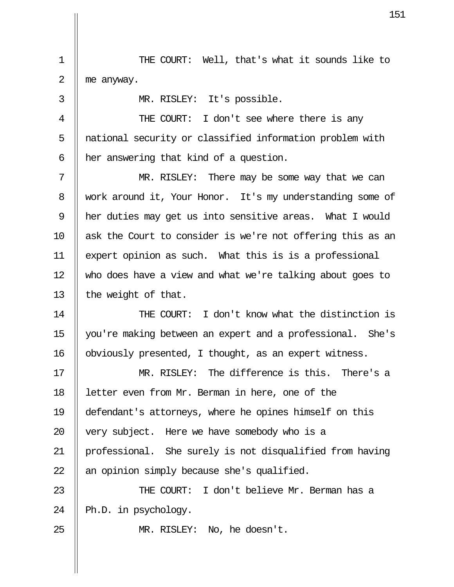1 THE COURT: Well, that's what it sounds like to 2  $\parallel$  me anyway.

 3 MR. RISLEY: It's possible. 4 || THE COURT: I don't see where there is any 5 || national security or classified information problem with  $6$  || her answering that kind of a question. 7 MR. RISLEY: There may be some way that we can 8 work around it, Your Honor. It's my understanding some of 9 her duties may get us into sensitive areas. What I would 10 ask the Court to consider is we're not offering this as an 11 expert opinion as such. What this is is a professional 12 who does have a view and what we're talking about goes to 13  $\parallel$  the weight of that. 14 THE COURT: I don't know what the distinction is 15 you're making between an expert and a professional. She's 16 | obviously presented, I thought, as an expert witness. 17 MR. RISLEY: The difference is this. There's a 18 letter even from Mr. Berman in here, one of the 19 defendant's attorneys, where he opines himself on this 20  $\parallel$  very subject. Here we have somebody who is a 21 professional. She surely is not disqualified from having 22  $\parallel$  an opinion simply because she's qualified. 23 THE COURT: I don't believe Mr. Berman has a 24  $\parallel$  Ph.D. in psychology.

25 || MR. RISLEY: No, he doesn't.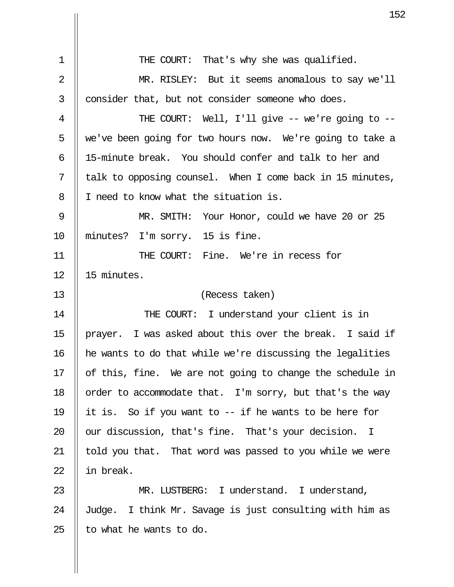1 || THE COURT: That's why she was qualified. 2 || MR. RISLEY: But it seems anomalous to say we'll  $3$   $\parallel$  consider that, but not consider someone who does. 4 THE COURT: Well, I'll give -- we're going to -- 5 we've been going for two hours now. We're going to take a 6 15-minute break. You should confer and talk to her and  $7 \parallel$  talk to opposing counsel. When I come back in 15 minutes, 8 || I need to know what the situation is. 9 MR. SMITH: Your Honor, could we have 20 or 25 10 || minutes? I'm sorry. 15 is fine. 11 THE COURT: Fine. We're in recess for 12 15 minutes. 13 (Recess taken) 14 || THE COURT: I understand your client is in 15  $\parallel$  prayer. I was asked about this over the break. I said if 16 he wants to do that while we're discussing the legalities 17  $\parallel$  of this, fine. We are not going to change the schedule in 18  $\parallel$  order to accommodate that. I'm sorry, but that's the way 19 it is. So if you want to -- if he wants to be here for 20  $\parallel$  our discussion, that's fine. That's your decision. I  $21$  || told you that. That word was passed to you while we were 22  $\parallel$  in break. 23 MR. LUSTBERG: I understand. I understand, 24  $\parallel$  Judge. I think Mr. Savage is just consulting with him as 25  $\parallel$  to what he wants to do.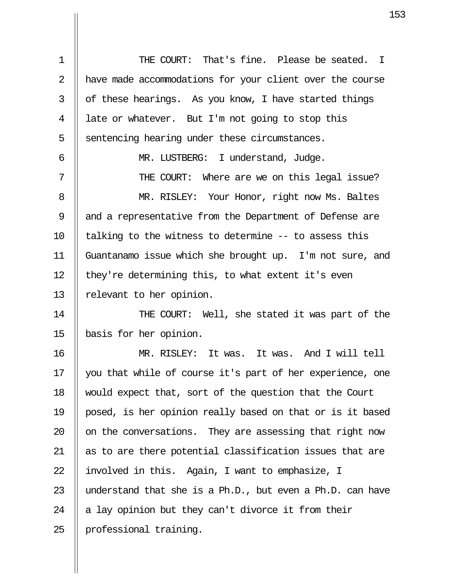1 THE COURT: That's fine. Please be seated. I 2 | have made accommodations for your client over the course  $3 \parallel$  of these hearings. As you know, I have started things 4 | late or whatever. But I'm not going to stop this  $5$  | sentencing hearing under these circumstances. 6 || MR. LUSTBERG: I understand, Judge. 7 THE COURT: Where are we on this legal issue? 8 || MR. RISLEY: Your Honor, right now Ms. Baltes 9 || and a representative from the Department of Defense are 10  $\parallel$  talking to the witness to determine -- to assess this 11 Guantanamo issue which she brought up. I'm not sure, and 12  $\parallel$  they're determining this, to what extent it's even 13 || relevant to her opinion.

14 || THE COURT: Well, she stated it was part of the 15 basis for her opinion.

16 MR. RISLEY: It was. It was. And I will tell 17 you that while of course it's part of her experience, one 18 would expect that, sort of the question that the Court 19 posed, is her opinion really based on that or is it based 20  $\parallel$  on the conversations. They are assessing that right now 21 || as to are there potential classification issues that are 22  $\parallel$  involved in this. Again, I want to emphasize, I 23  $\parallel$  understand that she is a Ph.D., but even a Ph.D. can have 24  $\parallel$  a lay opinion but they can't divorce it from their 25 | professional training.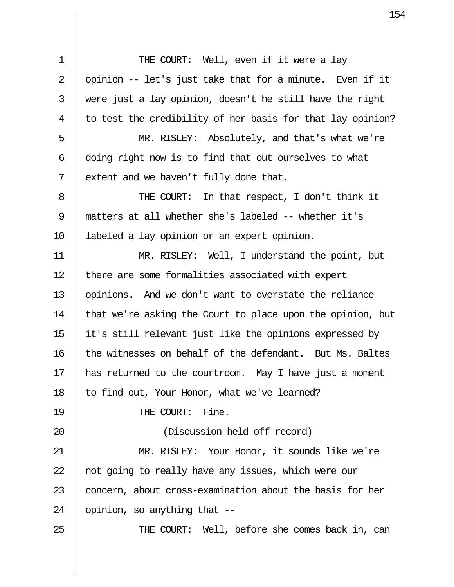1 || THE COURT: Well, even if it were a lay 2 || opinion  $-$  let's just take that for a minute. Even if it  $3$  || were just a lay opinion, doesn't he still have the right  $4 \parallel$  to test the credibility of her basis for that lay opinion? 5 MR. RISLEY: Absolutely, and that's what we're 6  $\parallel$  doing right now is to find that out ourselves to what  $7 \parallel$  extent and we haven't fully done that. 8 || THE COURT: In that respect, I don't think it 9 matters at all whether she's labeled -- whether it's 10 labeled a lay opinion or an expert opinion. 11 MR. RISLEY: Well, I understand the point, but 12 || there are some formalities associated with expert 13 || opinions. And we don't want to overstate the reliance 14  $\parallel$  that we're asking the Court to place upon the opinion, but 15 it's still relevant just like the opinions expressed by 16 || the witnesses on behalf of the defendant. But Ms. Baltes 17 has returned to the courtroom. May I have just a moment 18  $\parallel$  to find out, Your Honor, what we've learned? 19 || THE COURT: Fine. 20 (Discussion held off record) 21 || MR. RISLEY: Your Honor, it sounds like we're 22  $\parallel$  not going to really have any issues, which were our 23 || concern, about cross-examination about the basis for her 24  $\parallel$  opinion, so anything that  $-$ 25 THE COURT: Well, before she comes back in, can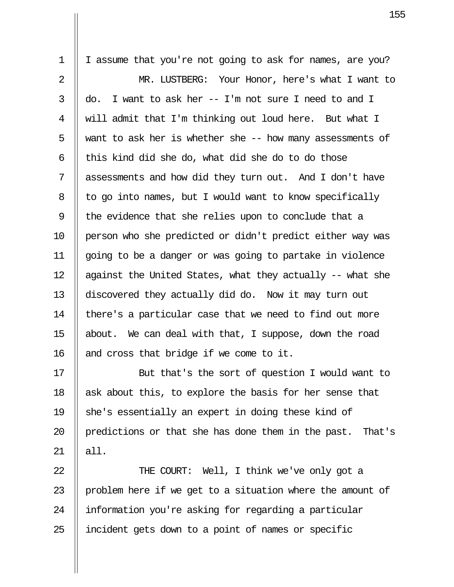1 | I assume that you're not going to ask for names, are you? 2 MR. LUSTBERG: Your Honor, here's what I want to 3  $\parallel$  do. I want to ask her -- I'm not sure I need to and I 4 will admit that I'm thinking out loud here. But what I  $5 \parallel$  want to ask her is whether she -- how many assessments of 6  $\parallel$  this kind did she do, what did she do to do those 7 assessments and how did they turn out. And I don't have  $8$  | to go into names, but I would want to know specifically 9  $\parallel$  the evidence that she relies upon to conclude that a 10 person who she predicted or didn't predict either way was 11 going to be a danger or was going to partake in violence 12  $\parallel$  against the United States, what they actually -- what she 13 discovered they actually did do. Now it may turn out 14 || there's a particular case that we need to find out more 15 about. We can deal with that, I suppose, down the road 16 || and cross that bridge if we come to it.

17 || But that's the sort of question I would want to 18  $\parallel$  ask about this, to explore the basis for her sense that 19  $\parallel$  she's essentially an expert in doing these kind of 20 || predictions or that she has done them in the past. That's  $21 \parallel$  all.

22 || THE COURT: Well, I think we've only got a 23  $\parallel$  problem here if we get to a situation where the amount of 24 | information you're asking for regarding a particular 25 || incident gets down to a point of names or specific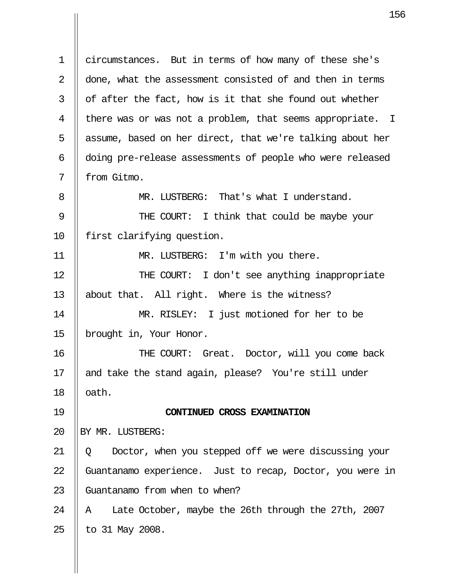1 circumstances. But in terms of how many of these she's 2 || done, what the assessment consisted of and then in terms  $3 \parallel$  of after the fact, how is it that she found out whether 4 || there was or was not a problem, that seems appropriate. I 5  $\parallel$  assume, based on her direct, that we're talking about her 6 || doing pre-release assessments of people who were released 7 || from Gitmo. 8 **MR. LUSTBERG:** That's what I understand. 9 || THE COURT: I think that could be maybe your 10 || first clarifying question. 11 || MR. LUSTBERG: I'm with you there. 12 THE COURT: I don't see anything inappropriate 13 about that. All right. Where is the witness? 14 MR. RISLEY: I just motioned for her to be 15 brought in, Your Honor. 16 THE COURT: Great. Doctor, will you come back 17 || and take the stand again, please? You're still under  $18$  | oath. 19 **CONTINUED CROSS EXAMINATION** 20 HBY MR. LUSTBERG: 21 || Q Doctor, when you stepped off we were discussing your 22 Guantanamo experience. Just to recap, Doctor, you were in 23 | Guantanamo from when to when? 24  $\parallel$  A Late October, maybe the 26th through the 27th, 2007  $25$  | to 31 May 2008.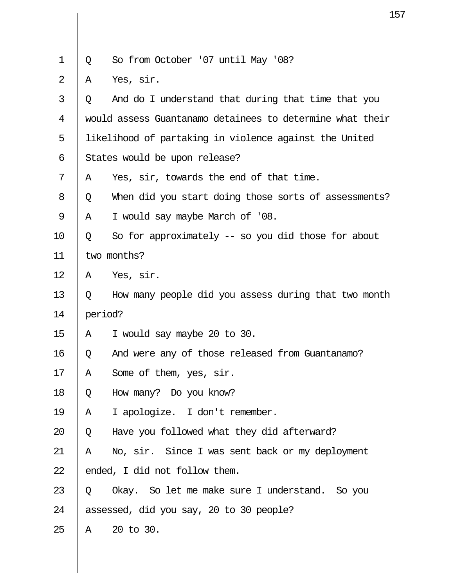|                |   | 1                                                         |
|----------------|---|-----------------------------------------------------------|
|                |   |                                                           |
| $\mathbf 1$    | Q | So from October '07 until May '08?                        |
| $\overline{2}$ | Α | Yes, sir.                                                 |
| 3              | Q | And do I understand that during that time that you        |
| 4              |   | would assess Guantanamo detainees to determine what their |
| 5              |   | likelihood of partaking in violence against the United    |
| 6              |   | States would be upon release?                             |
| 7              | Α | Yes, sir, towards the end of that time.                   |
| 8              | Q | When did you start doing those sorts of assessments?      |
| 9              | Α | I would say maybe March of '08.                           |
| 10             | Q | So for approximately -- so you did those for about        |
| 11             |   | two months?                                               |
| 12             | Α | Yes, sir.                                                 |
| 13             | Q | How many people did you assess during that two month      |
| 14             |   | period?                                                   |
| 15             | Α | I would say maybe 20 to 30.                               |
| 16             | Q | And were any of those released from Guantanamo?           |
| 17             | Α | Some of them, yes, sir.                                   |
| 18             | Q | How many? Do you know?                                    |
| 19             | Α | I apologize. I don't remember.                            |
| 20             | Q | Have you followed what they did afterward?                |
| 21             | Α | No, sir. Since I was sent back or my deployment           |
| 22             |   | ended, I did not follow them.                             |
| 23             | Q | Okay. So let me make sure I understand. So you            |
| 24             |   | assessed, did you say, 20 to 30 people?                   |
| 25             | Α | 20 to 30.                                                 |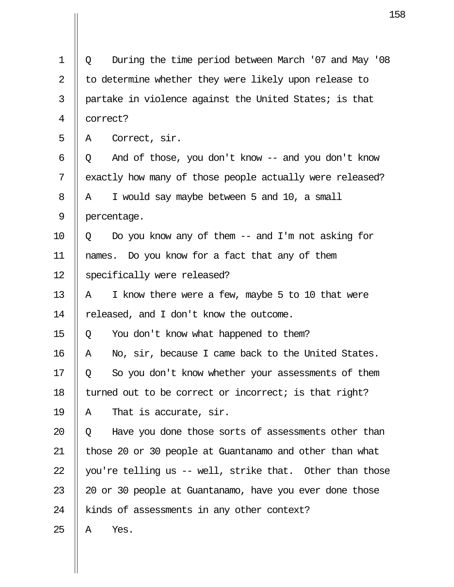| $\mathbf 1$    | During the time period between March '07 and May '08<br>Q |
|----------------|-----------------------------------------------------------|
| $\overline{2}$ | to determine whether they were likely upon release to     |
| 3              | partake in violence against the United States; is that    |
| 4              | correct?                                                  |
| 5              | Correct, sir.<br>Α                                        |
| 6              | And of those, you don't know -- and you don't know<br>Q   |
| 7              | exactly how many of those people actually were released?  |
| 8              | I would say maybe between 5 and 10, a small<br>Α          |
| 9              | percentage.                                               |
| 10             | Do you know any of them $--$ and I'm not asking for<br>Q  |
| 11             | names. Do you know for a fact that any of them            |
| 12             | specifically were released?                               |
| 13             | I know there were a few, maybe 5 to 10 that were<br>Α     |
| 14             | released, and I don't know the outcome.                   |
| 15             | You don't know what happened to them?<br>Q                |
| 16             | No, sir, because I came back to the United States.<br>Α   |
| 17             | So you don't know whether your assessments of them<br>Q   |
| 18             | turned out to be correct or incorrect; is that right?     |
| 19             | That is accurate, sir.<br>Α                               |
| 20             | Have you done those sorts of assessments other than<br>Q  |
| 21             | those 20 or 30 people at Guantanamo and other than what   |
| 22             | you're telling us -- well, strike that. Other than those  |
| 23             | 20 or 30 people at Guantanamo, have you ever done those   |
| 24             | kinds of assessments in any other context?                |
| 25             | Yes.<br>Α                                                 |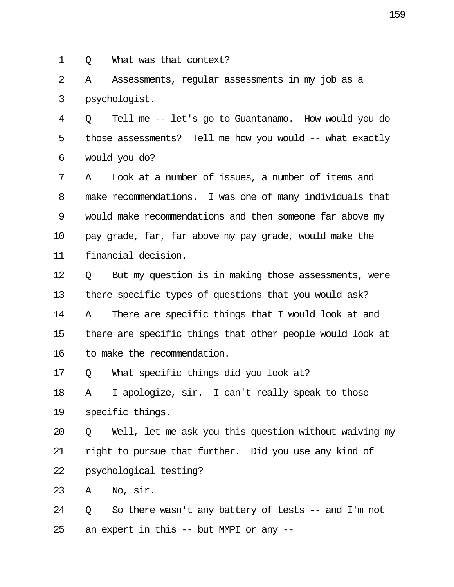- 
- 1 Q What was that context?

 $2 \parallel A$  Assessments, regular assessments in my job as a 3 psychologist.

 4 Q Tell me -- let's go to Guantanamo. How would you do  $5$  || those assessments? Tell me how you would -- what exactly 6 would you do?

 $7 \parallel A$  Look at a number of issues, a number of items and 8 make recommendations. I was one of many individuals that 9 would make recommendations and then someone far above my 10  $\parallel$  pay grade, far, far above my pay grade, would make the 11 financial decision.

 $12 \parallel 0$  But my question is in making those assessments, were 13 || there specific types of questions that you would ask? 14  $\parallel$  A There are specific things that I would look at and 15  $\parallel$  there are specific things that other people would look at 16 | to make the recommendation.

17  $\parallel$  0 What specific things did you look at?

18  $\parallel$  A I apologize, sir. I can't really speak to those 19 Specific things.

20  $\parallel$  Q Well, let me ask you this question without waiving my 21 || right to pursue that further. Did you use any kind of 22 psychological testing?

23  $\parallel$  A No, sir.

24  $\parallel$  0 So there wasn't any battery of tests -- and I'm not 25  $\parallel$  an expert in this -- but MMPI or any --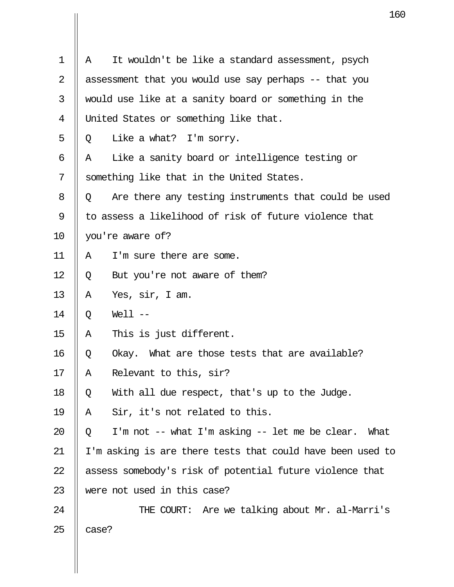| 1  | It wouldn't be like a standard assessment, psych<br>A      |  |  |  |
|----|------------------------------------------------------------|--|--|--|
| 2  | assessment that you would use say perhaps -- that you      |  |  |  |
| 3  | would use like at a sanity board or something in the       |  |  |  |
| 4  | United States or something like that.                      |  |  |  |
| 5  | Like a what? I'm sorry.<br>Q                               |  |  |  |
| 6  | Like a sanity board or intelligence testing or<br>Α        |  |  |  |
| 7  | something like that in the United States.                  |  |  |  |
| 8  | Are there any testing instruments that could be used<br>Q  |  |  |  |
| 9  | to assess a likelihood of risk of future violence that     |  |  |  |
| 10 | you're aware of?                                           |  |  |  |
| 11 | I'm sure there are some.<br>Α                              |  |  |  |
| 12 | But you're not aware of them?<br>Q                         |  |  |  |
| 13 | Α<br>Yes, sir, I am.                                       |  |  |  |
| 14 | $Well1$ $--$<br>Q                                          |  |  |  |
| 15 | This is just different.<br>Α                               |  |  |  |
| 16 | Okay. What are those tests that are available?<br>Q        |  |  |  |
| 17 | Relevant to this, sir?<br>Α                                |  |  |  |
| 18 | With all due respect, that's up to the Judge.<br>Q         |  |  |  |
| 19 | Sir, it's not related to this.<br>Α                        |  |  |  |
| 20 | I'm not -- what I'm asking -- let me be clear. What<br>Q   |  |  |  |
| 21 | I'm asking is are there tests that could have been used to |  |  |  |
| 22 | assess somebody's risk of potential future violence that   |  |  |  |
| 23 | were not used in this case?                                |  |  |  |
| 24 | THE COURT: Are we talking about Mr. al-Marri's             |  |  |  |
| 25 | case?                                                      |  |  |  |

 $\mathbf{I}$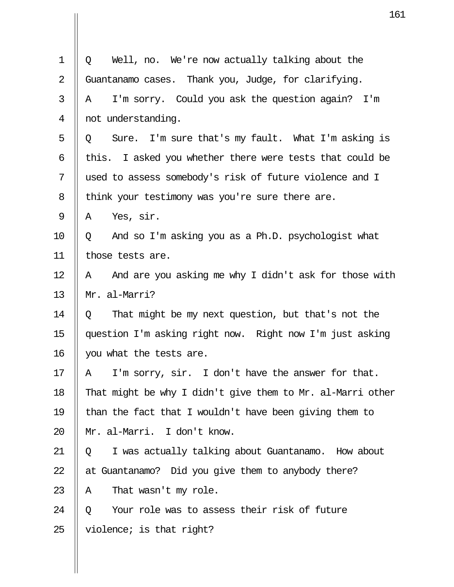|                | 16                                                          |
|----------------|-------------------------------------------------------------|
| $\mathbf 1$    | Well, no. We're now actually talking about the<br>Q         |
|                |                                                             |
| $\overline{2}$ | Guantanamo cases. Thank you, Judge, for clarifying.         |
| 3              | I'm sorry. Could you ask the question again? I'm<br>Α       |
| 4              | not understanding.                                          |
| 5              | Sure. I'm sure that's my fault. What I'm asking is<br>Q     |
| 6              | I asked you whether there were tests that could be<br>this. |
| 7              | used to assess somebody's risk of future violence and I     |
| 8              | think your testimony was you're sure there are.             |
| 9              | Yes, sir.<br>Α                                              |
| 10             | And so I'm asking you as a Ph.D. psychologist what<br>Q     |
| 11             | those tests are.                                            |
| 12             | And are you asking me why I didn't ask for those with<br>Α  |
| 13             | Mr. al-Marri?                                               |
| 14             | That might be my next question, but that's not the<br>Q     |
| 15             | question I'm asking right now. Right now I'm just asking    |
| 16             | you what the tests are.                                     |
| 17             | I'm sorry, sir. I don't have the answer for that.<br>Α      |
| 18             | That might be why I didn't give them to Mr. al-Marri other  |
| 19             | than the fact that I wouldn't have been giving them to      |
| 20             | Mr. al-Marri. I don't know.                                 |
| 21             | I was actually talking about Guantanamo. How about<br>Q     |
| 22             | at Guantanamo? Did you give them to anybody there?          |
| 23             | That wasn't my role.<br>A                                   |
| 24             | Your role was to assess their risk of future<br>Q           |
| 25             | violence; is that right?                                    |

 $\prod$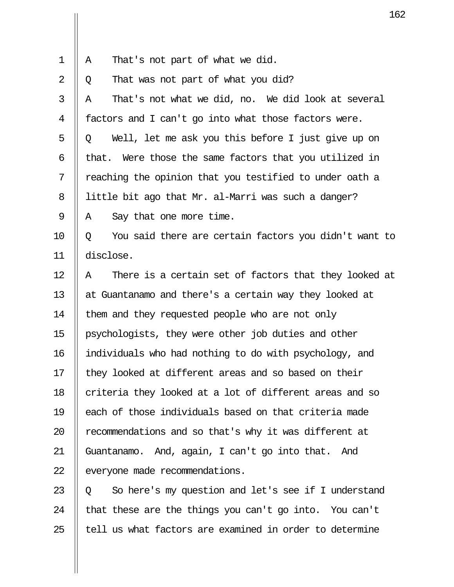| $1 \parallel A$ |  | That's not part of what we did. |  |  |  |  |  |  |
|-----------------|--|---------------------------------|--|--|--|--|--|--|
|-----------------|--|---------------------------------|--|--|--|--|--|--|

 $2 \parallel 0$  That was not part of what you did?

 $3 \parallel A$  That's not what we did, no. We did look at several 4 | factors and I can't go into what those factors were.  $5 \parallel Q$  Well, let me ask you this before I just give up on 6 || that. Were those the same factors that you utilized in  $7 \parallel$  reaching the opinion that you testified to under oath a 8 | little bit ago that Mr. al-Marri was such a danger?  $9 \parallel A$  Say that one more time.

 $10 \parallel Q$  You said there are certain factors you didn't want to 11 disclose.

 $12$  || A There is a certain set of factors that they looked at 13 || at Guantanamo and there's a certain way they looked at 14 | them and they requested people who are not only 15 psychologists, they were other job duties and other 16 individuals who had nothing to do with psychology, and 17 || they looked at different areas and so based on their 18 || criteria they looked at a lot of different areas and so 19 each of those individuals based on that criteria made 20 || recommendations and so that's why it was different at 21 Guantanamo. And, again, I can't go into that. And 22 | everyone made recommendations.

 $23 \parallel 0$  So here's my question and let's see if I understand 24  $\parallel$  that these are the things you can't go into. You can't  $25$  || tell us what factors are examined in order to determine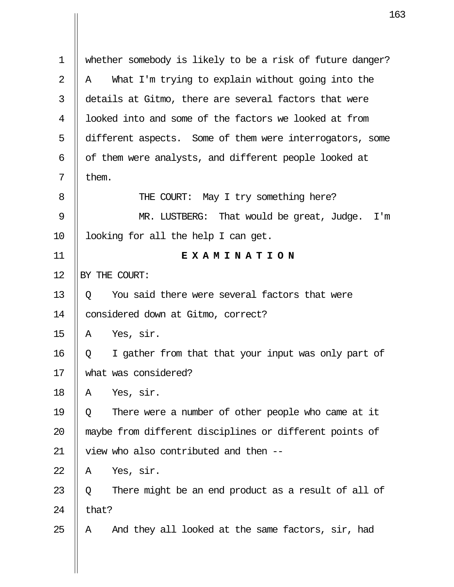| 1              | whether somebody is likely to be a risk of future danger? |
|----------------|-----------------------------------------------------------|
| $\overline{2}$ | What I'm trying to explain without going into the<br>Α    |
| 3              | details at Gitmo, there are several factors that were     |
| 4              | looked into and some of the factors we looked at from     |
| 5              | different aspects. Some of them were interrogators, some  |
| 6              | of them were analysts, and different people looked at     |
| 7              | them.                                                     |
| 8              | THE COURT: May I try something here?                      |
| 9              | MR. LUSTBERG: That would be great, Judge.<br>I'm          |
| 10             | looking for all the help I can get.                       |
| 11             | EXAMINATION                                               |
| 12             | BY THE COURT:                                             |
| 13             | You said there were several factors that were<br>Q        |
| 14             | considered down at Gitmo, correct?                        |
| 15             | Yes, sir.<br>Α                                            |
| 16             | I gather from that that your input was only part of<br>Q  |
| 17             | what was considered?                                      |
| 18             | Yes, sir.<br>Α                                            |
| 19             | There were a number of other people who came at it<br>Q   |
| 20             | maybe from different disciplines or different points of   |
| 21             | view who also contributed and then --                     |
| 22             | Yes, sir.<br>Α                                            |
| 23             | There might be an end product as a result of all of<br>Q  |
| 24             | that?                                                     |
| 25             | And they all looked at the same factors, sir, had<br>A    |
|                |                                                           |
|                |                                                           |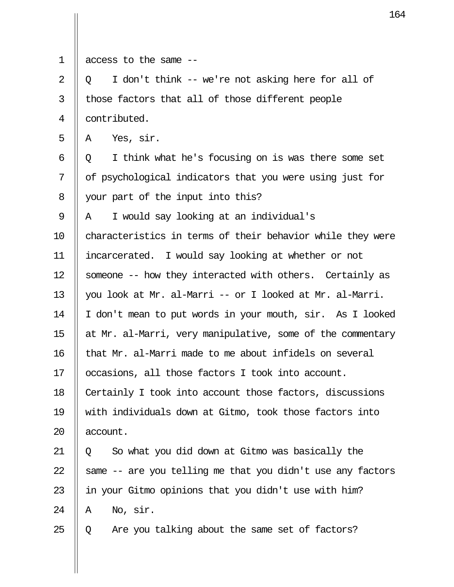| $\mathbf 1$ | access to the same --                                      |
|-------------|------------------------------------------------------------|
| 2           | I don't think -- we're not asking here for all of<br>Q     |
| 3           | those factors that all of those different people           |
| 4           | contributed.                                               |
| 5           | Yes, sir.<br>Α                                             |
| 6           | I think what he's focusing on is was there some set<br>Q   |
| 7           | of psychological indicators that you were using just for   |
| 8           | your part of the input into this?                          |
| 9           | I would say looking at an individual's<br>Α                |
| 10          | characteristics in terms of their behavior while they were |
| 11          | incarcerated. I would say looking at whether or not        |
| 12          | someone -- how they interacted with others. Certainly as   |
| 13          | you look at Mr. al-Marri -- or I looked at Mr. al-Marri.   |
| 14          | I don't mean to put words in your mouth, sir. As I looked  |
| 15          | at Mr. al-Marri, very manipulative, some of the commentary |
| 16          | that Mr. al-Marri made to me about infidels on several     |
| 17          | occasions, all those factors I took into account.          |
| 18          | Certainly I took into account those factors, discussions   |
| 19          | with individuals down at Gitmo, took those factors into    |
| 20          | account.                                                   |
| 21          | So what you did down at Gitmo was basically the<br>Q       |
| 22          | same -- are you telling me that you didn't use any factors |
| 23          | in your Gitmo opinions that you didn't use with him?       |
| 24          | No, sir.<br>Α                                              |
| 25          | Are you talking about the same set of factors?<br>Q        |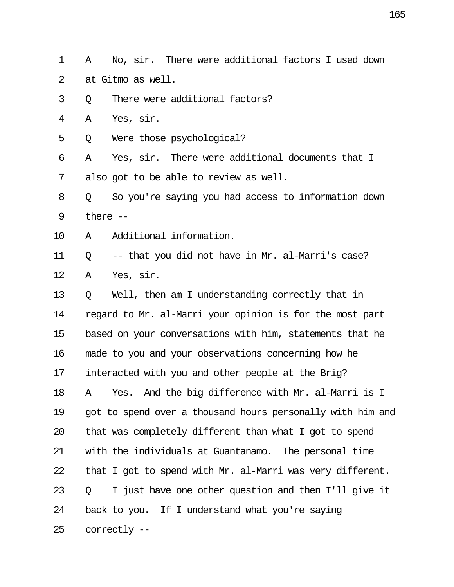|                |            |                                                            | 1 |
|----------------|------------|------------------------------------------------------------|---|
|                |            |                                                            |   |
| $\mathbf 1$    | Α          | No, sir. There were additional factors I used down         |   |
| $\overline{2}$ |            | at Gitmo as well.                                          |   |
| 3              | Q          | There were additional factors?                             |   |
| 4              | A          | Yes, sir.                                                  |   |
| 5              | Q          | Were those psychological?                                  |   |
| 6              | Α          | Yes, sir. There were additional documents that I           |   |
| 7              |            | also got to be able to review as well.                     |   |
| 8              | Q          | So you're saying you had access to information down        |   |
| 9              | there $--$ |                                                            |   |
| 10             | Α          | Additional information.                                    |   |
| 11             | Q          | -- that you did not have in Mr. al-Marri's case?           |   |
| 12             | Α          | Yes, sir.                                                  |   |
| 13             | Q          | Well, then am I understanding correctly that in            |   |
| 14             |            | regard to Mr. al-Marri your opinion is for the most part   |   |
| 15             |            | based on your conversations with him, statements that he   |   |
| 16             |            | made to you and your observations concerning how he        |   |
| 17             |            | interacted with you and other people at the Brig?          |   |
| 18             | Α          | And the big difference with Mr. al-Marri is I<br>Yes.      |   |
| 19             |            | got to spend over a thousand hours personally with him and |   |
| 20             |            | that was completely different than what I got to spend     |   |
| 21             |            | with the individuals at Guantanamo. The personal time      |   |
| 22             |            | that I got to spend with Mr. al-Marri was very different.  |   |
| 23             | Q          | I just have one other question and then I'll give it       |   |
| 24             |            | back to you. If I understand what you're saying            |   |
| 25             |            | correctly --                                               |   |
|                |            |                                                            |   |

 $\prod$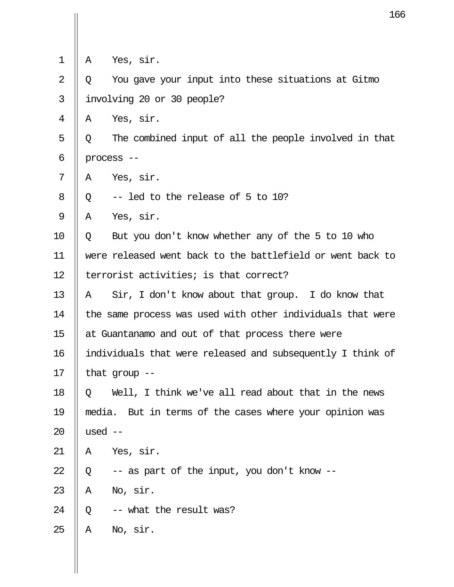|                |           | 16                                                         |
|----------------|-----------|------------------------------------------------------------|
| $\mathbf 1$    | Α         | Yes, sir.                                                  |
| $\overline{2}$ | Q         | You gave your input into these situations at Gitmo         |
| 3              |           | involving 20 or 30 people?                                 |
| 4              | Α         | Yes, sir.                                                  |
| 5              | Q         | The combined input of all the people involved in that      |
| 6              |           | process --                                                 |
| 7              | Α         | Yes, sir.                                                  |
| 8              | Q         | -- led to the release of 5 to 10?                          |
| 9              | Α         | Yes, sir.                                                  |
| 10             | Q         | But you don't know whether any of the 5 to 10 who          |
| 11             |           | were released went back to the battlefield or went back to |
| 12             |           | terrorist activities; is that correct?                     |
| 13             | A         | Sir, I don't know about that group. I do know that         |
| 14             |           | the same process was used with other individuals that were |
| 15             |           | at Guantanamo and out of that process there were           |
| 16             |           | individuals that were released and subsequently I think of |
| 17             |           | that $qrow -$                                              |
| 18             | Q         | Well, I think we've all read about that in the news        |
| 19             |           | media. But in terms of the cases where your opinion was    |
| 20             | used $--$ |                                                            |
| 21             | Α         | Yes, sir.                                                  |
| 22             | Q         | -- as part of the input, you don't know --                 |
| 23             | Α         | No, sir.                                                   |
| 24             | Q         | -- what the result was?                                    |
| 25             | Α         | No, sir.                                                   |
|                |           |                                                            |

 $\parallel$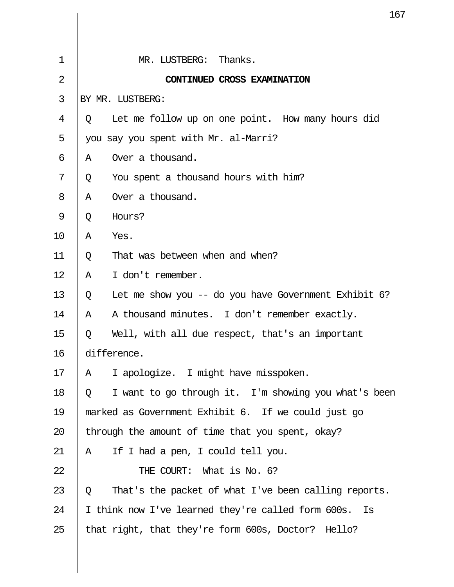|                |   | Ţ(                                                       |
|----------------|---|----------------------------------------------------------|
| $\mathbf 1$    |   | MR. LUSTBERG: Thanks.                                    |
|                |   |                                                          |
| $\overline{2}$ |   | CONTINUED CROSS EXAMINATION                              |
| 3              |   | BY MR. LUSTBERG:                                         |
| 4              | Q | Let me follow up on one point. How many hours did        |
| 5              |   | you say you spent with Mr. al-Marri?                     |
| 6              | Α | Over a thousand.                                         |
| 7              | Q | You spent a thousand hours with him?                     |
| 8              | Α | Over a thousand.                                         |
| 9              | Q | Hours?                                                   |
| 10             | Α | Yes.                                                     |
| 11             | Q | That was between when and when?                          |
| 12             | Α | I don't remember.                                        |
| 13             | Q | Let me show you -- do you have Government Exhibit $6$ ?  |
| 14             | Α | A thousand minutes. I don't remember exactly.            |
| 15             | Q | Well, with all due respect, that's an important          |
| 16             |   | difference.                                              |
| 17             | Α | I apologize. I might have misspoken.                     |
| 18             | Q | I want to go through it. I'm showing you what's been     |
| 19             |   | marked as Government Exhibit 6. If we could just go      |
| 20             |   | through the amount of time that you spent, okay?         |
| 21             | Α | If I had a pen, I could tell you.                        |
| 22             |   | THE COURT: What is No. 6?                                |
| 23             | Q | That's the packet of what I've been calling reports.     |
| 24             |   | I think now I've learned they're called form 600s.<br>Is |
| 25             |   | that right, that they're form 600s, Doctor? Hello?       |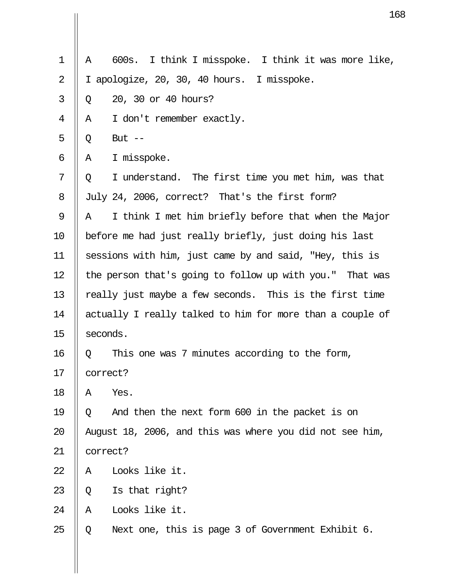|                |          | 1                                                         |
|----------------|----------|-----------------------------------------------------------|
| $\mathbf 1$    | Α        | I think I misspoke. I think it was more like,<br>600s.    |
| $\overline{2}$ |          |                                                           |
|                | T.       | apologize, 20, 30, 40 hours. I misspoke.                  |
| 3              | Q        | 20, 30 or 40 hours?                                       |
| 4              | Α        | I don't remember exactly.                                 |
| 5              | Q        | But $--$                                                  |
| 6              | Α        | I misspoke.                                               |
| 7              | Q        | I understand. The first time you met him, was that        |
| 8              |          | July 24, 2006, correct? That's the first form?            |
| 9              | Α        | I think I met him briefly before that when the Major      |
| 10             |          | before me had just really briefly, just doing his last    |
| 11             |          | sessions with him, just came by and said, "Hey, this is   |
| 12             |          | the person that's going to follow up with you." That was  |
| 13             |          | really just maybe a few seconds. This is the first time   |
| 14             |          | actually I really talked to him for more than a couple of |
| 15             |          | seconds.                                                  |
| 16             | Q        | This one was 7 minutes according to the form,             |
| 17             |          | correct?                                                  |
| 18             | Α        | Yes.                                                      |
| 19             | Q        | And then the next form 600 in the packet is on            |
| 20             |          | August 18, 2006, and this was where you did not see him,  |
| 21             | correct? |                                                           |
| 22             | Α        | Looks like it.                                            |
| 23             | Q        | Is that right?                                            |
| 24             | Α        | Looks like it.                                            |
| 25             | Q        | Next one, this is page 3 of Government Exhibit 6.         |

 $\mathbf{\mathsf{I}}$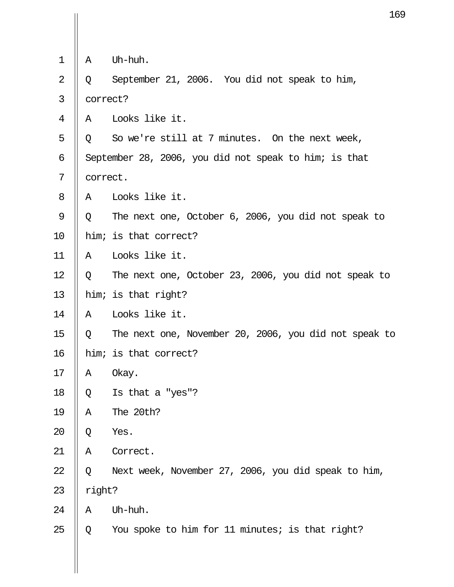|                |          | 16                                                    |
|----------------|----------|-------------------------------------------------------|
|                |          |                                                       |
| $\mathbf 1$    | Α        | Uh-huh.                                               |
| $\overline{2}$ | Q        | September 21, 2006. You did not speak to him,         |
| 3              | correct? |                                                       |
| 4              | Α        | Looks like it.                                        |
| 5              | Q        | So we're still at 7 minutes. On the next week,        |
| 6              |          | September 28, 2006, you did not speak to him; is that |
| 7              | correct. |                                                       |
| 8              | A        | Looks like it.                                        |
| 9              | Q        | The next one, October 6, 2006, you did not speak to   |
| 10             |          | him; is that correct?                                 |
| 11             | Α        | Looks like it.                                        |
| 12             | Q        | The next one, October 23, 2006, you did not speak to  |
| 13             |          | him; is that right?                                   |
| 14             | Α        | Looks like it.                                        |
| 15             | Q        | The next one, November 20, 2006, you did not speak to |
| 16             |          | him; is that correct?                                 |
| 17             | Α        | Okay.                                                 |
| 18             | Q        | Is that a "yes"?                                      |
| 19             | Α        | The 20th?                                             |
| 20             | Q        | Yes.                                                  |
| 21             | Α        | Correct.                                              |
| 22             | Q        | Next week, November 27, 2006, you did speak to him,   |
| 23             | right?   |                                                       |
| 24             | Α        | Uh-huh.                                               |
| 25             | Q        | You spoke to him for 11 minutes; is that right?       |

 $\prod$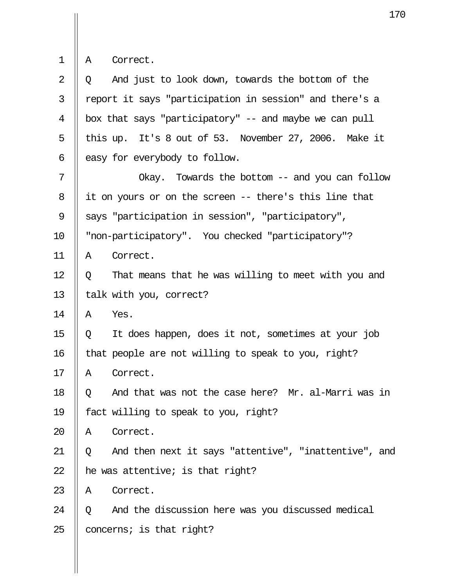|  |  | Correct. |
|--|--|----------|
|--|--|----------|

| 2  | And just to look down, towards the bottom of the<br>Q      |
|----|------------------------------------------------------------|
| 3  | report it says "participation in session" and there's a    |
| 4  | box that says "participatory" -- and maybe we can pull     |
| 5  | this up. It's 8 out of 53. November 27, 2006. Make it      |
| 6  | easy for everybody to follow.                              |
| 7  | Okay. Towards the bottom -- and you can follow             |
| 8  | it on yours or on the screen -- there's this line that     |
| 9  | says "participation in session", "participatory",          |
| 10 | "non-participatory". You checked "participatory"?          |
| 11 | Correct.<br>Α                                              |
| 12 | That means that he was willing to meet with you and<br>Q   |
| 13 | talk with you, correct?                                    |
| 14 | Yes.<br>Α                                                  |
| 15 | It does happen, does it not, sometimes at your job<br>Q    |
| 16 | that people are not willing to speak to you, right?        |
| 17 | Correct.<br>A                                              |
| 18 | And that was not the case here? Mr. al-Marri was in<br>Q   |
| 19 | fact willing to speak to you, right?                       |
| 20 | Correct.<br>Α                                              |
| 21 | And then next it says "attentive", "inattentive", and<br>Q |
| 22 | he was attentive; is that right?                           |
| 23 | Correct.<br>Α                                              |
| 24 | And the discussion here was you discussed medical<br>Q     |
| 25 | concerns; is that right?                                   |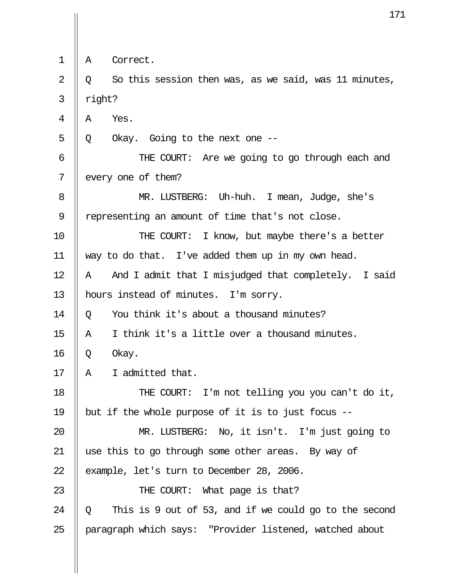1 || A Correct.  $2 \parallel Q$  So this session then was, as we said, was 11 minutes,  $3 \parallel$  right?  $4 \parallel A \parallel$  Yes.  $5 \parallel Q$  Okay. Going to the next one -- 6 THE COURT: Are we going to go through each and 7 | every one of them? 8 || MR. LUSTBERG: Uh-huh. I mean, Judge, she's 9 | representing an amount of time that's not close. 10 || THE COURT: I know, but maybe there's a better 11 way to do that. I've added them up in my own head.  $12$  | A And I admit that I misjudged that completely. I said 13 | hours instead of minutes. I'm sorry. 14  $\parallel$  0 You think it's about a thousand minutes? 15  $\parallel$  A I think it's a little over a thousand minutes.  $16 \parallel Q$  Okay. 17  $\parallel$  A I admitted that. 18 || THE COURT: I'm not telling you you can't do it, 19 || but if the whole purpose of it is to just focus  $-$ 20 MR. LUSTBERG: No, it isn't. I'm just going to 21 use this to go through some other areas. By way of 22  $\parallel$  example, let's turn to December 28, 2006. 23 || THE COURT: What page is that? 24  $\parallel$  0 This is 9 out of 53, and if we could go to the second 25 || paragraph which says: "Provider listened, watched about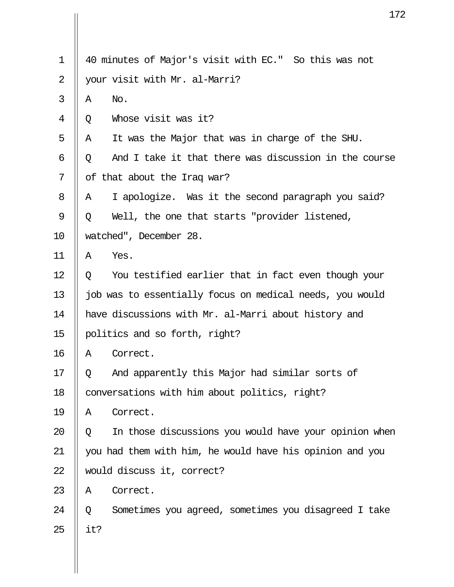|     | 17                                                       |
|-----|----------------------------------------------------------|
|     | 40 minutes of Major's visit with EC." So this was not    |
|     |                                                          |
|     | your visit with Mr. al-Marri?                            |
|     | No.                                                      |
|     | Whose visit was it?                                      |
| Α   | It was the Major that was in charge of the SHU.          |
| Q   | And I take it that there was discussion in the course    |
|     | of that about the Iraq war?                              |
| A   | I apologize. Was it the second paragraph you said?       |
| Q   | Well, the one that starts "provider listened,            |
|     | watched", December 28.                                   |
| Α   | Yes.                                                     |
| Q   | You testified earlier that in fact even though your      |
|     | job was to essentially focus on medical needs, you would |
|     | have discussions with Mr. al-Marri about history and     |
|     | politics and so forth, right?                            |
| Α   | Correct.                                                 |
| Q   | And apparently this Major had similar sorts of           |
|     | conversations with him about politics, right?            |
| Α   | Correct.                                                 |
| Q   | In those discussions you would have your opinion when    |
|     | you had them with him, he would have his opinion and you |
|     | would discuss it, correct?                               |
| Α   | Correct.                                                 |
| Q   | Sometimes you agreed, sometimes you disagreed I take     |
| it? |                                                          |
|     | A<br>Q                                                   |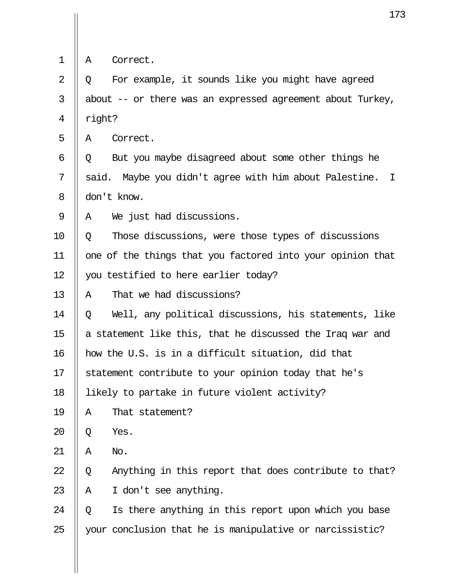|  |  | Correct. |
|--|--|----------|
|--|--|----------|

 $2 \parallel 0$  For example, it sounds like you might have agreed 3 | about  $-$  or there was an expressed agreement about Turkey,  $4 \parallel$  right?

 $5 \parallel A$  Correct.

 $6 \parallel Q$  But you maybe disagreed about some other things he  $7 \parallel$  said. Maybe you didn't agree with him about Palestine. I 8 don't know.

 $9 \parallel A$  We just had discussions.

10 Q Those discussions, were those types of discussions 11 || one of the things that you factored into your opinion that 12 you testified to here earlier today?

13  $\parallel$  A That we had discussions?

14  $\parallel$  0 Well, any political discussions, his statements, like 15  $\parallel$  a statement like this, that he discussed the Iraq war and 16 how the U.S. is in a difficult situation, did that 17 Statement contribute to your opinion today that he's

18 likely to partake in future violent activity?

 $19$  || A That statement?

 $20$  | O Yes.

 $21$  || A No.

22  $\parallel$  Q Anything in this report that does contribute to that? 23  $\parallel$  A I don't see anything.

24  $\parallel$  0 Is there anything in this report upon which you base 25 || your conclusion that he is manipulative or narcissistic?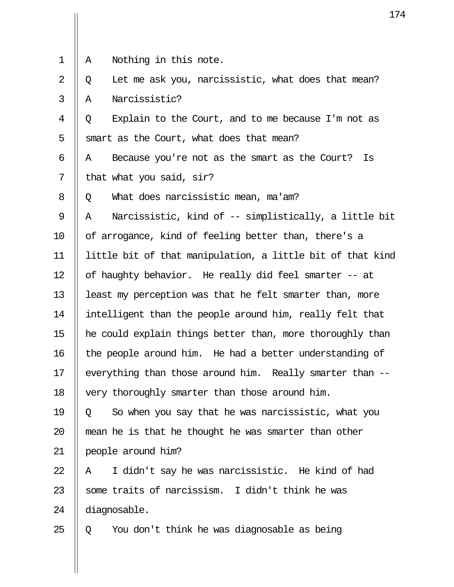| 1  | Nothing in this note.<br>Α                                 |
|----|------------------------------------------------------------|
| 2  | Let me ask you, narcissistic, what does that mean?<br>Q    |
| 3  | Narcissistic?<br>Α                                         |
| 4  | Explain to the Court, and to me because I'm not as<br>Q    |
| 5  | smart as the Court, what does that mean?                   |
| 6  | Because you're not as the smart as the Court?<br>Is<br>Α   |
| 7  | that what you said, sir?                                   |
| 8  | What does narcissistic mean, ma'am?<br>Q                   |
| 9  | Narcissistic, kind of -- simplistically, a little bit<br>Α |
| 10 | of arrogance, kind of feeling better than, there's a       |
| 11 | little bit of that manipulation, a little bit of that kind |
| 12 | of haughty behavior. He really did feel smarter -- at      |
| 13 | least my perception was that he felt smarter than, more    |
| 14 | intelligent than the people around him, really felt that   |
| 15 | he could explain things better than, more thoroughly than  |
| 16 | the people around him. He had a better understanding of    |
| 17 | everything than those around him. Really smarter than --   |
| 18 | very thoroughly smarter than those around him.             |
| 19 | So when you say that he was narcissistic, what you<br>Q    |
| 20 | mean he is that he thought he was smarter than other       |
| 21 | people around him?                                         |
| 22 | I didn't say he was narcissistic. He kind of had<br>Α      |
| 23 | some traits of narcissism. I didn't think he was           |
| 24 | diagnosable.                                               |
| 25 | You don't think he was diagnosable as being<br>Q           |
|    |                                                            |

 $\mathbf{I}$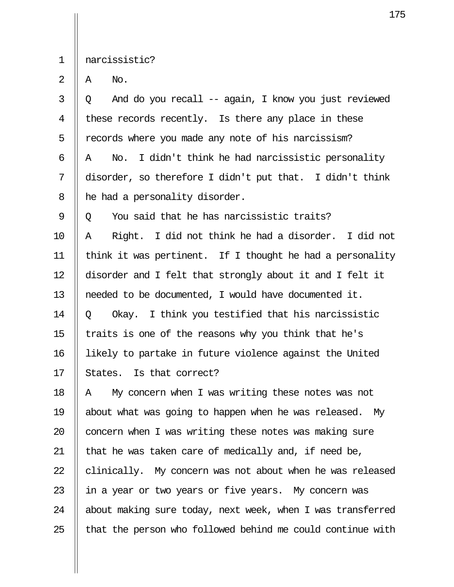1 narcissistic?

 $2 \parallel A \parallel$  No.

 $3 \parallel 0$  And do you recall -- again, I know you just reviewed 4 || these records recently. Is there any place in these  $5 \parallel$  records where you made any note of his narcissism? 6  $\parallel$  A No. I didn't think he had narcissistic personality 7 disorder, so therefore I didn't put that. I didn't think  $8$  | he had a personality disorder.

 $9 \parallel 0$  You said that he has narcissistic traits? 10 A Right. I did not think he had a disorder. I did not 11 think it was pertinent. If I thought he had a personality 12 disorder and I felt that strongly about it and I felt it 13 needed to be documented, I would have documented it. 14  $\parallel$  0 Okay. I think you testified that his narcissistic 15  $\parallel$  traits is one of the reasons why you think that he's 16 likely to partake in future violence against the United  $17$  | States. Is that correct?

 $\parallel$  A My concern when I was writing these notes was not 19 about what was going to happen when he was released. My  $\parallel$  concern when I was writing these notes was making sure  $\parallel$  that he was taken care of medically and, if need be, || clinically. My concern was not about when he was released 23 || in a year or two years or five years. My concern was | about making sure today, next week, when I was transferred || that the person who followed behind me could continue with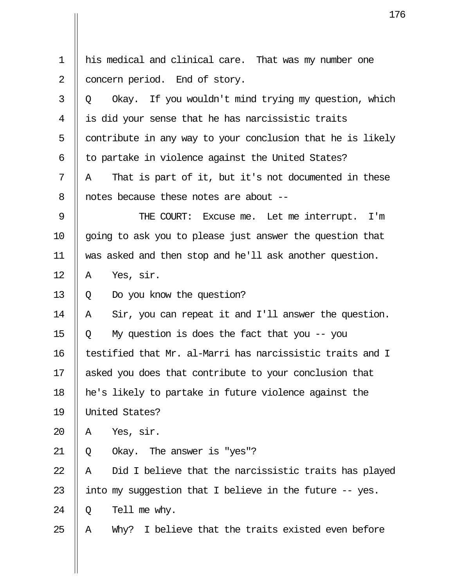|                | $1^{\circ}$                                                |
|----------------|------------------------------------------------------------|
|                |                                                            |
| $\mathbf 1$    | his medical and clinical care. That was my number one      |
| $\overline{2}$ | concern period. End of story.                              |
| 3              | Okay. If you wouldn't mind trying my question, which<br>Q  |
| 4              | is did your sense that he has narcissistic traits          |
| 5              | contribute in any way to your conclusion that he is likely |
| 6              | to partake in violence against the United States?          |
| 7              | That is part of it, but it's not documented in these<br>Α  |
| 8              | notes because these notes are about --                     |
| 9              | THE COURT: Excuse me. Let me interrupt. I'm                |
| 10             | going to ask you to please just answer the question that   |
| 11             | was asked and then stop and he'll ask another question.    |
| 12             | Yes, sir.<br>Α                                             |
| 13             | Do you know the question?<br>Q                             |
| 14             | Sir, you can repeat it and I'll answer the question.<br>Α  |
| 15             | My question is does the fact that you $-$ - you<br>Q       |
| 16             | testified that Mr. al-Marri has narcissistic traits and I  |
| 17             | asked you does that contribute to your conclusion that     |
| 18             | he's likely to partake in future violence against the      |
| 19             | United States?                                             |
| 20             | Yes, sir.<br>Α                                             |
| 21             | Okay. The answer is "yes"?<br>Q                            |
| 22             | Did I believe that the narcissistic traits has played<br>Α |
| 23             | into my suggestion that I believe in the future -- yes.    |
| 24             | Tell me why.<br>Q                                          |
| 25             | Why? I believe that the traits existed even before<br>Α    |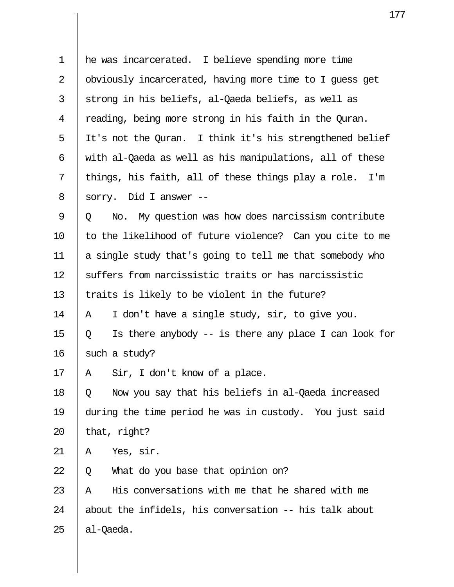| $\mathbf 1$ | he was incarcerated. I believe spending more time           |
|-------------|-------------------------------------------------------------|
| 2           | obviously incarcerated, having more time to I guess get     |
| 3           | strong in his beliefs, al-Qaeda beliefs, as well as         |
| 4           | reading, being more strong in his faith in the Quran.       |
| 5           | It's not the Quran. I think it's his strengthened belief    |
| 6           | with al-Qaeda as well as his manipulations, all of these    |
| 7           | things, his faith, all of these things play a role. I'm     |
| 8           | sorry. Did I answer --                                      |
| 9           | No. My question was how does narcissism contribute<br>Q     |
| 10          | to the likelihood of future violence? Can you cite to me    |
| 11          | a single study that's going to tell me that somebody who    |
| 12          | suffers from narcissistic traits or has narcissistic        |
| 13          | traits is likely to be violent in the future?               |
| 14          | I don't have a single study, sir, to give you.<br>Α         |
| 15          | Is there anybody $-$ is there any place I can look for<br>Q |
| 16          | such a study?                                               |
| $17 \,$     | A Sir, I don't know of a place.                             |
| 18          | Now you say that his beliefs in al-Qaeda increased<br>Q     |
| 19          | during the time period he was in custody. You just said     |
| 20          | that, right?                                                |
| 21          | Yes, sir.<br>Α                                              |
| 22          | What do you base that opinion on?<br>Q                      |
| 23          | His conversations with me that he shared with me<br>Α       |
| 24          | about the infidels, his conversation -- his talk about      |
| 25          | al-Qaeda.                                                   |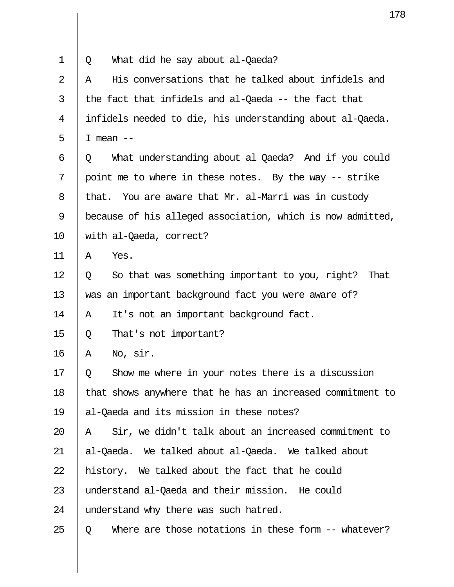|                | 17                                                          |
|----------------|-------------------------------------------------------------|
| $\mathbf 1$    | What did he say about al-Qaeda?<br>Q                        |
| $\overline{2}$ | His conversations that he talked about infidels and<br>Α    |
| 3              | the fact that infidels and al-Qaeda -- the fact that        |
| 4              | infidels needed to die, his understanding about al-Qaeda.   |
| 5              | I mean $--$                                                 |
| 6              | What understanding about al Qaeda? And if you could<br>Q    |
| 7              | point me to where in these notes. By the way -- strike      |
| 8              | You are aware that Mr. al-Marri was in custody<br>that.     |
| 9              | because of his alleged association, which is now admitted,  |
| 10             | with al-Qaeda, correct?                                     |
| 11             | Yes.<br>Α                                                   |
| 12             | So that was something important to you, right?<br>That<br>Q |
| 13             | was an important background fact you were aware of?         |
| 14             | It's not an important background fact.<br>Α                 |
| 15             | That's not important?<br>Q                                  |
| 16             | No, sir.<br>Α                                               |
| 17             | Show me where in your notes there is a discussion<br>Q      |
| 18             | that shows anywhere that he has an increased commitment to  |
| 19             | al-Qaeda and its mission in these notes?                    |
| 20             | Sir, we didn't talk about an increased commitment to<br>Α   |
| 21             | al-Qaeda. We talked about al-Qaeda. We talked about         |
| 22             | history. We talked about the fact that he could             |
| 23             | understand al-Qaeda and their mission. He could             |
| 24             | understand why there was such hatred.                       |
| 25             | Where are those notations in these form -- whatever?<br>Q   |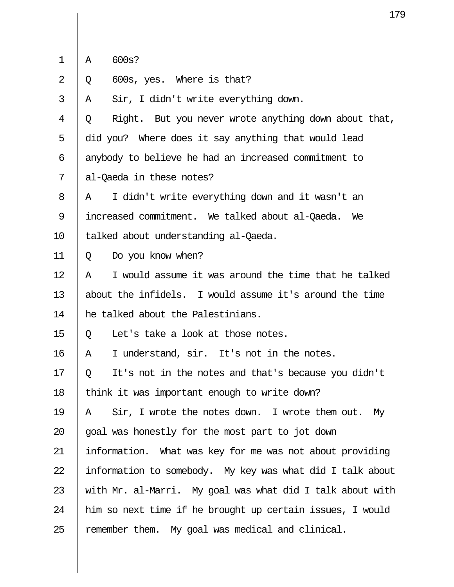|  |  | 600s? |
|--|--|-------|
|--|--|-------|

 $2 \parallel 0$  600s, yes. Where is that?

 $3 \parallel A$  Sir, I didn't write everything down.

 $4 \parallel 0$  Right. But you never wrote anything down about that, 5  $\parallel$  did you? Where does it say anything that would lead 6 || anybody to believe he had an increased commitment to 7 || al-Oaeda in these notes?

 $8$  || A I didn't write everything down and it wasn't an 9 increased commitment. We talked about al-Qaeda. We 10 | talked about understanding al-Qaeda.

11 Q Do you know when?

 $12$  || A  $\parallel$  I would assume it was around the time that he talked 13 about the infidels. I would assume it's around the time 14 || he talked about the Palestinians.

15  $\parallel$  0 Let's take a look at those notes.

 $16$  || A I understand, sir. It's not in the notes.

17 || 0 It's not in the notes and that's because you didn't 18  $\parallel$  think it was important enough to write down?

 $\parallel$  A  $\parallel$  Sir, I wrote the notes down. I wrote them out. My || goal was honestly for the most part to jot down 21 information. What was key for me was not about providing  $\parallel$  information to somebody. My key was what did I talk about  $\parallel$  with Mr. al-Marri. My goal was what did I talk about with 24 || him so next time if he brought up certain issues, I would || remember them. My goal was medical and clinical.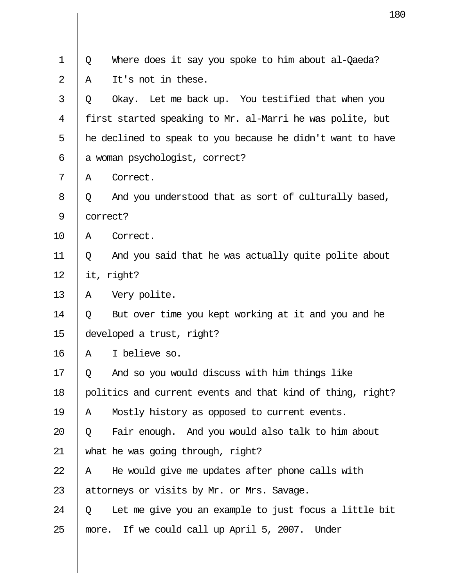|                |          | 18                                                         |
|----------------|----------|------------------------------------------------------------|
| $\mathbf 1$    | Q        | Where does it say you spoke to him about al-Qaeda?         |
| $\overline{2}$ | Α        | It's not in these.                                         |
|                | Q        | Okay. Let me back up. You testified that when you          |
|                |          | first started speaking to Mr. al-Marri he was polite, but  |
|                |          | he declined to speak to you because he didn't want to have |
|                |          | a woman psychologist, correct?                             |
|                | Α        | Correct.                                                   |
|                | Q        | And you understood that as sort of culturally based,       |
|                | correct? |                                                            |
|                | Α        | Correct.                                                   |
|                | Q        | And you said that he was actually quite polite about       |
|                |          | it, right?                                                 |
|                | Α        | Very polite.                                               |
|                | Q        | But over time you kept working at it and you and he        |
|                |          | developed a trust, right?                                  |
|                | Α        | I believe so.                                              |
|                | Q        | And so you would discuss with him things like              |
|                |          | politics and current events and that kind of thing, right? |
|                | Α        | Mostly history as opposed to current events.               |
|                | Q        | Fair enough. And you would also talk to him about          |
|                |          | what he was going through, right?                          |
|                | Α        | He would give me updates after phone calls with            |
|                |          | attorneys or visits by Mr. or Mrs. Savage.                 |
|                | Q        | Let me give you an example to just focus a little bit      |
|                | more.    | If we could call up April 5, 2007. Under                   |

 $\mathbf{\mathsf{I}}$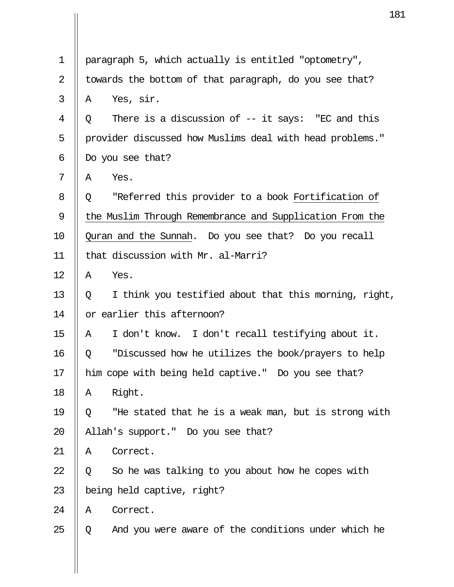|                                                          | Ţ,                                                       |  |
|----------------------------------------------------------|----------------------------------------------------------|--|
|                                                          |                                                          |  |
| paragraph 5, which actually is entitled "optometry",     |                                                          |  |
| towards the bottom of that paragraph, do you see that?   |                                                          |  |
| A                                                        | Yes, sir.                                                |  |
| Q                                                        | There is a discussion of $-$ it says: "EC and this       |  |
|                                                          | provider discussed how Muslims deal with head problems." |  |
| Do you see that?                                         |                                                          |  |
| A                                                        | Yes.                                                     |  |
| Q.                                                       | "Referred this provider to a book Fortification of       |  |
| the Muslim Through Remembrance and Supplication From the |                                                          |  |
| Quran and the Sunnah. Do you see that? Do you recall     |                                                          |  |
| that discussion with Mr. al-Marri?                       |                                                          |  |
| Α                                                        | Yes.                                                     |  |
| Q                                                        | I think you testified about that this morning, right,    |  |
| or earlier this afternoon?                               |                                                          |  |
| Α                                                        | I don't know. I don't recall testifying about it.        |  |
| Q                                                        | "Discussed how he utilizes the book/prayers to help      |  |
| him cope with being held captive." Do you see that?      |                                                          |  |
| Α                                                        | Right.                                                   |  |
| Q                                                        | "He stated that he is a weak man, but is strong with     |  |
| Allah's support." Do you see that?                       |                                                          |  |
| Α                                                        | Correct.                                                 |  |
| Q                                                        | So he was talking to you about how he copes with         |  |
| being held captive, right?                               |                                                          |  |
| Α                                                        | Correct.                                                 |  |
| Q                                                        | And you were aware of the conditions under which he      |  |
|                                                          |                                                          |  |
|                                                          |                                                          |  |

 $\parallel$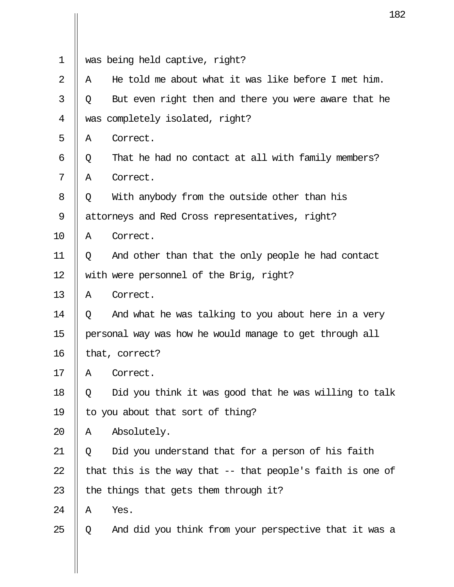|                |                                                         | 18                                                          |
|----------------|---------------------------------------------------------|-------------------------------------------------------------|
| 1              |                                                         | was being held captive, right?                              |
| $\overline{2}$ | Α                                                       | He told me about what it was like before I met him.         |
|                |                                                         |                                                             |
| 3              | Q                                                       | But even right then and there you were aware that he        |
| 4              |                                                         | was completely isolated, right?                             |
| 5              | Α                                                       | Correct.                                                    |
| 6              | Q                                                       | That he had no contact at all with family members?          |
| 7              | Α                                                       | Correct.                                                    |
| 8              | Q                                                       | With anybody from the outside other than his                |
| 9              | attorneys and Red Cross representatives, right?         |                                                             |
| 10             | Α                                                       | Correct.                                                    |
| 11             | Q                                                       | And other than that the only people he had contact          |
| 12             | with were personnel of the Brig, right?                 |                                                             |
| 13             | Α                                                       | Correct.                                                    |
| 14             | Q                                                       | And what he was talking to you about here in a very         |
| 15             | personal way was how he would manage to get through all |                                                             |
| 16             |                                                         | that, correct?                                              |
| 17             | Α                                                       | Correct.                                                    |
| 18             | Q                                                       | Did you think it was good that he was willing to talk       |
| 19             | to you about that sort of thing?                        |                                                             |
| 20             | Α                                                       | Absolutely.                                                 |
| 21             | Q                                                       | Did you understand that for a person of his faith           |
| 22             |                                                         | that this is the way that $-$ that people's faith is one of |
| 23             |                                                         | the things that gets them through it?                       |
| 24             | Α                                                       | Yes.                                                        |
| 25             | Q                                                       | And did you think from your perspective that it was a       |

Ш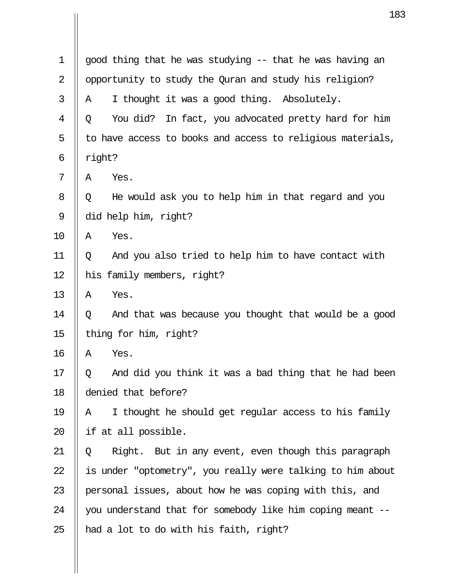|                | 18                                                          |  |  |
|----------------|-------------------------------------------------------------|--|--|
|                |                                                             |  |  |
| $\mathbf 1$    | good thing that he was studying -- that he was having an    |  |  |
| $\overline{2}$ | opportunity to study the Quran and study his religion?      |  |  |
| 3              | I thought it was a good thing. Absolutely.<br>A             |  |  |
| 4              | You did?<br>In fact, you advocated pretty hard for him<br>Q |  |  |
| 5              | to have access to books and access to religious materials,  |  |  |
| 6              | right?                                                      |  |  |
| 7              | Yes.<br>Α                                                   |  |  |
| 8              | He would ask you to help him in that regard and you<br>Q    |  |  |
| 9              | did help him, right?                                        |  |  |
| 10             | Yes.<br>Α                                                   |  |  |
| 11             | And you also tried to help him to have contact with<br>Q    |  |  |
| 12             | his family members, right?                                  |  |  |
| 13             | Yes.<br>Α                                                   |  |  |
| 14             | And that was because you thought that would be a good<br>Q  |  |  |
| 15             | thing for him, right?                                       |  |  |
| 16             | Α<br>Yes.                                                   |  |  |
| 17             | And did you think it was a bad thing that he had been<br>Q  |  |  |
| 18             | denied that before?                                         |  |  |
| 19             | I thought he should get regular access to his family<br>Α   |  |  |
| 20             | if at all possible.                                         |  |  |
| 21             | Right. But in any event, even though this paragraph<br>Q    |  |  |
| 22             | is under "optometry", you really were talking to him about  |  |  |
| 23             | personal issues, about how he was coping with this, and     |  |  |
| 24             | you understand that for somebody like him coping meant --   |  |  |
| 25             | had a lot to do with his faith, right?                      |  |  |

Ш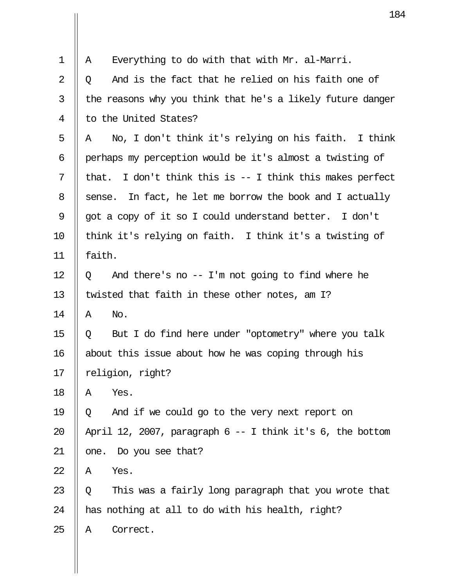|    | 18                                                            |
|----|---------------------------------------------------------------|
|    |                                                               |
| 1  | Everything to do with that with Mr. al-Marri.<br>Α            |
| 2  | And is the fact that he relied on his faith one of<br>Q       |
| 3  | the reasons why you think that he's a likely future danger    |
| 4  | to the United States?                                         |
| 5  | No, I don't think it's relying on his faith. I think<br>Α     |
| 6  | perhaps my perception would be it's almost a twisting of      |
| 7  | I don't think this is -- I think this makes perfect<br>that.  |
| 8  | In fact, he let me borrow the book and I actually<br>sense.   |
| 9  | got a copy of it so I could understand better. I don't        |
| 10 | think it's relying on faith. I think it's a twisting of       |
| 11 | faith.                                                        |
| 12 | And there's no $-$ I'm not going to find where he<br>Q        |
| 13 | twisted that faith in these other notes, am I?                |
| 14 | No.<br>A                                                      |
| 15 | But I do find here under "optometry" where you talk<br>Q      |
| 16 | about this issue about how he was coping through his          |
| 17 | religion, right?                                              |
| 18 | Yes.<br>Α                                                     |
| 19 | And if we could go to the very next report on<br>Q            |
| 20 | April 12, 2007, paragraph $6 - 1$ think it's $6$ , the bottom |
| 21 | one. Do you see that?                                         |
| 22 | Yes.<br>Α                                                     |
| 23 | This was a fairly long paragraph that you wrote that<br>Q     |
| 24 | has nothing at all to do with his health, right?              |
| 25 | Correct.<br>Α                                                 |

 $\mathbf{\mathsf{I}}$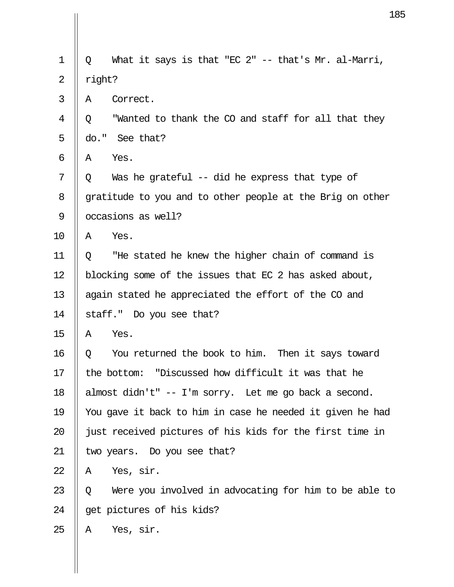|             | 1                                                          |  |  |
|-------------|------------------------------------------------------------|--|--|
| $\mathbf 1$ | What it says is that "EC 2" -- that's Mr. al-Marri,<br>Q   |  |  |
|             |                                                            |  |  |
| 2           | right?                                                     |  |  |
| 3           | Correct.<br>A                                              |  |  |
| 4           | "Wanted to thank the CO and staff for all that they<br>Q   |  |  |
| 5           | do." See that?                                             |  |  |
| 6           | Yes.<br>Α                                                  |  |  |
| 7           | Was he grateful -- did he express that type of<br>Q        |  |  |
| 8           | gratitude to you and to other people at the Brig on other  |  |  |
| 9           | occasions as well?                                         |  |  |
| 10          | Yes.<br>Α                                                  |  |  |
| 11          | "He stated he knew the higher chain of command is<br>Q     |  |  |
| 12          | blocking some of the issues that EC 2 has asked about,     |  |  |
| 13          | again stated he appreciated the effort of the CO and       |  |  |
| 14          | staff." Do you see that?                                   |  |  |
| 15          | Yes.<br>Α                                                  |  |  |
| 16          | You returned the book to him. Then it says toward<br>Q     |  |  |
| 17          | the bottom: "Discussed how difficult it was that he        |  |  |
| 18          | almost didn't" -- I'm sorry. Let me go back a second.      |  |  |
| 19          | You gave it back to him in case he needed it given he had  |  |  |
| 20          | just received pictures of his kids for the first time in   |  |  |
| 21          | two years. Do you see that?                                |  |  |
| 22          | Yes, sir.<br>Α                                             |  |  |
| 23          | Were you involved in advocating for him to be able to<br>Q |  |  |
| 24          | get pictures of his kids?                                  |  |  |
| 25          | Yes, sir.<br>Α                                             |  |  |
|             |                                                            |  |  |

 $\prod$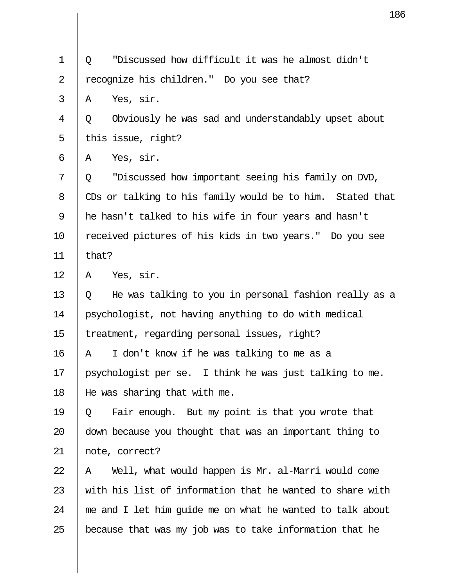|                | 18                                                         |  |  |
|----------------|------------------------------------------------------------|--|--|
|                |                                                            |  |  |
| $\mathbf 1$    | "Discussed how difficult it was he almost didn't<br>Q      |  |  |
| $\overline{2}$ | recognize his children." Do you see that?                  |  |  |
| 3              | Yes, sir.<br>A                                             |  |  |
| 4              | Obviously he was sad and understandably upset about<br>Q   |  |  |
| 5              | this issue, right?                                         |  |  |
| 6              | Yes, sir.<br>Α                                             |  |  |
| 7              | "Discussed how important seeing his family on DVD,<br>Q    |  |  |
| 8              | CDs or talking to his family would be to him. Stated that  |  |  |
| 9              | he hasn't talked to his wife in four years and hasn't      |  |  |
| 10             | received pictures of his kids in two years." Do you see    |  |  |
| 11             | that?                                                      |  |  |
| 12             | Yes, sir.<br>Α                                             |  |  |
| 13             | He was talking to you in personal fashion really as a<br>Q |  |  |
| 14             | psychologist, not having anything to do with medical       |  |  |
| 15             | treatment, regarding personal issues, right?               |  |  |
| 16             | I don't know if he was talking to me as a<br>Α             |  |  |
| 17             | psychologist per se. I think he was just talking to me.    |  |  |
| 18             | He was sharing that with me.                               |  |  |
| 19             | Fair enough. But my point is that you wrote that<br>Q      |  |  |
| 20             | down because you thought that was an important thing to    |  |  |
| 21             | note, correct?                                             |  |  |
| 22             | Well, what would happen is Mr. al-Marri would come<br>Α    |  |  |
| 23             | with his list of information that he wanted to share with  |  |  |
| 24             | me and I let him guide me on what he wanted to talk about  |  |  |
| 25             | because that was my job was to take information that he    |  |  |

 $\mathbf{\mathsf{I}}$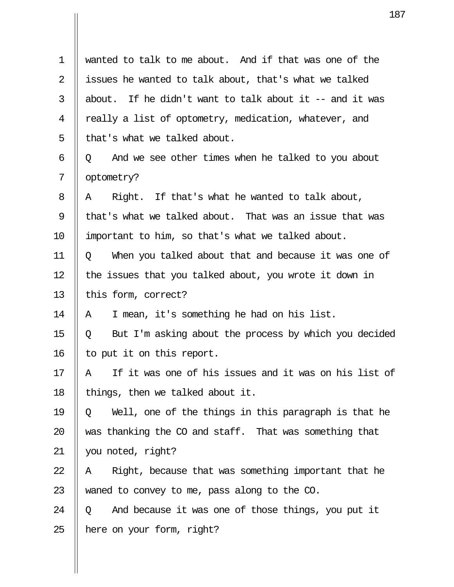| 1              | wanted to talk to me about. And if that was one of the     |
|----------------|------------------------------------------------------------|
| $\overline{2}$ | issues he wanted to talk about, that's what we talked      |
| 3              | about. If he didn't want to talk about it $-$ and it was   |
| 4              | really a list of optometry, medication, whatever, and      |
| 5              | that's what we talked about.                               |
| 6              | And we see other times when he talked to you about<br>Q    |
| 7              | optometry?                                                 |
| 8              | Right. If that's what he wanted to talk about,<br>A        |
| 9              | that's what we talked about. That was an issue that was    |
| 10             | important to him, so that's what we talked about.          |
| 11             | When you talked about that and because it was one of<br>Q  |
| 12             | the issues that you talked about, you wrote it down in     |
| 13             | this form, correct?                                        |
| 14             | I mean, it's something he had on his list.<br>A            |
| 15             | But I'm asking about the process by which you decided<br>Q |
| 16             | to put it on this report                                   |
| $17\,$         | If it was one of his issues and it was on his list of<br>A |
| 18             | things, then we talked about it.                           |
| 19             | Well, one of the things in this paragraph is that he<br>Q  |
| 20             | was thanking the CO and staff. That was something that     |
| 21             | you noted, right?                                          |
| 22             | Right, because that was something important that he<br>A   |
| 23             | waned to convey to me, pass along to the CO.               |
| 24             | And because it was one of those things, you put it<br>Q    |
| 25             | here on your form, right?                                  |

 $\overline{\mathbf{u}}$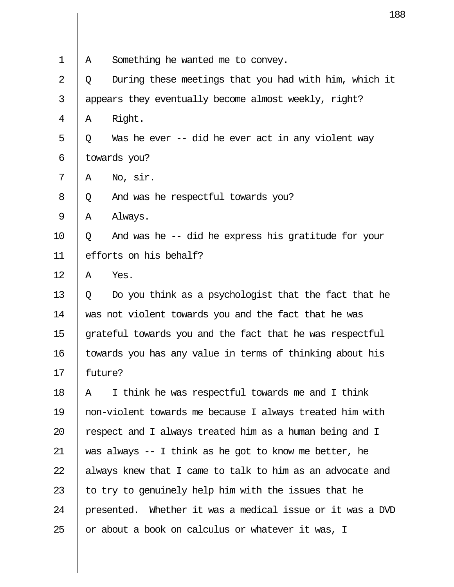|                                                          | 18                                                        |  |
|----------------------------------------------------------|-----------------------------------------------------------|--|
|                                                          |                                                           |  |
| Α                                                        | Something he wanted me to convey.                         |  |
| Q                                                        | During these meetings that you had with him, which it     |  |
|                                                          | appears they eventually become almost weekly, right?      |  |
| Α                                                        | Right.                                                    |  |
| Q                                                        | Was he ever -- did he ever act in any violent way         |  |
| towards you?                                             |                                                           |  |
| Α                                                        | No, sir.                                                  |  |
| Q                                                        | And was he respectful towards you?                        |  |
| Α                                                        | Always.                                                   |  |
| Q                                                        | And was he -- did he express his gratitude for your       |  |
| efforts on his behalf?                                   |                                                           |  |
| Α                                                        | Yes.                                                      |  |
| Q                                                        | Do you think as a psychologist that the fact that he      |  |
|                                                          | was not violent towards you and the fact that he was      |  |
| grateful towards you and the fact that he was respectful |                                                           |  |
| towards you has any value in terms of thinking about his |                                                           |  |
|                                                          | future?                                                   |  |
| Α                                                        | I think he was respectful towards me and I think          |  |
|                                                          | non-violent towards me because I always treated him with  |  |
|                                                          | respect and I always treated him as a human being and I   |  |
|                                                          | was always $-$ I think as he got to know me better, he    |  |
|                                                          | always knew that I came to talk to him as an advocate and |  |
|                                                          | to try to genuinely help him with the issues that he      |  |
|                                                          | presented. Whether it was a medical issue or it was a DVD |  |
|                                                          | or about a book on calculus or whatever it was, I         |  |
|                                                          |                                                           |  |

 $\prod$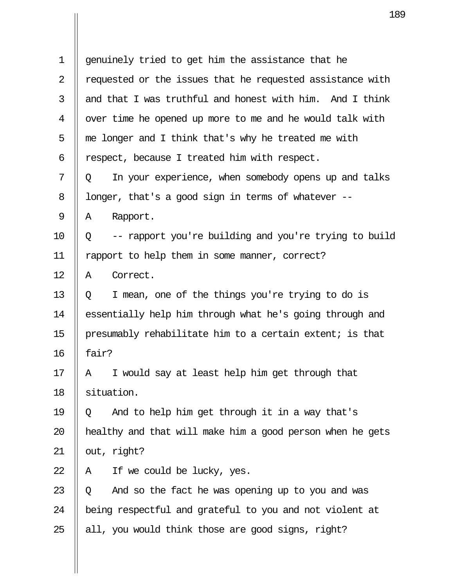| 1  | genuinely tried to get him the assistance that he          |  |  |
|----|------------------------------------------------------------|--|--|
| 2  | requested or the issues that he requested assistance with  |  |  |
| 3  | and that I was truthful and honest with him. And I think   |  |  |
| 4  | over time he opened up more to me and he would talk with   |  |  |
| 5  | me longer and I think that's why he treated me with        |  |  |
| 6  | respect, because I treated him with respect.               |  |  |
| 7  | In your experience, when somebody opens up and talks<br>Q  |  |  |
| 8  | longer, that's a good sign in terms of whatever --         |  |  |
| 9  | Rapport.<br>Α                                              |  |  |
| 10 | -- rapport you're building and you're trying to build<br>Q |  |  |
| 11 | rapport to help them in some manner, correct?              |  |  |
| 12 | Correct.<br>A                                              |  |  |
| 13 | I mean, one of the things you're trying to do is<br>Q      |  |  |
| 14 | essentially help him through what he's going through and   |  |  |
| 15 | presumably rehabilitate him to a certain extent; is that   |  |  |
| 16 | fair?                                                      |  |  |
| 17 | I would say at least help him get through that<br>Α        |  |  |
| 18 | situation.                                                 |  |  |
| 19 | And to help him get through it in a way that's<br>Q        |  |  |
| 20 | healthy and that will make him a good person when he gets  |  |  |
| 21 | out, right?                                                |  |  |
| 22 | If we could be lucky, yes.<br>Α                            |  |  |
| 23 | And so the fact he was opening up to you and was<br>Q      |  |  |
| 24 | being respectful and grateful to you and not violent at    |  |  |
| 25 | all, you would think those are good signs, right?          |  |  |

 $\overline{\mathsf{I}}$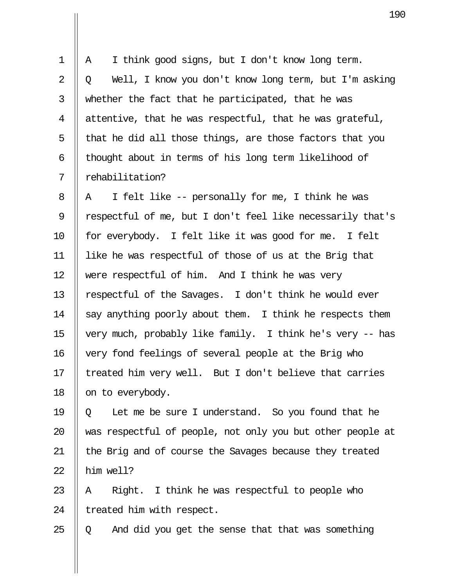$1 \parallel A \parallel I$  think good signs, but I don't know long term. 2 || 0 Well, I know you don't know long term, but I'm asking  $3$  || whether the fact that he participated, that he was 4 || attentive, that he was respectful, that he was grateful,  $5$  | that he did all those things, are those factors that you 6  $\parallel$  thought about in terms of his long term likelihood of 7 rehabilitation?

8 || A I felt like  $-$  personally for me, I think he was 9 || respectful of me, but I don't feel like necessarily that's 10 || for everybody. I felt like it was good for me. I felt 11 like he was respectful of those of us at the Brig that 12 Were respectful of him. And I think he was very 13 || respectful of the Savages. I don't think he would ever 14  $\parallel$  say anything poorly about them. I think he respects them 15 very much, probably like family. I think he's very -- has 16 | very fond feelings of several people at the Brig who 17  $\parallel$  treated him very well. But I don't believe that carries 18 || on to everybody.

19  $\parallel$  0 Let me be sure I understand. So you found that he 20 || was respectful of people, not only you but other people at 21 || the Brig and of course the Savages because they treated  $22$  | him well?

23  $\parallel$  A Right. I think he was respectful to people who  $24$  | treated him with respect.

25  $\parallel$  Q and did you get the sense that that was something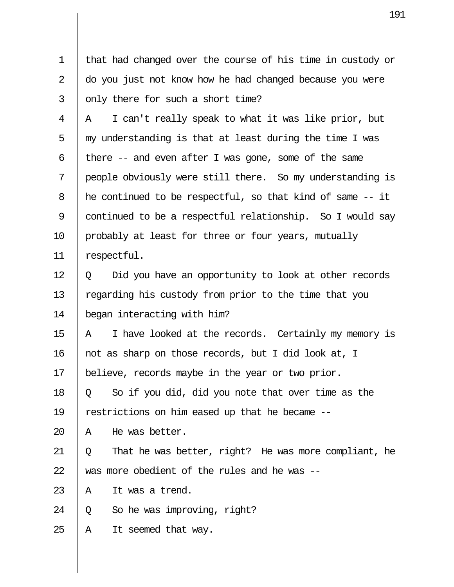1 || that had changed over the course of his time in custody or 2 do you just not know how he had changed because you were  $3 \parallel$  only there for such a short time?  $4 \parallel A \parallel I$  can't really speak to what it was like prior, but  $5$   $\parallel$  my understanding is that at least during the time I was 6 | there  $-$  and even after I was gone, some of the same 7 people obviously were still there. So my understanding is  $8$  || he continued to be respectful, so that kind of same  $-$  it 9 | continued to be a respectful relationship. So I would say 10 || probably at least for three or four years, mutually 11 respectful.  $12 \parallel Q$  Did you have an opportunity to look at other records 13 | regarding his custody from prior to the time that you 14 began interacting with him? 15  $\parallel$  A I have looked at the records. Certainly my memory is 16 || not as sharp on those records, but I did look at, I 17 believe, records maybe in the year or two prior. 18  $\parallel$  0 So if you did, did you note that over time as the 19 restrictions on him eased up that he became -- 20  $\parallel$  A He was better. 21  $\parallel$  Q That he was better, right? He was more compliant, he 22  $\parallel$  was more obedient of the rules and he was --23  $\parallel$  A It was a trend. 24  $\parallel$  0 So he was improving, right?  $25$  || A It seemed that way.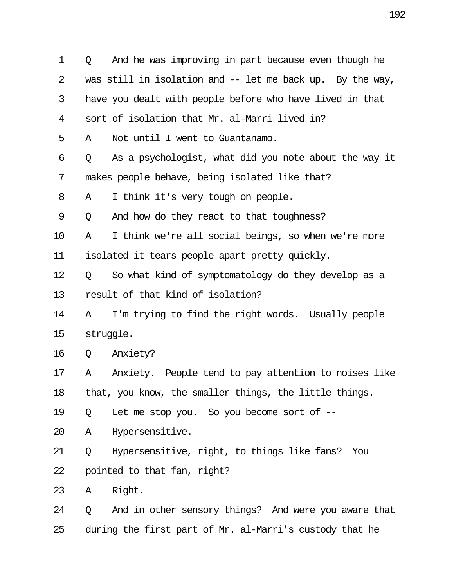| 1  | And he was improving in part because even though he<br>Q   |  |  |
|----|------------------------------------------------------------|--|--|
| 2  | was still in isolation and $-$ let me back up. By the way, |  |  |
| 3  | have you dealt with people before who have lived in that   |  |  |
| 4  | sort of isolation that Mr. al-Marri lived in?              |  |  |
| 5  | Not until I went to Guantanamo.<br>A                       |  |  |
| 6  | As a psychologist, what did you note about the way it<br>Q |  |  |
| 7  | makes people behave, being isolated like that?             |  |  |
| 8  | I think it's very tough on people.<br>A                    |  |  |
| 9  | And how do they react to that toughness?<br>Q              |  |  |
| 10 | I think we're all social beings, so when we're more<br>Α   |  |  |
| 11 | isolated it tears people apart pretty quickly.             |  |  |
| 12 | So what kind of symptomatology do they develop as a<br>Q   |  |  |
| 13 | result of that kind of isolation?                          |  |  |
| 14 | I'm trying to find the right words. Usually people<br>A    |  |  |
| 15 | struggle.                                                  |  |  |
| 16 | Anxiety?<br>Q                                              |  |  |
| 17 | Anxiety. People tend to pay attention to noises like<br>Α  |  |  |
| 18 | that, you know, the smaller things, the little things.     |  |  |
| 19 | Let me stop you. So you become sort of --<br>Q             |  |  |
| 20 | Hypersensitive.<br>Α                                       |  |  |
| 21 | Hypersensitive, right, to things like fans?<br>You<br>Q    |  |  |
| 22 | pointed to that fan, right?                                |  |  |
| 23 | Right.<br>Α                                                |  |  |
| 24 | And in other sensory things? And were you aware that<br>Q  |  |  |
| 25 | during the first part of Mr. al-Marri's custody that he    |  |  |

 $\mathbf{I}$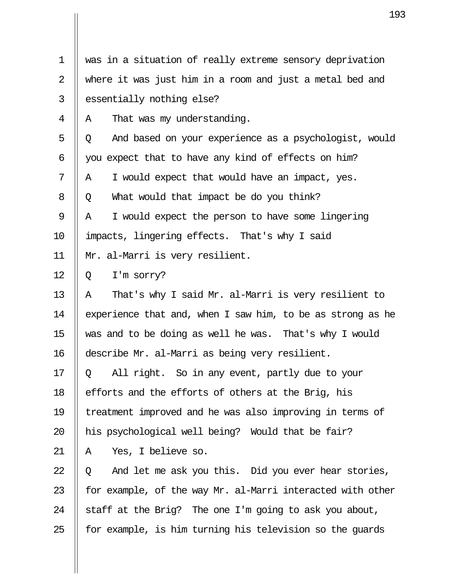| 1              | was in a situation of really extreme sensory deprivation   |
|----------------|------------------------------------------------------------|
| $\overline{2}$ | where it was just him in a room and just a metal bed and   |
| 3              | essentially nothing else?                                  |
| 4              | That was my understanding.<br>A                            |
| 5              | And based on your experience as a psychologist, would<br>Q |
| 6              | you expect that to have any kind of effects on him?        |
| 7              | I would expect that would have an impact, yes.<br>A        |
| 8              | What would that impact be do you think?<br>Q               |
| 9              | I would expect the person to have some lingering<br>Α      |
| 10             | impacts, lingering effects. That's why I said              |
| 11             | Mr. al-Marri is very resilient.                            |
| 12             | I'm sorry?<br>Q                                            |
| 13             | That's why I said Mr. al-Marri is very resilient to<br>Α   |
| 14             | experience that and, when I saw him, to be as strong as he |
| 15             | was and to be doing as well he was. That's why I would     |
| 16             | describe Mr. al-Marri as being very resilient              |
| 17             | All right. So in any event, partly due to your<br>Q        |
| 18             | efforts and the efforts of others at the Brig, his         |
| 19             | treatment improved and he was also improving in terms of   |
| 20             | his psychological well being? Would that be fair?          |
| 21             | Yes, I believe so.<br>A                                    |
| 22             | And let me ask you this. Did you ever hear stories,<br>Q   |
| 23             | for example, of the way Mr. al-Marri interacted with other |
| 24             | staff at the Brig? The one I'm going to ask you about,     |
| 25             | for example, is him turning his television so the guards   |

 $\overline{\mathbf{u}}$ 

 $\mathbf{\mathsf{I}}$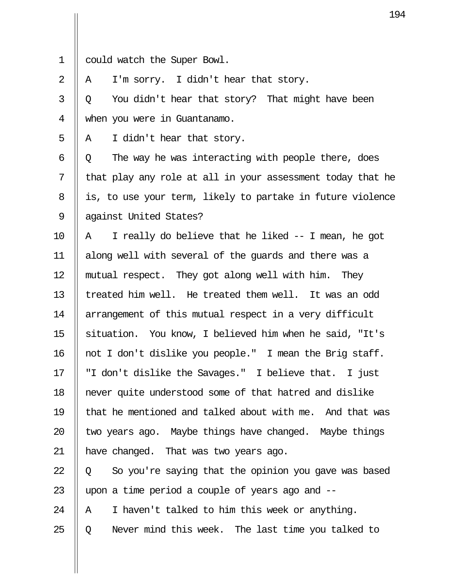1 could watch the Super Bowl.

2 || A I'm sorry. I didn't hear that story.

 $3 \parallel Q$  You didn't hear that story? That might have been 4 when you were in Guantanamo.

 $5 \parallel A \parallel I$  didn't hear that story.

 $6 \parallel Q$  The way he was interacting with people there, does  $7$  || that play any role at all in your assessment today that he  $8$  || is, to use your term, likely to partake in future violence 9 || against United States?

10  $\parallel$  A I really do believe that he liked -- I mean, he got 11 along well with several of the guards and there was a 12 || mutual respect. They got along well with him. They 13 I treated him well. He treated them well. It was an odd 14 || arrangement of this mutual respect in a very difficult 15 || situation. You know, I believed him when he said, "It's 16 || not I don't dislike you people." I mean the Brig staff. 17 "I don't dislike the Savages." I believe that. I just 18 never quite understood some of that hatred and dislike 19 that he mentioned and talked about with me. And that was 20  $\parallel$  two years ago. Maybe things have changed. Maybe things 21 | have changed. That was two years ago.

22  $\parallel$  0 So you're saying that the opinion you gave was based 23  $\parallel$  upon a time period a couple of years ago and  $-$ 

24  $\parallel$  A I haven't talked to him this week or anything.

25  $\parallel$  Q Never mind this week. The last time you talked to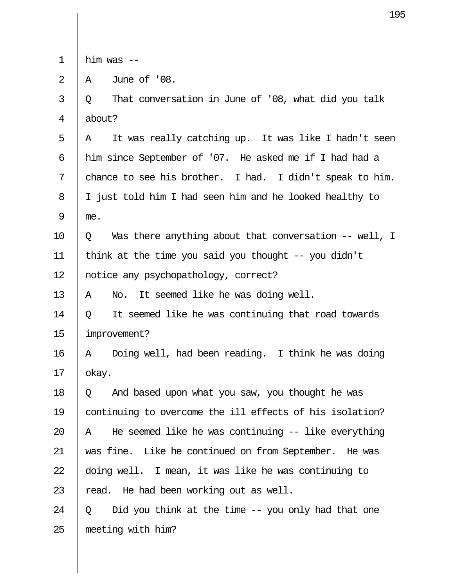|  | m r<br>ı | was |  |
|--|----------|-----|--|
|--|----------|-----|--|

 $2 \parallel A$  June of '08.

 $3 \parallel Q$  That conversation in June of '08, what did you talk 4 about?  $5 \parallel A$  It was really catching up. It was like I hadn't seen 6 || him since September of '07. He asked me if I had had a 7  $\parallel$  chance to see his brother. I had. I didn't speak to him. 8 | I just told him I had seen him and he looked healthy to  $9 \parallel me.$  $10 \parallel Q$  Was there anything about that conversation -- well, I 11 || think at the time you said you thought  $-$ - you didn't 12 | notice any psychopathology, correct? 13  $\parallel$  A No. It seemed like he was doing well. 14  $\parallel$  0 It seemed like he was continuing that road towards 15 improvement? 16 || A Doing well, had been reading. I think he was doing  $17$  | okay. 18  $\parallel$  0 And based upon what you saw, you thought he was 19 continuing to overcome the ill effects of his isolation? 20  $\parallel$  A He seemed like he was continuing -- like everything 21 was fine. Like he continued on from September. He was 22 doing well. I mean, it was like he was continuing to 23  $\parallel$  read. He had been working out as well. 24  $\parallel$  0 Did you think at the time -- you only had that one 25 meeting with him?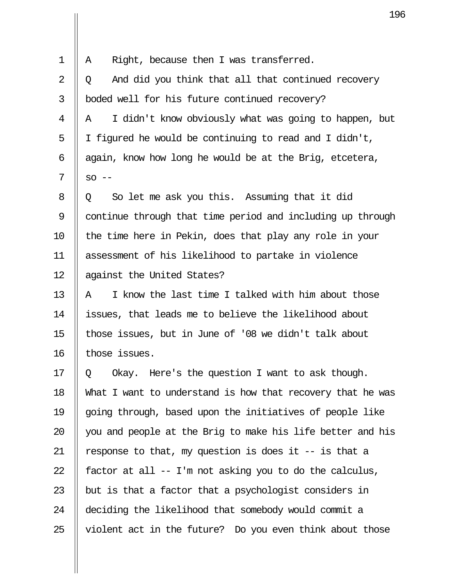| $\mathbf 1$ | Right, because then I was transferred.<br>Α                |
|-------------|------------------------------------------------------------|
| 2           | And did you think that all that continued recovery<br>Q    |
| 3           | boded well for his future continued recovery?              |
| 4           | I didn't know obviously what was going to happen, but<br>Α |
| 5           | I figured he would be continuing to read and I didn't,     |
| 6           | again, know how long he would be at the Brig, etcetera,    |
| 7           | $SO$ $--$                                                  |
| 8           | So let me ask you this. Assuming that it did<br>Q          |
| 9           | continue through that time period and including up through |
| 10          | the time here in Pekin, does that play any role in your    |
| 11          | assessment of his likelihood to partake in violence        |
| 12          | against the United States?                                 |
| 13          | I know the last time I talked with him about those<br>Α    |
| 14          | issues, that leads me to believe the likelihood about      |
| 15          | those issues, but in June of '08 we didn't talk about      |
| 16          | those issues.                                              |
| 17          | Okay. Here's the question I want to ask though.<br>Q       |
| 18          | What I want to understand is how that recovery that he was |
| 19          | going through, based upon the initiatives of people like   |
| 20          | you and people at the Brig to make his life better and his |
| 21          | response to that, my question is does it $-$ is that a     |
| 22          | factor at all -- I'm not asking you to do the calculus,    |
| 23          | but is that a factor that a psychologist considers in      |
| 24          | deciding the likelihood that somebody would commit a       |
| 25          | violent act in the future? Do you even think about those   |

 $\overline{\mathsf{I}}$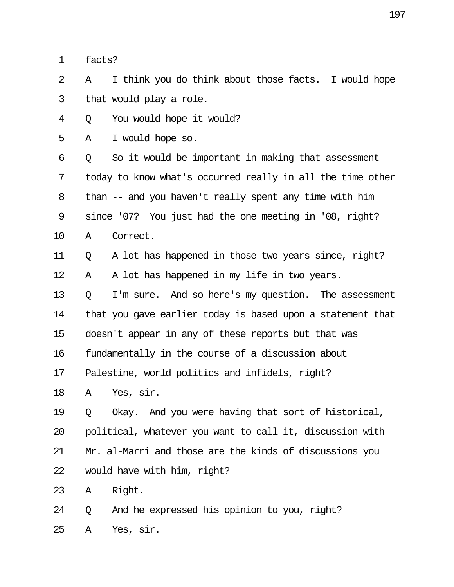|  | ۰-<br>TACI<br>∽ |
|--|-----------------|
|--|-----------------|

 $2 \parallel A \parallel I$  think you do think about those facts. I would hope  $3 \parallel$  that would play a role.

4 || 0 You would hope it would?

 $5 \parallel A \parallel I$  would hope so.

 $6 \parallel Q$  So it would be important in making that assessment  $7 \parallel$  today to know what's occurred really in all the time other 8  $\parallel$  than -- and you haven't really spent any time with him 9 Since '07? You just had the one meeting in '08, right? 10 || A Correct.

11 Q A lot has happened in those two years since, right?  $12 \parallel A \parallel A \parallel$  and thas happened in my life in two years.

13  $\parallel$  0 I'm sure. And so here's my question. The assessment 14 | that you gave earlier today is based upon a statement that 15 doesn't appear in any of these reports but that was 16 || fundamentally in the course of a discussion about 17 || Palestine, world politics and infidels, right?

 $18$  || A Yes, sir.

19  $\parallel$  0 Okay. And you were having that sort of historical, 20 || political, whatever you want to call it, discussion with 21 Mr. al-Marri and those are the kinds of discussions you 22  $\parallel$  would have with him, right?

 $23$  || A Right.

24  $\parallel$  Q and he expressed his opinion to you, right?  $25$  | A Yes, sir.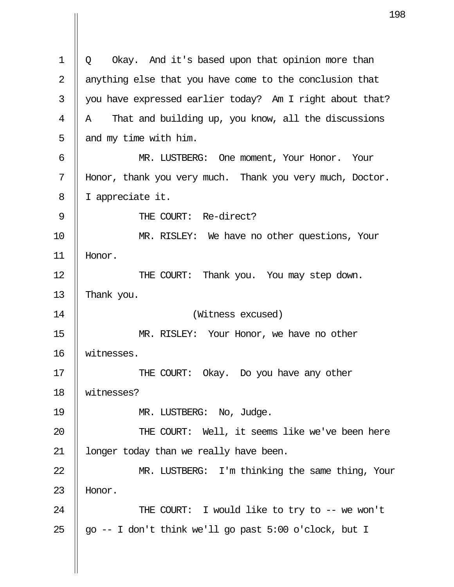1 || Q Okay. And it's based upon that opinion more than 2  $\parallel$  anything else that you have come to the conclusion that  $3 \parallel$  you have expressed earlier today? Am I right about that?  $4 \parallel A$  That and building up, you know, all the discussions  $5 \parallel$  and my time with him. 6 MR. LUSTBERG: One moment, Your Honor. Your 7 Honor, thank you very much. Thank you very much, Doctor. 8 I appreciate it. 9 || THE COURT: Re-direct? 10 MR. RISLEY: We have no other questions, Your 11 Honor. 12 || THE COURT: Thank you. You may step down. 13  $\parallel$  Thank you. 14 (Witness excused) 15 MR. RISLEY: Your Honor, we have no other 16 witnesses. 17 || THE COURT: Okay. Do you have any other 18 witnesses? 19 || MR. LUSTBERG: No, Judge. 20 THE COURT: Well, it seems like we've been here 21 | longer today than we really have been. 22 || MR. LUSTBERG: I'm thinking the same thing, Your 23 || Honor. 24 || THE COURT: I would like to try to -- we won't 25  $\parallel$  go -- I don't think we'll go past 5:00 o'clock, but I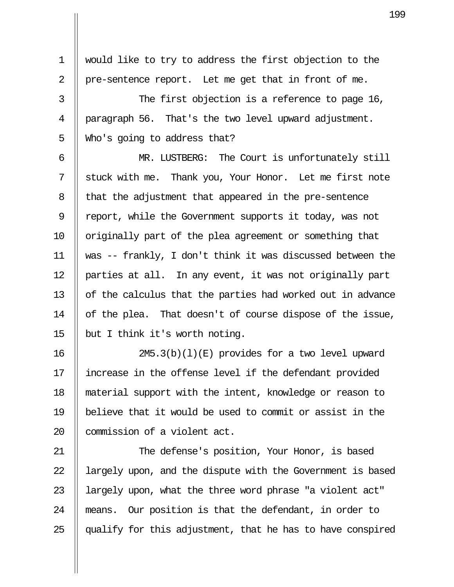1 would like to try to address the first objection to the 2 || pre-sentence report. Let me get that in front of me.

3 || The first objection is a reference to page 16, 4 || paragraph 56. That's the two level upward adjustment.  $5 \parallel$  Who's going to address that?

 6 MR. LUSTBERG: The Court is unfortunately still 7 || stuck with me. Thank you, Your Honor. Let me first note 8 || that the adjustment that appeared in the pre-sentence 9 || report, while the Government supports it today, was not 10 || originally part of the plea agreement or something that 11 was -- frankly, I don't think it was discussed between the 12 parties at all. In any event, it was not originally part 13 || of the calculus that the parties had worked out in advance 14 | of the plea. That doesn't of course dispose of the issue, 15  $\parallel$  but I think it's worth noting.

16 2M5.3(b)(l)(E) provides for a two level upward 17 increase in the offense level if the defendant provided 18 material support with the intent, knowledge or reason to 19 believe that it would be used to commit or assist in the 20 | commission of a violent act.

21 || The defense's position, Your Honor, is based 22 | largely upon, and the dispute with the Government is based 23 || largely upon, what the three word phrase "a violent act" 24 means. Our position is that the defendant, in order to 25  $\parallel$  qualify for this adjustment, that he has to have conspired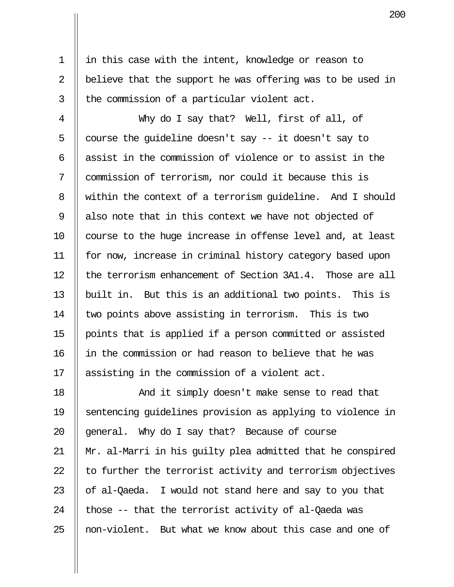1 in this case with the intent, knowledge or reason to 2  $\parallel$  believe that the support he was offering was to be used in  $3$  || the commission of a particular violent act.

 4 Why do I say that? Well, first of all, of 5  $\parallel$  course the quideline doesn't say -- it doesn't say to 6  $\parallel$  assist in the commission of violence or to assist in the 7  $\parallel$  commission of terrorism, nor could it because this is 8 Weithin the context of a terrorism quideline. And I should 9  $\parallel$  also note that in this context we have not objected of 10 || course to the huge increase in offense level and, at least 11 for now, increase in criminal history category based upon 12  $\parallel$  the terrorism enhancement of Section 3A1.4. Those are all 13 || built in. But this is an additional two points. This is 14 || two points above assisting in terrorism. This is two 15 points that is applied if a person committed or assisted 16 in the commission or had reason to believe that he was 17 || assisting in the commission of a violent act.

18 || The Mand it simply doesn't make sense to read that 19 sentencing guidelines provision as applying to violence in 20  $\parallel$  general. Why do I say that? Because of course 21 Mr. al-Marri in his guilty plea admitted that he conspired  $22$   $\parallel$  to further the terrorist activity and terrorism objectives 23  $\parallel$  of al-Qaeda. I would not stand here and say to you that 24  $\parallel$  those -- that the terrorist activity of al-Qaeda was 25 || non-violent. But what we know about this case and one of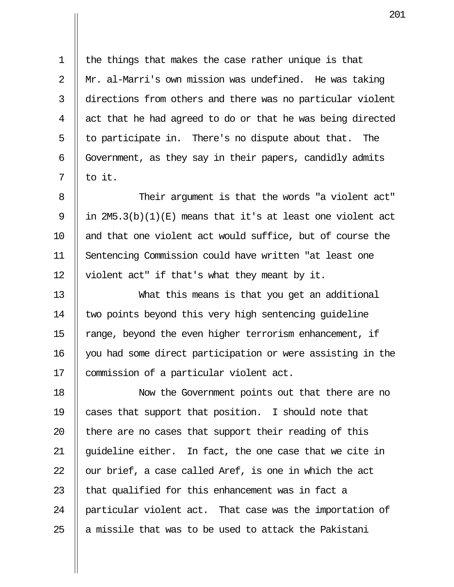1 || the things that makes the case rather unique is that 2 Mr. al-Marri's own mission was undefined. He was taking 3 directions from others and there was no particular violent  $4 \parallel$  act that he had agreed to do or that he was being directed  $5 \parallel$  to participate in. There's no dispute about that. The 6 Government, as they say in their papers, candidly admits  $7 \parallel$  to it.

8  $\parallel$  Their argument is that the words "a violent act" 9 | in 2M5.3(b)(1)(E) means that it's at least one violent act 10 || and that one violent act would suffice, but of course the 11 Sentencing Commission could have written "at least one 12 || violent act" if that's what they meant by it.

13 What this means is that you get an additional 14 || two points beyond this very high sentencing quideline 15 || range, beyond the even higher terrorism enhancement, if 16 you had some direct participation or were assisting in the 17 | commission of a particular violent act.

18 Now the Government points out that there are no 19 cases that support that position. I should note that  $\parallel$  there are no cases that support their reading of this  $\parallel$  quideline either. In fact, the one case that we cite in  $\parallel$  our brief, a case called Aref, is one in which the act  $\parallel$  that qualified for this enhancement was in fact a 24 || particular violent act. That case was the importation of  $\parallel$  a missile that was to be used to attack the Pakistani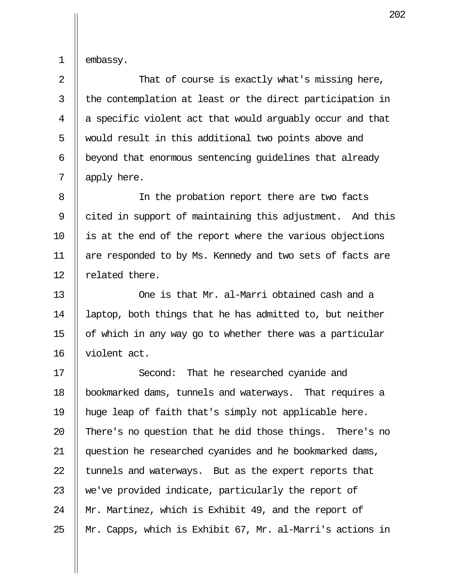1 || embassy.

2 || That of course is exactly what's missing here,  $3$  || the contemplation at least or the direct participation in  $4 \parallel a$  specific violent act that would arguably occur and that 5 || would result in this additional two points above and 6 | beyond that enormous sentencing quidelines that already 7 apply here.

8 || In the probation report there are two facts 9 cited in support of maintaining this adjustment. And this 10 is at the end of the report where the various objections 11 || are responded to by Ms. Kennedy and two sets of facts are 12 || related there.

13 One is that Mr. al-Marri obtained cash and a 14 laptop, both things that he has admitted to, but neither 15  $\parallel$  of which in any way go to whether there was a particular 16 violent act.

17 || Second: That he researched cyanide and 18 bookmarked dams, tunnels and waterways. That requires a 19 huge leap of faith that's simply not applicable here. 20 || There's no question that he did those things. There's no 21 question he researched cyanides and he bookmarked dams, 22  $\parallel$  tunnels and waterways. But as the expert reports that 23  $\parallel$  we've provided indicate, particularly the report of 24 || Mr. Martinez, which is Exhibit 49, and the report of 25 Mr. Capps, which is Exhibit 67, Mr. al-Marri's actions in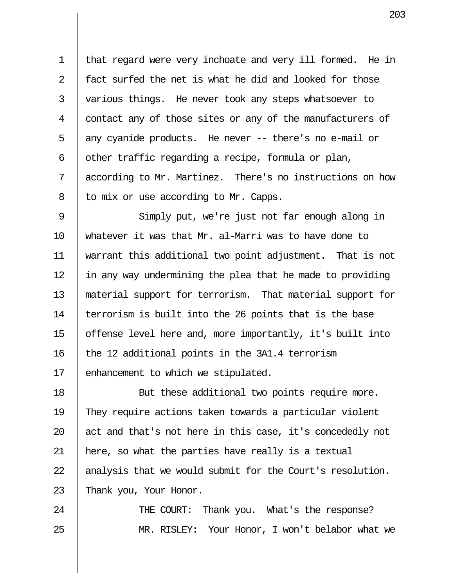1 || that regard were very inchoate and very ill formed. He in 2 || fact surfed the net is what he did and looked for those 3 || various things. He never took any steps whatsoever to 4 | contact any of those sites or any of the manufacturers of 5  $\parallel$  any cyanide products. He never -- there's no e-mail or  $6 \parallel$  other traffic regarding a recipe, formula or plan, 7 according to Mr. Martinez. There's no instructions on how  $8 \parallel$  to mix or use according to Mr. Capps.

9 || Simply put, we're just not far enough along in 10 whatever it was that Mr. al-Marri was to have done to 11 warrant this additional two point adjustment. That is not 12  $\parallel$  in any way undermining the plea that he made to providing 13 material support for terrorism. That material support for 14  $\parallel$  terrorism is built into the 26 points that is the base 15 offense level here and, more importantly, it's built into 16  $\parallel$  the 12 additional points in the 3A1.4 terrorism 17 | enhancement to which we stipulated.

18 || But these additional two points require more. 19 They require actions taken towards a particular violent 20  $\parallel$  act and that's not here in this case, it's concededly not 21 here, so what the parties have really is a textual 22  $\parallel$  analysis that we would submit for the Court's resolution. 23  $\parallel$  Thank you, Your Honor.

24 || THE COURT: Thank you. What's the response? 25 MR. RISLEY: Your Honor, I won't belabor what we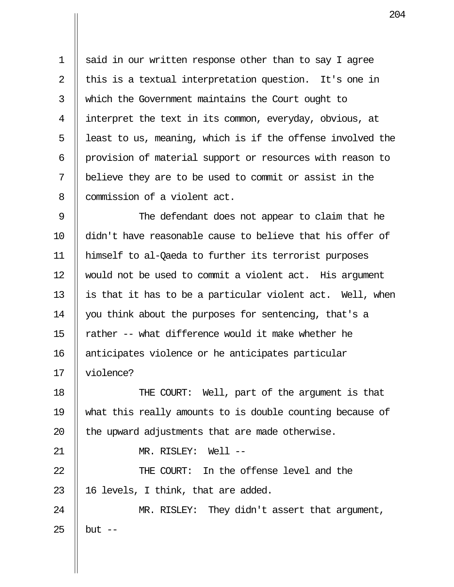1  $\parallel$  said in our written response other than to say I agree 2  $\parallel$  this is a textual interpretation question. It's one in 3 which the Government maintains the Court ought to 4 interpret the text in its common, everyday, obvious, at  $5$  || least to us, meaning, which is if the offense involved the 6 provision of material support or resources with reason to 7 believe they are to be used to commit or assist in the 8 || commission of a violent act.

9 || The defendant does not appear to claim that he 10 didn't have reasonable cause to believe that his offer of 11 himself to al-Qaeda to further its terrorist purposes 12 would not be used to commit a violent act. His argument 13  $\parallel$  is that it has to be a particular violent act. Well, when 14 || you think about the purposes for sentencing, that's a 15  $\parallel$  rather -- what difference would it make whether he 16 || anticipates violence or he anticipates particular 17 violence?

18 THE COURT: Well, part of the argument is that 19 what this really amounts to is double counting because of 20  $\parallel$  the upward adjustments that are made otherwise.

21 MR. RISLEY: Well --

22 THE COURT: In the offense level and the 23  $\parallel$  16 levels, I think, that are added.

24 || MR. RISLEY: They didn't assert that argument, 25 || but  $-$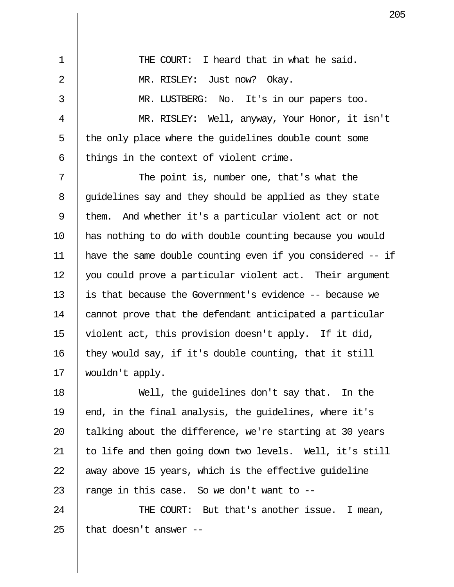| $\mathbf 1$    | THE COURT: I heard that in what he said.                   |
|----------------|------------------------------------------------------------|
| $\overline{2}$ | MR. RISLEY: Just now? Okay.                                |
| 3              | MR. LUSTBERG: No. It's in our papers too.                  |
| 4              | MR. RISLEY: Well, anyway, Your Honor, it isn't             |
| 5              | the only place where the guidelines double count some      |
| 6              | things in the context of violent crime.                    |
| 7              | The point is, number one, that's what the                  |
| 8              | guidelines say and they should be applied as they state    |
| 9              | them. And whether it's a particular violent act or not     |
| 10             | has nothing to do with double counting because you would   |
| 11             | have the same double counting even if you considered -- if |
| 12             | you could prove a particular violent act. Their argument   |
| 13             | is that because the Government's evidence -- because we    |
| 14             | cannot prove that the defendant anticipated a particular   |
| 15             | violent act, this provision doesn't apply. If it did,      |
| 16             | they would say, if it's double counting, that it still     |
| 17             | wouldn't apply.                                            |
| 18             | Well, the quidelines don't say that. In the                |
| 19             | end, in the final analysis, the guidelines, where it's     |
| 20             | talking about the difference, we're starting at 30 years   |
| 21             | to life and then going down two levels. Well, it's still   |
| 22             | away above 15 years, which is the effective guideline      |
| 23             | range in this case. So we don't want to $-$                |
| 24             | THE COURT: But that's another issue. I mean,               |

25  $\parallel$  that doesn't answer --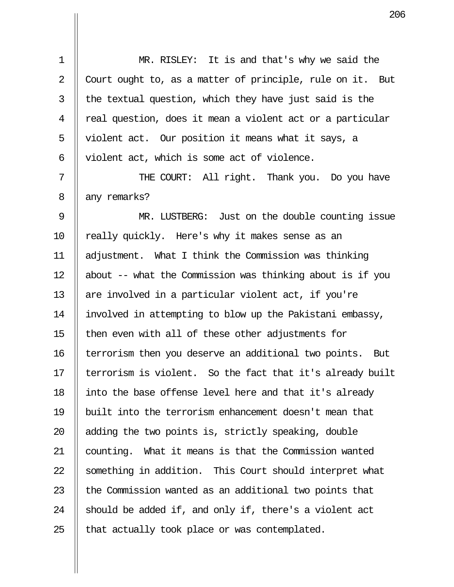1 || MR. RISLEY: It is and that's why we said the 2  $\parallel$  Court ought to, as a matter of principle, rule on it. But  $3$  || the textual question, which they have just said is the  $4 \parallel$  real question, does it mean a violent act or a particular 5 || violent act. Our position it means what it says, a 6 | violent act, which is some act of violence.

7 || THE COURT: All right. Thank you. Do you have 8 || any remarks?

9 || MR. LUSTBERG: Just on the double counting issue 10 || really quickly. Here's why it makes sense as an 11 adjustment. What I think the Commission was thinking 12  $\parallel$  about -- what the Commission was thinking about is if you 13  $\parallel$  are involved in a particular violent act, if you're 14 involved in attempting to blow up the Pakistani embassy,  $15$  then even with all of these other adjustments for 16 | terrorism then you deserve an additional two points. But 17  $\parallel$  terrorism is violent. So the fact that it's already built 18 || into the base offense level here and that it's already 19 built into the terrorism enhancement doesn't mean that 20  $\parallel$  adding the two points is, strictly speaking, double 21 | counting. What it means is that the Commission wanted 22 || something in addition. This Court should interpret what 23  $\parallel$  the Commission wanted as an additional two points that 24  $\parallel$  should be added if, and only if, there's a violent act  $25$  || that actually took place or was contemplated.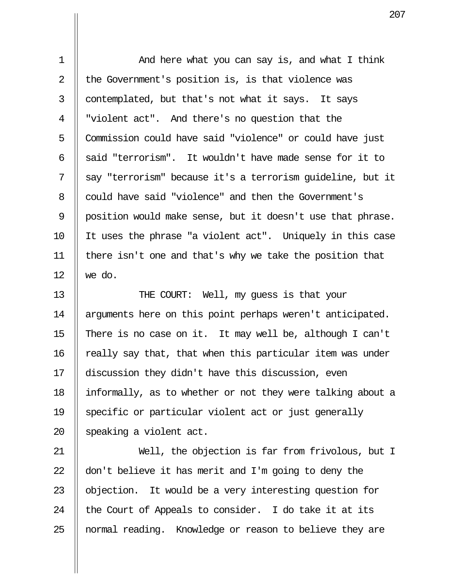1 And here what you can say is, and what I think 2  $\parallel$  the Government's position is, is that violence was  $3$  | contemplated, but that's not what it says. It says 4 "violent act". And there's no question that the 5 Commission could have said "violence" or could have just 6  $\parallel$  said "terrorism". It wouldn't have made sense for it to 7 || say "terrorism" because it's a terrorism quideline, but it 8 could have said "violence" and then the Government's 9 | position would make sense, but it doesn't use that phrase. 10 It uses the phrase "a violent act". Uniquely in this case 11  $\parallel$  there isn't one and that's why we take the position that 12 we do.

13 || THE COURT: Well, my quess is that your 14 || arguments here on this point perhaps weren't anticipated. 15  $\parallel$  There is no case on it. It may well be, although I can't  $16$  | really say that, that when this particular item was under 17 discussion they didn't have this discussion, even 18 informally, as to whether or not they were talking about a 19 Specific or particular violent act or just generally 20  $\parallel$  speaking a violent act.

21 Well, the objection is far from frivolous, but I 22  $\parallel$  don't believe it has merit and I'm going to deny the 23  $\parallel$  objection. It would be a very interesting question for 24  $\parallel$  the Court of Appeals to consider. I do take it at its 25 || normal reading. Knowledge or reason to believe they are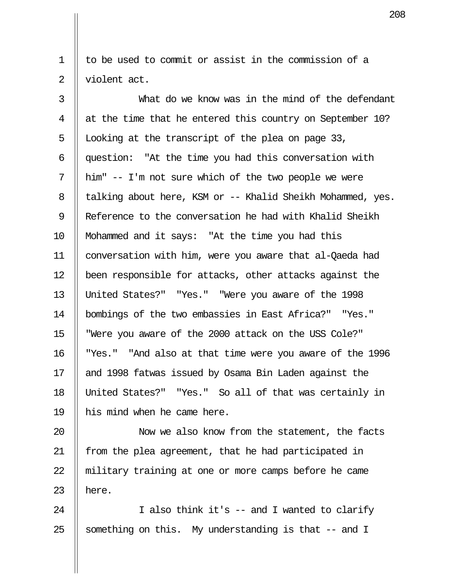1 || to be used to commit or assist in the commission of a 2 || violent act.

 3 What do we know was in the mind of the defendant 4  $\parallel$  at the time that he entered this country on September 10? 5 | Looking at the transcript of the plea on page 33, 6 question: "At the time you had this conversation with  $7 \parallel$  him" -- I'm not sure which of the two people we were 8 | talking about here, KSM or -- Khalid Sheikh Mohammed, yes. 9 | Reference to the conversation he had with Khalid Sheikh 10 || Mohammed and it says: "At the time you had this 11 conversation with him, were you aware that al-Qaeda had 12 been responsible for attacks, other attacks against the 13 United States?" "Yes." "Were you aware of the 1998 14 bombings of the two embassies in East Africa?" "Yes." 15 "Were you aware of the 2000 attack on the USS Cole?" 16 "Yes." "And also at that time were you aware of the 1996 17 and 1998 fatwas issued by Osama Bin Laden against the 18 United States?" "Yes." So all of that was certainly in 19 || his mind when he came here.

20 Now we also know from the statement, the facts 21 || from the plea agreement, that he had participated in 22 || military training at one or more camps before he came 23  $\parallel$  here.

24 || I also think it's -- and I wanted to clarify 25  $\parallel$  something on this. My understanding is that -- and I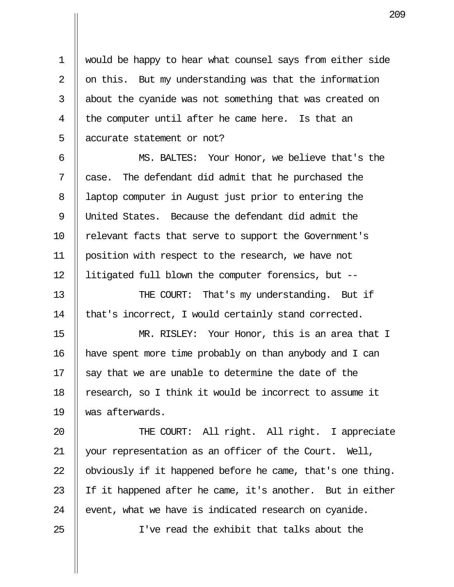1 would be happy to hear what counsel says from either side 2  $\parallel$  on this. But my understanding was that the information 3 || about the cyanide was not something that was created on  $4 \parallel$  the computer until after he came here. Is that an 5 || accurate statement or not?

 6 MS. BALTES: Your Honor, we believe that's the  $7$  | case. The defendant did admit that he purchased the 8 | laptop computer in August just prior to entering the 9 United States. Because the defendant did admit the 10 || relevant facts that serve to support the Government's 11 position with respect to the research, we have not 12 litigated full blown the computer forensics, but --

13 || THE COURT: That's my understanding. But if 14 || that's incorrect, I would certainly stand corrected.

15 MR. RISLEY: Your Honor, this is an area that I 16 have spent more time probably on than anybody and I can 17  $\parallel$  say that we are unable to determine the date of the 18 || research, so I think it would be incorrect to assume it 19 was afterwards.

20 || THE COURT: All right. All right. I appreciate 21 || your representation as an officer of the Court. Well, 22  $\parallel$  obviously if it happened before he came, that's one thing. 23 || If it happened after he came, it's another. But in either 24  $\parallel$  event, what we have is indicated research on cyanide.

25 I've read the exhibit that talks about the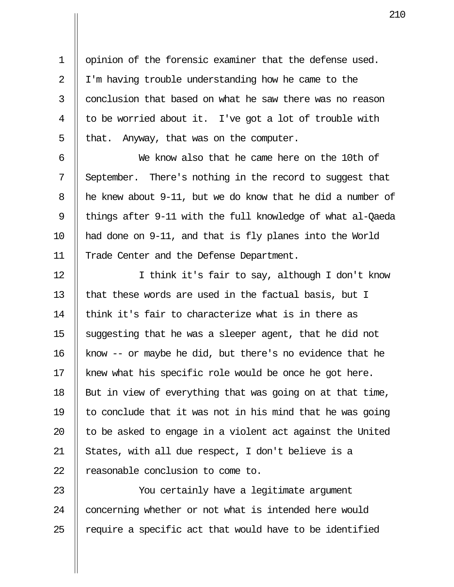1 | opinion of the forensic examiner that the defense used. 2 | I'm having trouble understanding how he came to the  $3$   $\parallel$  conclusion that based on what he saw there was no reason  $4 \parallel$  to be worried about it. I've got a lot of trouble with 5 | that. Anyway, that was on the computer.

 6 We know also that he came here on the 10th of  $7 \parallel$  September. There's nothing in the record to suggest that 8 | he knew about 9-11, but we do know that he did a number of 9 || things after 9-11 with the full knowledge of what al-Qaeda 10 had done on 9-11, and that is fly planes into the World 11 || Trade Center and the Defense Department.

12 || I think it's fair to say, although I don't know 13  $\parallel$  that these words are used in the factual basis, but I  $14$   $\parallel$  think it's fair to characterize what is in there as 15  $\parallel$  suggesting that he was a sleeper agent, that he did not 16 | know  $-$ - or maybe he did, but there's no evidence that he 17 || knew what his specific role would be once he got here. 18  $\parallel$  But in view of everything that was going on at that time, 19  $\parallel$  to conclude that it was not in his mind that he was going 20  $\parallel$  to be asked to engage in a violent act against the United 21 || States, with all due respect, I don't believe is a 22 || reasonable conclusion to come to.

23 || You certainly have a leqitimate argument 24 | concerning whether or not what is intended here would 25  $\parallel$  require a specific act that would have to be identified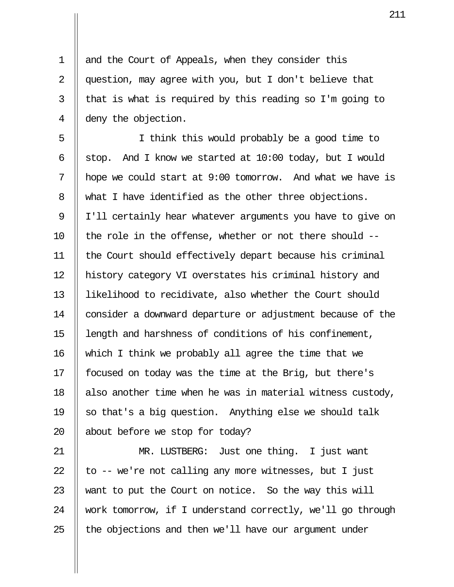1 || and the Court of Appeals, when they consider this 2 || question, may agree with you, but I don't believe that  $3 \parallel$  that is what is required by this reading so I'm going to 4 deny the objection.

 5 I think this would probably be a good time to 6 | stop. And I know we started at  $10:00$  today, but I would  $7 \parallel$  hope we could start at 9:00 tomorrow. And what we have is 8 What I have identified as the other three objections. 9 || I'll certainly hear whatever arguments you have to give on 10  $\parallel$  the role in the offense, whether or not there should --11 the Court should effectively depart because his criminal 12 history category VI overstates his criminal history and 13 likelihood to recidivate, also whether the Court should 14 consider a downward departure or adjustment because of the 15 | length and harshness of conditions of his confinement, 16 || which I think we probably all agree the time that we 17 || focused on today was the time at the Brig, but there's 18  $\parallel$  also another time when he was in material witness custody, 19  $\parallel$  so that's a big question. Anything else we should talk 20  $\parallel$  about before we stop for today?

21 MR. LUSTBERG: Just one thing. I just want 22  $\parallel$  to -- we're not calling any more witnesses, but I just 23 W want to put the Court on notice. So the way this will 24 work tomorrow, if I understand correctly, we'll go through  $25$  || the objections and then we'll have our argument under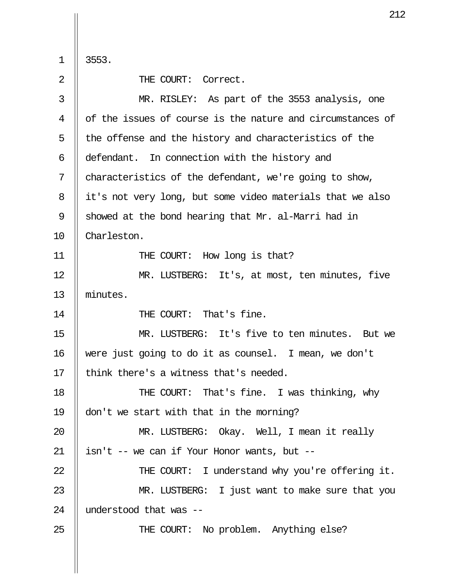$\begin{array}{c} 1 \\ 2 \end{array}$  3553.

THE COURT: Correct.

| 3  | MR. RISLEY: As part of the 3553 analysis, one              |
|----|------------------------------------------------------------|
|    |                                                            |
| 4  | of the issues of course is the nature and circumstances of |
| 5  | the offense and the history and characteristics of the     |
| 6  | defendant. In connection with the history and              |
| 7  | characteristics of the defendant, we're going to show,     |
| 8  | it's not very long, but some video materials that we also  |
| 9  | showed at the bond hearing that Mr. al-Marri had in        |
| 10 | Charleston.                                                |
| 11 | THE COURT: How long is that?                               |
| 12 | MR. LUSTBERG: It's, at most, ten minutes, five             |
| 13 | minutes.                                                   |
| 14 | THE COURT: That's fine.                                    |
| 15 | MR. LUSTBERG: It's five to ten minutes. But we             |
| 16 | were just going to do it as counsel. I mean, we don't      |
| 17 | think there's a witness that's needed.                     |
| 18 | THE COURT: That's fine. I was thinking, why                |
| 19 | don't we start with that in the morning?                   |
| 20 | MR. LUSTBERG: Okay. Well, I mean it really                 |
| 21 | isn't -- we can if Your Honor wants, but --                |
| 22 | THE COURT: I understand why you're offering it.            |
| 23 | MR. LUSTBERG: I just want to make sure that you            |
| 24 | understood that was --                                     |
| 25 | THE COURT: No problem. Anything else?                      |